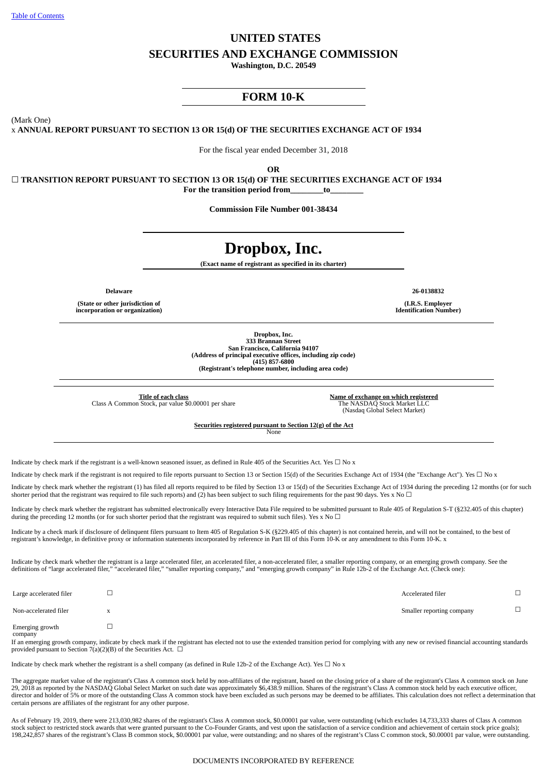### **UNITED STATES**

### **SECURITIES AND EXCHANGE COMMISSION**

**Washington, D.C. 20549**

## **FORM 10-K**

(Mark One)

x **ANNUAL REPORT PURSUANT TO SECTION 13 OR 15(d) OF THE SECURITIES EXCHANGE ACT OF 1934**

For the fiscal year ended December 31, 2018

**OR**

☐ **TRANSITION REPORT PURSUANT TO SECTION 13 OR 15(d) OF THE SECURITIES EXCHANGE ACT OF 1934 For the transition period from\_\_\_\_\_\_\_\_to\_\_\_\_\_\_\_\_**

**Commission File Number 001-38434**

# **Dropbox, Inc.**

**(Exact name of registrant as specified in its charter)**

**(State or other jurisdiction of incorporation or organization)**

**Delaware 26-0138832**

**(I.R.S. Employer Identification Number)**

**Dropbox, Inc.**

**333 Brannan Street San Francisco, California 94107**

**(Address of principal executive offices, including zip code)**

**(415) 857-6800**

**(Registrant's telephone number, including area code)**

**Title of each class** Class A Common Stock, par value \$0.00001 per share **Name of exchange on which registered** The NASDAQ Stock Market LLC (Nasdaq Global Select Market)

**Securities registered pursuant to Section 12(g) of the Act**

**None** 

Indicate by check mark if the registrant is a well-known seasoned issuer, as defined in Rule 405 of the Securities Act. Yes  $\Box$  No x

Indicate by check mark if the registrant is not required to file reports pursuant to Section 13 or Section 15(d) of the Securities Exchange Act of 1934 (the "Exchange Act"). Yes ☐ No x

Indicate by check mark whether the registrant (1) has filed all reports required to be filed by Section 13 or 15(d) of the Securities Exchange Act of 1934 during the preceding 12 months (or for such shorter period that the registrant was required to file such reports) and (2) has been subject to such filing requirements for the past 90 days. Yes x No  $\Box$ 

Indicate by check mark whether the registrant has submitted electronically every Interactive Data File required to be submitted pursuant to Rule 405 of Regulation S-T (§232.405 of this chapter) during the preceding 12 months (or for such shorter period that the registrant was required to submit such files). Yes x No  $\Box$ 

Indicate by a check mark if disclosure of delinquent filers pursuant to Item 405 of Regulation S-K (§229.405 of this chapter) is not contained herein, and will not be contained, to the best of registrant's knowledge, in definitive proxy or information statements incorporated by reference in Part III of this Form 10-K or any amendment to this Form 10-K. x

Indicate by check mark whether the registrant is a large accelerated filer, an accelerated filer, a non-accelerated filer, a smaller reporting company, or an emerging growth company. See the definitions of "large accelerated filer," "accelerated filer," "smaller reporting company," and "emerging growth company" in Rule 12b-2 of the Exchange Act. (Check one):

Large accelerated filer ☐ Accelerated filer ☐ Non-accelerated filer x Smaller reporting company ☐ Emerging growth  $\Box$ 

company

If an emerging growth company, indicate by check mark if the registrant has elected not to use the extended transition period for complying with any new or revised financial accounting standards provided pursuant to Section  $7(a)(2)(B)$  of the Securities Act.  $\Box$ 

Indicate by check mark whether the registrant is a shell company (as defined in Rule 12b-2 of the Exchange Act). Yes ☐ No x

The aggregate market value of the registrant's Class A common stock held by non-affiliates of the registrant, based on the closing price of a share of the registrant's Class A common stock on June 29, 2018 as reported by the NASDAQ Global Select Market on such date was approximately \$6,438.9 million. Shares of the registrant's Class A common stock held by each executive officer, director and holder of 5% or more of the outstanding Class A common stock have been excluded as such persons may be deemed to be affiliates. This calculation does not reflect a determination that certain persons are affiliates of the registrant for any other purpose.

As of February 19, 2019, there were 213,030,982 shares of the registrant's Class A common stock, \$0.00001 par value, were outstanding (which excludes 14,733,333 shares of Class A common stock subject to restricted stock awards that were granted pursuant to the Co-Founder Grants, and vest upon the satisfaction of a service condition and achievement of certain stock price goals); 198,242,857 shares of the registrant's Class B common stock, \$0.00001 par value, were outstanding; and no shares of the registrant's Class C common stock, \$0.00001 par value, were outstanding.

DOCUMENTS INCORPORATED BY REFERENCE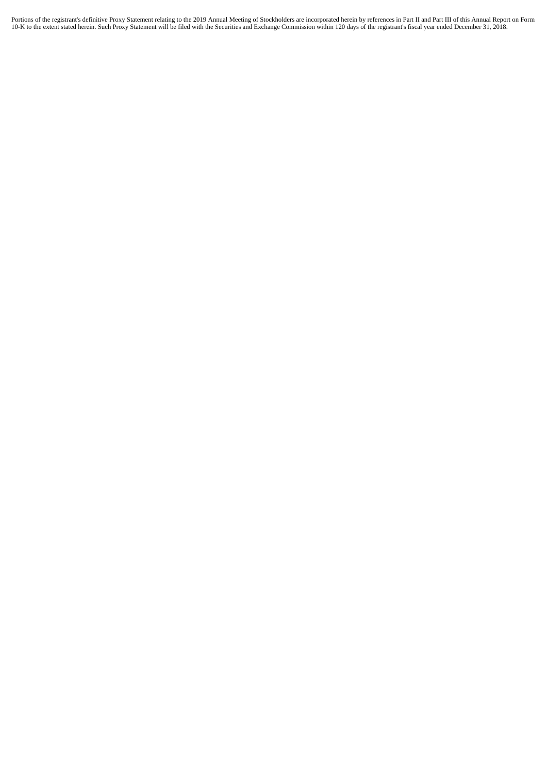Portions of the registrant's definitive Proxy Statement relating to the 2019 Annual Meeting of Stockholders are incorporated herein by references in Part II and Part III of this Annual Report on Form 10-K to the extent stated herein. Such Proxy Statement will be filed with the Securities and Exchange Commission within 120 days of the registrant's fiscal year ended December 31, 2018.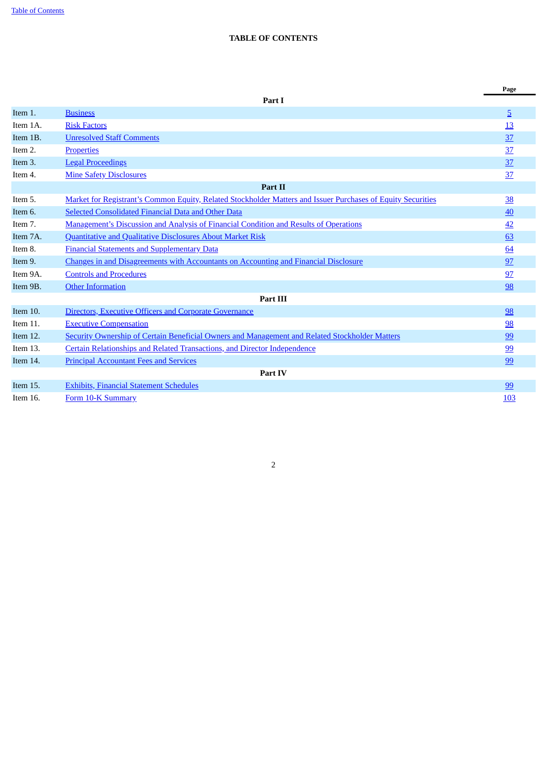## **TABLE OF CONTENTS**

<span id="page-2-0"></span>

|          |                                                                                                              | Page           |
|----------|--------------------------------------------------------------------------------------------------------------|----------------|
|          | Part I                                                                                                       |                |
| Item 1.  | <b>Business</b>                                                                                              | $\overline{5}$ |
| Item 1A. | <b>Risk Factors</b>                                                                                          | <u>13</u>      |
| Item 1B. | <b>Unresolved Staff Comments</b>                                                                             | 37             |
| Item 2.  | <b>Properties</b>                                                                                            | 37             |
| Item 3.  | <b>Legal Proceedings</b>                                                                                     | 37             |
| Item 4.  | <b>Mine Safety Disclosures</b>                                                                               | 37             |
|          | Part II                                                                                                      |                |
| Item 5.  | Market for Registrant's Common Equity, Related Stockholder Matters and Issuer Purchases of Equity Securities | <u>38</u>      |
| Item 6.  | Selected Consolidated Financial Data and Other Data                                                          | 40             |
| Item 7.  | Management's Discussion and Analysis of Financial Condition and Results of Operations                        | 42             |
| Item 7A. | <b>Quantitative and Qualitative Disclosures About Market Risk</b>                                            | 63             |
| Item 8.  | <b>Financial Statements and Supplementary Data</b>                                                           | 64             |
| Item 9.  | <b>Changes in and Disagreements with Accountants on Accounting and Financial Disclosure</b>                  | 97             |
| Item 9A. | <b>Controls and Procedures</b>                                                                               | 97             |
| Item 9B. | <b>Other Information</b>                                                                                     | 98             |
|          | Part III                                                                                                     |                |
| Item 10. | Directors, Executive Officers and Corporate Governance                                                       | 98             |
| Item 11. | <b>Executive Compensation</b>                                                                                | 98             |
| Item 12. | Security Ownership of Certain Beneficial Owners and Management and Related Stockholder Matters               | 99             |
| Item 13. | Certain Relationships and Related Transactions, and Director Independence                                    | 99             |
| Item 14. | <b>Principal Accountant Fees and Services</b>                                                                | 99             |
|          | Part IV                                                                                                      |                |
| Item 15. | <b>Exhibits, Financial Statement Schedules</b>                                                               | 99             |
| Item 16. | Form 10-K Summary                                                                                            | 103            |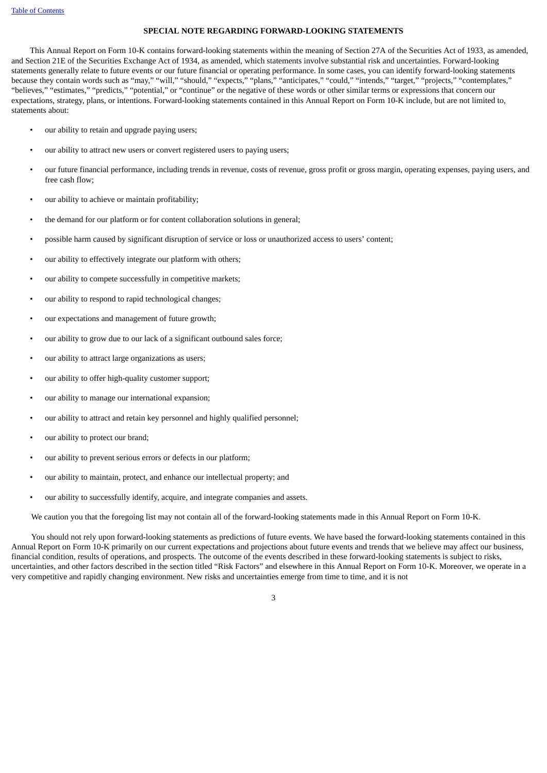### **SPECIAL NOTE REGARDING FORWARD-LOOKING STATEMENTS**

This Annual Report on Form 10-K contains forward-looking statements within the meaning of Section 27A of the Securities Act of 1933, as amended, and Section 21E of the Securities Exchange Act of 1934, as amended, which statements involve substantial risk and uncertainties. Forward-looking statements generally relate to future events or our future financial or operating performance. In some cases, you can identify forward-looking statements because they contain words such as "may," "will," "should," "expects," "plans," "anticipates," "could," "intends," "target," "projects," "contemplates," "believes," "estimates," "predicts," "potential," or "continue" or the negative of these words or other similar terms or expressions that concern our expectations, strategy, plans, or intentions. Forward-looking statements contained in this Annual Report on Form 10-K include, but are not limited to, statements about:

- our ability to retain and upgrade paying users;
- our ability to attract new users or convert registered users to paying users;
- our future financial performance, including trends in revenue, costs of revenue, gross profit or gross margin, operating expenses, paying users, and free cash flow;
- our ability to achieve or maintain profitability;
- the demand for our platform or for content collaboration solutions in general;
- possible harm caused by significant disruption of service or loss or unauthorized access to users' content;
- our ability to effectively integrate our platform with others;
- our ability to compete successfully in competitive markets;
- our ability to respond to rapid technological changes;
- our expectations and management of future growth;
- our ability to grow due to our lack of a significant outbound sales force;
- our ability to attract large organizations as users;
- our ability to offer high-quality customer support:
- our ability to manage our international expansion;
- our ability to attract and retain key personnel and highly qualified personnel;
- our ability to protect our brand;
- our ability to prevent serious errors or defects in our platform;
- our ability to maintain, protect, and enhance our intellectual property; and
- our ability to successfully identify, acquire, and integrate companies and assets.

We caution you that the foregoing list may not contain all of the forward-looking statements made in this Annual Report on Form 10-K.

You should not rely upon forward-looking statements as predictions of future events. We have based the forward-looking statements contained in this Annual Report on Form 10-K primarily on our current expectations and projections about future events and trends that we believe may affect our business, financial condition, results of operations, and prospects. The outcome of the events described in these forward-looking statements is subject to risks, uncertainties, and other factors described in the section titled "Risk Factors" and elsewhere in this Annual Report on Form 10-K. Moreover, we operate in a very competitive and rapidly changing environment. New risks and uncertainties emerge from time to time, and it is not

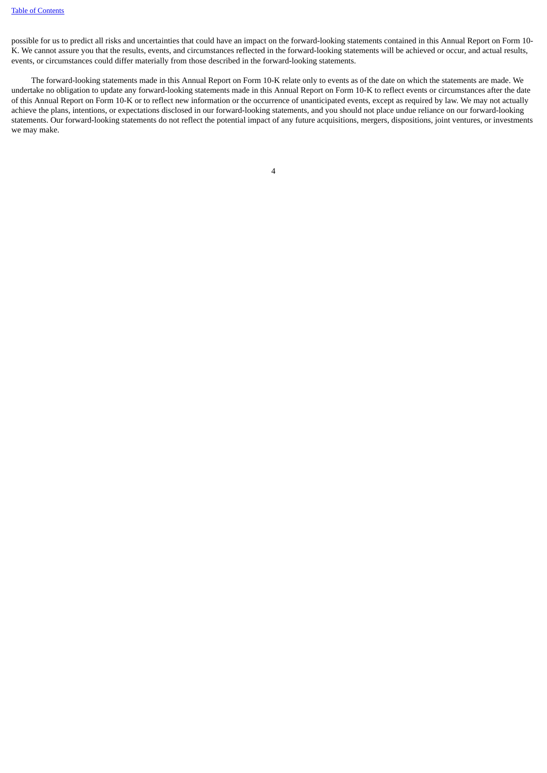possible for us to predict all risks and uncertainties that could have an impact on the forward-looking statements contained in this Annual Report on Form 10- K. We cannot assure you that the results, events, and circumstances reflected in the forward-looking statements will be achieved or occur, and actual results, events, or circumstances could differ materially from those described in the forward-looking statements.

The forward-looking statements made in this Annual Report on Form 10-K relate only to events as of the date on which the statements are made. We undertake no obligation to update any forward-looking statements made in this Annual Report on Form 10-K to reflect events or circumstances after the date of this Annual Report on Form 10-K or to reflect new information or the occurrence of unanticipated events, except as required by law. We may not actually achieve the plans, intentions, or expectations disclosed in our forward-looking statements, and you should not place undue reliance on our forward-looking statements. Our forward-looking statements do not reflect the potential impact of any future acquisitions, mergers, dispositions, joint ventures, or investments we may make.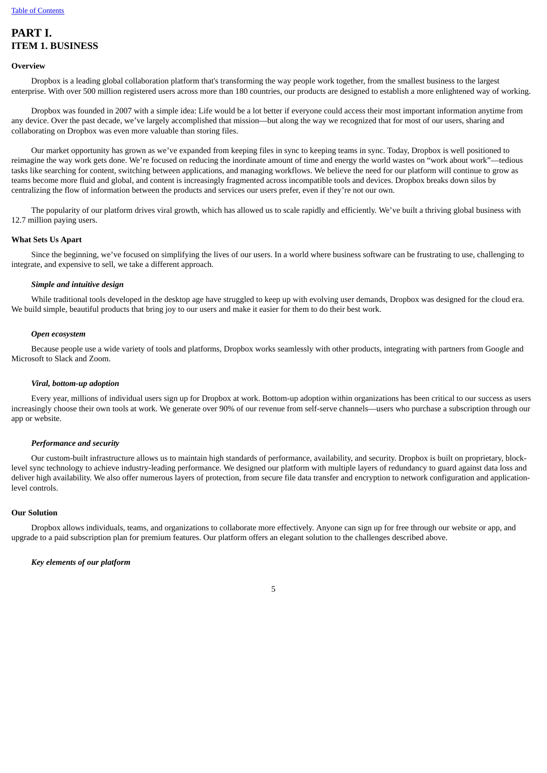## <span id="page-5-0"></span>**PART I. ITEM 1. BUSINESS**

#### **Overview**

Dropbox is a leading global collaboration platform that's transforming the way people work together, from the smallest business to the largest enterprise. With over 500 million registered users across more than 180 countries, our products are designed to establish a more enlightened way of working.

Dropbox was founded in 2007 with a simple idea: Life would be a lot better if everyone could access their most important information anytime from any device. Over the past decade, we've largely accomplished that mission—but along the way we recognized that for most of our users, sharing and collaborating on Dropbox was even more valuable than storing files.

Our market opportunity has grown as we've expanded from keeping files in sync to keeping teams in sync. Today, Dropbox is well positioned to reimagine the way work gets done. We're focused on reducing the inordinate amount of time and energy the world wastes on "work about work"—tedious tasks like searching for content, switching between applications, and managing workflows. We believe the need for our platform will continue to grow as teams become more fluid and global, and content is increasingly fragmented across incompatible tools and devices. Dropbox breaks down silos by centralizing the flow of information between the products and services our users prefer, even if they're not our own.

The popularity of our platform drives viral growth, which has allowed us to scale rapidly and efficiently. We've built a thriving global business with 12.7 million paying users.

### **What Sets Us Apart**

Since the beginning, we've focused on simplifying the lives of our users. In a world where business software can be frustrating to use, challenging to integrate, and expensive to sell, we take a different approach.

#### *Simple and intuitive design*

While traditional tools developed in the desktop age have struggled to keep up with evolving user demands, Dropbox was designed for the cloud era. We build simple, beautiful products that bring joy to our users and make it easier for them to do their best work.

#### *Open ecosystem*

Because people use a wide variety of tools and platforms, Dropbox works seamlessly with other products, integrating with partners from Google and Microsoft to Slack and Zoom.

#### *Viral, bottom-up adoption*

Every year, millions of individual users sign up for Dropbox at work. Bottom-up adoption within organizations has been critical to our success as users increasingly choose their own tools at work. We generate over 90% of our revenue from self-serve channels—users who purchase a subscription through our app or website.

#### *Performance and security*

Our custom-built infrastructure allows us to maintain high standards of performance, availability, and security. Dropbox is built on proprietary, blocklevel sync technology to achieve industry-leading performance. We designed our platform with multiple layers of redundancy to guard against data loss and deliver high availability. We also offer numerous layers of protection, from secure file data transfer and encryption to network configuration and applicationlevel controls.

### **Our Solution**

Dropbox allows individuals, teams, and organizations to collaborate more effectively. Anyone can sign up for free through our website or app, and upgrade to a paid subscription plan for premium features. Our platform offers an elegant solution to the challenges described above.

### *Key elements of our platform*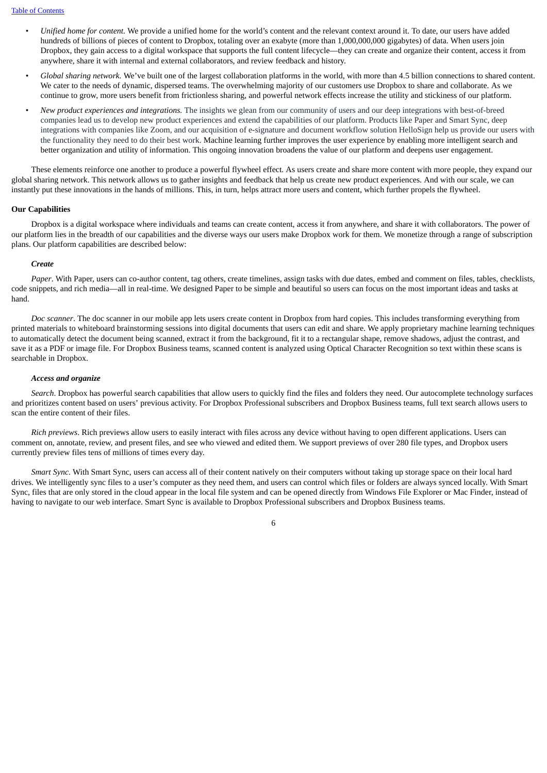- *Unified home for content.* We provide a unified home for the world's content and the relevant context around it. To date, our users have added hundreds of billions of pieces of content to Dropbox, totaling over an exabyte (more than 1,000,000,000 gigabytes) of data. When users join Dropbox, they gain access to a digital workspace that supports the full content lifecycle—they can create and organize their content, access it from anywhere, share it with internal and external collaborators, and review feedback and history.
- *Global sharing network.* We've built one of the largest collaboration platforms in the world, with more than 4.5 billion connections to shared content. We cater to the needs of dynamic, dispersed teams. The overwhelming majority of our customers use Dropbox to share and collaborate. As we continue to grow, more users benefit from frictionless sharing, and powerful network effects increase the utility and stickiness of our platform.
- *New product experiences and integrations.* The insights we glean from our community of users and our deep integrations with best-of-breed companies lead us to develop new product experiences and extend the capabilities of our platform. Products like Paper and Smart Sync, deep integrations with companies like Zoom, and our acquisition of e-signature and document workflow solution HelloSign help us provide our users with the functionality they need to do their best work. Machine learning further improves the user experience by enabling more intelligent search and better organization and utility of information. This ongoing innovation broadens the value of our platform and deepens user engagement.

These elements reinforce one another to produce a powerful flywheel effect. As users create and share more content with more people, they expand our global sharing network. This network allows us to gather insights and feedback that help us create new product experiences. And with our scale, we can instantly put these innovations in the hands of millions. This, in turn, helps attract more users and content, which further propels the flywheel.

#### **Our Capabilities**

Dropbox is a digital workspace where individuals and teams can create content, access it from anywhere, and share it with collaborators. The power of our platform lies in the breadth of our capabilities and the diverse ways our users make Dropbox work for them. We monetize through a range of subscription plans. Our platform capabilities are described below:

#### *Create*

*Paper*. With Paper, users can co-author content, tag others, create timelines, assign tasks with due dates, embed and comment on files, tables, checklists, code snippets, and rich media—all in real-time. We designed Paper to be simple and beautiful so users can focus on the most important ideas and tasks at hand.

*Doc scanner*. The doc scanner in our mobile app lets users create content in Dropbox from hard copies. This includes transforming everything from printed materials to whiteboard brainstorming sessions into digital documents that users can edit and share. We apply proprietary machine learning techniques to automatically detect the document being scanned, extract it from the background, fit it to a rectangular shape, remove shadows, adjust the contrast, and save it as a PDF or image file. For Dropbox Business teams, scanned content is analyzed using Optical Character Recognition so text within these scans is searchable in Dropbox.

#### *Access and organize*

*Search*. Dropbox has powerful search capabilities that allow users to quickly find the files and folders they need. Our autocomplete technology surfaces and prioritizes content based on users' previous activity. For Dropbox Professional subscribers and Dropbox Business teams, full text search allows users to scan the entire content of their files.

*Rich previews*. Rich previews allow users to easily interact with files across any device without having to open different applications. Users can comment on, annotate, review, and present files, and see who viewed and edited them. We support previews of over 280 file types, and Dropbox users currently preview files tens of millions of times every day.

*Smart Sync*. With Smart Sync, users can access all of their content natively on their computers without taking up storage space on their local hard drives. We intelligently sync files to a user's computer as they need them, and users can control which files or folders are always synced locally. With Smart Sync, files that are only stored in the cloud appear in the local file system and can be opened directly from Windows File Explorer or Mac Finder, instead of having to navigate to our web interface. Smart Sync is available to Dropbox Professional subscribers and Dropbox Business teams.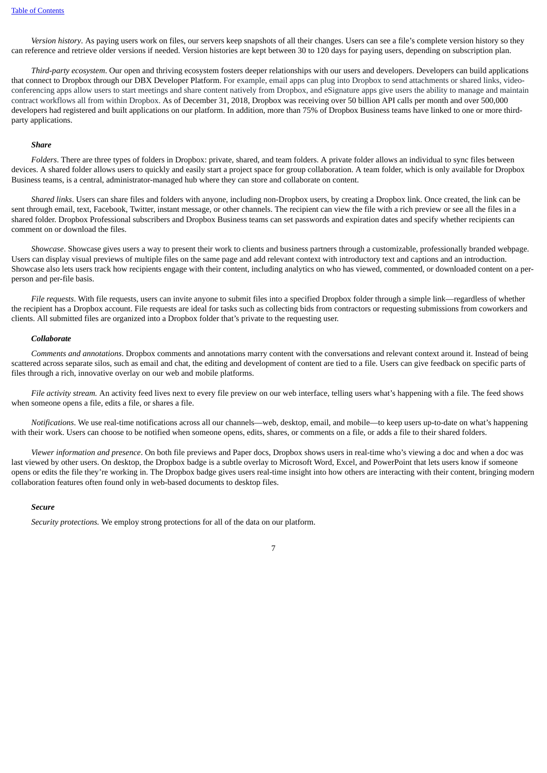*Version history*. As paying users work on files, our servers keep snapshots of all their changes. Users can see a file's complete version history so they can reference and retrieve older versions if needed. Version histories are kept between 30 to 120 days for paying users, depending on subscription plan.

*Third-party ecosystem*. Our open and thriving ecosystem fosters deeper relationships with our users and developers. Developers can build applications that connect to Dropbox through our DBX Developer Platform. For example, email apps can plug into Dropbox to send attachments or shared links, videoconferencing apps allow users to start meetings and share content natively from Dropbox, and eSignature apps give users the ability to manage and maintain contract workflows all from within Dropbox. As of December 31, 2018, Dropbox was receiving over 50 billion API calls per month and over 500,000 developers had registered and built applications on our platform. In addition, more than 75% of Dropbox Business teams have linked to one or more thirdparty applications.

### *Share*

*Folders*. There are three types of folders in Dropbox: private, shared, and team folders. A private folder allows an individual to sync files between devices. A shared folder allows users to quickly and easily start a project space for group collaboration. A team folder, which is only available for Dropbox Business teams, is a central, administrator-managed hub where they can store and collaborate on content.

*Shared links*. Users can share files and folders with anyone, including non-Dropbox users, by creating a Dropbox link. Once created, the link can be sent through email, text, Facebook, Twitter, instant message, or other channels. The recipient can view the file with a rich preview or see all the files in a shared folder. Dropbox Professional subscribers and Dropbox Business teams can set passwords and expiration dates and specify whether recipients can comment on or download the files.

*Showcase*. Showcase gives users a way to present their work to clients and business partners through a customizable, professionally branded webpage. Users can display visual previews of multiple files on the same page and add relevant context with introductory text and captions and an introduction. Showcase also lets users track how recipients engage with their content, including analytics on who has viewed, commented, or downloaded content on a perperson and per-file basis.

*File requests*. With file requests, users can invite anyone to submit files into a specified Dropbox folder through a simple link—regardless of whether the recipient has a Dropbox account. File requests are ideal for tasks such as collecting bids from contractors or requesting submissions from coworkers and clients. All submitted files are organized into a Dropbox folder that's private to the requesting user.

### *Collaborate*

*Comments and annotations*. Dropbox comments and annotations marry content with the conversations and relevant context around it. Instead of being scattered across separate silos, such as email and chat, the editing and development of content are tied to a file. Users can give feedback on specific parts of files through a rich, innovative overlay on our web and mobile platforms.

*File activity stream.* An activity feed lives next to every file preview on our web interface, telling users what's happening with a file. The feed shows when someone opens a file, edits a file, or shares a file.

*Notifications*. We use real-time notifications across all our channels—web, desktop, email, and mobile—to keep users up-to-date on what's happening with their work. Users can choose to be notified when someone opens, edits, shares, or comments on a file, or adds a file to their shared folders.

*Viewer information and presence*. On both file previews and Paper docs, Dropbox shows users in real-time who's viewing a doc and when a doc was last viewed by other users. On desktop, the Dropbox badge is a subtle overlay to Microsoft Word, Excel, and PowerPoint that lets users know if someone opens or edits the file they're working in. The Dropbox badge gives users real-time insight into how others are interacting with their content, bringing modern collaboration features often found only in web-based documents to desktop files.

### *Secure*

*Security protections.* We employ strong protections for all of the data on our platform.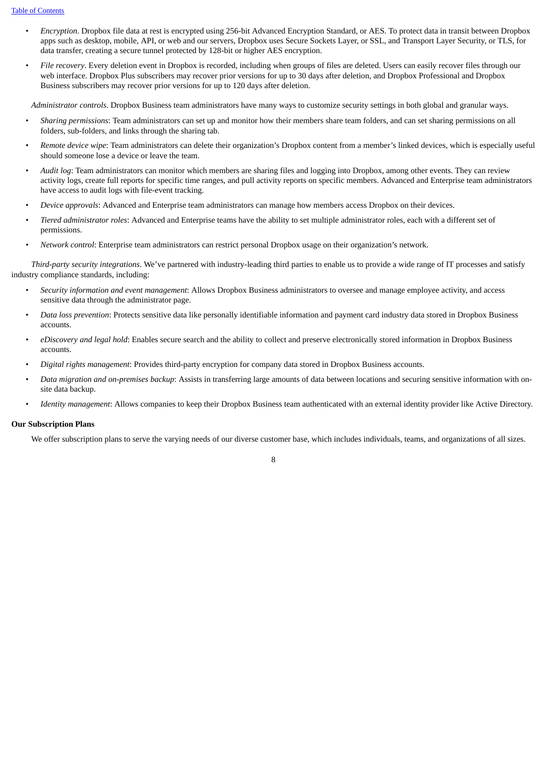- *Encryption*. Dropbox file data at rest is encrypted using 256-bit Advanced Encryption Standard, or AES. To protect data in transit between Dropbox apps such as desktop, mobile, API, or web and our servers, Dropbox uses Secure Sockets Layer, or SSL, and Transport Layer Security, or TLS, for data transfer, creating a secure tunnel protected by 128-bit or higher AES encryption.
- *File recovery*. Every deletion event in Dropbox is recorded, including when groups of files are deleted. Users can easily recover files through our web interface. Dropbox Plus subscribers may recover prior versions for up to 30 days after deletion, and Dropbox Professional and Dropbox Business subscribers may recover prior versions for up to 120 days after deletion.

*Administrator controls*. Dropbox Business team administrators have many ways to customize security settings in both global and granular ways.

- *Sharing permissions*: Team administrators can set up and monitor how their members share team folders, and can set sharing permissions on all folders, sub-folders, and links through the sharing tab.
- *Remote device wipe*: Team administrators can delete their organization's Dropbox content from a member's linked devices, which is especially useful should someone lose a device or leave the team.
- *Audit log*: Team administrators can monitor which members are sharing files and logging into Dropbox, among other events. They can review activity logs, create full reports for specific time ranges, and pull activity reports on specific members. Advanced and Enterprise team administrators have access to audit logs with file-event tracking.
- *Device approvals*: Advanced and Enterprise team administrators can manage how members access Dropbox on their devices.
- *Tiered administrator roles*: Advanced and Enterprise teams have the ability to set multiple administrator roles, each with a different set of permissions.
- *Network control*: Enterprise team administrators can restrict personal Dropbox usage on their organization's network.

*Third-party security integrations*. We've partnered with industry-leading third parties to enable us to provide a wide range of IT processes and satisfy industry compliance standards, including:

- *Security information and event management*: Allows Dropbox Business administrators to oversee and manage employee activity, and access sensitive data through the administrator page.
- *Data loss prevention*: Protects sensitive data like personally identifiable information and payment card industry data stored in Dropbox Business accounts.
- *eDiscovery and legal hold*: Enables secure search and the ability to collect and preserve electronically stored information in Dropbox Business accounts.
- *Digital rights management*: Provides third-party encryption for company data stored in Dropbox Business accounts.
- *Data migration and on-premises backup*: Assists in transferring large amounts of data between locations and securing sensitive information with onsite data backup.
- *Identity management*: Allows companies to keep their Dropbox Business team authenticated with an external identity provider like Active Directory.

### **Our Subscription Plans**

We offer subscription plans to serve the varying needs of our diverse customer base, which includes individuals, teams, and organizations of all sizes.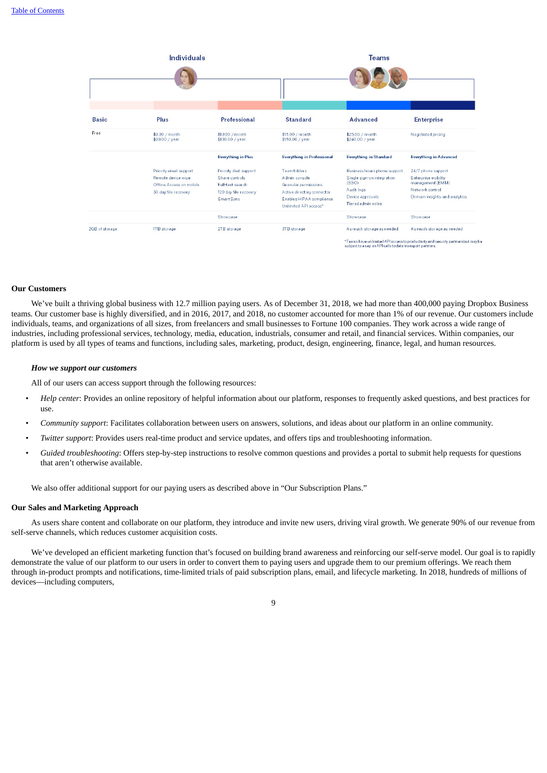

### **Our Customers**

We've built a thriving global business with 12.7 million paying users. As of December 31, 2018, we had more than 400,000 paying Dropbox Business teams. Our customer base is highly diversified, and in 2016, 2017, and 2018, no customer accounted for more than 1% of our revenue. Our customers include individuals, teams, and organizations of all sizes, from freelancers and small businesses to Fortune 100 companies. They work across a wide range of industries, including professional services, technology, media, education, industrials, consumer and retail, and financial services. Within companies, our platform is used by all types of teams and functions, including sales, marketing, product, design, engineering, finance, legal, and human resources.

#### *How we support our customers*

All of our users can access support through the following resources:

- *Help center*: Provides an online repository of helpful information about our platform, responses to frequently asked questions, and best practices for use.
- *Community support*: Facilitates collaboration between users on answers, solutions, and ideas about our platform in an online community.
- *Twitter support*: Provides users real-time product and service updates, and offers tips and troubleshooting information.
- *Guided troubleshooting*: Offers step-by-step instructions to resolve common questions and provides a portal to submit help requests for questions that aren't otherwise available.

We also offer additional support for our paying users as described above in "Our Subscription Plans."

### **Our Sales and Marketing Approach**

As users share content and collaborate on our platform, they introduce and invite new users, driving viral growth. We generate 90% of our revenue from self-serve channels, which reduces customer acquisition costs.

We've developed an efficient marketing function that's focused on building brand awareness and reinforcing our self-serve model. Our goal is to rapidly demonstrate the value of our platform to our users in order to convert them to paying users and upgrade them to our premium offerings. We reach them through in-product prompts and notifications, time-limited trials of paid subscription plans, email, and lifecycle marketing. In 2018, hundreds of millions of devices—including computers,

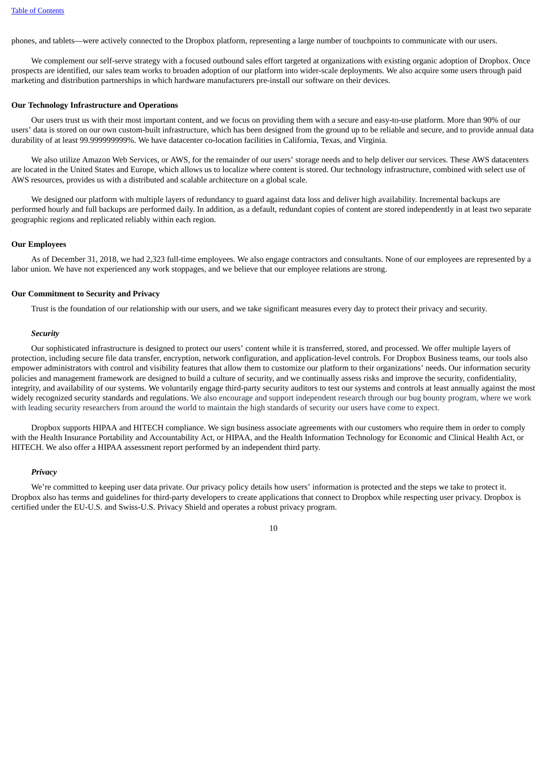phones, and tablets—were actively connected to the Dropbox platform, representing a large number of touchpoints to communicate with our users.

We complement our self-serve strategy with a focused outbound sales effort targeted at organizations with existing organic adoption of Dropbox. Once prospects are identified, our sales team works to broaden adoption of our platform into wider-scale deployments. We also acquire some users through paid marketing and distribution partnerships in which hardware manufacturers pre-install our software on their devices.

#### **Our Technology Infrastructure and Operations**

Our users trust us with their most important content, and we focus on providing them with a secure and easy-to-use platform. More than 90% of our users' data is stored on our own custom-built infrastructure, which has been designed from the ground up to be reliable and secure, and to provide annual data durability of at least 99.999999999%. We have datacenter co-location facilities in California, Texas, and Virginia.

We also utilize Amazon Web Services, or AWS, for the remainder of our users' storage needs and to help deliver our services. These AWS datacenters are located in the United States and Europe, which allows us to localize where content is stored. Our technology infrastructure, combined with select use of AWS resources, provides us with a distributed and scalable architecture on a global scale.

We designed our platform with multiple layers of redundancy to guard against data loss and deliver high availability. Incremental backups are performed hourly and full backups are performed daily. In addition, as a default, redundant copies of content are stored independently in at least two separate geographic regions and replicated reliably within each region.

#### **Our Employees**

As of December 31, 2018, we had 2,323 full-time employees. We also engage contractors and consultants. None of our employees are represented by a labor union. We have not experienced any work stoppages, and we believe that our employee relations are strong.

#### **Our Commitment to Security and Privacy**

Trust is the foundation of our relationship with our users, and we take significant measures every day to protect their privacy and security.

#### *Security*

Our sophisticated infrastructure is designed to protect our users' content while it is transferred, stored, and processed. We offer multiple layers of protection, including secure file data transfer, encryption, network configuration, and application-level controls. For Dropbox Business teams, our tools also empower administrators with control and visibility features that allow them to customize our platform to their organizations' needs. Our information security policies and management framework are designed to build a culture of security, and we continually assess risks and improve the security, confidentiality, integrity, and availability of our systems. We voluntarily engage third-party security auditors to test our systems and controls at least annually against the most widely recognized security standards and regulations. We also encourage and support independent research through our bug bounty program, where we work with leading security researchers from around the world to maintain the high standards of security our users have come to expect.

Dropbox supports HIPAA and HITECH compliance. We sign business associate agreements with our customers who require them in order to comply with the Health Insurance Portability and Accountability Act, or HIPAA, and the Health Information Technology for Economic and Clinical Health Act, or HITECH. We also offer a HIPAA assessment report performed by an independent third party.

#### *Privacy*

We're committed to keeping user data private. Our privacy policy details how users' information is protected and the steps we take to protect it. Dropbox also has terms and guidelines for third-party developers to create applications that connect to Dropbox while respecting user privacy. Dropbox is certified under the EU-U.S. and Swiss-U.S. Privacy Shield and operates a robust privacy program.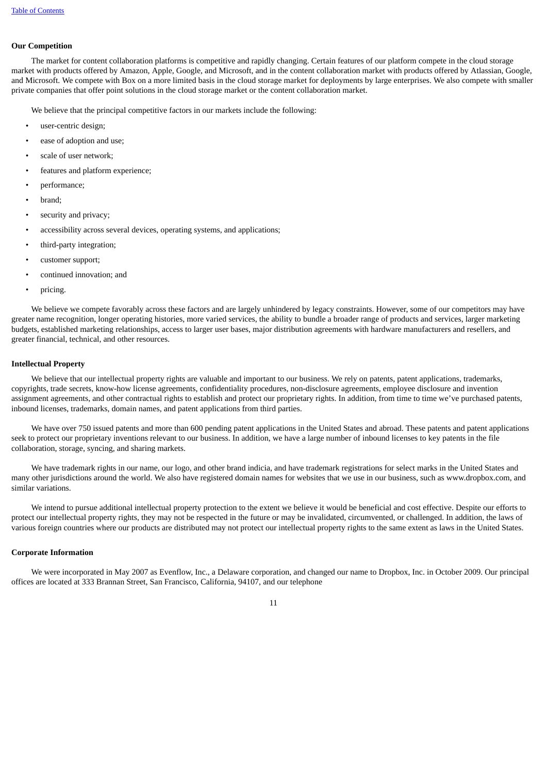### **Our Competition**

The market for content collaboration platforms is competitive and rapidly changing. Certain features of our platform compete in the cloud storage market with products offered by Amazon, Apple, Google, and Microsoft, and in the content collaboration market with products offered by Atlassian, Google, and Microsoft. We compete with Box on a more limited basis in the cloud storage market for deployments by large enterprises. We also compete with smaller private companies that offer point solutions in the cloud storage market or the content collaboration market.

We believe that the principal competitive factors in our markets include the following:

- user-centric design;
- ease of adoption and use;
- scale of user network;
- features and platform experience;
- performance;
- brand;
- security and privacy;
- accessibility across several devices, operating systems, and applications;
- third-party integration;
- customer support;
- continued innovation; and
- pricing.

We believe we compete favorably across these factors and are largely unhindered by legacy constraints. However, some of our competitors may have greater name recognition, longer operating histories, more varied services, the ability to bundle a broader range of products and services, larger marketing budgets, established marketing relationships, access to larger user bases, major distribution agreements with hardware manufacturers and resellers, and greater financial, technical, and other resources.

#### **Intellectual Property**

We believe that our intellectual property rights are valuable and important to our business. We rely on patents, patent applications, trademarks, copyrights, trade secrets, know-how license agreements, confidentiality procedures, non-disclosure agreements, employee disclosure and invention assignment agreements, and other contractual rights to establish and protect our proprietary rights. In addition, from time to time we've purchased patents, inbound licenses, trademarks, domain names, and patent applications from third parties.

We have over 750 issued patents and more than 600 pending patent applications in the United States and abroad. These patents and patent applications seek to protect our proprietary inventions relevant to our business. In addition, we have a large number of inbound licenses to key patents in the file collaboration, storage, syncing, and sharing markets.

We have trademark rights in our name, our logo, and other brand indicia, and have trademark registrations for select marks in the United States and many other jurisdictions around the world. We also have registered domain names for websites that we use in our business, such as www.dropbox.com, and similar variations.

We intend to pursue additional intellectual property protection to the extent we believe it would be beneficial and cost effective. Despite our efforts to protect our intellectual property rights, they may not be respected in the future or may be invalidated, circumvented, or challenged. In addition, the laws of various foreign countries where our products are distributed may not protect our intellectual property rights to the same extent as laws in the United States.

#### **Corporate Information**

We were incorporated in May 2007 as Evenflow, Inc., a Delaware corporation, and changed our name to Dropbox, Inc. in October 2009. Our principal offices are located at 333 Brannan Street, San Francisco, California, 94107, and our telephone

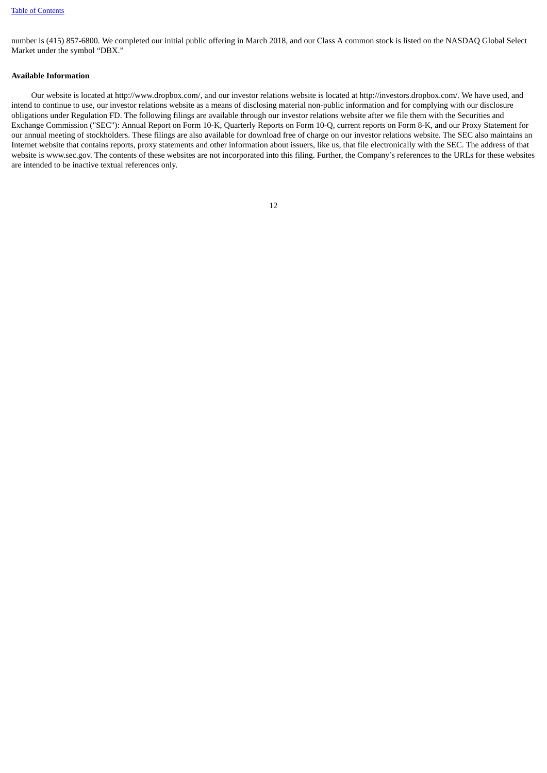number is (415) 857-6800. We completed our initial public offering in March 2018, and our Class A common stock is listed on the NASDAQ Global Select Market under the symbol "DBX."

### **Available Information**

Our website is located at http://www.dropbox.com/, and our investor relations website is located at http://investors.dropbox.com/. We have used, and intend to continue to use, our investor relations website as a means of disclosing material non-public information and for complying with our disclosure obligations under Regulation FD. The following filings are available through our investor relations website after we file them with the Securities and Exchange Commission ("SEC"): Annual Report on Form 10-K, Quarterly Reports on Form 10-Q, current reports on Form 8-K, and our Proxy Statement for our annual meeting of stockholders. These filings are also available for download free of charge on our investor relations website. The SEC also maintains an Internet website that contains reports, proxy statements and other information about issuers, like us, that file electronically with the SEC. The address of that website is www.sec.gov. The contents of these websites are not incorporated into this filing. Further, the Company's references to the URLs for these websites are intended to be inactive textual references only.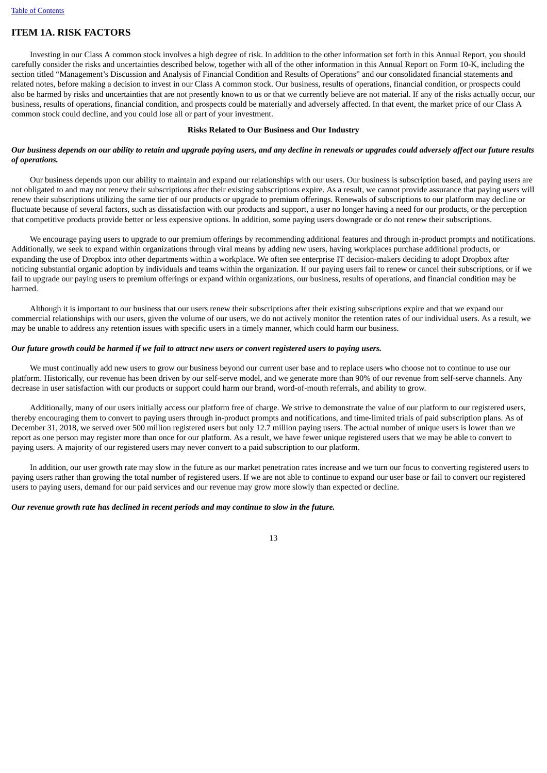## <span id="page-13-0"></span>**ITEM 1A. RISK FACTORS**

Investing in our Class A common stock involves a high degree of risk. In addition to the other information set forth in this Annual Report, you should carefully consider the risks and uncertainties described below, together with all of the other information in this Annual Report on Form 10-K, including the section titled "Management's Discussion and Analysis of Financial Condition and Results of Operations" and our consolidated financial statements and related notes, before making a decision to invest in our Class A common stock. Our business, results of operations, financial condition, or prospects could also be harmed by risks and uncertainties that are not presently known to us or that we currently believe are not material. If any of the risks actually occur, our business, results of operations, financial condition, and prospects could be materially and adversely affected. In that event, the market price of our Class A common stock could decline, and you could lose all or part of your investment.

#### **Risks Related to Our Business and Our Industry**

### Our business depends on our ability to retain and upgrade paying users, and any decline in renewals or upgrades could adversely affect our future results *of operations.*

Our business depends upon our ability to maintain and expand our relationships with our users. Our business is subscription based, and paying users are not obligated to and may not renew their subscriptions after their existing subscriptions expire. As a result, we cannot provide assurance that paying users will renew their subscriptions utilizing the same tier of our products or upgrade to premium offerings. Renewals of subscriptions to our platform may decline or fluctuate because of several factors, such as dissatisfaction with our products and support, a user no longer having a need for our products, or the perception that competitive products provide better or less expensive options. In addition, some paying users downgrade or do not renew their subscriptions.

We encourage paying users to upgrade to our premium offerings by recommending additional features and through in-product prompts and notifications. Additionally, we seek to expand within organizations through viral means by adding new users, having workplaces purchase additional products, or expanding the use of Dropbox into other departments within a workplace. We often see enterprise IT decision-makers deciding to adopt Dropbox after noticing substantial organic adoption by individuals and teams within the organization. If our paying users fail to renew or cancel their subscriptions, or if we fail to upgrade our paying users to premium offerings or expand within organizations, our business, results of operations, and financial condition may be harmed.

Although it is important to our business that our users renew their subscriptions after their existing subscriptions expire and that we expand our commercial relationships with our users, given the volume of our users, we do not actively monitor the retention rates of our individual users. As a result, we may be unable to address any retention issues with specific users in a timely manner, which could harm our business.

### Our future growth could be harmed if we fail to attract new users or convert registered users to paying users.

We must continually add new users to grow our business beyond our current user base and to replace users who choose not to continue to use our platform. Historically, our revenue has been driven by our self-serve model, and we generate more than 90% of our revenue from self-serve channels. Any decrease in user satisfaction with our products or support could harm our brand, word-of-mouth referrals, and ability to grow.

Additionally, many of our users initially access our platform free of charge. We strive to demonstrate the value of our platform to our registered users, thereby encouraging them to convert to paying users through in-product prompts and notifications, and time-limited trials of paid subscription plans. As of December 31, 2018, we served over 500 million registered users but only 12.7 million paying users. The actual number of unique users is lower than we report as one person may register more than once for our platform. As a result, we have fewer unique registered users that we may be able to convert to paying users. A majority of our registered users may never convert to a paid subscription to our platform.

In addition, our user growth rate may slow in the future as our market penetration rates increase and we turn our focus to converting registered users to paying users rather than growing the total number of registered users. If we are not able to continue to expand our user base or fail to convert our registered users to paying users, demand for our paid services and our revenue may grow more slowly than expected or decline.

### *Our revenue growth rate has declined in recent periods and may continue to slow in the future.*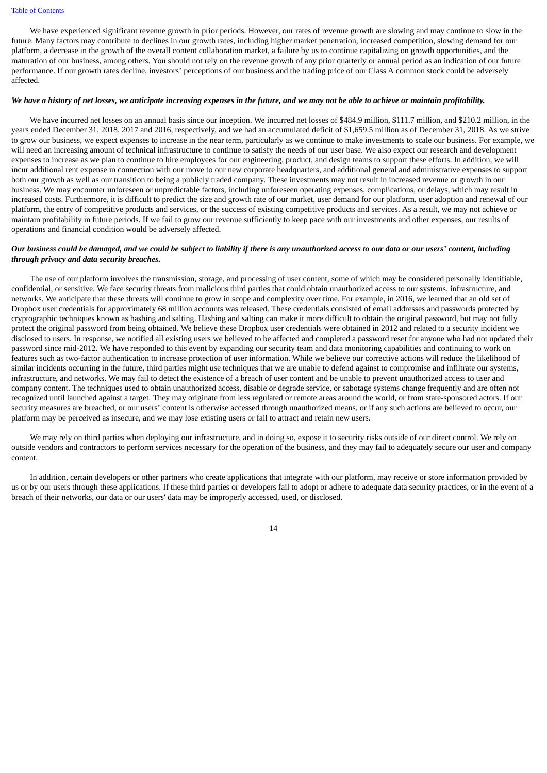#### [Table of Contents](#page-2-0)

We have experienced significant revenue growth in prior periods. However, our rates of revenue growth are slowing and may continue to slow in the future. Many factors may contribute to declines in our growth rates, including higher market penetration, increased competition, slowing demand for our platform, a decrease in the growth of the overall content collaboration market, a failure by us to continue capitalizing on growth opportunities, and the maturation of our business, among others. You should not rely on the revenue growth of any prior quarterly or annual period as an indication of our future performance. If our growth rates decline, investors' perceptions of our business and the trading price of our Class A common stock could be adversely affected.

### We have a history of net losses, we anticipate increasing expenses in the future, and we may not be able to achieve or maintain profitability.

We have incurred net losses on an annual basis since our inception. We incurred net losses of \$484.9 million, \$111.7 million, and \$210.2 million, in the years ended December 31, 2018, 2017 and 2016, respectively, and we had an accumulated deficit of \$1,659.5 million as of December 31, 2018. As we strive to grow our business, we expect expenses to increase in the near term, particularly as we continue to make investments to scale our business. For example, we will need an increasing amount of technical infrastructure to continue to satisfy the needs of our user base. We also expect our research and development expenses to increase as we plan to continue to hire employees for our engineering, product, and design teams to support these efforts. In addition, we will incur additional rent expense in connection with our move to our new corporate headquarters, and additional general and administrative expenses to support both our growth as well as our transition to being a publicly traded company. These investments may not result in increased revenue or growth in our business. We may encounter unforeseen or unpredictable factors, including unforeseen operating expenses, complications, or delays, which may result in increased costs. Furthermore, it is difficult to predict the size and growth rate of our market, user demand for our platform, user adoption and renewal of our platform, the entry of competitive products and services, or the success of existing competitive products and services. As a result, we may not achieve or maintain profitability in future periods. If we fail to grow our revenue sufficiently to keep pace with our investments and other expenses, our results of operations and financial condition would be adversely affected.

#### Our business could be damaged, and we could be subject to liability if there is any unauthorized access to our data or our users' content, including *through privacy and data security breaches.*

The use of our platform involves the transmission, storage, and processing of user content, some of which may be considered personally identifiable, confidential, or sensitive. We face security threats from malicious third parties that could obtain unauthorized access to our systems, infrastructure, and networks. We anticipate that these threats will continue to grow in scope and complexity over time. For example, in 2016, we learned that an old set of Dropbox user credentials for approximately 68 million accounts was released. These credentials consisted of email addresses and passwords protected by cryptographic techniques known as hashing and salting. Hashing and salting can make it more difficult to obtain the original password, but may not fully protect the original password from being obtained. We believe these Dropbox user credentials were obtained in 2012 and related to a security incident we disclosed to users. In response, we notified all existing users we believed to be affected and completed a password reset for anyone who had not updated their password since mid-2012. We have responded to this event by expanding our security team and data monitoring capabilities and continuing to work on features such as two-factor authentication to increase protection of user information. While we believe our corrective actions will reduce the likelihood of similar incidents occurring in the future, third parties might use techniques that we are unable to defend against to compromise and infiltrate our systems, infrastructure, and networks. We may fail to detect the existence of a breach of user content and be unable to prevent unauthorized access to user and company content. The techniques used to obtain unauthorized access, disable or degrade service, or sabotage systems change frequently and are often not recognized until launched against a target. They may originate from less regulated or remote areas around the world, or from state-sponsored actors. If our security measures are breached, or our users' content is otherwise accessed through unauthorized means, or if any such actions are believed to occur, our platform may be perceived as insecure, and we may lose existing users or fail to attract and retain new users.

We may rely on third parties when deploying our infrastructure, and in doing so, expose it to security risks outside of our direct control. We rely on outside vendors and contractors to perform services necessary for the operation of the business, and they may fail to adequately secure our user and company content.

In addition, certain developers or other partners who create applications that integrate with our platform, may receive or store information provided by us or by our users through these applications. If these third parties or developers fail to adopt or adhere to adequate data security practices, or in the event of a breach of their networks, our data or our users' data may be improperly accessed, used, or disclosed.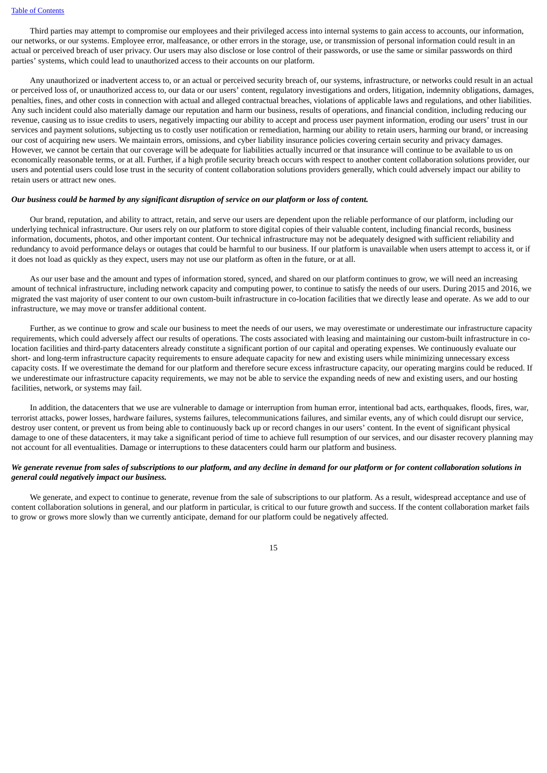Third parties may attempt to compromise our employees and their privileged access into internal systems to gain access to accounts, our information, our networks, or our systems. Employee error, malfeasance, or other errors in the storage, use, or transmission of personal information could result in an actual or perceived breach of user privacy. Our users may also disclose or lose control of their passwords, or use the same or similar passwords on third parties' systems, which could lead to unauthorized access to their accounts on our platform.

Any unauthorized or inadvertent access to, or an actual or perceived security breach of, our systems, infrastructure, or networks could result in an actual or perceived loss of, or unauthorized access to, our data or our users' content, regulatory investigations and orders, litigation, indemnity obligations, damages, penalties, fines, and other costs in connection with actual and alleged contractual breaches, violations of applicable laws and regulations, and other liabilities. Any such incident could also materially damage our reputation and harm our business, results of operations, and financial condition, including reducing our revenue, causing us to issue credits to users, negatively impacting our ability to accept and process user payment information, eroding our users' trust in our services and payment solutions, subjecting us to costly user notification or remediation, harming our ability to retain users, harming our brand, or increasing our cost of acquiring new users. We maintain errors, omissions, and cyber liability insurance policies covering certain security and privacy damages. However, we cannot be certain that our coverage will be adequate for liabilities actually incurred or that insurance will continue to be available to us on economically reasonable terms, or at all. Further, if a high profile security breach occurs with respect to another content collaboration solutions provider, our users and potential users could lose trust in the security of content collaboration solutions providers generally, which could adversely impact our ability to retain users or attract new ones.

#### Our business could be harmed by any significant disruption of service on our platform or loss of content.

Our brand, reputation, and ability to attract, retain, and serve our users are dependent upon the reliable performance of our platform, including our underlying technical infrastructure. Our users rely on our platform to store digital copies of their valuable content, including financial records, business information, documents, photos, and other important content. Our technical infrastructure may not be adequately designed with sufficient reliability and redundancy to avoid performance delays or outages that could be harmful to our business. If our platform is unavailable when users attempt to access it, or if it does not load as quickly as they expect, users may not use our platform as often in the future, or at all.

As our user base and the amount and types of information stored, synced, and shared on our platform continues to grow, we will need an increasing amount of technical infrastructure, including network capacity and computing power, to continue to satisfy the needs of our users. During 2015 and 2016, we migrated the vast majority of user content to our own custom-built infrastructure in co-location facilities that we directly lease and operate. As we add to our infrastructure, we may move or transfer additional content.

Further, as we continue to grow and scale our business to meet the needs of our users, we may overestimate or underestimate our infrastructure capacity requirements, which could adversely affect our results of operations. The costs associated with leasing and maintaining our custom-built infrastructure in colocation facilities and third-party datacenters already constitute a significant portion of our capital and operating expenses. We continuously evaluate our short- and long-term infrastructure capacity requirements to ensure adequate capacity for new and existing users while minimizing unnecessary excess capacity costs. If we overestimate the demand for our platform and therefore secure excess infrastructure capacity, our operating margins could be reduced. If we underestimate our infrastructure capacity requirements, we may not be able to service the expanding needs of new and existing users, and our hosting facilities, network, or systems may fail.

In addition, the datacenters that we use are vulnerable to damage or interruption from human error, intentional bad acts, earthquakes, floods, fires, war, terrorist attacks, power losses, hardware failures, systems failures, telecommunications failures, and similar events, any of which could disrupt our service, destroy user content, or prevent us from being able to continuously back up or record changes in our users' content. In the event of significant physical damage to one of these datacenters, it may take a significant period of time to achieve full resumption of our services, and our disaster recovery planning may not account for all eventualities. Damage or interruptions to these datacenters could harm our platform and business.

### We generate revenue from sales of subscriptions to our platform, and any decline in demand for our platform or for content collaboration solutions in *general could negatively impact our business.*

We generate, and expect to continue to generate, revenue from the sale of subscriptions to our platform. As a result, widespread acceptance and use of content collaboration solutions in general, and our platform in particular, is critical to our future growth and success. If the content collaboration market fails to grow or grows more slowly than we currently anticipate, demand for our platform could be negatively affected.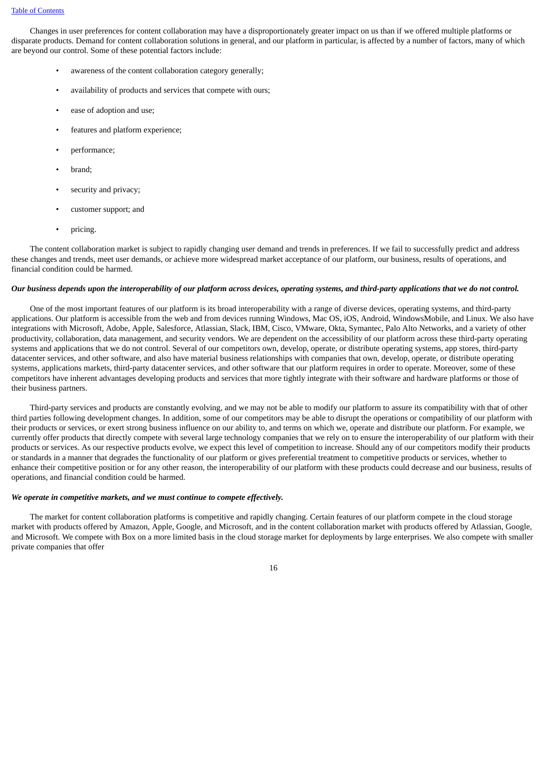Changes in user preferences for content collaboration may have a disproportionately greater impact on us than if we offered multiple platforms or disparate products. Demand for content collaboration solutions in general, and our platform in particular, is affected by a number of factors, many of which are beyond our control. Some of these potential factors include:

- awareness of the content collaboration category generally;
- availability of products and services that compete with ours;
- ease of adoption and use;
- features and platform experience;
- performance;
- brand;
- security and privacy;
- customer support; and
- pricing.

The content collaboration market is subject to rapidly changing user demand and trends in preferences. If we fail to successfully predict and address these changes and trends, meet user demands, or achieve more widespread market acceptance of our platform, our business, results of operations, and financial condition could be harmed.

### Our business depends upon the interoperability of our platform across devices, operating systems, and third-party applications that we do not control.

One of the most important features of our platform is its broad interoperability with a range of diverse devices, operating systems, and third-party applications. Our platform is accessible from the web and from devices running Windows, Mac OS, iOS, Android, WindowsMobile, and Linux. We also have integrations with Microsoft, Adobe, Apple, Salesforce, Atlassian, Slack, IBM, Cisco, VMware, Okta, Symantec, Palo Alto Networks, and a variety of other productivity, collaboration, data management, and security vendors. We are dependent on the accessibility of our platform across these third-party operating systems and applications that we do not control. Several of our competitors own, develop, operate, or distribute operating systems, app stores, third-party datacenter services, and other software, and also have material business relationships with companies that own, develop, operate, or distribute operating systems, applications markets, third-party datacenter services, and other software that our platform requires in order to operate. Moreover, some of these competitors have inherent advantages developing products and services that more tightly integrate with their software and hardware platforms or those of their business partners.

Third-party services and products are constantly evolving, and we may not be able to modify our platform to assure its compatibility with that of other third parties following development changes. In addition, some of our competitors may be able to disrupt the operations or compatibility of our platform with their products or services, or exert strong business influence on our ability to, and terms on which we, operate and distribute our platform. For example, we currently offer products that directly compete with several large technology companies that we rely on to ensure the interoperability of our platform with their products or services. As our respective products evolve, we expect this level of competition to increase. Should any of our competitors modify their products or standards in a manner that degrades the functionality of our platform or gives preferential treatment to competitive products or services, whether to enhance their competitive position or for any other reason, the interoperability of our platform with these products could decrease and our business, results of operations, and financial condition could be harmed.

### *We operate in competitive markets, and we must continue to compete effectively.*

The market for content collaboration platforms is competitive and rapidly changing. Certain features of our platform compete in the cloud storage market with products offered by Amazon, Apple, Google, and Microsoft, and in the content collaboration market with products offered by Atlassian, Google, and Microsoft. We compete with Box on a more limited basis in the cloud storage market for deployments by large enterprises. We also compete with smaller private companies that offer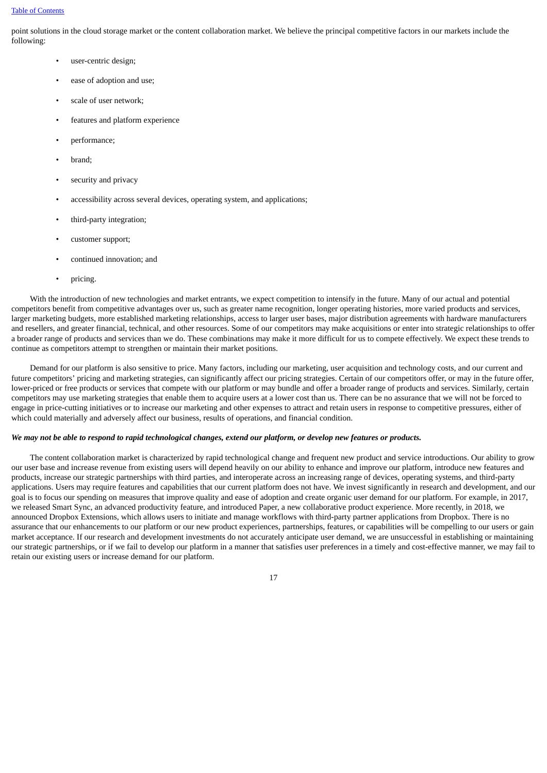point solutions in the cloud storage market or the content collaboration market. We believe the principal competitive factors in our markets include the following:

- user-centric design;
- ease of adoption and use;
- scale of user network;
- features and platform experience
- performance;
- brand;
- security and privacy
- accessibility across several devices, operating system, and applications;
- third-party integration;
- customer support;
- continued innovation; and
- pricing.

With the introduction of new technologies and market entrants, we expect competition to intensify in the future. Many of our actual and potential competitors benefit from competitive advantages over us, such as greater name recognition, longer operating histories, more varied products and services, larger marketing budgets, more established marketing relationships, access to larger user bases, major distribution agreements with hardware manufacturers and resellers, and greater financial, technical, and other resources. Some of our competitors may make acquisitions or enter into strategic relationships to offer a broader range of products and services than we do. These combinations may make it more difficult for us to compete effectively. We expect these trends to continue as competitors attempt to strengthen or maintain their market positions.

Demand for our platform is also sensitive to price. Many factors, including our marketing, user acquisition and technology costs, and our current and future competitors' pricing and marketing strategies, can significantly affect our pricing strategies. Certain of our competitors offer, or may in the future offer, lower-priced or free products or services that compete with our platform or may bundle and offer a broader range of products and services. Similarly, certain competitors may use marketing strategies that enable them to acquire users at a lower cost than us. There can be no assurance that we will not be forced to engage in price-cutting initiatives or to increase our marketing and other expenses to attract and retain users in response to competitive pressures, either of which could materially and adversely affect our business, results of operations, and financial condition.

### We may not be able to respond to rapid technological changes, extend our platform, or develop new features or products.

The content collaboration market is characterized by rapid technological change and frequent new product and service introductions. Our ability to grow our user base and increase revenue from existing users will depend heavily on our ability to enhance and improve our platform, introduce new features and products, increase our strategic partnerships with third parties, and interoperate across an increasing range of devices, operating systems, and third-party applications. Users may require features and capabilities that our current platform does not have. We invest significantly in research and development, and our goal is to focus our spending on measures that improve quality and ease of adoption and create organic user demand for our platform. For example, in 2017, we released Smart Sync, an advanced productivity feature, and introduced Paper, a new collaborative product experience. More recently, in 2018, we announced Dropbox Extensions, which allows users to initiate and manage workflows with third-party partner applications from Dropbox. There is no assurance that our enhancements to our platform or our new product experiences, partnerships, features, or capabilities will be compelling to our users or gain market acceptance. If our research and development investments do not accurately anticipate user demand, we are unsuccessful in establishing or maintaining our strategic partnerships, or if we fail to develop our platform in a manner that satisfies user preferences in a timely and cost-effective manner, we may fail to retain our existing users or increase demand for our platform.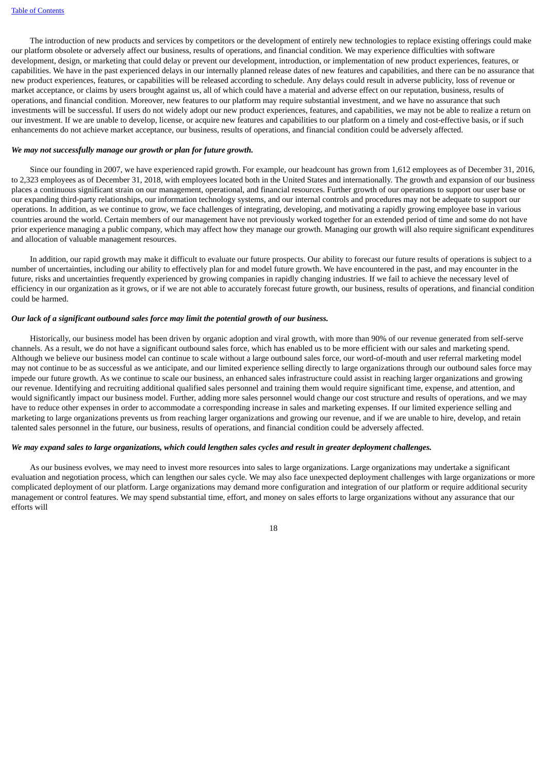The introduction of new products and services by competitors or the development of entirely new technologies to replace existing offerings could make our platform obsolete or adversely affect our business, results of operations, and financial condition. We may experience difficulties with software development, design, or marketing that could delay or prevent our development, introduction, or implementation of new product experiences, features, or capabilities. We have in the past experienced delays in our internally planned release dates of new features and capabilities, and there can be no assurance that new product experiences, features, or capabilities will be released according to schedule. Any delays could result in adverse publicity, loss of revenue or market acceptance, or claims by users brought against us, all of which could have a material and adverse effect on our reputation, business, results of operations, and financial condition. Moreover, new features to our platform may require substantial investment, and we have no assurance that such investments will be successful. If users do not widely adopt our new product experiences, features, and capabilities, we may not be able to realize a return on our investment. If we are unable to develop, license, or acquire new features and capabilities to our platform on a timely and cost-effective basis, or if such enhancements do not achieve market acceptance, our business, results of operations, and financial condition could be adversely affected.

### *We may not successfully manage our growth or plan for future growth.*

Since our founding in 2007, we have experienced rapid growth. For example, our headcount has grown from 1,612 employees as of December 31, 2016, to 2,323 employees as of December 31, 2018, with employees located both in the United States and internationally. The growth and expansion of our business places a continuous significant strain on our management, operational, and financial resources. Further growth of our operations to support our user base or our expanding third-party relationships, our information technology systems, and our internal controls and procedures may not be adequate to support our operations. In addition, as we continue to grow, we face challenges of integrating, developing, and motivating a rapidly growing employee base in various countries around the world. Certain members of our management have not previously worked together for an extended period of time and some do not have prior experience managing a public company, which may affect how they manage our growth. Managing our growth will also require significant expenditures and allocation of valuable management resources.

In addition, our rapid growth may make it difficult to evaluate our future prospects. Our ability to forecast our future results of operations is subject to a number of uncertainties, including our ability to effectively plan for and model future growth. We have encountered in the past, and may encounter in the future, risks and uncertainties frequently experienced by growing companies in rapidly changing industries. If we fail to achieve the necessary level of efficiency in our organization as it grows, or if we are not able to accurately forecast future growth, our business, results of operations, and financial condition could be harmed.

#### *Our lack of a significant outbound sales force may limit the potential growth of our business.*

Historically, our business model has been driven by organic adoption and viral growth, with more than 90% of our revenue generated from self-serve channels. As a result, we do not have a significant outbound sales force, which has enabled us to be more efficient with our sales and marketing spend. Although we believe our business model can continue to scale without a large outbound sales force, our word-of-mouth and user referral marketing model may not continue to be as successful as we anticipate, and our limited experience selling directly to large organizations through our outbound sales force may impede our future growth. As we continue to scale our business, an enhanced sales infrastructure could assist in reaching larger organizations and growing our revenue. Identifying and recruiting additional qualified sales personnel and training them would require significant time, expense, and attention, and would significantly impact our business model. Further, adding more sales personnel would change our cost structure and results of operations, and we may have to reduce other expenses in order to accommodate a corresponding increase in sales and marketing expenses. If our limited experience selling and marketing to large organizations prevents us from reaching larger organizations and growing our revenue, and if we are unable to hire, develop, and retain talented sales personnel in the future, our business, results of operations, and financial condition could be adversely affected.

### We may expand sales to large organizations, which could lengthen sales cycles and result in greater deployment challenges.

As our business evolves, we may need to invest more resources into sales to large organizations. Large organizations may undertake a significant evaluation and negotiation process, which can lengthen our sales cycle. We may also face unexpected deployment challenges with large organizations or more complicated deployment of our platform. Large organizations may demand more configuration and integration of our platform or require additional security management or control features. We may spend substantial time, effort, and money on sales efforts to large organizations without any assurance that our efforts will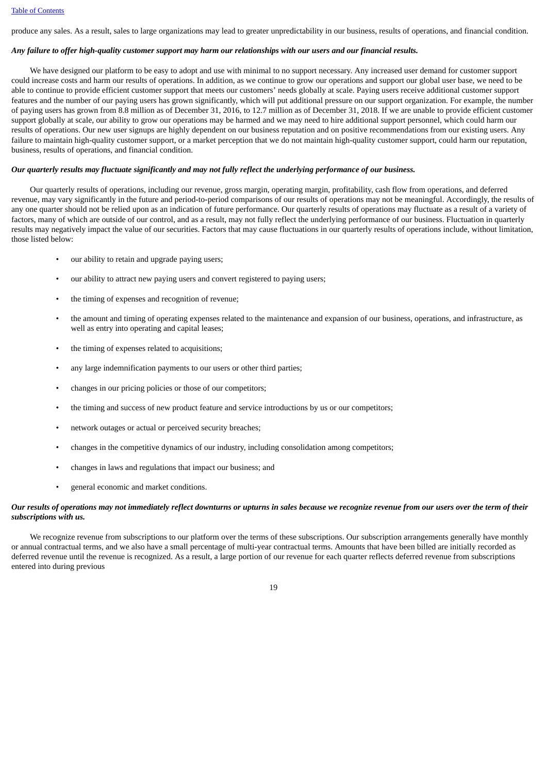produce any sales. As a result, sales to large organizations may lead to greater unpredictability in our business, results of operations, and financial condition.

#### Any failure to offer high-quality customer support may harm our relationships with our users and our financial results.

We have designed our platform to be easy to adopt and use with minimal to no support necessary. Any increased user demand for customer support could increase costs and harm our results of operations. In addition, as we continue to grow our operations and support our global user base, we need to be able to continue to provide efficient customer support that meets our customers' needs globally at scale. Paying users receive additional customer support features and the number of our paying users has grown significantly, which will put additional pressure on our support organization. For example, the number of paying users has grown from 8.8 million as of December 31, 2016, to 12.7 million as of December 31, 2018. If we are unable to provide efficient customer support globally at scale, our ability to grow our operations may be harmed and we may need to hire additional support personnel, which could harm our results of operations. Our new user signups are highly dependent on our business reputation and on positive recommendations from our existing users. Any failure to maintain high-quality customer support, or a market perception that we do not maintain high-quality customer support, could harm our reputation, business, results of operations, and financial condition.

### Our quarterly results may fluctuate significantly and may not fully reflect the underlying performance of our business.

Our quarterly results of operations, including our revenue, gross margin, operating margin, profitability, cash flow from operations, and deferred revenue, may vary significantly in the future and period-to-period comparisons of our results of operations may not be meaningful. Accordingly, the results of any one quarter should not be relied upon as an indication of future performance. Our quarterly results of operations may fluctuate as a result of a variety of factors, many of which are outside of our control, and as a result, may not fully reflect the underlying performance of our business. Fluctuation in quarterly results may negatively impact the value of our securities. Factors that may cause fluctuations in our quarterly results of operations include, without limitation, those listed below:

- our ability to retain and upgrade paying users;
- our ability to attract new paying users and convert registered to paying users;
- the timing of expenses and recognition of revenue;
- the amount and timing of operating expenses related to the maintenance and expansion of our business, operations, and infrastructure, as well as entry into operating and capital leases;
- the timing of expenses related to acquisitions;
- any large indemnification payments to our users or other third parties;
- changes in our pricing policies or those of our competitors;
- the timing and success of new product feature and service introductions by us or our competitors;
- network outages or actual or perceived security breaches;
- changes in the competitive dynamics of our industry, including consolidation among competitors;
- changes in laws and regulations that impact our business; and
- general economic and market conditions.

### Our results of operations may not immediately reflect downturns or upturns in sales because we recognize revenue from our users over the term of their *subscriptions with us.*

We recognize revenue from subscriptions to our platform over the terms of these subscriptions. Our subscription arrangements generally have monthly or annual contractual terms, and we also have a small percentage of multi-year contractual terms. Amounts that have been billed are initially recorded as deferred revenue until the revenue is recognized. As a result, a large portion of our revenue for each quarter reflects deferred revenue from subscriptions entered into during previous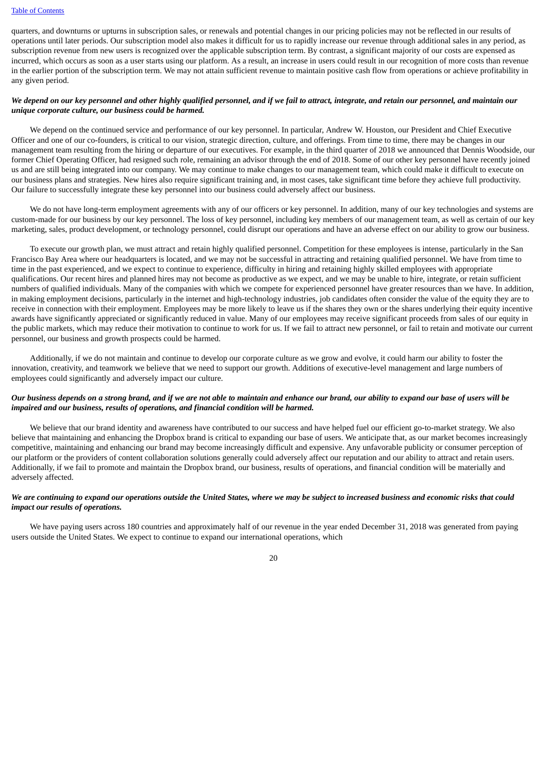#### [Table of Contents](#page-2-0)

quarters, and downturns or upturns in subscription sales, or renewals and potential changes in our pricing policies may not be reflected in our results of operations until later periods. Our subscription model also makes it difficult for us to rapidly increase our revenue through additional sales in any period, as subscription revenue from new users is recognized over the applicable subscription term. By contrast, a significant majority of our costs are expensed as incurred, which occurs as soon as a user starts using our platform. As a result, an increase in users could result in our recognition of more costs than revenue in the earlier portion of the subscription term. We may not attain sufficient revenue to maintain positive cash flow from operations or achieve profitability in any given period.

### We depend on our key personnel and other highly qualified personnel, and if we fail to attract, integrate, and retain our personnel, and maintain our *unique corporate culture, our business could be harmed.*

We depend on the continued service and performance of our key personnel. In particular, Andrew W. Houston, our President and Chief Executive Officer and one of our co-founders, is critical to our vision, strategic direction, culture, and offerings. From time to time, there may be changes in our management team resulting from the hiring or departure of our executives. For example, in the third quarter of 2018 we announced that Dennis Woodside, our former Chief Operating Officer, had resigned such role, remaining an advisor through the end of 2018. Some of our other key personnel have recently joined us and are still being integrated into our company. We may continue to make changes to our management team, which could make it difficult to execute on our business plans and strategies. New hires also require significant training and, in most cases, take significant time before they achieve full productivity. Our failure to successfully integrate these key personnel into our business could adversely affect our business.

We do not have long-term employment agreements with any of our officers or key personnel. In addition, many of our key technologies and systems are custom-made for our business by our key personnel. The loss of key personnel, including key members of our management team, as well as certain of our key marketing, sales, product development, or technology personnel, could disrupt our operations and have an adverse effect on our ability to grow our business.

To execute our growth plan, we must attract and retain highly qualified personnel. Competition for these employees is intense, particularly in the San Francisco Bay Area where our headquarters is located, and we may not be successful in attracting and retaining qualified personnel. We have from time to time in the past experienced, and we expect to continue to experience, difficulty in hiring and retaining highly skilled employees with appropriate qualifications. Our recent hires and planned hires may not become as productive as we expect, and we may be unable to hire, integrate, or retain sufficient numbers of qualified individuals. Many of the companies with which we compete for experienced personnel have greater resources than we have. In addition, in making employment decisions, particularly in the internet and high-technology industries, job candidates often consider the value of the equity they are to receive in connection with their employment. Employees may be more likely to leave us if the shares they own or the shares underlying their equity incentive awards have significantly appreciated or significantly reduced in value. Many of our employees may receive significant proceeds from sales of our equity in the public markets, which may reduce their motivation to continue to work for us. If we fail to attract new personnel, or fail to retain and motivate our current personnel, our business and growth prospects could be harmed.

Additionally, if we do not maintain and continue to develop our corporate culture as we grow and evolve, it could harm our ability to foster the innovation, creativity, and teamwork we believe that we need to support our growth. Additions of executive-level management and large numbers of employees could significantly and adversely impact our culture.

### Our business depends on a strong brand, and if we are not able to maintain and enhance our brand, our ability to expand our base of users will be *impaired and our business, results of operations, and financial condition will be harmed.*

We believe that our brand identity and awareness have contributed to our success and have helped fuel our efficient go-to-market strategy. We also believe that maintaining and enhancing the Dropbox brand is critical to expanding our base of users. We anticipate that, as our market becomes increasingly competitive, maintaining and enhancing our brand may become increasingly difficult and expensive. Any unfavorable publicity or consumer perception of our platform or the providers of content collaboration solutions generally could adversely affect our reputation and our ability to attract and retain users. Additionally, if we fail to promote and maintain the Dropbox brand, our business, results of operations, and financial condition will be materially and adversely affected.

### We are continuing to expand our operations outside the United States, where we may be subject to increased business and economic risks that could *impact our results of operations.*

We have paying users across 180 countries and approximately half of our revenue in the year ended December 31, 2018 was generated from paying users outside the United States. We expect to continue to expand our international operations, which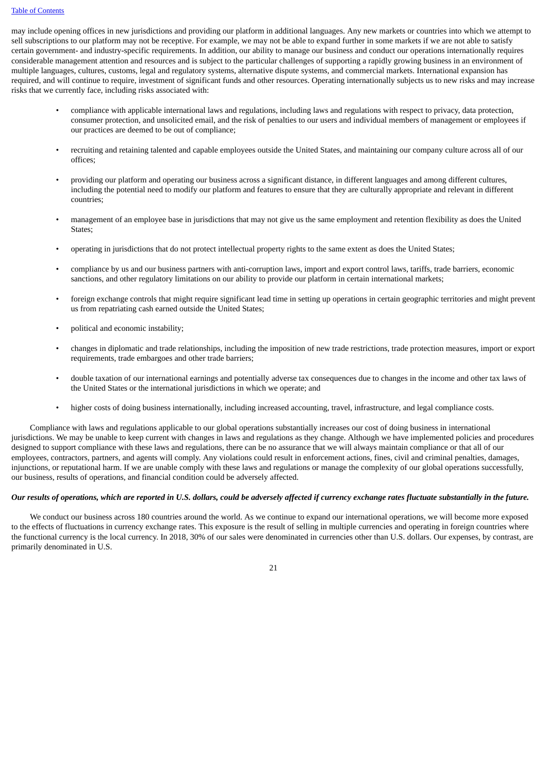may include opening offices in new jurisdictions and providing our platform in additional languages. Any new markets or countries into which we attempt to sell subscriptions to our platform may not be receptive. For example, we may not be able to expand further in some markets if we are not able to satisfy certain government- and industry-specific requirements. In addition, our ability to manage our business and conduct our operations internationally requires considerable management attention and resources and is subject to the particular challenges of supporting a rapidly growing business in an environment of multiple languages, cultures, customs, legal and regulatory systems, alternative dispute systems, and commercial markets. International expansion has required, and will continue to require, investment of significant funds and other resources. Operating internationally subjects us to new risks and may increase risks that we currently face, including risks associated with:

- compliance with applicable international laws and regulations, including laws and regulations with respect to privacy, data protection, consumer protection, and unsolicited email, and the risk of penalties to our users and individual members of management or employees if our practices are deemed to be out of compliance;
- recruiting and retaining talented and capable employees outside the United States, and maintaining our company culture across all of our offices;
- providing our platform and operating our business across a significant distance, in different languages and among different cultures, including the potential need to modify our platform and features to ensure that they are culturally appropriate and relevant in different countries;
- management of an employee base in jurisdictions that may not give us the same employment and retention flexibility as does the United States;
- operating in jurisdictions that do not protect intellectual property rights to the same extent as does the United States;
- compliance by us and our business partners with anti-corruption laws, import and export control laws, tariffs, trade barriers, economic sanctions, and other regulatory limitations on our ability to provide our platform in certain international markets;
- foreign exchange controls that might require significant lead time in setting up operations in certain geographic territories and might prevent us from repatriating cash earned outside the United States;
- political and economic instability;
- changes in diplomatic and trade relationships, including the imposition of new trade restrictions, trade protection measures, import or export requirements, trade embargoes and other trade barriers;
- double taxation of our international earnings and potentially adverse tax consequences due to changes in the income and other tax laws of the United States or the international jurisdictions in which we operate; and
- higher costs of doing business internationally, including increased accounting, travel, infrastructure, and legal compliance costs.

Compliance with laws and regulations applicable to our global operations substantially increases our cost of doing business in international jurisdictions. We may be unable to keep current with changes in laws and regulations as they change. Although we have implemented policies and procedures designed to support compliance with these laws and regulations, there can be no assurance that we will always maintain compliance or that all of our employees, contractors, partners, and agents will comply. Any violations could result in enforcement actions, fines, civil and criminal penalties, damages, injunctions, or reputational harm. If we are unable comply with these laws and regulations or manage the complexity of our global operations successfully, our business, results of operations, and financial condition could be adversely affected.

### Our results of operations, which are reported in U.S. dollars, could be adversely affected if currency exchange rates fluctuate substantially in the future.

We conduct our business across 180 countries around the world. As we continue to expand our international operations, we will become more exposed to the effects of fluctuations in currency exchange rates. This exposure is the result of selling in multiple currencies and operating in foreign countries where the functional currency is the local currency. In 2018, 30% of our sales were denominated in currencies other than U.S. dollars. Our expenses, by contrast, are primarily denominated in U.S.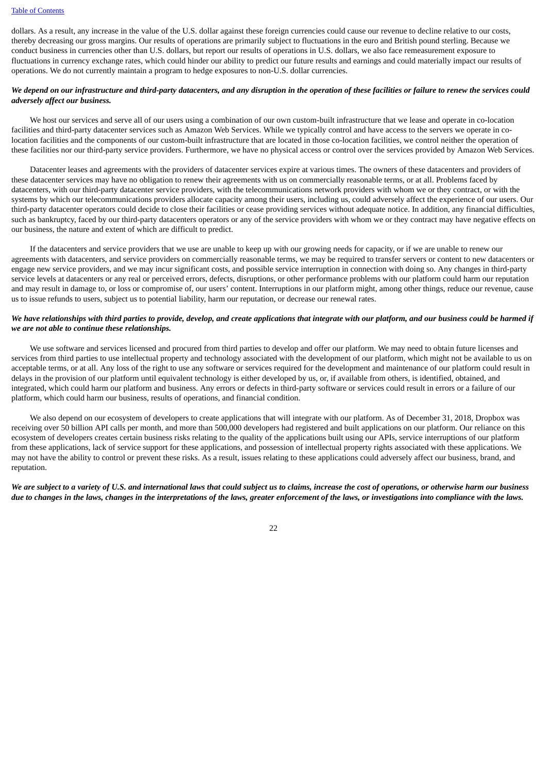dollars. As a result, any increase in the value of the U.S. dollar against these foreign currencies could cause our revenue to decline relative to our costs, thereby decreasing our gross margins. Our results of operations are primarily subject to fluctuations in the euro and British pound sterling. Because we conduct business in currencies other than U.S. dollars, but report our results of operations in U.S. dollars, we also face remeasurement exposure to fluctuations in currency exchange rates, which could hinder our ability to predict our future results and earnings and could materially impact our results of operations. We do not currently maintain a program to hedge exposures to non-U.S. dollar currencies.

### We depend on our infrastructure and third-party datacenters, and any disruption in the operation of these facilities or failure to renew the services could *adversely affect our business.*

We host our services and serve all of our users using a combination of our own custom-built infrastructure that we lease and operate in co-location facilities and third-party datacenter services such as Amazon Web Services. While we typically control and have access to the servers we operate in colocation facilities and the components of our custom-built infrastructure that are located in those co-location facilities, we control neither the operation of these facilities nor our third-party service providers. Furthermore, we have no physical access or control over the services provided by Amazon Web Services.

Datacenter leases and agreements with the providers of datacenter services expire at various times. The owners of these datacenters and providers of these datacenter services may have no obligation to renew their agreements with us on commercially reasonable terms, or at all. Problems faced by datacenters, with our third-party datacenter service providers, with the telecommunications network providers with whom we or they contract, or with the systems by which our telecommunications providers allocate capacity among their users, including us, could adversely affect the experience of our users. Our third-party datacenter operators could decide to close their facilities or cease providing services without adequate notice. In addition, any financial difficulties, such as bankruptcy, faced by our third-party datacenters operators or any of the service providers with whom we or they contract may have negative effects on our business, the nature and extent of which are difficult to predict.

If the datacenters and service providers that we use are unable to keep up with our growing needs for capacity, or if we are unable to renew our agreements with datacenters, and service providers on commercially reasonable terms, we may be required to transfer servers or content to new datacenters or engage new service providers, and we may incur significant costs, and possible service interruption in connection with doing so. Any changes in third-party service levels at datacenters or any real or perceived errors, defects, disruptions, or other performance problems with our platform could harm our reputation and may result in damage to, or loss or compromise of, our users' content. Interruptions in our platform might, among other things, reduce our revenue, cause us to issue refunds to users, subject us to potential liability, harm our reputation, or decrease our renewal rates.

### We have relationships with third parties to provide, develop, and create applications that integrate with our platform, and our business could be harmed if *we are not able to continue these relationships.*

We use software and services licensed and procured from third parties to develop and offer our platform. We may need to obtain future licenses and services from third parties to use intellectual property and technology associated with the development of our platform, which might not be available to us on acceptable terms, or at all. Any loss of the right to use any software or services required for the development and maintenance of our platform could result in delays in the provision of our platform until equivalent technology is either developed by us, or, if available from others, is identified, obtained, and integrated, which could harm our platform and business. Any errors or defects in third-party software or services could result in errors or a failure of our platform, which could harm our business, results of operations, and financial condition.

We also depend on our ecosystem of developers to create applications that will integrate with our platform. As of December 31, 2018, Dropbox was receiving over 50 billion API calls per month, and more than 500,000 developers had registered and built applications on our platform. Our reliance on this ecosystem of developers creates certain business risks relating to the quality of the applications built using our APIs, service interruptions of our platform from these applications, lack of service support for these applications, and possession of intellectual property rights associated with these applications. We may not have the ability to control or prevent these risks. As a result, issues relating to these applications could adversely affect our business, brand, and reputation.

We are subject to a variety of U.S. and international laws that could subject us to claims, increase the cost of operations, or otherwise harm our business due to changes in the laws, changes in the interpretations of the laws, greater enforcement of the laws, or investigations into compliance with the laws.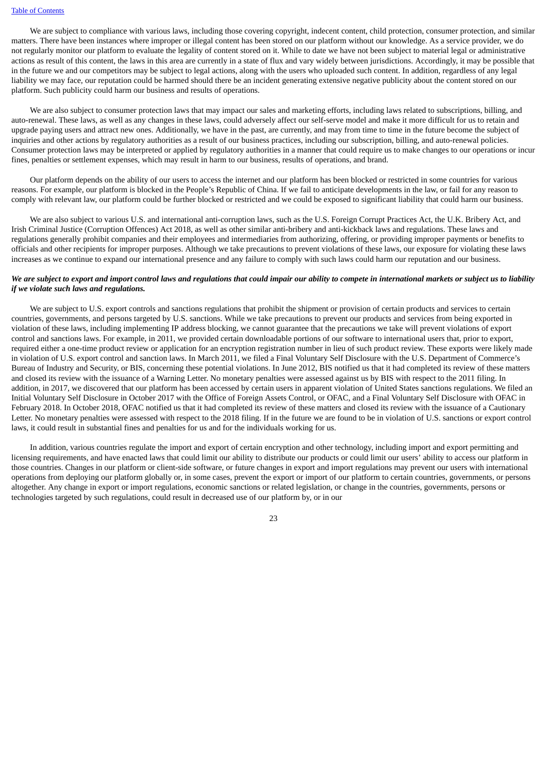We are subject to compliance with various laws, including those covering copyright, indecent content, child protection, consumer protection, and similar matters. There have been instances where improper or illegal content has been stored on our platform without our knowledge. As a service provider, we do not regularly monitor our platform to evaluate the legality of content stored on it. While to date we have not been subject to material legal or administrative actions as result of this content, the laws in this area are currently in a state of flux and vary widely between jurisdictions. Accordingly, it may be possible that in the future we and our competitors may be subject to legal actions, along with the users who uploaded such content. In addition, regardless of any legal liability we may face, our reputation could be harmed should there be an incident generating extensive negative publicity about the content stored on our platform. Such publicity could harm our business and results of operations.

We are also subject to consumer protection laws that may impact our sales and marketing efforts, including laws related to subscriptions, billing, and auto-renewal. These laws, as well as any changes in these laws, could adversely affect our self-serve model and make it more difficult for us to retain and upgrade paying users and attract new ones. Additionally, we have in the past, are currently, and may from time to time in the future become the subject of inquiries and other actions by regulatory authorities as a result of our business practices, including our subscription, billing, and auto-renewal policies. Consumer protection laws may be interpreted or applied by regulatory authorities in a manner that could require us to make changes to our operations or incur fines, penalties or settlement expenses, which may result in harm to our business, results of operations, and brand.

Our platform depends on the ability of our users to access the internet and our platform has been blocked or restricted in some countries for various reasons. For example, our platform is blocked in the People's Republic of China. If we fail to anticipate developments in the law, or fail for any reason to comply with relevant law, our platform could be further blocked or restricted and we could be exposed to significant liability that could harm our business.

We are also subject to various U.S. and international anti-corruption laws, such as the U.S. Foreign Corrupt Practices Act, the U.K. Bribery Act, and Irish Criminal Justice (Corruption Offences) Act 2018, as well as other similar anti-bribery and anti-kickback laws and regulations. These laws and regulations generally prohibit companies and their employees and intermediaries from authorizing, offering, or providing improper payments or benefits to officials and other recipients for improper purposes. Although we take precautions to prevent violations of these laws, our exposure for violating these laws increases as we continue to expand our international presence and any failure to comply with such laws could harm our reputation and our business.

### We are subject to export and import control laws and reaulations that could impair our ability to compete in international markets or subject us to liability *if we violate such laws and regulations.*

We are subject to U.S. export controls and sanctions regulations that prohibit the shipment or provision of certain products and services to certain countries, governments, and persons targeted by U.S. sanctions. While we take precautions to prevent our products and services from being exported in violation of these laws, including implementing IP address blocking, we cannot guarantee that the precautions we take will prevent violations of export control and sanctions laws. For example, in 2011, we provided certain downloadable portions of our software to international users that, prior to export, required either a one-time product review or application for an encryption registration number in lieu of such product review. These exports were likely made in violation of U.S. export control and sanction laws. In March 2011, we filed a Final Voluntary Self Disclosure with the U.S. Department of Commerce's Bureau of Industry and Security, or BIS, concerning these potential violations. In June 2012, BIS notified us that it had completed its review of these matters and closed its review with the issuance of a Warning Letter. No monetary penalties were assessed against us by BIS with respect to the 2011 filing. In addition, in 2017, we discovered that our platform has been accessed by certain users in apparent violation of United States sanctions regulations. We filed an Initial Voluntary Self Disclosure in October 2017 with the Office of Foreign Assets Control, or OFAC, and a Final Voluntary Self Disclosure with OFAC in February 2018. In October 2018, OFAC notified us that it had completed its review of these matters and closed its review with the issuance of a Cautionary Letter. No monetary penalties were assessed with respect to the 2018 filing. If in the future we are found to be in violation of U.S. sanctions or export control laws, it could result in substantial fines and penalties for us and for the individuals working for us.

In addition, various countries regulate the import and export of certain encryption and other technology, including import and export permitting and licensing requirements, and have enacted laws that could limit our ability to distribute our products or could limit our users' ability to access our platform in those countries. Changes in our platform or client-side software, or future changes in export and import regulations may prevent our users with international operations from deploying our platform globally or, in some cases, prevent the export or import of our platform to certain countries, governments, or persons altogether. Any change in export or import regulations, economic sanctions or related legislation, or change in the countries, governments, persons or technologies targeted by such regulations, could result in decreased use of our platform by, or in our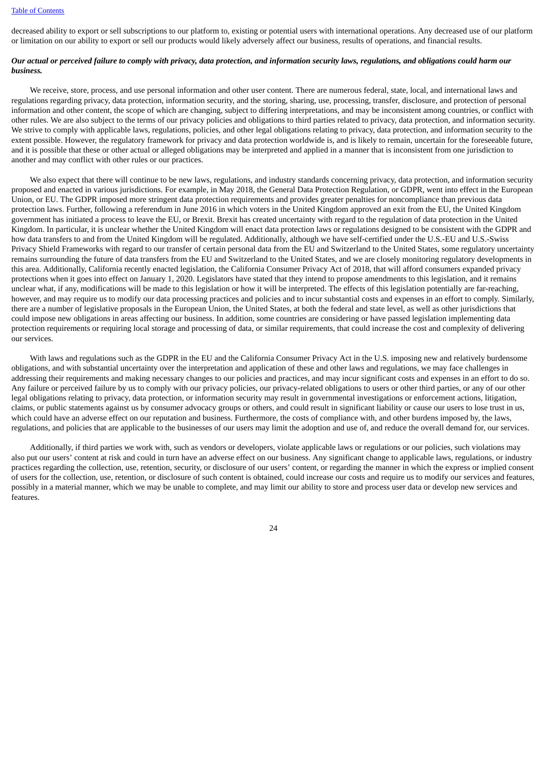#### [Table of Contents](#page-2-0)

decreased ability to export or sell subscriptions to our platform to, existing or potential users with international operations. Any decreased use of our platform or limitation on our ability to export or sell our products would likely adversely affect our business, results of operations, and financial results.

### Our actual or perceived failure to comply with privacy, data protection, and information security laws, regulations, and obligations could harm our *business.*

We receive, store, process, and use personal information and other user content. There are numerous federal, state, local, and international laws and regulations regarding privacy, data protection, information security, and the storing, sharing, use, processing, transfer, disclosure, and protection of personal information and other content, the scope of which are changing, subject to differing interpretations, and may be inconsistent among countries, or conflict with other rules. We are also subject to the terms of our privacy policies and obligations to third parties related to privacy, data protection, and information security. We strive to comply with applicable laws, regulations, policies, and other legal obligations relating to privacy, data protection, and information security to the extent possible. However, the regulatory framework for privacy and data protection worldwide is, and is likely to remain, uncertain for the foreseeable future, and it is possible that these or other actual or alleged obligations may be interpreted and applied in a manner that is inconsistent from one jurisdiction to another and may conflict with other rules or our practices.

We also expect that there will continue to be new laws, regulations, and industry standards concerning privacy, data protection, and information security proposed and enacted in various jurisdictions. For example, in May 2018, the General Data Protection Regulation, or GDPR, went into effect in the European Union, or EU. The GDPR imposed more stringent data protection requirements and provides greater penalties for noncompliance than previous data protection laws. Further, following a referendum in June 2016 in which voters in the United Kingdom approved an exit from the EU, the United Kingdom government has initiated a process to leave the EU, or Brexit. Brexit has created uncertainty with regard to the regulation of data protection in the United Kingdom. In particular, it is unclear whether the United Kingdom will enact data protection laws or regulations designed to be consistent with the GDPR and how data transfers to and from the United Kingdom will be regulated. Additionally, although we have self-certified under the U.S.-EU and U.S.-Swiss Privacy Shield Frameworks with regard to our transfer of certain personal data from the EU and Switzerland to the United States, some regulatory uncertainty remains surrounding the future of data transfers from the EU and Switzerland to the United States, and we are closely monitoring regulatory developments in this area. Additionally, California recently enacted legislation, the California Consumer Privacy Act of 2018, that will afford consumers expanded privacy protections when it goes into effect on January 1, 2020. Legislators have stated that they intend to propose amendments to this legislation, and it remains unclear what, if any, modifications will be made to this legislation or how it will be interpreted. The effects of this legislation potentially are far-reaching, however, and may require us to modify our data processing practices and policies and to incur substantial costs and expenses in an effort to comply. Similarly, there are a number of legislative proposals in the European Union, the United States, at both the federal and state level, as well as other jurisdictions that could impose new obligations in areas affecting our business. In addition, some countries are considering or have passed legislation implementing data protection requirements or requiring local storage and processing of data, or similar requirements, that could increase the cost and complexity of delivering our services.

With laws and regulations such as the GDPR in the EU and the California Consumer Privacy Act in the U.S. imposing new and relatively burdensome obligations, and with substantial uncertainty over the interpretation and application of these and other laws and regulations, we may face challenges in addressing their requirements and making necessary changes to our policies and practices, and may incur significant costs and expenses in an effort to do so. Any failure or perceived failure by us to comply with our privacy policies, our privacy-related obligations to users or other third parties, or any of our other legal obligations relating to privacy, data protection, or information security may result in governmental investigations or enforcement actions, litigation, claims, or public statements against us by consumer advocacy groups or others, and could result in significant liability or cause our users to lose trust in us, which could have an adverse effect on our reputation and business. Furthermore, the costs of compliance with, and other burdens imposed by, the laws, regulations, and policies that are applicable to the businesses of our users may limit the adoption and use of, and reduce the overall demand for, our services.

Additionally, if third parties we work with, such as vendors or developers, violate applicable laws or regulations or our policies, such violations may also put our users' content at risk and could in turn have an adverse effect on our business. Any significant change to applicable laws, regulations, or industry practices regarding the collection, use, retention, security, or disclosure of our users' content, or regarding the manner in which the express or implied consent of users for the collection, use, retention, or disclosure of such content is obtained, could increase our costs and require us to modify our services and features, possibly in a material manner, which we may be unable to complete, and may limit our ability to store and process user data or develop new services and features.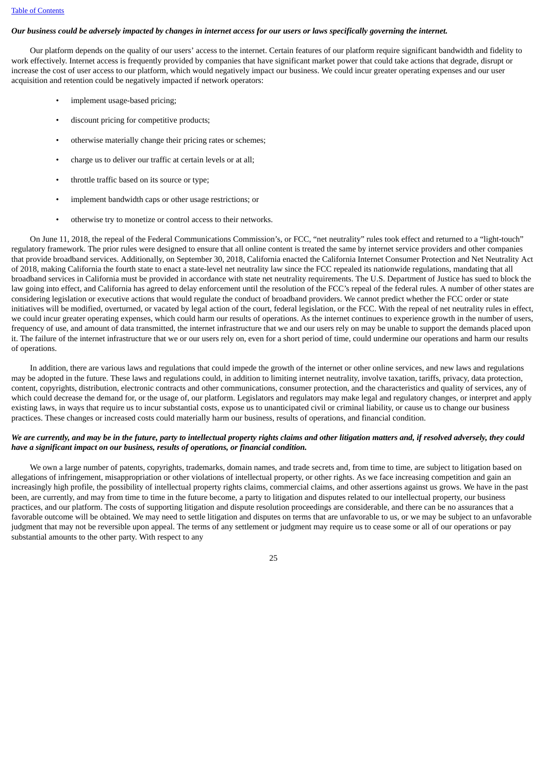### Our business could be adversely impacted by changes in internet access for our users or laws specifically governing the internet.

Our platform depends on the quality of our users' access to the internet. Certain features of our platform require significant bandwidth and fidelity to work effectively. Internet access is frequently provided by companies that have significant market power that could take actions that degrade, disrupt or increase the cost of user access to our platform, which would negatively impact our business. We could incur greater operating expenses and our user acquisition and retention could be negatively impacted if network operators:

- implement usage-based pricing;
- discount pricing for competitive products;
- otherwise materially change their pricing rates or schemes;
- charge us to deliver our traffic at certain levels or at all;
- throttle traffic based on its source or type;
- implement bandwidth caps or other usage restrictions; or
- otherwise try to monetize or control access to their networks.

On June 11, 2018, the repeal of the Federal Communications Commission's, or FCC, "net neutrality" rules took effect and returned to a "light-touch" regulatory framework. The prior rules were designed to ensure that all online content is treated the same by internet service providers and other companies that provide broadband services. Additionally, on September 30, 2018, California enacted the California Internet Consumer Protection and Net Neutrality Act of 2018, making California the fourth state to enact a state-level net neutrality law since the FCC repealed its nationwide regulations, mandating that all broadband services in California must be provided in accordance with state net neutrality requirements. The U.S. Department of Justice has sued to block the law going into effect, and California has agreed to delay enforcement until the resolution of the FCC's repeal of the federal rules. A number of other states are considering legislation or executive actions that would regulate the conduct of broadband providers. We cannot predict whether the FCC order or state initiatives will be modified, overturned, or vacated by legal action of the court, federal legislation, or the FCC. With the repeal of net neutrality rules in effect, we could incur greater operating expenses, which could harm our results of operations. As the internet continues to experience growth in the number of users, frequency of use, and amount of data transmitted, the internet infrastructure that we and our users rely on may be unable to support the demands placed upon it. The failure of the internet infrastructure that we or our users rely on, even for a short period of time, could undermine our operations and harm our results of operations.

In addition, there are various laws and regulations that could impede the growth of the internet or other online services, and new laws and regulations may be adopted in the future. These laws and regulations could, in addition to limiting internet neutrality, involve taxation, tariffs, privacy, data protection, content, copyrights, distribution, electronic contracts and other communications, consumer protection, and the characteristics and quality of services, any of which could decrease the demand for, or the usage of, our platform. Legislators and regulators may make legal and regulatory changes, or interpret and apply existing laws, in ways that require us to incur substantial costs, expose us to unanticipated civil or criminal liability, or cause us to change our business practices. These changes or increased costs could materially harm our business, results of operations, and financial condition.

### We are currently, and may be in the future, party to intellectual property rights claims and other litigation matters and, if resolved adversely, they could *have a significant impact on our business, results of operations, or financial condition.*

We own a large number of patents, copyrights, trademarks, domain names, and trade secrets and, from time to time, are subject to litigation based on allegations of infringement, misappropriation or other violations of intellectual property, or other rights. As we face increasing competition and gain an increasingly high profile, the possibility of intellectual property rights claims, commercial claims, and other assertions against us grows. We have in the past been, are currently, and may from time to time in the future become, a party to litigation and disputes related to our intellectual property, our business practices, and our platform. The costs of supporting litigation and dispute resolution proceedings are considerable, and there can be no assurances that a favorable outcome will be obtained. We may need to settle litigation and disputes on terms that are unfavorable to us, or we may be subject to an unfavorable judgment that may not be reversible upon appeal. The terms of any settlement or judgment may require us to cease some or all of our operations or pay substantial amounts to the other party. With respect to any

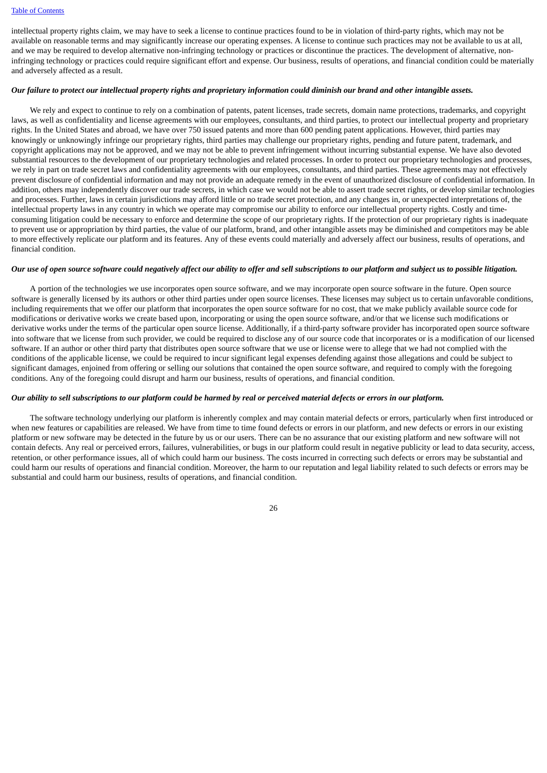#### [Table of Contents](#page-2-0)

intellectual property rights claim, we may have to seek a license to continue practices found to be in violation of third-party rights, which may not be available on reasonable terms and may significantly increase our operating expenses. A license to continue such practices may not be available to us at all, and we may be required to develop alternative non-infringing technology or practices or discontinue the practices. The development of alternative, noninfringing technology or practices could require significant effort and expense. Our business, results of operations, and financial condition could be materially and adversely affected as a result.

### Our failure to protect our intellectual property rights and proprietary information could diminish our brand and other intangible assets.

We rely and expect to continue to rely on a combination of patents, patent licenses, trade secrets, domain name protections, trademarks, and copyright laws, as well as confidentiality and license agreements with our employees, consultants, and third parties, to protect our intellectual property and proprietary rights. In the United States and abroad, we have over 750 issued patents and more than 600 pending patent applications. However, third parties may knowingly or unknowingly infringe our proprietary rights, third parties may challenge our proprietary rights, pending and future patent, trademark, and copyright applications may not be approved, and we may not be able to prevent infringement without incurring substantial expense. We have also devoted substantial resources to the development of our proprietary technologies and related processes. In order to protect our proprietary technologies and processes, we rely in part on trade secret laws and confidentiality agreements with our employees, consultants, and third parties. These agreements may not effectively prevent disclosure of confidential information and may not provide an adequate remedy in the event of unauthorized disclosure of confidential information. In addition, others may independently discover our trade secrets, in which case we would not be able to assert trade secret rights, or develop similar technologies and processes. Further, laws in certain jurisdictions may afford little or no trade secret protection, and any changes in, or unexpected interpretations of, the intellectual property laws in any country in which we operate may compromise our ability to enforce our intellectual property rights. Costly and timeconsuming litigation could be necessary to enforce and determine the scope of our proprietary rights. If the protection of our proprietary rights is inadequate to prevent use or appropriation by third parties, the value of our platform, brand, and other intangible assets may be diminished and competitors may be able to more effectively replicate our platform and its features. Any of these events could materially and adversely affect our business, results of operations, and financial condition.

#### Our use of open source software could negatively affect our ability to offer and sell subscriptions to our platform and subject us to possible litigation.

A portion of the technologies we use incorporates open source software, and we may incorporate open source software in the future. Open source software is generally licensed by its authors or other third parties under open source licenses. These licenses may subject us to certain unfavorable conditions, including requirements that we offer our platform that incorporates the open source software for no cost, that we make publicly available source code for modifications or derivative works we create based upon, incorporating or using the open source software, and/or that we license such modifications or derivative works under the terms of the particular open source license. Additionally, if a third-party software provider has incorporated open source software into software that we license from such provider, we could be required to disclose any of our source code that incorporates or is a modification of our licensed software. If an author or other third party that distributes open source software that we use or license were to allege that we had not complied with the conditions of the applicable license, we could be required to incur significant legal expenses defending against those allegations and could be subject to significant damages, enjoined from offering or selling our solutions that contained the open source software, and required to comply with the foregoing conditions. Any of the foregoing could disrupt and harm our business, results of operations, and financial condition.

### Our ability to sell subscriptions to our platform could be harmed by real or perceived material defects or errors in our platform.

The software technology underlying our platform is inherently complex and may contain material defects or errors, particularly when first introduced or when new features or capabilities are released. We have from time to time found defects or errors in our platform, and new defects or errors in our existing platform or new software may be detected in the future by us or our users. There can be no assurance that our existing platform and new software will not contain defects. Any real or perceived errors, failures, vulnerabilities, or bugs in our platform could result in negative publicity or lead to data security, access, retention, or other performance issues, all of which could harm our business. The costs incurred in correcting such defects or errors may be substantial and could harm our results of operations and financial condition. Moreover, the harm to our reputation and legal liability related to such defects or errors may be substantial and could harm our business, results of operations, and financial condition.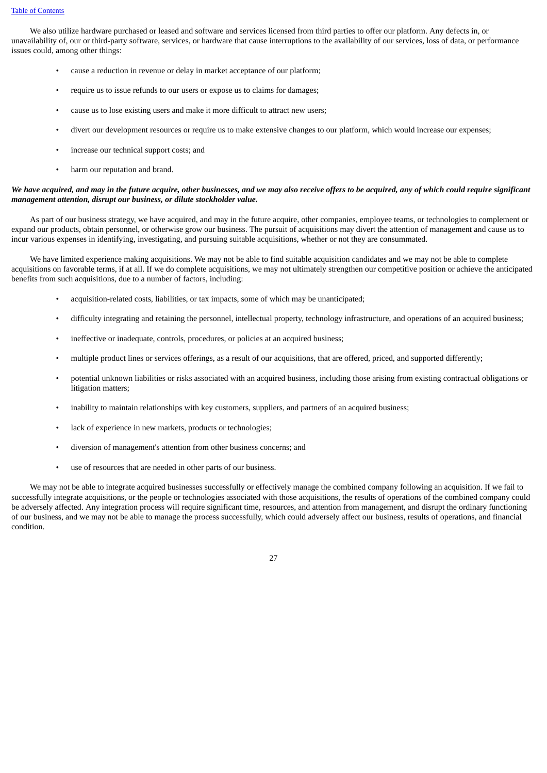We also utilize hardware purchased or leased and software and services licensed from third parties to offer our platform. Any defects in, or unavailability of, our or third-party software, services, or hardware that cause interruptions to the availability of our services, loss of data, or performance issues could, among other things:

- cause a reduction in revenue or delay in market acceptance of our platform;
- require us to issue refunds to our users or expose us to claims for damages;
- cause us to lose existing users and make it more difficult to attract new users;
- divert our development resources or require us to make extensive changes to our platform, which would increase our expenses;
- increase our technical support costs; and
- harm our reputation and brand.

### We have acquired, and may in the future acquire, other businesses, and we may also receive offers to be acquired, any of which could require significant *management attention, disrupt our business, or dilute stockholder value.*

As part of our business strategy, we have acquired, and may in the future acquire, other companies, employee teams, or technologies to complement or expand our products, obtain personnel, or otherwise grow our business. The pursuit of acquisitions may divert the attention of management and cause us to incur various expenses in identifying, investigating, and pursuing suitable acquisitions, whether or not they are consummated.

We have limited experience making acquisitions. We may not be able to find suitable acquisition candidates and we may not be able to complete acquisitions on favorable terms, if at all. If we do complete acquisitions, we may not ultimately strengthen our competitive position or achieve the anticipated benefits from such acquisitions, due to a number of factors, including:

- acquisition-related costs, liabilities, or tax impacts, some of which may be unanticipated;
- difficulty integrating and retaining the personnel, intellectual property, technology infrastructure, and operations of an acquired business;
- ineffective or inadequate, controls, procedures, or policies at an acquired business;
- multiple product lines or services offerings, as a result of our acquisitions, that are offered, priced, and supported differently;
- potential unknown liabilities or risks associated with an acquired business, including those arising from existing contractual obligations or litigation matters;
- inability to maintain relationships with key customers, suppliers, and partners of an acquired business;
- lack of experience in new markets, products or technologies;
- diversion of management's attention from other business concerns; and
- use of resources that are needed in other parts of our business.

We may not be able to integrate acquired businesses successfully or effectively manage the combined company following an acquisition. If we fail to successfully integrate acquisitions, or the people or technologies associated with those acquisitions, the results of operations of the combined company could be adversely affected. Any integration process will require significant time, resources, and attention from management, and disrupt the ordinary functioning of our business, and we may not be able to manage the process successfully, which could adversely affect our business, results of operations, and financial condition.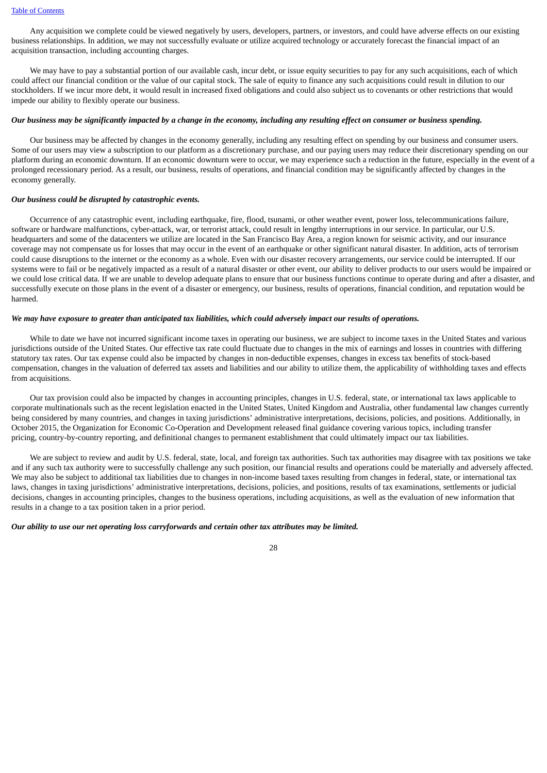Any acquisition we complete could be viewed negatively by users, developers, partners, or investors, and could have adverse effects on our existing business relationships. In addition, we may not successfully evaluate or utilize acquired technology or accurately forecast the financial impact of an acquisition transaction, including accounting charges.

We may have to pay a substantial portion of our available cash, incur debt, or issue equity securities to pay for any such acquisitions, each of which could affect our financial condition or the value of our capital stock. The sale of equity to finance any such acquisitions could result in dilution to our stockholders. If we incur more debt, it would result in increased fixed obligations and could also subject us to covenants or other restrictions that would impede our ability to flexibly operate our business.

#### Our business may be significantly impacted by a change in the economy, including any resulting effect on consumer or business spending.

Our business may be affected by changes in the economy generally, including any resulting effect on spending by our business and consumer users. Some of our users may view a subscription to our platform as a discretionary purchase, and our paying users may reduce their discretionary spending on our platform during an economic downturn. If an economic downturn were to occur, we may experience such a reduction in the future, especially in the event of a prolonged recessionary period. As a result, our business, results of operations, and financial condition may be significantly affected by changes in the economy generally.

#### *Our business could be disrupted by catastrophic events.*

Occurrence of any catastrophic event, including earthquake, fire, flood, tsunami, or other weather event, power loss, telecommunications failure, software or hardware malfunctions, cyber-attack, war, or terrorist attack, could result in lengthy interruptions in our service. In particular, our U.S. headquarters and some of the datacenters we utilize are located in the San Francisco Bay Area, a region known for seismic activity, and our insurance coverage may not compensate us for losses that may occur in the event of an earthquake or other significant natural disaster. In addition, acts of terrorism could cause disruptions to the internet or the economy as a whole. Even with our disaster recovery arrangements, our service could be interrupted. If our systems were to fail or be negatively impacted as a result of a natural disaster or other event, our ability to deliver products to our users would be impaired or we could lose critical data. If we are unable to develop adequate plans to ensure that our business functions continue to operate during and after a disaster, and successfully execute on those plans in the event of a disaster or emergency, our business, results of operations, financial condition, and reputation would be harmed.

#### We may have exposure to greater than anticipated tax liabilities, which could adversely impact our results of operations.

While to date we have not incurred significant income taxes in operating our business, we are subject to income taxes in the United States and various jurisdictions outside of the United States. Our effective tax rate could fluctuate due to changes in the mix of earnings and losses in countries with differing statutory tax rates. Our tax expense could also be impacted by changes in non-deductible expenses, changes in excess tax benefits of stock-based compensation, changes in the valuation of deferred tax assets and liabilities and our ability to utilize them, the applicability of withholding taxes and effects from acquisitions.

Our tax provision could also be impacted by changes in accounting principles, changes in U.S. federal, state, or international tax laws applicable to corporate multinationals such as the recent legislation enacted in the United States, United Kingdom and Australia, other fundamental law changes currently being considered by many countries, and changes in taxing jurisdictions' administrative interpretations, decisions, policies, and positions. Additionally, in October 2015, the Organization for Economic Co-Operation and Development released final guidance covering various topics, including transfer pricing, country-by-country reporting, and definitional changes to permanent establishment that could ultimately impact our tax liabilities.

We are subject to review and audit by U.S. federal, state, local, and foreign tax authorities. Such tax authorities may disagree with tax positions we take and if any such tax authority were to successfully challenge any such position, our financial results and operations could be materially and adversely affected. We may also be subject to additional tax liabilities due to changes in non-income based taxes resulting from changes in federal, state, or international tax laws, changes in taxing jurisdictions' administrative interpretations, decisions, policies, and positions, results of tax examinations, settlements or judicial decisions, changes in accounting principles, changes to the business operations, including acquisitions, as well as the evaluation of new information that results in a change to a tax position taken in a prior period.

#### *Our ability to use our net operating loss carryforwards and certain other tax attributes may be limited.*

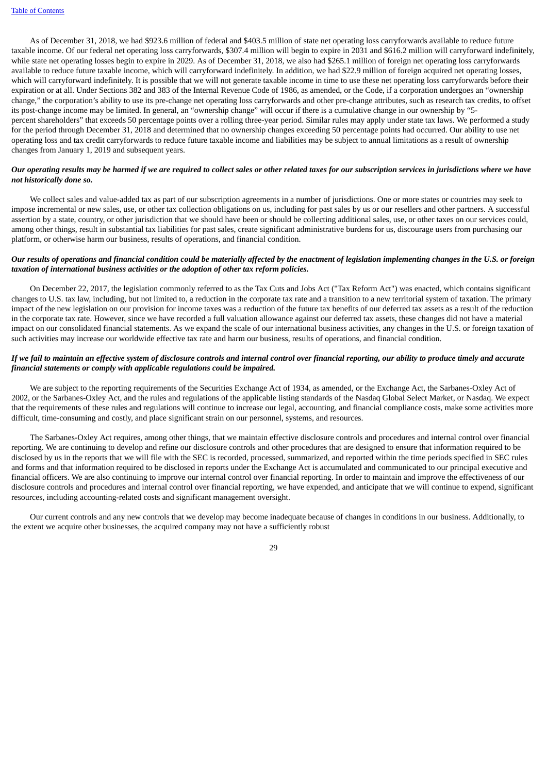As of December 31, 2018, we had \$923.6 million of federal and \$403.5 million of state net operating loss carryforwards available to reduce future taxable income. Of our federal net operating loss carryforwards, \$307.4 million will begin to expire in 2031 and \$616.2 million will carryforward indefinitely, while state net operating losses begin to expire in 2029. As of December 31, 2018, we also had \$265.1 million of foreign net operating loss carryforwards available to reduce future taxable income, which will carryforward indefinitely. In addition, we had \$22.9 million of foreign acquired net operating losses, which will carryforward indefinitely. It is possible that we will not generate taxable income in time to use these net operating loss carryforwards before their expiration or at all. Under Sections 382 and 383 of the Internal Revenue Code of 1986, as amended, or the Code, if a corporation undergoes an "ownership change," the corporation's ability to use its pre-change net operating loss carryforwards and other pre-change attributes, such as research tax credits, to offset its post-change income may be limited. In general, an "ownership change" will occur if there is a cumulative change in our ownership by "5 percent shareholders" that exceeds 50 percentage points over a rolling three-year period. Similar rules may apply under state tax laws. We performed a study for the period through December 31, 2018 and determined that no ownership changes exceeding 50 percentage points had occurred. Our ability to use net operating loss and tax credit carryforwards to reduce future taxable income and liabilities may be subject to annual limitations as a result of ownership changes from January 1, 2019 and subsequent years.

### Our operating results may be harmed if we are required to collect sales or other related taxes for our subscription services in jurisdictions where we have *not historically done so.*

We collect sales and value-added tax as part of our subscription agreements in a number of jurisdictions. One or more states or countries may seek to impose incremental or new sales, use, or other tax collection obligations on us, including for past sales by us or our resellers and other partners. A successful assertion by a state, country, or other jurisdiction that we should have been or should be collecting additional sales, use, or other taxes on our services could, among other things, result in substantial tax liabilities for past sales, create significant administrative burdens for us, discourage users from purchasing our platform, or otherwise harm our business, results of operations, and financial condition.

### Our results of operations and financial condition could be materially affected by the enactment of legislation implementing changes in the U.S. or foreign *taxation of international business activities or the adoption of other tax reform policies.*

On December 22, 2017, the legislation commonly referred to as the Tax Cuts and Jobs Act ("Tax Reform Act") was enacted, which contains significant changes to U.S. tax law, including, but not limited to, a reduction in the corporate tax rate and a transition to a new territorial system of taxation. The primary impact of the new legislation on our provision for income taxes was a reduction of the future tax benefits of our deferred tax assets as a result of the reduction in the corporate tax rate. However, since we have recorded a full valuation allowance against our deferred tax assets, these changes did not have a material impact on our consolidated financial statements. As we expand the scale of our international business activities, any changes in the U.S. or foreign taxation of such activities may increase our worldwide effective tax rate and harm our business, results of operations, and financial condition.

### If we fail to maintain an effective system of disclosure controls and internal control over financial reporting, our ability to produce timely and accurate *financial statements or comply with applicable regulations could be impaired.*

We are subject to the reporting requirements of the Securities Exchange Act of 1934, as amended, or the Exchange Act, the Sarbanes-Oxley Act of 2002, or the Sarbanes-Oxley Act, and the rules and regulations of the applicable listing standards of the Nasdaq Global Select Market, or Nasdaq. We expect that the requirements of these rules and regulations will continue to increase our legal, accounting, and financial compliance costs, make some activities more difficult, time-consuming and costly, and place significant strain on our personnel, systems, and resources.

The Sarbanes-Oxley Act requires, among other things, that we maintain effective disclosure controls and procedures and internal control over financial reporting. We are continuing to develop and refine our disclosure controls and other procedures that are designed to ensure that information required to be disclosed by us in the reports that we will file with the SEC is recorded, processed, summarized, and reported within the time periods specified in SEC rules and forms and that information required to be disclosed in reports under the Exchange Act is accumulated and communicated to our principal executive and financial officers. We are also continuing to improve our internal control over financial reporting. In order to maintain and improve the effectiveness of our disclosure controls and procedures and internal control over financial reporting, we have expended, and anticipate that we will continue to expend, significant resources, including accounting-related costs and significant management oversight.

Our current controls and any new controls that we develop may become inadequate because of changes in conditions in our business. Additionally, to the extent we acquire other businesses, the acquired company may not have a sufficiently robust

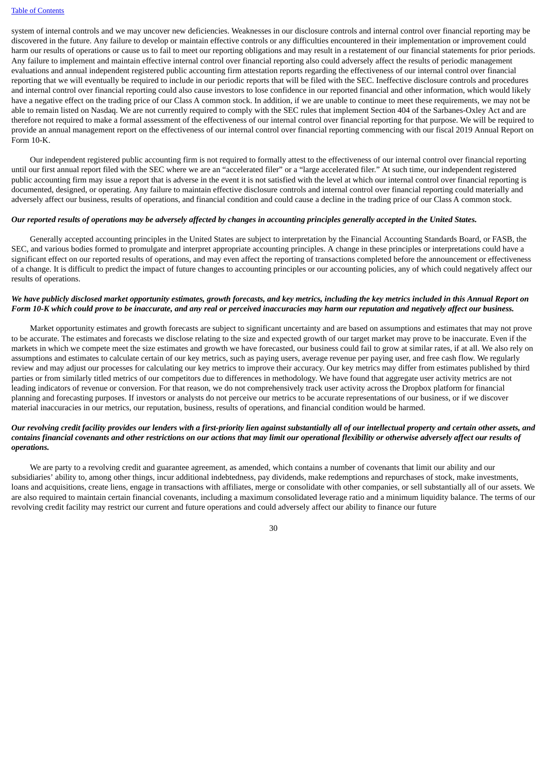system of internal controls and we may uncover new deficiencies. Weaknesses in our disclosure controls and internal control over financial reporting may be discovered in the future. Any failure to develop or maintain effective controls or any difficulties encountered in their implementation or improvement could harm our results of operations or cause us to fail to meet our reporting obligations and may result in a restatement of our financial statements for prior periods. Any failure to implement and maintain effective internal control over financial reporting also could adversely affect the results of periodic management evaluations and annual independent registered public accounting firm attestation reports regarding the effectiveness of our internal control over financial reporting that we will eventually be required to include in our periodic reports that will be filed with the SEC. Ineffective disclosure controls and procedures and internal control over financial reporting could also cause investors to lose confidence in our reported financial and other information, which would likely have a negative effect on the trading price of our Class A common stock. In addition, if we are unable to continue to meet these requirements, we may not be able to remain listed on Nasdaq. We are not currently required to comply with the SEC rules that implement Section 404 of the Sarbanes-Oxley Act and are therefore not required to make a formal assessment of the effectiveness of our internal control over financial reporting for that purpose. We will be required to provide an annual management report on the effectiveness of our internal control over financial reporting commencing with our fiscal 2019 Annual Report on Form 10-K.

Our independent registered public accounting firm is not required to formally attest to the effectiveness of our internal control over financial reporting until our first annual report filed with the SEC where we are an "accelerated filer" or a "large accelerated filer." At such time, our independent registered public accounting firm may issue a report that is adverse in the event it is not satisfied with the level at which our internal control over financial reporting is documented, designed, or operating. Any failure to maintain effective disclosure controls and internal control over financial reporting could materially and adversely affect our business, results of operations, and financial condition and could cause a decline in the trading price of our Class A common stock.

### Our reported results of operations may be adversely affected by changes in accounting principles generally accepted in the United States.

Generally accepted accounting principles in the United States are subject to interpretation by the Financial Accounting Standards Board, or FASB, the SEC, and various bodies formed to promulgate and interpret appropriate accounting principles. A change in these principles or interpretations could have a significant effect on our reported results of operations, and may even affect the reporting of transactions completed before the announcement or effectiveness of a change. It is difficult to predict the impact of future changes to accounting principles or our accounting policies, any of which could negatively affect our results of operations.

### We have publicly disclosed market opportunity estimates, growth forecasts, and key metrics, including the key metrics included in this Annual Report on Form 10-K which could prove to be inaccurate, and any real or perceived inaccuracies may harm our reputation and negatively affect our business.

Market opportunity estimates and growth forecasts are subject to significant uncertainty and are based on assumptions and estimates that may not prove to be accurate. The estimates and forecasts we disclose relating to the size and expected growth of our target market may prove to be inaccurate. Even if the markets in which we compete meet the size estimates and growth we have forecasted, our business could fail to grow at similar rates, if at all. We also rely on assumptions and estimates to calculate certain of our key metrics, such as paying users, average revenue per paying user, and free cash flow. We regularly review and may adjust our processes for calculating our key metrics to improve their accuracy. Our key metrics may differ from estimates published by third parties or from similarly titled metrics of our competitors due to differences in methodology. We have found that aggregate user activity metrics are not leading indicators of revenue or conversion. For that reason, we do not comprehensively track user activity across the Dropbox platform for financial planning and forecasting purposes. If investors or analysts do not perceive our metrics to be accurate representations of our business, or if we discover material inaccuracies in our metrics, our reputation, business, results of operations, and financial condition would be harmed.

### Our revolving credit facility provides our lenders with a first-priority lien against substantially all of our intellectual property and certain other assets, and contains financial covenants and other restrictions on our actions that may limit our operational flexibility or otherwise adversely affect our results of *operations.*

We are party to a revolving credit and guarantee agreement, as amended, which contains a number of covenants that limit our ability and our subsidiaries' ability to, among other things, incur additional indebtedness, pay dividends, make redemptions and repurchases of stock, make investments, loans and acquisitions, create liens, engage in transactions with affiliates, merge or consolidate with other companies, or sell substantially all of our assets. We are also required to maintain certain financial covenants, including a maximum consolidated leverage ratio and a minimum liquidity balance. The terms of our revolving credit facility may restrict our current and future operations and could adversely affect our ability to finance our future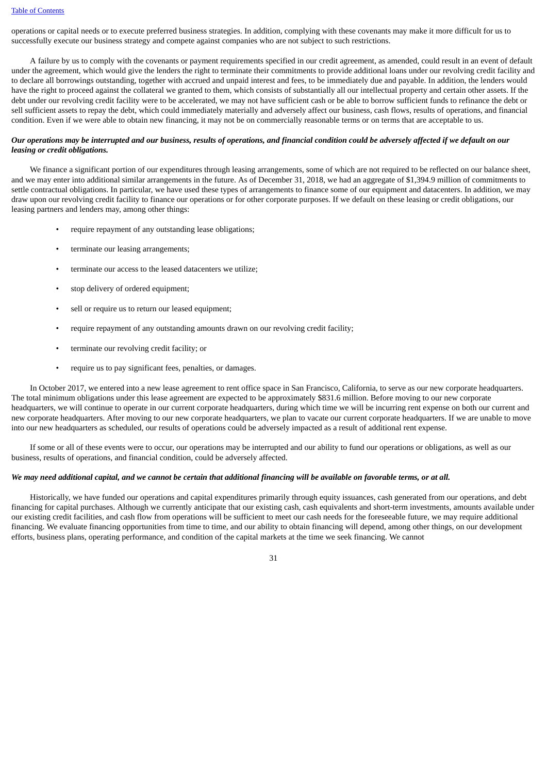operations or capital needs or to execute preferred business strategies. In addition, complying with these covenants may make it more difficult for us to successfully execute our business strategy and compete against companies who are not subject to such restrictions.

A failure by us to comply with the covenants or payment requirements specified in our credit agreement, as amended, could result in an event of default under the agreement, which would give the lenders the right to terminate their commitments to provide additional loans under our revolving credit facility and to declare all borrowings outstanding, together with accrued and unpaid interest and fees, to be immediately due and payable. In addition, the lenders would have the right to proceed against the collateral we granted to them, which consists of substantially all our intellectual property and certain other assets. If the debt under our revolving credit facility were to be accelerated, we may not have sufficient cash or be able to borrow sufficient funds to refinance the debt or sell sufficient assets to repay the debt, which could immediately materially and adversely affect our business, cash flows, results of operations, and financial condition. Even if we were able to obtain new financing, it may not be on commercially reasonable terms or on terms that are acceptable to us.

### Our operations may be interrupted and our business, results of operations, and financial condition could be adversely affected if we default on our *leasing or credit obligations.*

We finance a significant portion of our expenditures through leasing arrangements, some of which are not required to be reflected on our balance sheet, and we may enter into additional similar arrangements in the future. As of December 31, 2018, we had an aggregate of \$1,394.9 million of commitments to settle contractual obligations. In particular, we have used these types of arrangements to finance some of our equipment and datacenters. In addition, we may draw upon our revolving credit facility to finance our operations or for other corporate purposes. If we default on these leasing or credit obligations, our leasing partners and lenders may, among other things:

- require repayment of any outstanding lease obligations;
- terminate our leasing arrangements;
- terminate our access to the leased datacenters we utilize;
- stop delivery of ordered equipment;
- sell or require us to return our leased equipment;
- require repayment of any outstanding amounts drawn on our revolving credit facility;
- terminate our revolving credit facility; or
- require us to pay significant fees, penalties, or damages.

In October 2017, we entered into a new lease agreement to rent office space in San Francisco, California, to serve as our new corporate headquarters. The total minimum obligations under this lease agreement are expected to be approximately \$831.6 million. Before moving to our new corporate headquarters, we will continue to operate in our current corporate headquarters, during which time we will be incurring rent expense on both our current and new corporate headquarters. After moving to our new corporate headquarters, we plan to vacate our current corporate headquarters. If we are unable to move into our new headquarters as scheduled, our results of operations could be adversely impacted as a result of additional rent expense.

If some or all of these events were to occur, our operations may be interrupted and our ability to fund our operations or obligations, as well as our business, results of operations, and financial condition, could be adversely affected.

#### We may need additional capital, and we cannot be certain that additional financing will be available on favorable terms, or at all.

Historically, we have funded our operations and capital expenditures primarily through equity issuances, cash generated from our operations, and debt financing for capital purchases. Although we currently anticipate that our existing cash, cash equivalents and short-term investments, amounts available under our existing credit facilities, and cash flow from operations will be sufficient to meet our cash needs for the foreseeable future, we may require additional financing. We evaluate financing opportunities from time to time, and our ability to obtain financing will depend, among other things, on our development efforts, business plans, operating performance, and condition of the capital markets at the time we seek financing. We cannot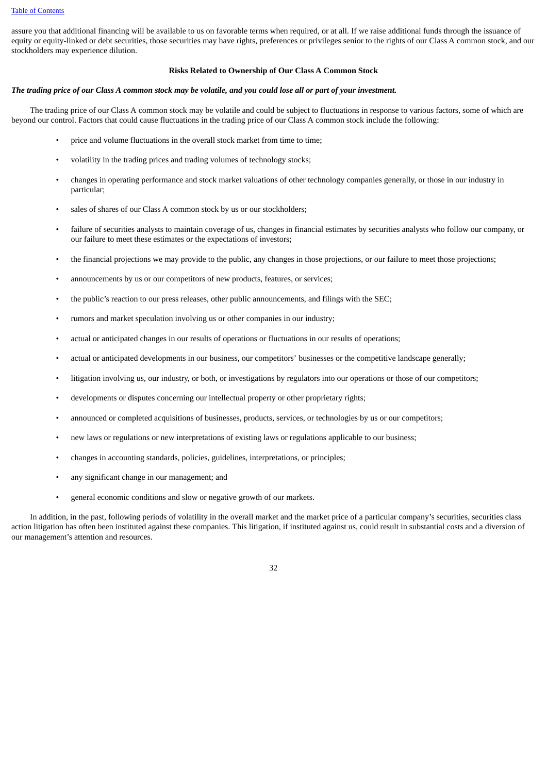assure you that additional financing will be available to us on favorable terms when required, or at all. If we raise additional funds through the issuance of equity or equity-linked or debt securities, those securities may have rights, preferences or privileges senior to the rights of our Class A common stock, and our stockholders may experience dilution.

#### **Risks Related to Ownership of Our Class A Common Stock**

### The trading price of our Class A common stock may be volatile, and you could lose all or part of your investment.

The trading price of our Class A common stock may be volatile and could be subject to fluctuations in response to various factors, some of which are beyond our control. Factors that could cause fluctuations in the trading price of our Class A common stock include the following:

- price and volume fluctuations in the overall stock market from time to time;
- volatility in the trading prices and trading volumes of technology stocks;
- changes in operating performance and stock market valuations of other technology companies generally, or those in our industry in particular;
- sales of shares of our Class A common stock by us or our stockholders;
- failure of securities analysts to maintain coverage of us, changes in financial estimates by securities analysts who follow our company, or our failure to meet these estimates or the expectations of investors;
- the financial projections we may provide to the public, any changes in those projections, or our failure to meet those projections;
- announcements by us or our competitors of new products, features, or services;
- the public's reaction to our press releases, other public announcements, and filings with the SEC;
- rumors and market speculation involving us or other companies in our industry;
- actual or anticipated changes in our results of operations or fluctuations in our results of operations;
- actual or anticipated developments in our business, our competitors' businesses or the competitive landscape generally;
- litigation involving us, our industry, or both, or investigations by regulators into our operations or those of our competitors;
- developments or disputes concerning our intellectual property or other proprietary rights;
- announced or completed acquisitions of businesses, products, services, or technologies by us or our competitors;
- new laws or regulations or new interpretations of existing laws or regulations applicable to our business;
- changes in accounting standards, policies, guidelines, interpretations, or principles;
- any significant change in our management; and
- general economic conditions and slow or negative growth of our markets.

In addition, in the past, following periods of volatility in the overall market and the market price of a particular company's securities, securities class action litigation has often been instituted against these companies. This litigation, if instituted against us, could result in substantial costs and a diversion of our management's attention and resources.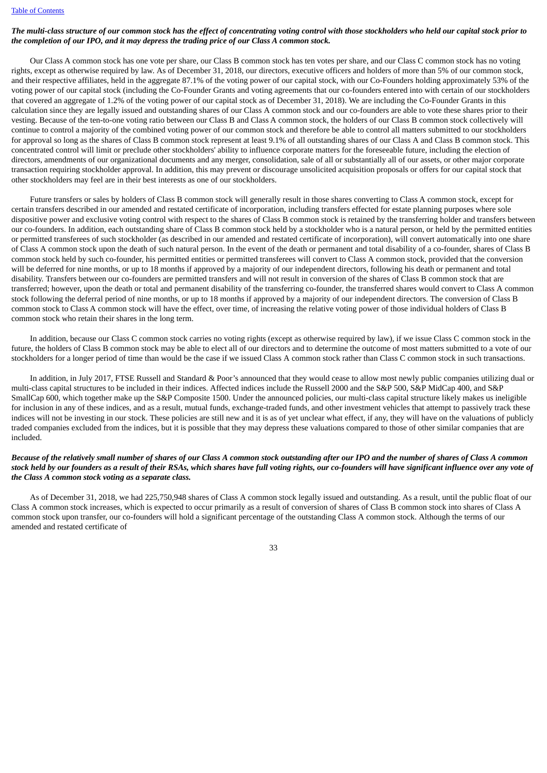### The multi-class structure of our common stock has the effect of concentrating voting control with those stockholders who held our capital stock prior to *the completion of our IPO, and it may depress the trading price of our Class A common stock.*

Our Class A common stock has one vote per share, our Class B common stock has ten votes per share, and our Class C common stock has no voting rights, except as otherwise required by law. As of December 31, 2018, our directors, executive officers and holders of more than 5% of our common stock, and their respective affiliates, held in the aggregate 87.1% of the voting power of our capital stock, with our Co-Founders holding approximately 53% of the voting power of our capital stock (including the Co-Founder Grants and voting agreements that our co-founders entered into with certain of our stockholders that covered an aggregate of 1.2% of the voting power of our capital stock as of December 31, 2018). We are including the Co-Founder Grants in this calculation since they are legally issued and outstanding shares of our Class A common stock and our co-founders are able to vote these shares prior to their vesting. Because of the ten-to-one voting ratio between our Class B and Class A common stock, the holders of our Class B common stock collectively will continue to control a majority of the combined voting power of our common stock and therefore be able to control all matters submitted to our stockholders for approval so long as the shares of Class B common stock represent at least 9.1% of all outstanding shares of our Class A and Class B common stock. This concentrated control will limit or preclude other stockholders' ability to influence corporate matters for the foreseeable future, including the election of directors, amendments of our organizational documents and any merger, consolidation, sale of all or substantially all of our assets, or other major corporate transaction requiring stockholder approval. In addition, this may prevent or discourage unsolicited acquisition proposals or offers for our capital stock that other stockholders may feel are in their best interests as one of our stockholders.

Future transfers or sales by holders of Class B common stock will generally result in those shares converting to Class A common stock, except for certain transfers described in our amended and restated certificate of incorporation, including transfers effected for estate planning purposes where sole dispositive power and exclusive voting control with respect to the shares of Class B common stock is retained by the transferring holder and transfers between our co-founders. In addition, each outstanding share of Class B common stock held by a stockholder who is a natural person, or held by the permitted entities or permitted transferees of such stockholder (as described in our amended and restated certificate of incorporation), will convert automatically into one share of Class A common stock upon the death of such natural person. In the event of the death or permanent and total disability of a co-founder, shares of Class B common stock held by such co-founder, his permitted entities or permitted transferees will convert to Class A common stock, provided that the conversion will be deferred for nine months, or up to 18 months if approved by a majority of our independent directors, following his death or permanent and total disability. Transfers between our co-founders are permitted transfers and will not result in conversion of the shares of Class B common stock that are transferred; however, upon the death or total and permanent disability of the transferring co-founder, the transferred shares would convert to Class A common stock following the deferral period of nine months, or up to 18 months if approved by a majority of our independent directors. The conversion of Class B common stock to Class A common stock will have the effect, over time, of increasing the relative voting power of those individual holders of Class B common stock who retain their shares in the long term.

In addition, because our Class C common stock carries no voting rights (except as otherwise required by law), if we issue Class C common stock in the future, the holders of Class B common stock may be able to elect all of our directors and to determine the outcome of most matters submitted to a vote of our stockholders for a longer period of time than would be the case if we issued Class A common stock rather than Class C common stock in such transactions.

In addition, in July 2017, FTSE Russell and Standard & Poor's announced that they would cease to allow most newly public companies utilizing dual or multi-class capital structures to be included in their indices. Affected indices include the Russell 2000 and the S&P 500, S&P MidCap 400, and S&P SmallCap 600, which together make up the S&P Composite 1500. Under the announced policies, our multi-class capital structure likely makes us ineligible for inclusion in any of these indices, and as a result, mutual funds, exchange-traded funds, and other investment vehicles that attempt to passively track these indices will not be investing in our stock. These policies are still new and it is as of yet unclear what effect, if any, they will have on the valuations of publicly traded companies excluded from the indices, but it is possible that they may depress these valuations compared to those of other similar companies that are included.

### Because of the relatively small number of shares of our Class A common stock outstanding after our IPO and the number of shares of Class A common stock held by our founders as a result of their RSAs, which shares have full voting rights, our co-founders will have significant influence over any vote of *the Class A common stock voting as a separate class.*

As of December 31, 2018, we had 225,750,948 shares of Class A common stock legally issued and outstanding. As a result, until the public float of our Class A common stock increases, which is expected to occur primarily as a result of conversion of shares of Class B common stock into shares of Class A common stock upon transfer, our co-founders will hold a significant percentage of the outstanding Class A common stock. Although the terms of our amended and restated certificate of

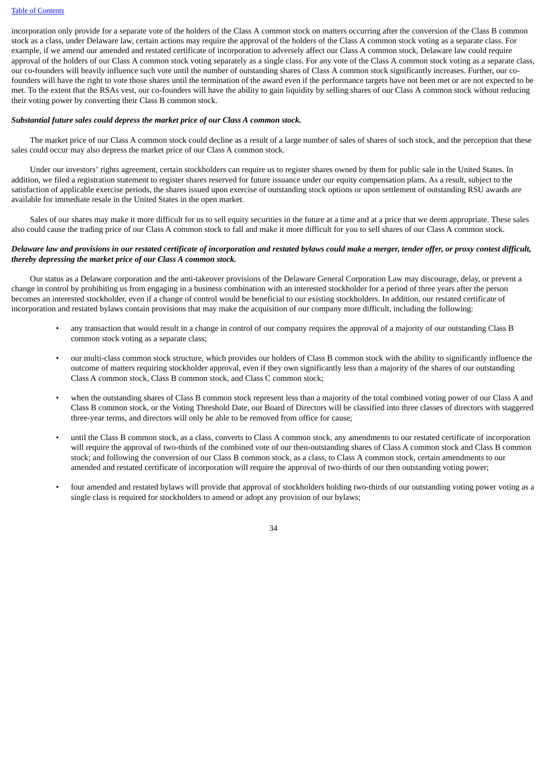#### [Table of Contents](#page-2-0)

incorporation only provide for a separate vote of the holders of the Class A common stock on matters occurring after the conversion of the Class B common stock as a class, under Delaware law, certain actions may require the approval of the holders of the Class A common stock voting as a separate class. For example, if we amend our amended and restated certificate of incorporation to adversely affect our Class A common stock, Delaware law could require approval of the holders of our Class A common stock voting separately as a single class. For any vote of the Class A common stock voting as a separate class, our co-founders will heavily influence such vote until the number of outstanding shares of Class A common stock significantly increases. Further, our cofounders will have the right to vote those shares until the termination of the award even if the performance targets have not been met or are not expected to be met. To the extent that the RSAs vest, our co-founders will have the ability to gain liquidity by selling shares of our Class A common stock without reducing their voting power by converting their Class B common stock.

#### *Substantial future sales could depress the market price of our Class A common stock.*

The market price of our Class A common stock could decline as a result of a large number of sales of shares of such stock, and the perception that these sales could occur may also depress the market price of our Class A common stock.

Under our investors' rights agreement, certain stockholders can require us to register shares owned by them for public sale in the United States. In addition, we filed a registration statement to register shares reserved for future issuance under our equity compensation plans. As a result, subject to the satisfaction of applicable exercise periods, the shares issued upon exercise of outstanding stock options or upon settlement of outstanding RSU awards are available for immediate resale in the United States in the open market.

Sales of our shares may make it more difficult for us to sell equity securities in the future at a time and at a price that we deem appropriate. These sales also could cause the trading price of our Class A common stock to fall and make it more difficult for you to sell shares of our Class A common stock.

### Delaware law and provisions in our restated certificate of incorporation and restated bylaws could make a merger, tender offer, or proxy contest difficult, *thereby depressing the market price of our Class A common stock.*

Our status as a Delaware corporation and the anti-takeover provisions of the Delaware General Corporation Law may discourage, delay, or prevent a change in control by prohibiting us from engaging in a business combination with an interested stockholder for a period of three years after the person becomes an interested stockholder, even if a change of control would be beneficial to our existing stockholders. In addition, our restated certificate of incorporation and restated bylaws contain provisions that may make the acquisition of our company more difficult, including the following:

- any transaction that would result in a change in control of our company requires the approval of a majority of our outstanding Class B common stock voting as a separate class;
- our multi-class common stock structure, which provides our holders of Class B common stock with the ability to significantly influence the outcome of matters requiring stockholder approval, even if they own significantly less than a majority of the shares of our outstanding Class A common stock, Class B common stock, and Class C common stock;
- when the outstanding shares of Class B common stock represent less than a majority of the total combined voting power of our Class A and Class B common stock, or the Voting Threshold Date, our Board of Directors will be classified into three classes of directors with staggered three-year terms, and directors will only be able to be removed from office for cause;
- until the Class B common stock, as a class, converts to Class A common stock, any amendments to our restated certificate of incorporation will require the approval of two-thirds of the combined vote of our then-outstanding shares of Class A common stock and Class B common stock; and following the conversion of our Class B common stock, as a class, to Class A common stock, certain amendments to our amended and restated certificate of incorporation will require the approval of two-thirds of our then outstanding voting power;
- four amended and restated bylaws will provide that approval of stockholders holding two-thirds of our outstanding voting power voting as a single class is required for stockholders to amend or adopt any provision of our bylaws;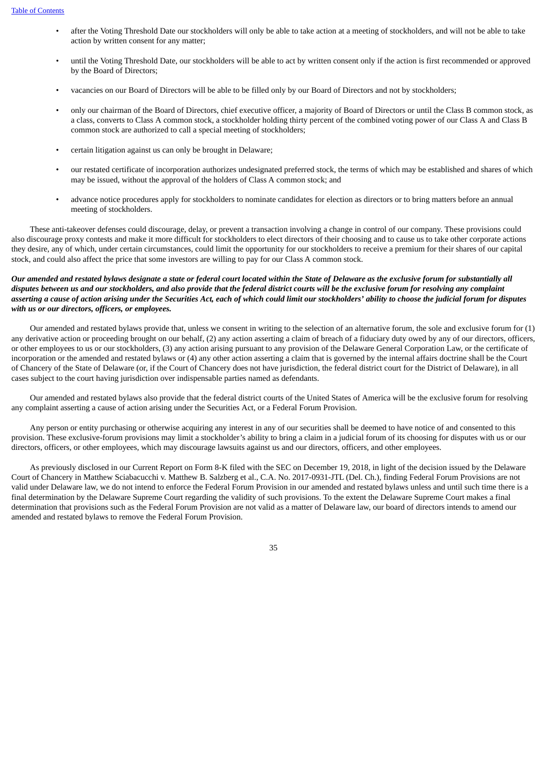- after the Voting Threshold Date our stockholders will only be able to take action at a meeting of stockholders, and will not be able to take action by written consent for any matter;
- until the Voting Threshold Date, our stockholders will be able to act by written consent only if the action is first recommended or approved by the Board of Directors;
- vacancies on our Board of Directors will be able to be filled only by our Board of Directors and not by stockholders;
- only our chairman of the Board of Directors, chief executive officer, a majority of Board of Directors or until the Class B common stock, as a class, converts to Class A common stock, a stockholder holding thirty percent of the combined voting power of our Class A and Class B common stock are authorized to call a special meeting of stockholders;
- certain litigation against us can only be brought in Delaware;
- our restated certificate of incorporation authorizes undesignated preferred stock, the terms of which may be established and shares of which may be issued, without the approval of the holders of Class A common stock; and
- advance notice procedures apply for stockholders to nominate candidates for election as directors or to bring matters before an annual meeting of stockholders.

These anti-takeover defenses could discourage, delay, or prevent a transaction involving a change in control of our company. These provisions could also discourage proxy contests and make it more difficult for stockholders to elect directors of their choosing and to cause us to take other corporate actions they desire, any of which, under certain circumstances, could limit the opportunity for our stockholders to receive a premium for their shares of our capital stock, and could also affect the price that some investors are willing to pay for our Class A common stock.

### Our amended and restated bylaws designate a state or federal court located within the State of Delaware as the exclusive forum for substantially all disputes between us and our stockholders, and also provide that the federal district courts will be the exclusive forum for resolving any complaint asserting a cause of action arising under the Securities Act, each of which could limit our stockholders' ability to choose the judicial forum for disputes *with us or our directors, officers, or employees.*

Our amended and restated bylaws provide that, unless we consent in writing to the selection of an alternative forum, the sole and exclusive forum for (1) any derivative action or proceeding brought on our behalf, (2) any action asserting a claim of breach of a fiduciary duty owed by any of our directors, officers, or other employees to us or our stockholders, (3) any action arising pursuant to any provision of the Delaware General Corporation Law, or the certificate of incorporation or the amended and restated bylaws or (4) any other action asserting a claim that is governed by the internal affairs doctrine shall be the Court of Chancery of the State of Delaware (or, if the Court of Chancery does not have jurisdiction, the federal district court for the District of Delaware), in all cases subject to the court having jurisdiction over indispensable parties named as defendants.

Our amended and restated bylaws also provide that the federal district courts of the United States of America will be the exclusive forum for resolving any complaint asserting a cause of action arising under the Securities Act, or a Federal Forum Provision.

Any person or entity purchasing or otherwise acquiring any interest in any of our securities shall be deemed to have notice of and consented to this provision. These exclusive-forum provisions may limit a stockholder's ability to bring a claim in a judicial forum of its choosing for disputes with us or our directors, officers, or other employees, which may discourage lawsuits against us and our directors, officers, and other employees.

As previously disclosed in our Current Report on Form 8-K filed with the SEC on December 19, 2018, in light of the decision issued by the Delaware Court of Chancery in Matthew Sciabacucchi v. Matthew B. Salzberg et al., C.A. No. 2017-0931-JTL (Del. Ch.), finding Federal Forum Provisions are not valid under Delaware law, we do not intend to enforce the Federal Forum Provision in our amended and restated bylaws unless and until such time there is a final determination by the Delaware Supreme Court regarding the validity of such provisions. To the extent the Delaware Supreme Court makes a final determination that provisions such as the Federal Forum Provision are not valid as a matter of Delaware law, our board of directors intends to amend our amended and restated bylaws to remove the Federal Forum Provision.

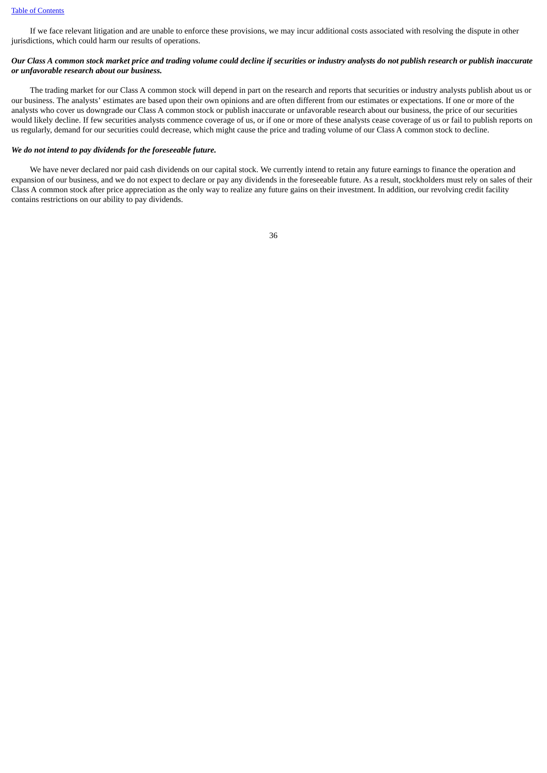If we face relevant litigation and are unable to enforce these provisions, we may incur additional costs associated with resolving the dispute in other jurisdictions, which could harm our results of operations.

# Our Class A common stock market price and trading volume could decline if securities or industry analysts do not publish research or publish inaccurate *or unfavorable research about our business.*

The trading market for our Class A common stock will depend in part on the research and reports that securities or industry analysts publish about us or our business. The analysts' estimates are based upon their own opinions and are often different from our estimates or expectations. If one or more of the analysts who cover us downgrade our Class A common stock or publish inaccurate or unfavorable research about our business, the price of our securities would likely decline. If few securities analysts commence coverage of us, or if one or more of these analysts cease coverage of us or fail to publish reports on us regularly, demand for our securities could decrease, which might cause the price and trading volume of our Class A common stock to decline.

### *We do not intend to pay dividends for the foreseeable future.*

We have never declared nor paid cash dividends on our capital stock. We currently intend to retain any future earnings to finance the operation and expansion of our business, and we do not expect to declare or pay any dividends in the foreseeable future. As a result, stockholders must rely on sales of their Class A common stock after price appreciation as the only way to realize any future gains on their investment. In addition, our revolving credit facility contains restrictions on our ability to pay dividends.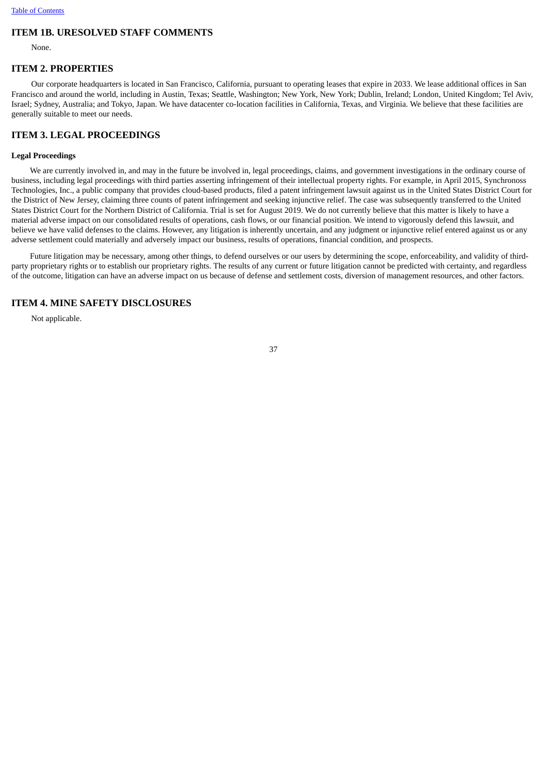# **ITEM 1B. URESOLVED STAFF COMMENTS**

None.

## **ITEM 2. PROPERTIES**

Our corporate headquarters is located in San Francisco, California, pursuant to operating leases that expire in 2033. We lease additional offices in San Francisco and around the world, including in Austin, Texas; Seattle, Washington; New York, New York; Dublin, Ireland; London, United Kingdom; Tel Aviv, Israel; Sydney, Australia; and Tokyo, Japan. We have datacenter co-location facilities in California, Texas, and Virginia. We believe that these facilities are generally suitable to meet our needs.

# **ITEM 3. LEGAL PROCEEDINGS**

#### **Legal Proceedings**

We are currently involved in, and may in the future be involved in, legal proceedings, claims, and government investigations in the ordinary course of business, including legal proceedings with third parties asserting infringement of their intellectual property rights. For example, in April 2015, Synchronoss Technologies, Inc., a public company that provides cloud-based products, filed a patent infringement lawsuit against us in the United States District Court for the District of New Jersey, claiming three counts of patent infringement and seeking injunctive relief. The case was subsequently transferred to the United States District Court for the Northern District of California. Trial is set for August 2019. We do not currently believe that this matter is likely to have a material adverse impact on our consolidated results of operations, cash flows, or our financial position. We intend to vigorously defend this lawsuit, and believe we have valid defenses to the claims. However, any litigation is inherently uncertain, and any judgment or injunctive relief entered against us or any adverse settlement could materially and adversely impact our business, results of operations, financial condition, and prospects.

Future litigation may be necessary, among other things, to defend ourselves or our users by determining the scope, enforceability, and validity of thirdparty proprietary rights or to establish our proprietary rights. The results of any current or future litigation cannot be predicted with certainty, and regardless of the outcome, litigation can have an adverse impact on us because of defense and settlement costs, diversion of management resources, and other factors.

# **ITEM 4. MINE SAFETY DISCLOSURES**

Not applicable.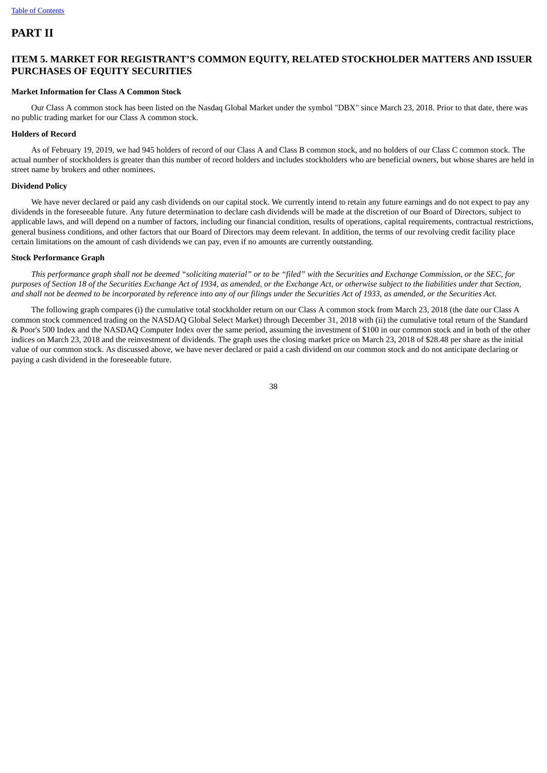# **PART II**

# **ITEM 5. MARKET FOR REGISTRANT'S COMMON EQUITY, RELATED STOCKHOLDER MATTERS AND ISSUER PURCHASES OF EQUITY SECURITIES**

#### **Market Information for Class A Common Stock**

Our Class A common stock has been listed on the Nasdaq Global Market under the symbol "DBX" since March 23, 2018. Prior to that date, there was no public trading market for our Class A common stock.

#### **Holders of Record**

As of February 19, 2019, we had 945 holders of record of our Class A and Class B common stock, and no holders of our Class C common stock. The actual number of stockholders is greater than this number of record holders and includes stockholders who are beneficial owners, but whose shares are held in street name by brokers and other nominees.

### **Dividend Policy**

We have never declared or paid any cash dividends on our capital stock. We currently intend to retain any future earnings and do not expect to pay any dividends in the foreseeable future. Any future determination to declare cash dividends will be made at the discretion of our Board of Directors, subject to applicable laws, and will depend on a number of factors, including our financial condition, results of operations, capital requirements, contractual restrictions, general business conditions, and other factors that our Board of Directors may deem relevant. In addition, the terms of our revolving credit facility place certain limitations on the amount of cash dividends we can pay, even if no amounts are currently outstanding.

### **Stock Performance Graph**

This performance graph shall not be deemed "soliciting material" or to be "filed" with the Securities and Exchange Commission, or the SEC, for purposes of Section 18 of the Securities Exchange Act of 1934, as amended, or the Exchange Act, or otherwise subject to the liabilities under that Section, and shall not be deemed to be incorporated by reference into any of our filings under the Securities Act of 1933, as amended, or the Securities Act.

The following graph compares (i) the cumulative total stockholder return on our Class A common stock from March 23, 2018 (the date our Class A common stock commenced trading on the NASDAQ Global Select Market) through December 31, 2018 with (ii) the cumulative total return of the Standard & Poor's 500 Index and the NASDAQ Computer Index over the same period, assuming the investment of \$100 in our common stock and in both of the other indices on March 23, 2018 and the reinvestment of dividends. The graph uses the closing market price on March 23, 2018 of \$28.48 per share as the initial value of our common stock. As discussed above, we have never declared or paid a cash dividend on our common stock and do not anticipate declaring or paying a cash dividend in the foreseeable future.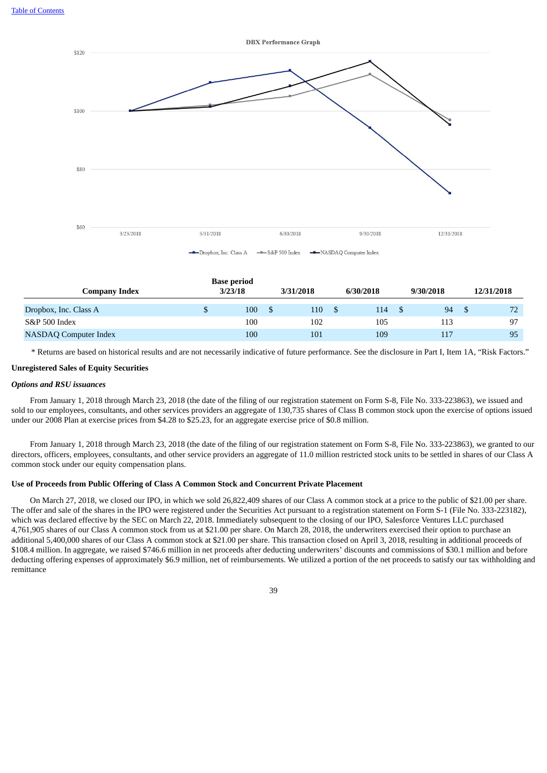

| Company Index                | <b>Base period</b><br>3/23/18 | 3/31/2018 | 6/30/2018 | 9/30/2018 | 12/31/2018 |
|------------------------------|-------------------------------|-----------|-----------|-----------|------------|
|                              |                               |           |           |           |            |
| Dropbox, Inc. Class A        | 100                           | 110       | 114       | 94        | 72         |
| S&P 500 Index                | 100                           | 102       | 105       | 113       | 97         |
| <b>NASDAQ Computer Index</b> | 100                           | 101       | 109       | 117       | 95         |

\* Returns are based on historical results and are not necessarily indicative of future performance. See the disclosure in Part I, Item 1A, "Risk Factors."

## **Unregistered Sales of Equity Securities**

#### *Options and RSU issuances*

From January 1, 2018 through March 23, 2018 (the date of the filing of our registration statement on Form S-8, File No. 333-223863), we issued and sold to our employees, consultants, and other services providers an aggregate of 130,735 shares of Class B common stock upon the exercise of options issued under our 2008 Plan at exercise prices from \$4.28 to \$25.23, for an aggregate exercise price of \$0.8 million.

From January 1, 2018 through March 23, 2018 (the date of the filing of our registration statement on Form S-8, File No. 333-223863), we granted to our directors, officers, employees, consultants, and other service providers an aggregate of 11.0 million restricted stock units to be settled in shares of our Class A common stock under our equity compensation plans.

#### **Use of Proceeds from Public Offering of Class A Common Stock and Concurrent Private Placement**

On March 27, 2018, we closed our IPO, in which we sold 26,822,409 shares of our Class A common stock at a price to the public of \$21.00 per share. The offer and sale of the shares in the IPO were registered under the Securities Act pursuant to a registration statement on Form S-1 (File No. 333-223182), which was declared effective by the SEC on March 22, 2018. Immediately subsequent to the closing of our IPO, Salesforce Ventures LLC purchased 4,761,905 shares of our Class A common stock from us at \$21.00 per share. On March 28, 2018, the underwriters exercised their option to purchase an additional 5,400,000 shares of our Class A common stock at \$21.00 per share. This transaction closed on April 3, 2018, resulting in additional proceeds of \$108.4 million. In aggregate, we raised \$746.6 million in net proceeds after deducting underwriters' discounts and commissions of \$30.1 million and before deducting offering expenses of approximately \$6.9 million, net of reimbursements. We utilized a portion of the net proceeds to satisfy our tax withholding and remittance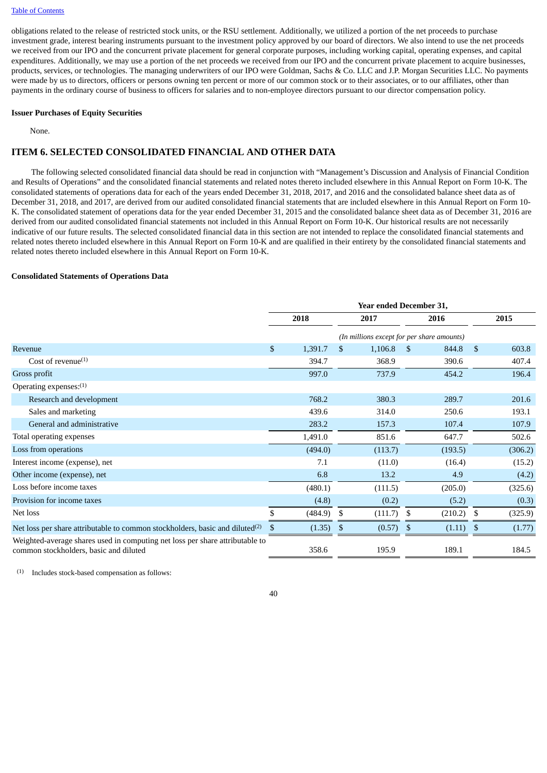obligations related to the release of restricted stock units, or the RSU settlement. Additionally, we utilized a portion of the net proceeds to purchase investment grade, interest bearing instruments pursuant to the investment policy approved by our board of directors. We also intend to use the net proceeds we received from our IPO and the concurrent private placement for general corporate purposes, including working capital, operating expenses, and capital expenditures. Additionally, we may use a portion of the net proceeds we received from our IPO and the concurrent private placement to acquire businesses, products, services, or technologies. The managing underwriters of our IPO were Goldman, Sachs & Co. LLC and J.P. Morgan Securities LLC. No payments were made by us to directors, officers or persons owning ten percent or more of our common stock or to their associates, or to our affiliates, other than payments in the ordinary course of business to officers for salaries and to non-employee directors pursuant to our director compensation policy.

#### **Issuer Purchases of Equity Securities**

None.

# **ITEM 6. SELECTED CONSOLIDATED FINANCIAL AND OTHER DATA**

The following selected consolidated financial data should be read in conjunction with "Management's Discussion and Analysis of Financial Condition and Results of Operations" and the consolidated financial statements and related notes thereto included elsewhere in this Annual Report on Form 10-K. The consolidated statements of operations data for each of the years ended December 31, 2018, 2017, and 2016 and the consolidated balance sheet data as of December 31, 2018, and 2017, are derived from our audited consolidated financial statements that are included elsewhere in this Annual Report on Form 10- K. The consolidated statement of operations data for the year ended December 31, 2015 and the consolidated balance sheet data as of December 31, 2016 are derived from our audited consolidated financial statements not included in this Annual Report on Form 10-K. Our historical results are not necessarily indicative of our future results. The selected consolidated financial data in this section are not intended to replace the consolidated financial statements and related notes thereto included elsewhere in this Annual Report on Form 10-K and are qualified in their entirety by the consolidated financial statements and related notes thereto included elsewhere in this Annual Report on Form 10-K.

#### **Consolidated Statements of Operations Data**

|                                                                                                                        | Year ended December 31, |         |                                            |             |      |         |                |         |  |
|------------------------------------------------------------------------------------------------------------------------|-------------------------|---------|--------------------------------------------|-------------|------|---------|----------------|---------|--|
|                                                                                                                        |                         | 2018    |                                            | 2017        |      | 2016    |                | 2015    |  |
|                                                                                                                        |                         |         | (In millions except for per share amounts) |             |      |         |                |         |  |
| Revenue                                                                                                                | \$                      | 1,391.7 | \$                                         | 1,106.8     | - \$ | 844.8   | $\mathfrak{L}$ | 603.8   |  |
| Cost of revenue <sup>(1)</sup>                                                                                         |                         | 394.7   |                                            | 368.9       |      | 390.6   |                | 407.4   |  |
| Gross profit                                                                                                           |                         | 997.0   |                                            | 737.9       |      | 454.2   |                | 196.4   |  |
| Operating expenses: $(1)$                                                                                              |                         |         |                                            |             |      |         |                |         |  |
| Research and development                                                                                               |                         | 768.2   |                                            | 380.3       |      | 289.7   |                | 201.6   |  |
| Sales and marketing                                                                                                    |                         | 439.6   |                                            | 314.0       |      | 250.6   |                | 193.1   |  |
| General and administrative                                                                                             |                         | 283.2   |                                            | 157.3       |      | 107.4   |                | 107.9   |  |
| Total operating expenses                                                                                               |                         | 1,491.0 |                                            | 851.6       |      | 647.7   |                | 502.6   |  |
| Loss from operations                                                                                                   |                         | (494.0) |                                            | (113.7)     |      | (193.5) |                | (306.2) |  |
| Interest income (expense), net                                                                                         |                         | 7.1     |                                            | (11.0)      |      | (16.4)  |                | (15.2)  |  |
| Other income (expense), net                                                                                            |                         | 6.8     |                                            | 13.2        |      | 4.9     |                | (4.2)   |  |
| Loss before income taxes                                                                                               |                         | (480.1) |                                            | (111.5)     |      | (205.0) |                | (325.6) |  |
| Provision for income taxes                                                                                             |                         | (4.8)   |                                            | (0.2)       |      | (5.2)   |                | (0.3)   |  |
| Net loss                                                                                                               | \$                      | (484.9) | \$                                         | (111.7)     | -\$  | (210.2) | \$             | (325.9) |  |
| Net loss per share attributable to common stockholders, basic and diluted <sup>(2)</sup>                               | \$                      | (1.35)  | -\$                                        | $(0.57)$ \$ |      | (1.11)  |                | (1.77)  |  |
| Weighted-average shares used in computing net loss per share attributable to<br>common stockholders, basic and diluted |                         | 358.6   |                                            | 195.9       |      | 189.1   |                | 184.5   |  |
|                                                                                                                        |                         |         |                                            |             |      |         |                |         |  |

(1) Includes stock-based compensation as follows: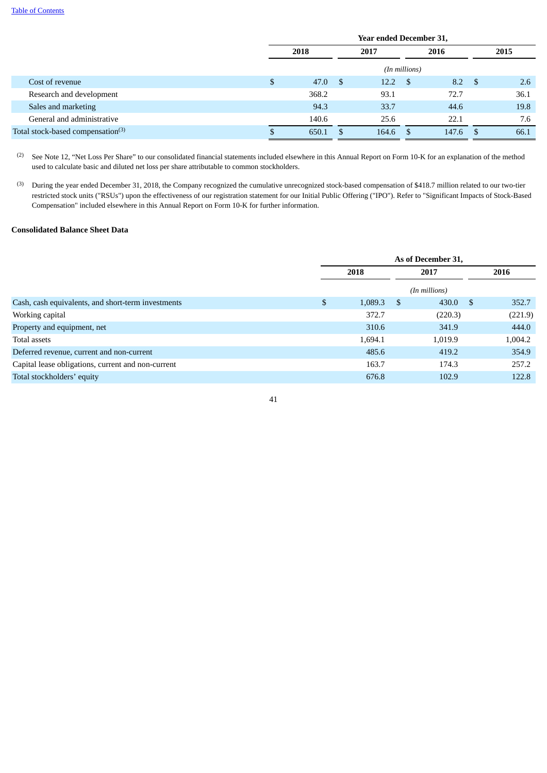|                                               | <b>Year ended December 31,</b> |        |  |       |               |       |     |      |  |  |
|-----------------------------------------------|--------------------------------|--------|--|-------|---------------|-------|-----|------|--|--|
|                                               | 2018                           |        |  | 2017  |               | 2016  |     | 2015 |  |  |
|                                               |                                |        |  |       | (In millions) |       |     |      |  |  |
| Cost of revenue                               | \$                             | 47.0 S |  | 12.2  | - \$          | 8.2   | - S | 2.6  |  |  |
| Research and development                      |                                | 368.2  |  | 93.1  |               | 72.7  |     | 36.1 |  |  |
| Sales and marketing                           |                                | 94.3   |  | 33.7  |               | 44.6  |     | 19.8 |  |  |
| General and administrative                    |                                | 140.6  |  | 25.6  |               | 22.1  |     | 7.6  |  |  |
| Total stock-based compensation <sup>(3)</sup> |                                | 650.1  |  | 164.6 |               | 147.6 |     | 66.1 |  |  |

(2) See Note 12, "Net Loss Per Share" to our consolidated financial statements included elsewhere in this Annual Report on Form 10-K for an explanation of the method used to calculate basic and diluted net loss per share attributable to common stockholders.

(3) During the year ended December 31, 2018, the Company recognized the cumulative unrecognized stock-based compensation of \$418.7 million related to our two-tier restricted stock units ("RSUs") upon the effectiveness of our registration statement for our Initial Public Offering ("IPO"). Refer to "Significant Impacts of Stock-Based Compensation" included elsewhere in this Annual Report on Form 10-K for further information.

# **Consolidated Balance Sheet Data**

|                                                    | As of December 31, |              |      |               |     |         |  |  |  |
|----------------------------------------------------|--------------------|--------------|------|---------------|-----|---------|--|--|--|
|                                                    | 2018               |              | 2017 |               |     | 2016    |  |  |  |
|                                                    |                    |              |      | (In millions) |     |         |  |  |  |
| Cash, cash equivalents, and short-term investments | \$                 | $1,089.3$ \$ |      | 430.0         | -\$ | 352.7   |  |  |  |
| Working capital                                    |                    | 372.7        |      | (220.3)       |     | (221.9) |  |  |  |
| Property and equipment, net                        |                    | 310.6        |      | 341.9         |     | 444.0   |  |  |  |
| Total assets                                       |                    | 1,694.1      |      | 1,019.9       |     | 1,004.2 |  |  |  |
| Deferred revenue, current and non-current          |                    | 485.6        |      | 419.2         |     | 354.9   |  |  |  |
| Capital lease obligations, current and non-current |                    | 163.7        |      | 174.3         |     | 257.2   |  |  |  |
| Total stockholders' equity                         |                    | 676.8        |      | 102.9         |     | 122.8   |  |  |  |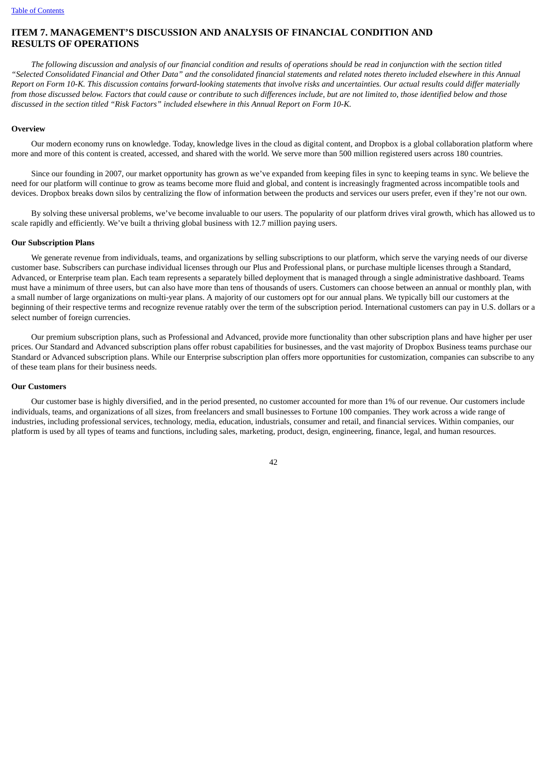# **ITEM 7. MANAGEMENT'S DISCUSSION AND ANALYSIS OF FINANCIAL CONDITION AND RESULTS OF OPERATIONS**

The following discussion and analysis of our financial condition and results of operations should be read in conjunction with the section titled "Selected Consolidated Financial and Other Data" and the consolidated financial statements and related notes thereto included elsewhere in this Annual Report on Form 10-K. This discussion contains forward-looking statements that involve risks and uncertainties. Our actual results could differ materially from those discussed below. Factors that could cause or contribute to such differences include, but are not limited to, those identified below and those *discussed in the section titled "Risk Factors" included elsewhere in this Annual Report on Form 10-K.*

### **Overview**

Our modern economy runs on knowledge. Today, knowledge lives in the cloud as digital content, and Dropbox is a global collaboration platform where more and more of this content is created, accessed, and shared with the world. We serve more than 500 million registered users across 180 countries.

Since our founding in 2007, our market opportunity has grown as we've expanded from keeping files in sync to keeping teams in sync. We believe the need for our platform will continue to grow as teams become more fluid and global, and content is increasingly fragmented across incompatible tools and devices. Dropbox breaks down silos by centralizing the flow of information between the products and services our users prefer, even if they're not our own.

By solving these universal problems, we've become invaluable to our users. The popularity of our platform drives viral growth, which has allowed us to scale rapidly and efficiently. We've built a thriving global business with 12.7 million paying users.

#### **Our Subscription Plans**

We generate revenue from individuals, teams, and organizations by selling subscriptions to our platform, which serve the varying needs of our diverse customer base. Subscribers can purchase individual licenses through our Plus and Professional plans, or purchase multiple licenses through a Standard, Advanced, or Enterprise team plan. Each team represents a separately billed deployment that is managed through a single administrative dashboard. Teams must have a minimum of three users, but can also have more than tens of thousands of users. Customers can choose between an annual or monthly plan, with a small number of large organizations on multi-year plans. A majority of our customers opt for our annual plans. We typically bill our customers at the beginning of their respective terms and recognize revenue ratably over the term of the subscription period. International customers can pay in U.S. dollars or a select number of foreign currencies.

Our premium subscription plans, such as Professional and Advanced, provide more functionality than other subscription plans and have higher per user prices. Our Standard and Advanced subscription plans offer robust capabilities for businesses, and the vast majority of Dropbox Business teams purchase our Standard or Advanced subscription plans. While our Enterprise subscription plan offers more opportunities for customization, companies can subscribe to any of these team plans for their business needs.

#### **Our Customers**

Our customer base is highly diversified, and in the period presented, no customer accounted for more than 1% of our revenue. Our customers include individuals, teams, and organizations of all sizes, from freelancers and small businesses to Fortune 100 companies. They work across a wide range of industries, including professional services, technology, media, education, industrials, consumer and retail, and financial services. Within companies, our platform is used by all types of teams and functions, including sales, marketing, product, design, engineering, finance, legal, and human resources.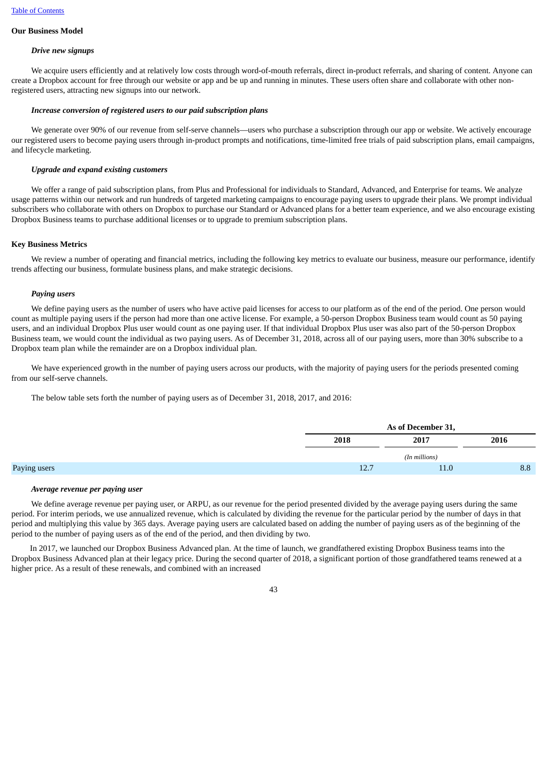## **Our Business Model**

#### *Drive new signups*

We acquire users efficiently and at relatively low costs through word-of-mouth referrals, direct in-product referrals, and sharing of content. Anyone can create a Dropbox account for free through our website or app and be up and running in minutes. These users often share and collaborate with other nonregistered users, attracting new signups into our network.

#### *Increase conversion of registered users to our paid subscription plans*

We generate over 90% of our revenue from self-serve channels—users who purchase a subscription through our app or website. We actively encourage our registered users to become paying users through in-product prompts and notifications, time-limited free trials of paid subscription plans, email campaigns, and lifecycle marketing.

### *Upgrade and expand existing customers*

We offer a range of paid subscription plans, from Plus and Professional for individuals to Standard, Advanced, and Enterprise for teams. We analyze usage patterns within our network and run hundreds of targeted marketing campaigns to encourage paying users to upgrade their plans. We prompt individual subscribers who collaborate with others on Dropbox to purchase our Standard or Advanced plans for a better team experience, and we also encourage existing Dropbox Business teams to purchase additional licenses or to upgrade to premium subscription plans.

#### **Key Business Metrics**

We review a number of operating and financial metrics, including the following key metrics to evaluate our business, measure our performance, identify trends affecting our business, formulate business plans, and make strategic decisions.

#### *Paying users*

We define paying users as the number of users who have active paid licenses for access to our platform as of the end of the period. One person would count as multiple paying users if the person had more than one active license. For example, a 50-person Dropbox Business team would count as 50 paying users, and an individual Dropbox Plus user would count as one paying user. If that individual Dropbox Plus user was also part of the 50-person Dropbox Business team, we would count the individual as two paying users. As of December 31, 2018, across all of our paying users, more than 30% subscribe to a Dropbox team plan while the remainder are on a Dropbox individual plan.

We have experienced growth in the number of paying users across our products, with the majority of paying users for the periods presented coming from our self-serve channels.

The below table sets forth the number of paying users as of December 31, 2018, 2017, and 2016:

|              |      | As of December 31, |      |  |  |  |  |  |
|--------------|------|--------------------|------|--|--|--|--|--|
|              | 2018 | 2017               | 2016 |  |  |  |  |  |
|              |      | (In millions)      |      |  |  |  |  |  |
| Paying users | 12.7 | 11.0               | 8.8  |  |  |  |  |  |

#### *Average revenue per paying user*

We define average revenue per paying user, or ARPU, as our revenue for the period presented divided by the average paying users during the same period. For interim periods, we use annualized revenue, which is calculated by dividing the revenue for the particular period by the number of days in that period and multiplying this value by 365 days. Average paying users are calculated based on adding the number of paying users as of the beginning of the period to the number of paying users as of the end of the period, and then dividing by two.

In 2017, we launched our Dropbox Business Advanced plan. At the time of launch, we grandfathered existing Dropbox Business teams into the Dropbox Business Advanced plan at their legacy price. During the second quarter of 2018, a significant portion of those grandfathered teams renewed at a higher price. As a result of these renewals, and combined with an increased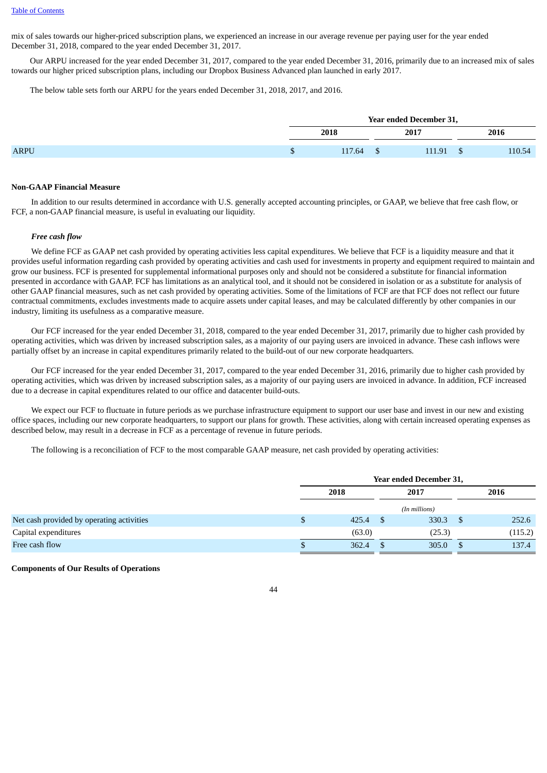mix of sales towards our higher-priced subscription plans, we experienced an increase in our average revenue per paying user for the year ended December 31, 2018, compared to the year ended December 31, 2017.

Our ARPU increased for the year ended December 31, 2017, compared to the year ended December 31, 2016, primarily due to an increased mix of sales towards our higher priced subscription plans, including our Dropbox Business Advanced plan launched in early 2017.

The below table sets forth our ARPU for the years ended December 31, 2018, 2017, and 2016.

|             | Year ended December 31, |  |        |      |        |  |  |  |
|-------------|-------------------------|--|--------|------|--------|--|--|--|
|             | 2018                    |  | 2017   | 2016 |        |  |  |  |
| <b>ARPU</b> | 117.64                  |  | 111.91 | \$.  | 110.54 |  |  |  |

#### **Non-GAAP Financial Measure**

In addition to our results determined in accordance with U.S. generally accepted accounting principles, or GAAP, we believe that free cash flow, or FCF, a non-GAAP financial measure, is useful in evaluating our liquidity.

### *Free cash flow*

We define FCF as GAAP net cash provided by operating activities less capital expenditures. We believe that FCF is a liquidity measure and that it provides useful information regarding cash provided by operating activities and cash used for investments in property and equipment required to maintain and grow our business. FCF is presented for supplemental informational purposes only and should not be considered a substitute for financial information presented in accordance with GAAP. FCF has limitations as an analytical tool, and it should not be considered in isolation or as a substitute for analysis of other GAAP financial measures, such as net cash provided by operating activities. Some of the limitations of FCF are that FCF does not reflect our future contractual commitments, excludes investments made to acquire assets under capital leases, and may be calculated differently by other companies in our industry, limiting its usefulness as a comparative measure.

Our FCF increased for the year ended December 31, 2018, compared to the year ended December 31, 2017, primarily due to higher cash provided by operating activities, which was driven by increased subscription sales, as a majority of our paying users are invoiced in advance. These cash inflows were partially offset by an increase in capital expenditures primarily related to the build-out of our new corporate headquarters.

Our FCF increased for the year ended December 31, 2017, compared to the year ended December 31, 2016, primarily due to higher cash provided by operating activities, which was driven by increased subscription sales, as a majority of our paying users are invoiced in advance. In addition, FCF increased due to a decrease in capital expenditures related to our office and datacenter build-outs.

We expect our FCF to fluctuate in future periods as we purchase infrastructure equipment to support our user base and invest in our new and existing office spaces, including our new corporate headquarters, to support our plans for growth. These activities, along with certain increased operating expenses as described below, may result in a decrease in FCF as a percentage of revenue in future periods.

The following is a reconciliation of FCF to the most comparable GAAP measure, net cash provided by operating activities:

|                                           | Year ended December 31, |        |      |               |               |         |  |  |  |
|-------------------------------------------|-------------------------|--------|------|---------------|---------------|---------|--|--|--|
|                                           | 2018                    |        | 2017 |               |               | 2016    |  |  |  |
|                                           |                         |        |      | (In millions) |               |         |  |  |  |
| Net cash provided by operating activities | S                       | 425.4  |      | 330.3         | <sup>\$</sup> | 252.6   |  |  |  |
| Capital expenditures                      |                         | (63.0) |      | (25.3)        |               | (115.2) |  |  |  |
| Free cash flow                            |                         | 362.4  |      | 305.0         |               | 137.4   |  |  |  |

#### **Components of Our Results of Operations**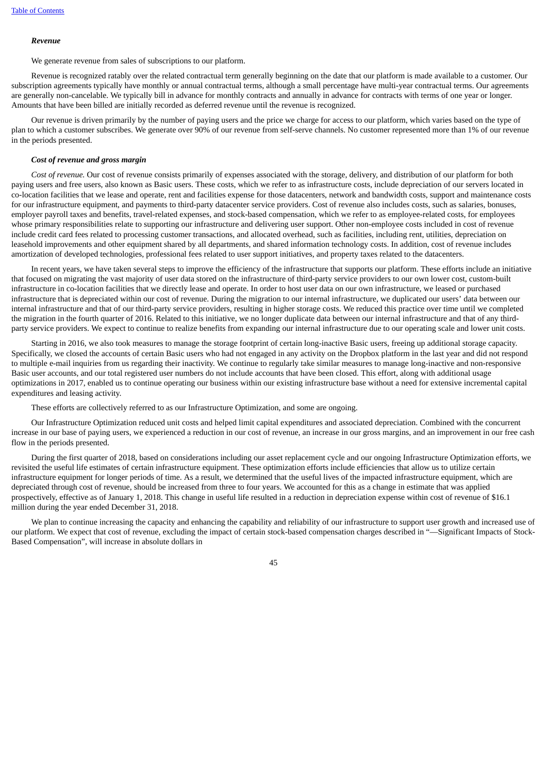#### *Revenue*

We generate revenue from sales of subscriptions to our platform.

Revenue is recognized ratably over the related contractual term generally beginning on the date that our platform is made available to a customer. Our subscription agreements typically have monthly or annual contractual terms, although a small percentage have multi-year contractual terms. Our agreements are generally non-cancelable. We typically bill in advance for monthly contracts and annually in advance for contracts with terms of one year or longer. Amounts that have been billed are initially recorded as deferred revenue until the revenue is recognized.

Our revenue is driven primarily by the number of paying users and the price we charge for access to our platform, which varies based on the type of plan to which a customer subscribes. We generate over 90% of our revenue from self-serve channels. No customer represented more than 1% of our revenue in the periods presented.

# *Cost of revenue and gross margin*

*Cost of revenue.* Our cost of revenue consists primarily of expenses associated with the storage, delivery, and distribution of our platform for both paying users and free users, also known as Basic users. These costs, which we refer to as infrastructure costs, include depreciation of our servers located in co-location facilities that we lease and operate, rent and facilities expense for those datacenters, network and bandwidth costs, support and maintenance costs for our infrastructure equipment, and payments to third-party datacenter service providers. Cost of revenue also includes costs, such as salaries, bonuses, employer payroll taxes and benefits, travel-related expenses, and stock-based compensation, which we refer to as employee-related costs, for employees whose primary responsibilities relate to supporting our infrastructure and delivering user support. Other non-employee costs included in cost of revenue include credit card fees related to processing customer transactions, and allocated overhead, such as facilities, including rent, utilities, depreciation on leasehold improvements and other equipment shared by all departments, and shared information technology costs. In addition, cost of revenue includes amortization of developed technologies, professional fees related to user support initiatives, and property taxes related to the datacenters.

In recent years, we have taken several steps to improve the efficiency of the infrastructure that supports our platform. These efforts include an initiative that focused on migrating the vast majority of user data stored on the infrastructure of third-party service providers to our own lower cost, custom-built infrastructure in co-location facilities that we directly lease and operate. In order to host user data on our own infrastructure, we leased or purchased infrastructure that is depreciated within our cost of revenue. During the migration to our internal infrastructure, we duplicated our users' data between our internal infrastructure and that of our third-party service providers, resulting in higher storage costs. We reduced this practice over time until we completed the migration in the fourth quarter of 2016. Related to this initiative, we no longer duplicate data between our internal infrastructure and that of any thirdparty service providers. We expect to continue to realize benefits from expanding our internal infrastructure due to our operating scale and lower unit costs.

Starting in 2016, we also took measures to manage the storage footprint of certain long-inactive Basic users, freeing up additional storage capacity. Specifically, we closed the accounts of certain Basic users who had not engaged in any activity on the Dropbox platform in the last year and did not respond to multiple e-mail inquiries from us regarding their inactivity. We continue to regularly take similar measures to manage long-inactive and non-responsive Basic user accounts, and our total registered user numbers do not include accounts that have been closed. This effort, along with additional usage optimizations in 2017, enabled us to continue operating our business within our existing infrastructure base without a need for extensive incremental capital expenditures and leasing activity.

These efforts are collectively referred to as our Infrastructure Optimization, and some are ongoing.

Our Infrastructure Optimization reduced unit costs and helped limit capital expenditures and associated depreciation. Combined with the concurrent increase in our base of paying users, we experienced a reduction in our cost of revenue, an increase in our gross margins, and an improvement in our free cash flow in the periods presented.

During the first quarter of 2018, based on considerations including our asset replacement cycle and our ongoing Infrastructure Optimization efforts, we revisited the useful life estimates of certain infrastructure equipment. These optimization efforts include efficiencies that allow us to utilize certain infrastructure equipment for longer periods of time. As a result, we determined that the useful lives of the impacted infrastructure equipment, which are depreciated through cost of revenue, should be increased from three to four years. We accounted for this as a change in estimate that was applied prospectively, effective as of January 1, 2018. This change in useful life resulted in a reduction in depreciation expense within cost of revenue of \$16.1 million during the year ended December 31, 2018.

We plan to continue increasing the capacity and enhancing the capability and reliability of our infrastructure to support user growth and increased use of our platform. We expect that cost of revenue, excluding the impact of certain stock-based compensation charges described in "—Significant Impacts of Stock-Based Compensation", will increase in absolute dollars in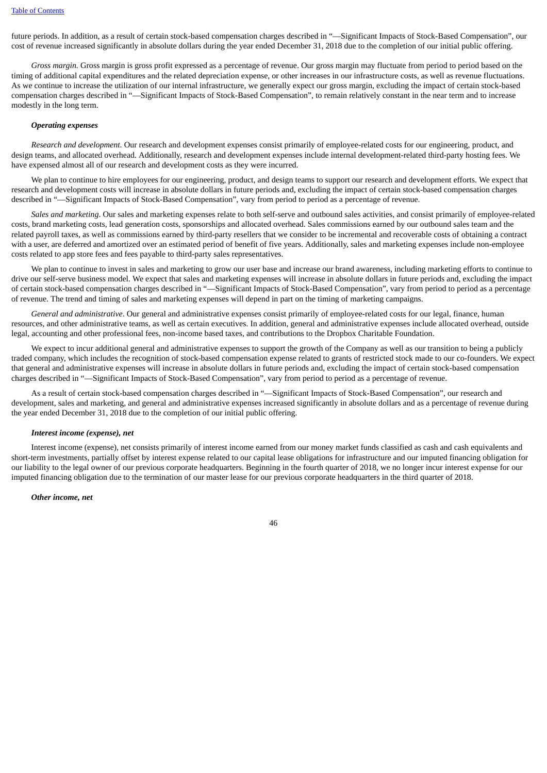future periods. In addition, as a result of certain stock-based compensation charges described in "—Significant Impacts of Stock-Based Compensation", our cost of revenue increased significantly in absolute dollars during the year ended December 31, 2018 due to the completion of our initial public offering.

*Gross margin.* Gross margin is gross profit expressed as a percentage of revenue. Our gross margin may fluctuate from period to period based on the timing of additional capital expenditures and the related depreciation expense, or other increases in our infrastructure costs, as well as revenue fluctuations. As we continue to increase the utilization of our internal infrastructure, we generally expect our gross margin, excluding the impact of certain stock-based compensation charges described in "—Significant Impacts of Stock-Based Compensation", to remain relatively constant in the near term and to increase modestly in the long term.

#### *Operating expenses*

*Research and development*. Our research and development expenses consist primarily of employee-related costs for our engineering, product, and design teams, and allocated overhead. Additionally, research and development expenses include internal development-related third-party hosting fees. We have expensed almost all of our research and development costs as they were incurred.

We plan to continue to hire employees for our engineering, product, and design teams to support our research and development efforts. We expect that research and development costs will increase in absolute dollars in future periods and, excluding the impact of certain stock-based compensation charges described in "—Significant Impacts of Stock-Based Compensation", vary from period to period as a percentage of revenue.

*Sales and marketing*. Our sales and marketing expenses relate to both self-serve and outbound sales activities, and consist primarily of employee-related costs, brand marketing costs, lead generation costs, sponsorships and allocated overhead. Sales commissions earned by our outbound sales team and the related payroll taxes, as well as commissions earned by third-party resellers that we consider to be incremental and recoverable costs of obtaining a contract with a user, are deferred and amortized over an estimated period of benefit of five years. Additionally, sales and marketing expenses include non-employee costs related to app store fees and fees payable to third-party sales representatives.

We plan to continue to invest in sales and marketing to grow our user base and increase our brand awareness, including marketing efforts to continue to drive our self-serve business model. We expect that sales and marketing expenses will increase in absolute dollars in future periods and, excluding the impact of certain stock-based compensation charges described in "—Significant Impacts of Stock-Based Compensation", vary from period to period as a percentage of revenue. The trend and timing of sales and marketing expenses will depend in part on the timing of marketing campaigns.

*General and administrative*. Our general and administrative expenses consist primarily of employee-related costs for our legal, finance, human resources, and other administrative teams, as well as certain executives. In addition, general and administrative expenses include allocated overhead, outside legal, accounting and other professional fees, non-income based taxes, and contributions to the Dropbox Charitable Foundation.

We expect to incur additional general and administrative expenses to support the growth of the Company as well as our transition to being a publicly traded company, which includes the recognition of stock-based compensation expense related to grants of restricted stock made to our co-founders. We expect that general and administrative expenses will increase in absolute dollars in future periods and, excluding the impact of certain stock-based compensation charges described in "—Significant Impacts of Stock-Based Compensation", vary from period to period as a percentage of revenue.

As a result of certain stock-based compensation charges described in "—Significant Impacts of Stock-Based Compensation", our research and development, sales and marketing, and general and administrative expenses increased significantly in absolute dollars and as a percentage of revenue during the year ended December 31, 2018 due to the completion of our initial public offering.

#### *Interest income (expense), net*

Interest income (expense), net consists primarily of interest income earned from our money market funds classified as cash and cash equivalents and short-term investments, partially offset by interest expense related to our capital lease obligations for infrastructure and our imputed financing obligation for our liability to the legal owner of our previous corporate headquarters. Beginning in the fourth quarter of 2018, we no longer incur interest expense for our imputed financing obligation due to the termination of our master lease for our previous corporate headquarters in the third quarter of 2018.

46

### *Other income, net*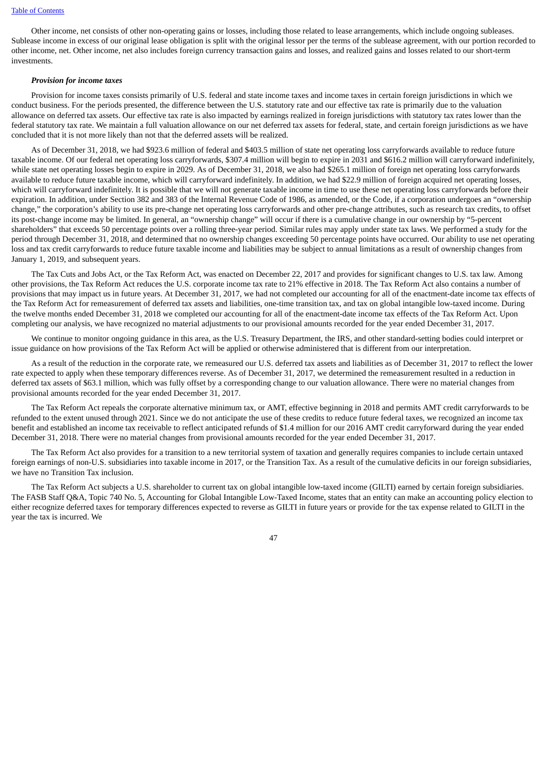#### [Table of Contents](#page-2-0)

Other income, net consists of other non-operating gains or losses, including those related to lease arrangements, which include ongoing subleases. Sublease income in excess of our original lease obligation is split with the original lessor per the terms of the sublease agreement, with our portion recorded to other income, net. Other income, net also includes foreign currency transaction gains and losses, and realized gains and losses related to our short-term investments.

#### *Provision for income taxes*

Provision for income taxes consists primarily of U.S. federal and state income taxes and income taxes in certain foreign jurisdictions in which we conduct business. For the periods presented, the difference between the U.S. statutory rate and our effective tax rate is primarily due to the valuation allowance on deferred tax assets. Our effective tax rate is also impacted by earnings realized in foreign jurisdictions with statutory tax rates lower than the federal statutory tax rate. We maintain a full valuation allowance on our net deferred tax assets for federal, state, and certain foreign jurisdictions as we have concluded that it is not more likely than not that the deferred assets will be realized.

As of December 31, 2018, we had \$923.6 million of federal and \$403.5 million of state net operating loss carryforwards available to reduce future taxable income. Of our federal net operating loss carryforwards, \$307.4 million will begin to expire in 2031 and \$616.2 million will carryforward indefinitely, while state net operating losses begin to expire in 2029. As of December 31, 2018, we also had \$265.1 million of foreign net operating loss carryforwards available to reduce future taxable income, which will carryforward indefinitely. In addition, we had \$22.9 million of foreign acquired net operating losses, which will carryforward indefinitely. It is possible that we will not generate taxable income in time to use these net operating loss carryforwards before their expiration. In addition, under Section 382 and 383 of the Internal Revenue Code of 1986, as amended, or the Code, if a corporation undergoes an "ownership change," the corporation's ability to use its pre-change net operating loss carryforwards and other pre-change attributes, such as research tax credits, to offset its post-change income may be limited. In general, an "ownership change" will occur if there is a cumulative change in our ownership by "5-percent shareholders" that exceeds 50 percentage points over a rolling three-year period. Similar rules may apply under state tax laws. We performed a study for the period through December 31, 2018, and determined that no ownership changes exceeding 50 percentage points have occurred. Our ability to use net operating loss and tax credit carryforwards to reduce future taxable income and liabilities may be subject to annual limitations as a result of ownership changes from January 1, 2019, and subsequent years.

The Tax Cuts and Jobs Act, or the Tax Reform Act, was enacted on December 22, 2017 and provides for significant changes to U.S. tax law. Among other provisions, the Tax Reform Act reduces the U.S. corporate income tax rate to 21% effective in 2018. The Tax Reform Act also contains a number of provisions that may impact us in future years. At December 31, 2017, we had not completed our accounting for all of the enactment-date income tax effects of the Tax Reform Act for remeasurement of deferred tax assets and liabilities, one-time transition tax, and tax on global intangible low-taxed income. During the twelve months ended December 31, 2018 we completed our accounting for all of the enactment-date income tax effects of the Tax Reform Act. Upon completing our analysis, we have recognized no material adjustments to our provisional amounts recorded for the year ended December 31, 2017.

We continue to monitor ongoing guidance in this area, as the U.S. Treasury Department, the IRS, and other standard-setting bodies could interpret or issue guidance on how provisions of the Tax Reform Act will be applied or otherwise administered that is different from our interpretation.

As a result of the reduction in the corporate rate, we remeasured our U.S. deferred tax assets and liabilities as of December 31, 2017 to reflect the lower rate expected to apply when these temporary differences reverse. As of December 31, 2017, we determined the remeasurement resulted in a reduction in deferred tax assets of \$63.1 million, which was fully offset by a corresponding change to our valuation allowance. There were no material changes from provisional amounts recorded for the year ended December 31, 2017.

The Tax Reform Act repeals the corporate alternative minimum tax, or AMT, effective beginning in 2018 and permits AMT credit carryforwards to be refunded to the extent unused through 2021. Since we do not anticipate the use of these credits to reduce future federal taxes, we recognized an income tax benefit and established an income tax receivable to reflect anticipated refunds of \$1.4 million for our 2016 AMT credit carryforward during the year ended December 31, 2018. There were no material changes from provisional amounts recorded for the year ended December 31, 2017.

The Tax Reform Act also provides for a transition to a new territorial system of taxation and generally requires companies to include certain untaxed foreign earnings of non-U.S. subsidiaries into taxable income in 2017, or the Transition Tax. As a result of the cumulative deficits in our foreign subsidiaries, we have no Transition Tax inclusion.

The Tax Reform Act subjects a U.S. shareholder to current tax on global intangible low-taxed income (GILTI) earned by certain foreign subsidiaries. The FASB Staff Q&A, Topic 740 No. 5, Accounting for Global Intangible Low-Taxed Income, states that an entity can make an accounting policy election to either recognize deferred taxes for temporary differences expected to reverse as GILTI in future years or provide for the tax expense related to GILTI in the year the tax is incurred. We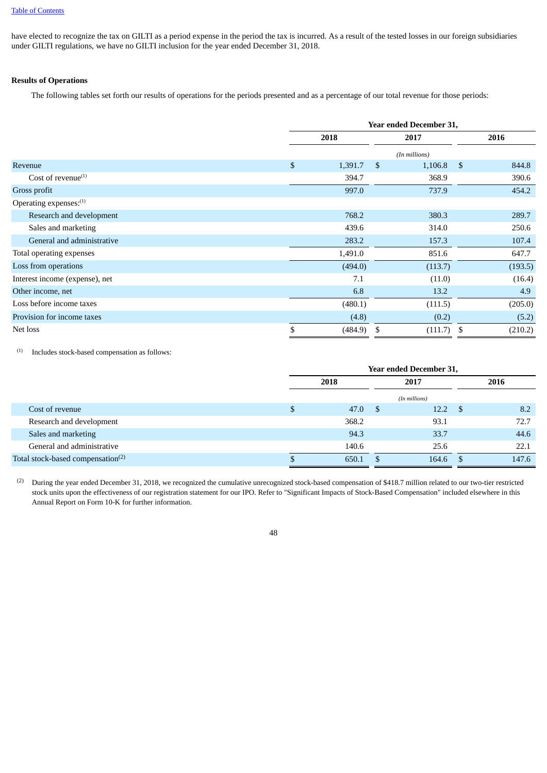have elected to recognize the tax on GILTI as a period expense in the period the tax is incurred. As a result of the tested losses in our foreign subsidiaries under GILTI regulations, we have no GILTI inclusion for the year ended December 31, 2018.

# **Results of Operations**

The following tables set forth our results of operations for the periods presented and as a percentage of our total revenue for those periods:

|                                             | Year ended December 31, |         |                |               |    |         |  |  |  |
|---------------------------------------------|-------------------------|---------|----------------|---------------|----|---------|--|--|--|
|                                             | 2018                    |         | 2017           |               |    | 2016    |  |  |  |
|                                             |                         |         |                | (In millions) |    |         |  |  |  |
| Revenue                                     | \$                      | 1,391.7 | $\mathfrak{S}$ | 1,106.8       | \$ | 844.8   |  |  |  |
| Cost of revenue <sup><math>(1)</math></sup> |                         | 394.7   |                | 368.9         |    | 390.6   |  |  |  |
| Gross profit                                |                         | 997.0   |                | 737.9         |    | 454.2   |  |  |  |
| Operating expenses: <sup>(1)</sup>          |                         |         |                |               |    |         |  |  |  |
| Research and development                    |                         | 768.2   |                | 380.3         |    | 289.7   |  |  |  |
| Sales and marketing                         |                         | 439.6   |                | 314.0         |    | 250.6   |  |  |  |
| General and administrative                  |                         | 283.2   |                | 157.3         |    | 107.4   |  |  |  |
| Total operating expenses                    |                         | 1,491.0 |                | 851.6         |    | 647.7   |  |  |  |
| Loss from operations                        |                         | (494.0) |                | (113.7)       |    | (193.5) |  |  |  |
| Interest income (expense), net              |                         | 7.1     |                | (11.0)        |    | (16.4)  |  |  |  |
| Other income, net                           |                         | 6.8     |                | 13.2          |    | 4.9     |  |  |  |
| Loss before income taxes                    |                         | (480.1) |                | (111.5)       |    | (205.0) |  |  |  |
| Provision for income taxes                  |                         | (4.8)   |                | (0.2)         |    | (5.2)   |  |  |  |
| Net loss                                    | \$                      | (484.9) | \$             | (111.7)       | \$ | (210.2) |  |  |  |

(1) Includes stock-based compensation as follows:

|                                               | <b>Year ended December 31,</b> |       |      |                 |  |       |  |  |  |  |
|-----------------------------------------------|--------------------------------|-------|------|-----------------|--|-------|--|--|--|--|
|                                               | 2018                           |       |      | 2017            |  | 2016  |  |  |  |  |
|                                               |                                |       |      | (In millions)   |  |       |  |  |  |  |
| Cost of revenue                               |                                | 47.0  | - \$ | $12.2 \quad$ \$ |  | 8.2   |  |  |  |  |
| Research and development                      |                                | 368.2 |      | 93.1            |  | 72.7  |  |  |  |  |
| Sales and marketing                           |                                | 94.3  |      | 33.7            |  | 44.6  |  |  |  |  |
| General and administrative                    |                                | 140.6 |      | 25.6            |  | 22.1  |  |  |  |  |
| Total stock-based compensation <sup>(2)</sup> |                                | 650.1 |      | 164.6           |  | 147.6 |  |  |  |  |

(2) During the year ended December 31, 2018, we recognized the cumulative unrecognized stock-based compensation of \$418.7 million related to our two-tier restricted stock units upon the effectiveness of our registration statement for our IPO. Refer to "Significant Impacts of Stock-Based Compensation" included elsewhere in this Annual Report on Form 10-K for further information.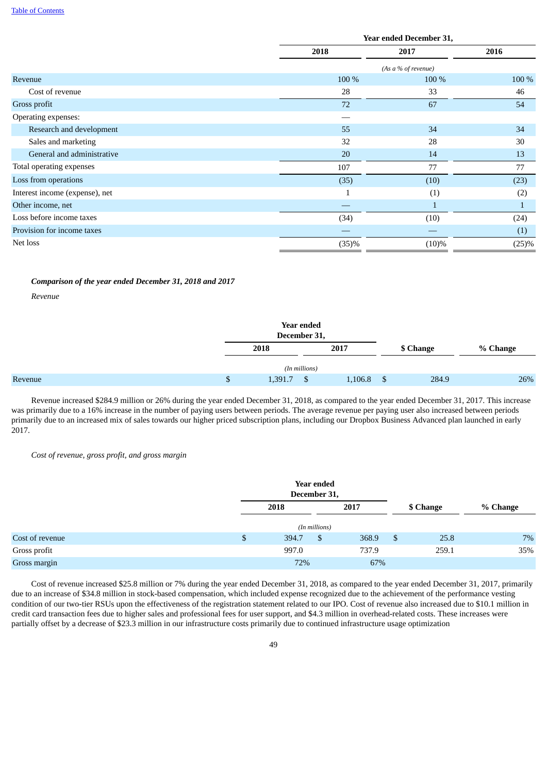#### [Table of Contents](#page-2-0)

|                                | Year ended December 31, |                     |              |  |  |  |  |  |  |
|--------------------------------|-------------------------|---------------------|--------------|--|--|--|--|--|--|
|                                | 2018                    | 2017                | 2016         |  |  |  |  |  |  |
|                                |                         | (As a % of revenue) |              |  |  |  |  |  |  |
| Revenue                        | 100 %                   | 100 %               | 100 %        |  |  |  |  |  |  |
| Cost of revenue                | 28                      | 33                  | 46           |  |  |  |  |  |  |
| Gross profit                   | 72                      | 67                  | 54           |  |  |  |  |  |  |
| Operating expenses:            |                         |                     |              |  |  |  |  |  |  |
| Research and development       | 55                      | 34                  | 34           |  |  |  |  |  |  |
| Sales and marketing            | 32                      | 28                  | 30           |  |  |  |  |  |  |
| General and administrative     | 20                      | 14                  | 13           |  |  |  |  |  |  |
| Total operating expenses       | 107                     | 77                  | 77           |  |  |  |  |  |  |
| Loss from operations           | (35)                    | (10)                | (23)         |  |  |  |  |  |  |
| Interest income (expense), net |                         | (1)                 | (2)          |  |  |  |  |  |  |
| Other income, net              |                         | $\mathbf{1}$        | $\mathbf{1}$ |  |  |  |  |  |  |
| Loss before income taxes       | (34)                    | (10)                | (24)         |  |  |  |  |  |  |
| Provision for income taxes     |                         |                     | (1)          |  |  |  |  |  |  |
| Net loss                       | (35)%                   | $(10)\%$            | (25)%        |  |  |  |  |  |  |

#### *Comparison of the year ended December 31, 2018 and 2017*

*Revenue*

|         |    | Year ended<br>December 31, |               |         |           |       |          |  |
|---------|----|----------------------------|---------------|---------|-----------|-------|----------|--|
|         |    | 2018                       |               | 2017    | \$ Change |       | % Change |  |
|         |    |                            | (In millions) |         |           |       |          |  |
| Revenue | D. | 1,391.7                    | - \$          | 1,106.8 | \$        | 284.9 | 26%      |  |

Revenue increased \$284.9 million or 26% during the year ended December 31, 2018, as compared to the year ended December 31, 2017. This increase was primarily due to a 16% increase in the number of paying users between periods. The average revenue per paying user also increased between periods primarily due to an increased mix of sales towards our higher priced subscription plans, including our Dropbox Business Advanced plan launched in early 2017.

*Cost of revenue, gross profit, and gross margin*

|                 |               | December 31, | <b>Year ended</b> |       |    |           |          |
|-----------------|---------------|--------------|-------------------|-------|----|-----------|----------|
|                 |               | 2018         |                   | 2017  |    | \$ Change | % Change |
|                 |               |              | (In millions)     |       |    |           |          |
| Cost of revenue | <sup>\$</sup> | 394.7        | \$                | 368.9 | \$ | 25.8      | 7%       |
| Gross profit    |               | 997.0        |                   | 737.9 |    | 259.1     | 35%      |
| Gross margin    |               | 72%          |                   | 67%   |    |           |          |

Cost of revenue increased \$25.8 million or 7% during the year ended December 31, 2018, as compared to the year ended December 31, 2017, primarily due to an increase of \$34.8 million in stock-based compensation, which included expense recognized due to the achievement of the performance vesting condition of our two-tier RSUs upon the effectiveness of the registration statement related to our IPO. Cost of revenue also increased due to \$10.1 million in credit card transaction fees due to higher sales and professional fees for user support, and \$4.3 million in overhead-related costs. These increases were partially offset by a decrease of \$23.3 million in our infrastructure costs primarily due to continued infrastructure usage optimization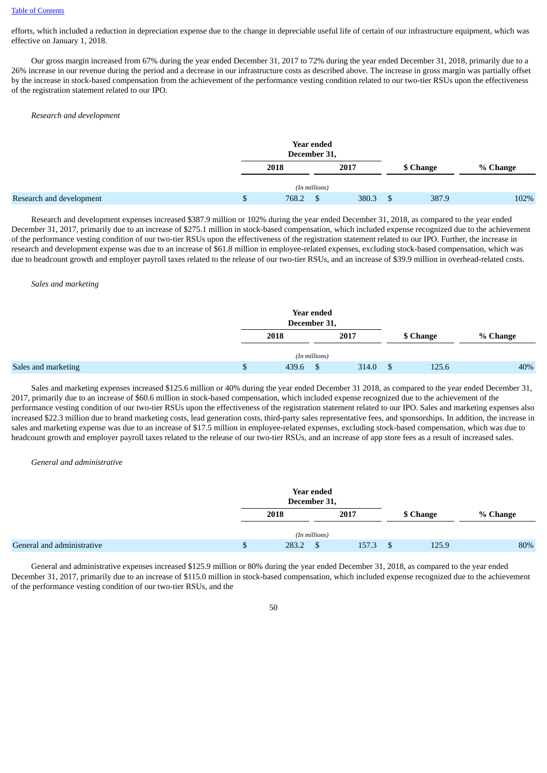efforts, which included a reduction in depreciation expense due to the change in depreciable useful life of certain of our infrastructure equipment, which was effective on January 1, 2018.

Our gross margin increased from 67% during the year ended December 31, 2017 to 72% during the year ended December 31, 2018, primarily due to a 26% increase in our revenue during the period and a decrease in our infrastructure costs as described above. The increase in gross margin was partially offset by the increase in stock-based compensation from the achievement of the performance vesting condition related to our two-tier RSUs upon the effectiveness of the registration statement related to our IPO.

#### *Research and development*

|                          |       | <b>Year ended</b><br>December 31, |       |               |       |          |
|--------------------------|-------|-----------------------------------|-------|---------------|-------|----------|
|                          | 2018  |                                   | 2017  | \$ Change     |       | % Change |
|                          |       | (In millions)                     |       |               |       |          |
| Research and development | 768.2 |                                   | 380.3 | <sup>\$</sup> | 387.9 | 102%     |

Research and development expenses increased \$387.9 million or 102% during the year ended December 31, 2018, as compared to the year ended December 31, 2017, primarily due to an increase of \$275.1 million in stock-based compensation, which included expense recognized due to the achievement of the performance vesting condition of our two-tier RSUs upon the effectiveness of the registration statement related to our IPO. Further, the increase in research and development expense was due to an increase of \$61.8 million in employee-related expenses, excluding stock-based compensation, which was due to headcount growth and employer payroll taxes related to the release of our two-tier RSUs, and an increase of \$39.9 million in overhead-related costs.

#### *Sales and marketing*

|                     |       | Year ended<br>December 31, |       |           |       |          |  |
|---------------------|-------|----------------------------|-------|-----------|-------|----------|--|
|                     | 2018  |                            | 2017  | \$ Change |       | % Change |  |
|                     |       | (In millions)              |       |           |       |          |  |
| Sales and marketing | 439.6 |                            | 314.0 |           | 125.6 | 40%      |  |

Sales and marketing expenses increased \$125.6 million or 40% during the year ended December 31 2018, as compared to the year ended December 31, 2017, primarily due to an increase of \$60.6 million in stock-based compensation, which included expense recognized due to the achievement of the performance vesting condition of our two-tier RSUs upon the effectiveness of the registration statement related to our IPO. Sales and marketing expenses also increased \$22.3 million due to brand marketing costs, lead generation costs, third-party sales representative fees, and sponsorships. In addition, the increase in sales and marketing expense was due to an increase of \$17.5 million in employee-related expenses, excluding stock-based compensation, which was due to headcount growth and employer payroll taxes related to the release of our two-tier RSUs, and an increase of app store fees as a result of increased sales.

#### *General and administrative*

|                            |    |       | Year ended<br>December 31, |       |           |       |          |  |
|----------------------------|----|-------|----------------------------|-------|-----------|-------|----------|--|
|                            |    | 2018  |                            | 2017  | \$ Change |       | % Change |  |
|                            |    |       | (In millions)              |       |           |       |          |  |
| General and administrative | Эħ | 283.2 | -S                         | 157.3 |           | 125.9 | 80%      |  |

General and administrative expenses increased \$125.9 million or 80% during the year ended December 31, 2018, as compared to the year ended December 31, 2017, primarily due to an increase of \$115.0 million in stock-based compensation, which included expense recognized due to the achievement of the performance vesting condition of our two-tier RSUs, and the

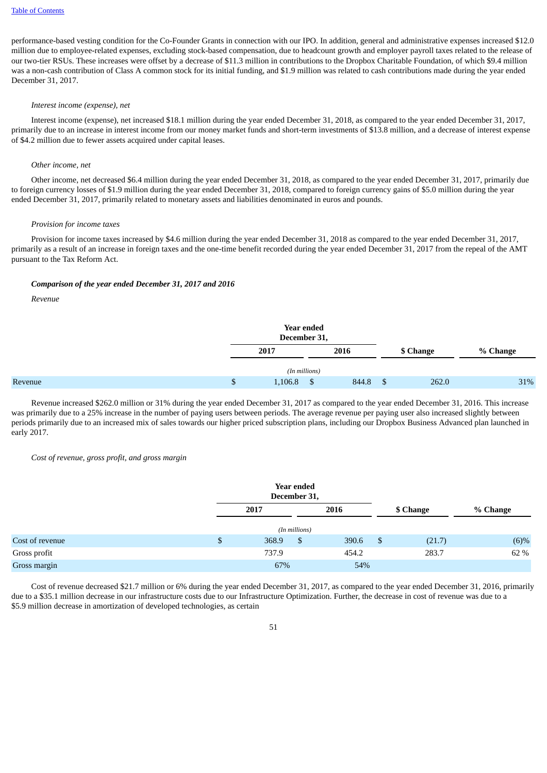performance-based vesting condition for the Co-Founder Grants in connection with our IPO. In addition, general and administrative expenses increased \$12.0 million due to employee-related expenses, excluding stock-based compensation, due to headcount growth and employer payroll taxes related to the release of our two-tier RSUs. These increases were offset by a decrease of \$11.3 million in contributions to the Dropbox Charitable Foundation, of which \$9.4 million was a non-cash contribution of Class A common stock for its initial funding, and \$1.9 million was related to cash contributions made during the year ended December 31, 2017.

#### *Interest income (expense), net*

Interest income (expense), net increased \$18.1 million during the year ended December 31, 2018, as compared to the year ended December 31, 2017, primarily due to an increase in interest income from our money market funds and short-term investments of \$13.8 million, and a decrease of interest expense of \$4.2 million due to fewer assets acquired under capital leases.

#### *Other income, net*

Other income, net decreased \$6.4 million during the year ended December 31, 2018, as compared to the year ended December 31, 2017, primarily due to foreign currency losses of \$1.9 million during the year ended December 31, 2018, compared to foreign currency gains of \$5.0 million during the year ended December 31, 2017, primarily related to monetary assets and liabilities denominated in euros and pounds.

#### *Provision for income taxes*

Provision for income taxes increased by \$4.6 million during the year ended December 31, 2018 as compared to the year ended December 31, 2017, primarily as a result of an increase in foreign taxes and the one-time benefit recorded during the year ended December 31, 2017 from the repeal of the AMT pursuant to the Tax Reform Act.

## *Comparison of the year ended December 31, 2017 and 2016*

*Revenue*

|         |   | December 31, | <b>Year ended</b> |       |   |           |          |
|---------|---|--------------|-------------------|-------|---|-----------|----------|
|         |   | 2017         |                   | 2016  |   | \$ Change | % Change |
|         |   |              | (In millions)     |       |   |           |          |
| Revenue | C | 1,106.8      | - \$              | 844.8 | S | 262.0     | 31%      |

Revenue increased \$262.0 million or 31% during the year ended December 31, 2017 as compared to the year ended December 31, 2016. This increase was primarily due to a 25% increase in the number of paying users between periods. The average revenue per paying user also increased slightly between periods primarily due to an increased mix of sales towards our higher priced subscription plans, including our Dropbox Business Advanced plan launched in early 2017.

*Cost of revenue, gross profit, and gross margin*

|                 |             | Year ended<br>December 31, |       |     |           |          |
|-----------------|-------------|----------------------------|-------|-----|-----------|----------|
|                 | 2017        |                            | 2016  |     | \$ Change | % Change |
|                 |             | (In millions)              |       |     |           |          |
| Cost of revenue | \$<br>368.9 | $\mathbf{S}$               | 390.6 | -\$ | (21.7)    | $(6)$ %  |
| Gross profit    | 737.9       |                            | 454.2 |     | 283.7     | 62 %     |
| Gross margin    | 67%         |                            | 54%   |     |           |          |

Cost of revenue decreased \$21.7 million or 6% during the year ended December 31, 2017, as compared to the year ended December 31, 2016, primarily due to a \$35.1 million decrease in our infrastructure costs due to our Infrastructure Optimization. Further, the decrease in cost of revenue was due to a \$5.9 million decrease in amortization of developed technologies, as certain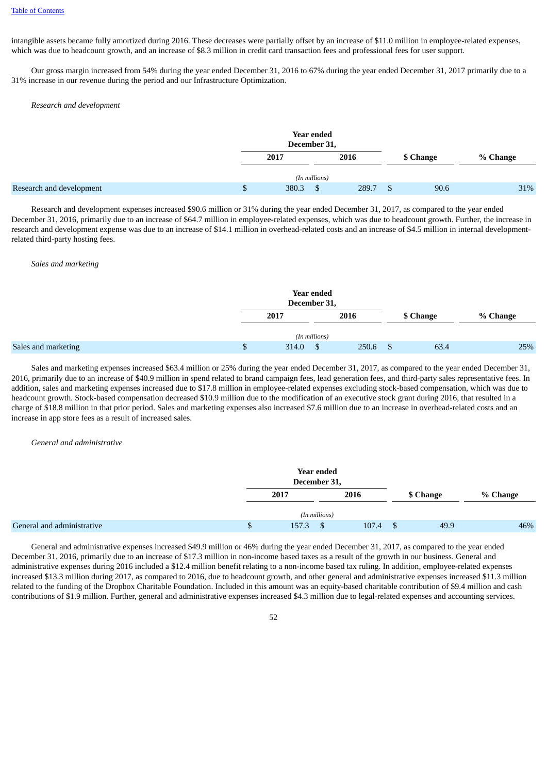intangible assets became fully amortized during 2016. These decreases were partially offset by an increase of \$11.0 million in employee-related expenses, which was due to headcount growth, and an increase of \$8.3 million in credit card transaction fees and professional fees for user support.

Our gross margin increased from 54% during the year ended December 31, 2016 to 67% during the year ended December 31, 2017 primarily due to a 31% increase in our revenue during the period and our Infrastructure Optimization.

#### *Research and development*

|                          | December 31, | Year ended    |       |           |      |          |
|--------------------------|--------------|---------------|-------|-----------|------|----------|
|                          | 2017         |               | 2016  | \$ Change |      | % Change |
|                          |              | (In millions) |       |           |      |          |
| Research and development | 380.3        | -\$           | 289.7 |           | 90.6 | 31%      |

Research and development expenses increased \$90.6 million or 31% during the year ended December 31, 2017, as compared to the year ended December 31, 2016, primarily due to an increase of \$64.7 million in employee-related expenses, which was due to headcount growth. Further, the increase in research and development expense was due to an increase of \$14.1 million in overhead-related costs and an increase of \$4.5 million in internal developmentrelated third-party hosting fees.

#### *Sales and marketing*

|                     |       | <b>Year ended</b><br>December 31, |       |               |      |          |
|---------------------|-------|-----------------------------------|-------|---------------|------|----------|
|                     | 2017  |                                   | 2016  | \$ Change     |      | % Change |
|                     |       | (In millions)                     |       |               |      |          |
| Sales and marketing | 314.0 | \$                                | 250.6 | <sup>\$</sup> | 63.4 | 25%      |

Sales and marketing expenses increased \$63.4 million or 25% during the year ended December 31, 2017, as compared to the year ended December 31, 2016, primarily due to an increase of \$40.9 million in spend related to brand campaign fees, lead generation fees, and third-party sales representative fees. In addition, sales and marketing expenses increased due to \$17.8 million in employee-related expenses excluding stock-based compensation, which was due to headcount growth. Stock-based compensation decreased \$10.9 million due to the modification of an executive stock grant during 2016, that resulted in a charge of \$18.8 million in that prior period. Sales and marketing expenses also increased \$7.6 million due to an increase in overhead-related costs and an increase in app store fees as a result of increased sales.

#### *General and administrative*

|                            |             | Year ended<br>December 31, |       |    |           |          |  |
|----------------------------|-------------|----------------------------|-------|----|-----------|----------|--|
|                            | 2017        |                            | 2016  |    | \$ Change | % Change |  |
|                            |             | (In millions)              |       |    |           |          |  |
| General and administrative | \$<br>157.3 | S                          | 107.4 | -S | 49.9      | 46%      |  |

General and administrative expenses increased \$49.9 million or 46% during the year ended December 31, 2017, as compared to the year ended December 31, 2016, primarily due to an increase of \$17.3 million in non-income based taxes as a result of the growth in our business. General and administrative expenses during 2016 included a \$12.4 million benefit relating to a non-income based tax ruling. In addition, employee-related expenses increased \$13.3 million during 2017, as compared to 2016, due to headcount growth, and other general and administrative expenses increased \$11.3 million related to the funding of the Dropbox Charitable Foundation. Included in this amount was an equity-based charitable contribution of \$9.4 million and cash contributions of \$1.9 million. Further, general and administrative expenses increased \$4.3 million due to legal-related expenses and accounting services.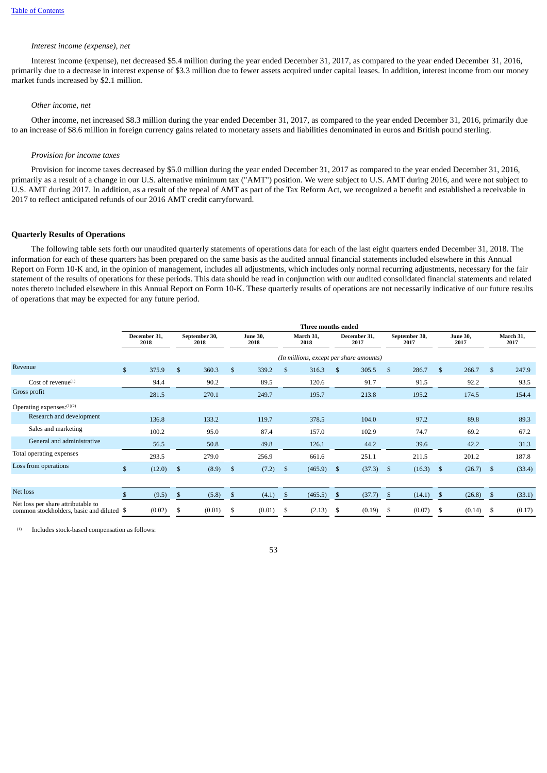#### *Interest income (expense), net*

Interest income (expense), net decreased \$5.4 million during the year ended December 31, 2017, as compared to the year ended December 31, 2016, primarily due to a decrease in interest expense of \$3.3 million due to fewer assets acquired under capital leases. In addition, interest income from our money market funds increased by \$2.1 million.

## *Other income, net*

Other income, net increased \$8.3 million during the year ended December 31, 2017, as compared to the year ended December 31, 2016, primarily due to an increase of \$8.6 million in foreign currency gains related to monetary assets and liabilities denominated in euros and British pound sterling.

### *Provision for income taxes*

Provision for income taxes decreased by \$5.0 million during the year ended December 31, 2017 as compared to the year ended December 31, 2016, primarily as a result of a change in our U.S. alternative minimum tax ("AMT") position. We were subject to U.S. AMT during 2016, and were not subject to U.S. AMT during 2017. In addition, as a result of the repeal of AMT as part of the Tax Reform Act, we recognized a benefit and established a receivable in 2017 to reflect anticipated refunds of our 2016 AMT credit carryforward.

### **Quarterly Results of Operations**

The following table sets forth our unaudited quarterly statements of operations data for each of the last eight quarters ended December 31, 2018. The information for each of these quarters has been prepared on the same basis as the audited annual financial statements included elsewhere in this Annual Report on Form 10-K and, in the opinion of management, includes all adjustments, which includes only normal recurring adjustments, necessary for the fair statement of the results of operations for these periods. This data should be read in conjunction with our audited consolidated financial statements and related notes thereto included elsewhere in this Annual Report on Form 10-K. These quarterly results of operations are not necessarily indicative of our future results of operations that may be expected for any future period.

|                                                                              | Three months ended   |        |                       |        |                         |        |                   |         |                      |                                         |                       |        |                         |        |              |                   |
|------------------------------------------------------------------------------|----------------------|--------|-----------------------|--------|-------------------------|--------|-------------------|---------|----------------------|-----------------------------------------|-----------------------|--------|-------------------------|--------|--------------|-------------------|
|                                                                              | December 31,<br>2018 |        | September 30,<br>2018 |        | <b>June 30,</b><br>2018 |        | March 31,<br>2018 |         | December 31,<br>2017 |                                         | September 30,<br>2017 |        | <b>June 30,</b><br>2017 |        |              | March 31,<br>2017 |
|                                                                              |                      |        |                       |        |                         |        |                   |         |                      | (In millions, except per share amounts) |                       |        |                         |        |              |                   |
| Revenue                                                                      | \$                   | 375.9  | \$                    | 360.3  | $\mathcal{S}$           | 339.2  | \$                | 316.3   | \$                   | 305.5                                   | $\mathbb{S}$          | 286.7  | $\mathbb{S}$            | 266.7  | $\mathbf{s}$ | 247.9             |
| Cost of revenue $(1)$                                                        |                      | 94.4   |                       | 90.2   |                         | 89.5   |                   | 120.6   |                      | 91.7                                    |                       | 91.5   |                         | 92.2   |              | 93.5              |
| Gross profit                                                                 |                      | 281.5  |                       | 270.1  |                         | 249.7  |                   | 195.7   |                      | 213.8                                   |                       | 195.2  |                         | 174.5  |              | 154.4             |
| Operating expenses: $(1)(2)$                                                 |                      |        |                       |        |                         |        |                   |         |                      |                                         |                       |        |                         |        |              |                   |
| Research and development                                                     |                      | 136.8  |                       | 133.2  |                         | 119.7  |                   | 378.5   |                      | 104.0                                   |                       | 97.2   |                         | 89.8   |              | 89.3              |
| Sales and marketing                                                          |                      | 100.2  |                       | 95.0   |                         | 87.4   |                   | 157.0   |                      | 102.9                                   |                       | 74.7   |                         | 69.2   |              | 67.2              |
| General and administrative                                                   |                      | 56.5   |                       | 50.8   |                         | 49.8   |                   | 126.1   |                      | 44.2                                    |                       | 39.6   |                         | 42.2   |              | 31.3              |
| Total operating expenses                                                     |                      | 293.5  |                       | 279.0  |                         | 256.9  |                   | 661.6   |                      | 251.1                                   |                       | 211.5  |                         | 201.2  |              | 187.8             |
| Loss from operations                                                         | \$                   | (12.0) | \$                    | (8.9)  | $\mathbf{s}$            | (7.2)  | -S                | (465.9) | - \$                 | $(37.3)$ \$                             |                       | (16.3) | \$                      | (26.7) | - \$         | (33.4)            |
|                                                                              |                      |        |                       |        |                         |        |                   |         |                      |                                         |                       |        |                         |        |              |                   |
| Net loss                                                                     | \$.                  | (9.5)  | \$                    | (5.8)  | <sup>\$</sup>           | (4.1)  | S.                | (465.5) | -S                   | (37.7)                                  | \$                    | (14.1) | \$                      | (26.8) | -S           | (33.1)            |
| Net loss per share attributable to<br>common stockholders, basic and diluted | -S                   | (0.02) | S                     | (0.01) | \$                      | (0.01) | S                 | (2.13)  | -S                   | (0.19)                                  | S                     | (0.07) | S.                      | (0.14) | -S           | (0.17)            |

(1) Includes stock-based compensation as follows: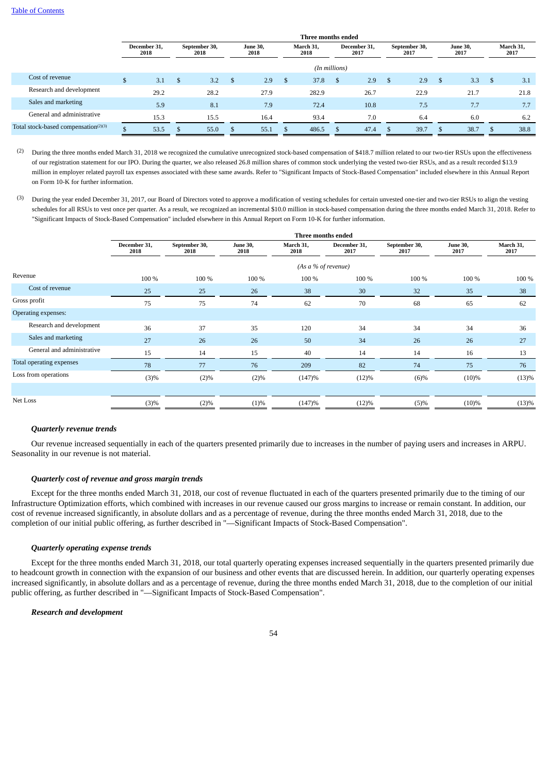|                                                  |                                               | Three months ended |                         |      |                   |      |                      |               |                       |      |                         |      |     |                   |     |      |
|--------------------------------------------------|-----------------------------------------------|--------------------|-------------------------|------|-------------------|------|----------------------|---------------|-----------------------|------|-------------------------|------|-----|-------------------|-----|------|
|                                                  | December 31.<br>September 30,<br>2018<br>2018 |                    | <b>June 30,</b><br>2018 |      | March 31.<br>2018 |      | December 31,<br>2017 |               | September 30,<br>2017 |      | <b>June 30,</b><br>2017 |      |     | March 31,<br>2017 |     |      |
|                                                  |                                               |                    |                         |      |                   |      |                      | (In millions) |                       |      |                         |      |     |                   |     |      |
| Cost of revenue                                  | \$                                            | 3.1                | -S                      | 3.2  | \$                | 2.9  | <sup>\$</sup>        | 37.8          | <sup>\$</sup>         | 2.9  | <sup>\$</sup>           | 2.9  | S   | 3.3               | -\$ | 3.1  |
| Research and development                         |                                               | 29.2               |                         | 28.2 |                   | 27.9 |                      | 282.9         |                       | 26.7 |                         | 22.9 |     | 21.7              |     | 21.8 |
| Sales and marketing                              |                                               | 5.9                |                         | 8.1  |                   | 7.9  |                      | 72.4          |                       | 10.8 |                         | 7.5  |     | 7.7               |     | 7.7  |
| General and administrative                       |                                               | 15.3               |                         | 15.5 |                   | 16.4 |                      | 93.4          |                       | 7.0  |                         | 6.4  |     | 6.0               |     | 6.2  |
| Total stock-based compensation <sup>(2)(3)</sup> |                                               | 53.5               |                         | 55.0 |                   | 55.1 |                      | 486.5         |                       | 47.4 | .S                      | 39.7 | \$. | 38.7              |     | 38.8 |
|                                                  |                                               |                    |                         |      |                   |      |                      |               |                       |      |                         |      |     |                   |     |      |

(2) During the three months ended March 31, 2018 we recognized the cumulative unrecognized stock-based compensation of \$418.7 million related to our two-tier RSUs upon the effectiveness of our registration statement for our IPO. During the quarter, we also released 26.8 million shares of common stock underlying the vested two-tier RSUs, and as a result recorded \$13.9 million in employer related payroll tax expenses associated with these same awards. Refer to "Significant Impacts of Stock-Based Compensation" included elsewhere in this Annual Report on Form 10-K for further information.

(3) During the year ended December 31, 2017, our Board of Directors voted to approve a modification of vesting schedules for certain unvested one-tier and two-tier RSUs to align the vesting schedules for all RSUs to vest once per quarter. As a result, we recognized an incremental \$10.0 million in stock-based compensation during the three months ended March 31, 2018. Refer to "Significant Impacts of Stock-Based Compensation" included elsewhere in this Annual Report on Form 10-K for further information.

| Three months ended   |                       |                         |                   |                      |                       |                         |                   |  |  |  |  |
|----------------------|-----------------------|-------------------------|-------------------|----------------------|-----------------------|-------------------------|-------------------|--|--|--|--|
| December 31,<br>2018 | September 30,<br>2018 | <b>June 30,</b><br>2018 | March 31,<br>2018 | December 31,<br>2017 | September 30,<br>2017 | <b>June 30,</b><br>2017 | March 31,<br>2017 |  |  |  |  |
|                      |                       |                         |                   |                      |                       |                         |                   |  |  |  |  |
| 100 %                | 100 %                 | 100 %                   | 100 %             | 100 %                | 100 %                 | 100 %                   | 100 %             |  |  |  |  |
| 25                   | 25                    | 26                      | 38                | 30                   | 32                    | 35                      | 38                |  |  |  |  |
| 75                   | 75                    | 74                      | 62                | 70                   | 68                    | 65                      | 62                |  |  |  |  |
|                      |                       |                         |                   |                      |                       |                         |                   |  |  |  |  |
| 36                   | 37                    | 35                      | 120               | 34                   | 34                    | 34                      | 36                |  |  |  |  |
| 27                   | 26                    | 26                      | 50                | 34                   | 26                    | 26                      | 27                |  |  |  |  |
| 15                   | 14                    | 15                      | 40                | 14                   | 14                    | 16                      | 13                |  |  |  |  |
| 78                   | 77                    | 76                      | 209               | 82                   | 74                    | 75                      | 76                |  |  |  |  |
| $(3)\%$              | (2)%                  | (2)%                    | (147)%            | (12)%                | $(6)\%$               | $(10)\%$                | (13)%             |  |  |  |  |
|                      |                       |                         |                   |                      |                       |                         |                   |  |  |  |  |
| (3)%                 | (2)%                  | (1)%                    | (147)%            | (12)%                | (5)%                  | (10)%                   | (13)%             |  |  |  |  |
|                      |                       |                         |                   |                      | (As a % of revenue)   |                         |                   |  |  |  |  |

#### *Quarterly revenue trends*

Our revenue increased sequentially in each of the quarters presented primarily due to increases in the number of paying users and increases in ARPU. Seasonality in our revenue is not material.

#### *Quarterly cost of revenue and gross margin trends*

Except for the three months ended March 31, 2018, our cost of revenue fluctuated in each of the quarters presented primarily due to the timing of our Infrastructure Optimization efforts, which combined with increases in our revenue caused our gross margins to increase or remain constant. In addition, our cost of revenue increased significantly, in absolute dollars and as a percentage of revenue, during the three months ended March 31, 2018, due to the completion of our initial public offering, as further described in "—Significant Impacts of Stock-Based Compensation".

#### *Quarterly operating expense trends*

Except for the three months ended March 31, 2018, our total quarterly operating expenses increased sequentially in the quarters presented primarily due to headcount growth in connection with the expansion of our business and other events that are discussed herein. In addition, our quarterly operating expenses increased significantly, in absolute dollars and as a percentage of revenue, during the three months ended March 31, 2018, due to the completion of our initial public offering, as further described in "—Significant Impacts of Stock-Based Compensation".

#### *Research and development*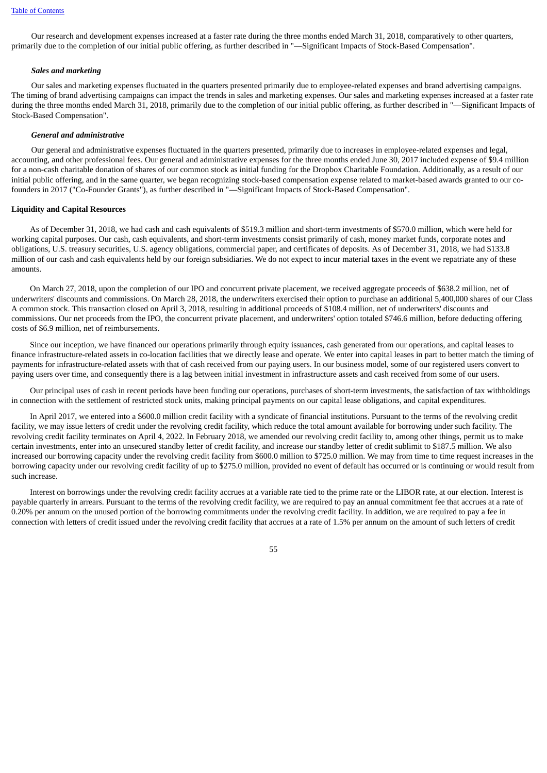Our research and development expenses increased at a faster rate during the three months ended March 31, 2018, comparatively to other quarters, primarily due to the completion of our initial public offering, as further described in "—Significant Impacts of Stock-Based Compensation".

#### *Sales and marketing*

Our sales and marketing expenses fluctuated in the quarters presented primarily due to employee-related expenses and brand advertising campaigns. The timing of brand advertising campaigns can impact the trends in sales and marketing expenses. Our sales and marketing expenses increased at a faster rate during the three months ended March 31, 2018, primarily due to the completion of our initial public offering, as further described in "-Significant Impacts of Stock-Based Compensation".

#### *General and administrative*

Our general and administrative expenses fluctuated in the quarters presented, primarily due to increases in employee-related expenses and legal, accounting, and other professional fees. Our general and administrative expenses for the three months ended June 30, 2017 included expense of \$9.4 million for a non-cash charitable donation of shares of our common stock as initial funding for the Dropbox Charitable Foundation. Additionally, as a result of our initial public offering, and in the same quarter, we began recognizing stock-based compensation expense related to market-based awards granted to our cofounders in 2017 ("Co-Founder Grants"), as further described in "—Significant Impacts of Stock-Based Compensation".

#### **Liquidity and Capital Resources**

As of December 31, 2018, we had cash and cash equivalents of \$519.3 million and short-term investments of \$570.0 million, which were held for working capital purposes. Our cash, cash equivalents, and short-term investments consist primarily of cash, money market funds, corporate notes and obligations, U.S. treasury securities, U.S. agency obligations, commercial paper, and certificates of deposits. As of December 31, 2018, we had \$133.8 million of our cash and cash equivalents held by our foreign subsidiaries. We do not expect to incur material taxes in the event we repatriate any of these amounts.

On March 27, 2018, upon the completion of our IPO and concurrent private placement, we received aggregate proceeds of \$638.2 million, net of underwriters' discounts and commissions. On March 28, 2018, the underwriters exercised their option to purchase an additional 5,400,000 shares of our Class A common stock. This transaction closed on April 3, 2018, resulting in additional proceeds of \$108.4 million, net of underwriters' discounts and commissions. Our net proceeds from the IPO, the concurrent private placement, and underwriters' option totaled \$746.6 million, before deducting offering costs of \$6.9 million, net of reimbursements.

Since our inception, we have financed our operations primarily through equity issuances, cash generated from our operations, and capital leases to finance infrastructure-related assets in co-location facilities that we directly lease and operate. We enter into capital leases in part to better match the timing of payments for infrastructure-related assets with that of cash received from our paying users. In our business model, some of our registered users convert to paying users over time, and consequently there is a lag between initial investment in infrastructure assets and cash received from some of our users.

Our principal uses of cash in recent periods have been funding our operations, purchases of short-term investments, the satisfaction of tax withholdings in connection with the settlement of restricted stock units, making principal payments on our capital lease obligations, and capital expenditures.

In April 2017, we entered into a \$600.0 million credit facility with a syndicate of financial institutions. Pursuant to the terms of the revolving credit facility, we may issue letters of credit under the revolving credit facility, which reduce the total amount available for borrowing under such facility. The revolving credit facility terminates on April 4, 2022. In February 2018, we amended our revolving credit facility to, among other things, permit us to make certain investments, enter into an unsecured standby letter of credit facility, and increase our standby letter of credit sublimit to \$187.5 million. We also increased our borrowing capacity under the revolving credit facility from \$600.0 million to \$725.0 million. We may from time to time request increases in the borrowing capacity under our revolving credit facility of up to \$275.0 million, provided no event of default has occurred or is continuing or would result from such increase.

Interest on borrowings under the revolving credit facility accrues at a variable rate tied to the prime rate or the LIBOR rate, at our election. Interest is payable quarterly in arrears. Pursuant to the terms of the revolving credit facility, we are required to pay an annual commitment fee that accrues at a rate of 0.20% per annum on the unused portion of the borrowing commitments under the revolving credit facility. In addition, we are required to pay a fee in connection with letters of credit issued under the revolving credit facility that accrues at a rate of 1.5% per annum on the amount of such letters of credit

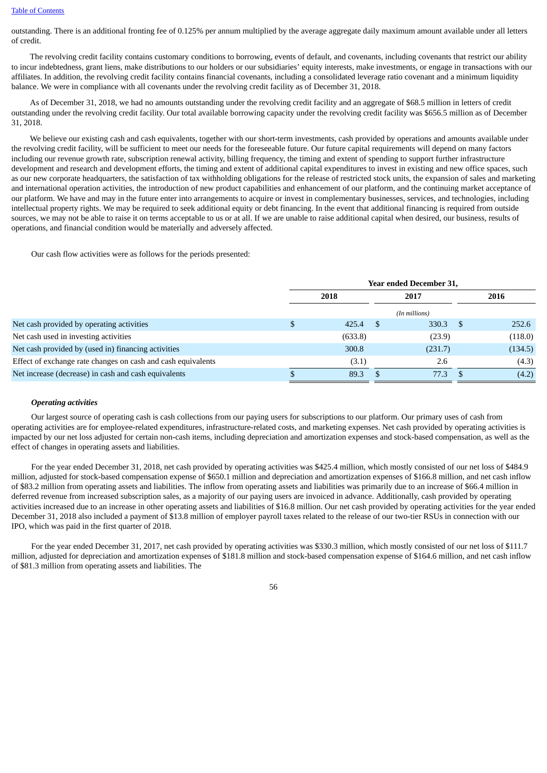outstanding. There is an additional fronting fee of 0.125% per annum multiplied by the average aggregate daily maximum amount available under all letters of credit.

The revolving credit facility contains customary conditions to borrowing, events of default, and covenants, including covenants that restrict our ability to incur indebtedness, grant liens, make distributions to our holders or our subsidiaries' equity interests, make investments, or engage in transactions with our affiliates. In addition, the revolving credit facility contains financial covenants, including a consolidated leverage ratio covenant and a minimum liquidity balance. We were in compliance with all covenants under the revolving credit facility as of December 31, 2018.

As of December 31, 2018, we had no amounts outstanding under the revolving credit facility and an aggregate of \$68.5 million in letters of credit outstanding under the revolving credit facility. Our total available borrowing capacity under the revolving credit facility was \$656.5 million as of December 31, 2018.

We believe our existing cash and cash equivalents, together with our short-term investments, cash provided by operations and amounts available under the revolving credit facility, will be sufficient to meet our needs for the foreseeable future. Our future capital requirements will depend on many factors including our revenue growth rate, subscription renewal activity, billing frequency, the timing and extent of spending to support further infrastructure development and research and development efforts, the timing and extent of additional capital expenditures to invest in existing and new office spaces, such as our new corporate headquarters, the satisfaction of tax withholding obligations for the release of restricted stock units, the expansion of sales and marketing and international operation activities, the introduction of new product capabilities and enhancement of our platform, and the continuing market acceptance of our platform. We have and may in the future enter into arrangements to acquire or invest in complementary businesses, services, and technologies, including intellectual property rights. We may be required to seek additional equity or debt financing. In the event that additional financing is required from outside sources, we may not be able to raise it on terms acceptable to us or at all. If we are unable to raise additional capital when desired, our business, results of operations, and financial condition would be materially and adversely affected.

Our cash flow activities were as follows for the periods presented:

|                                                              | <b>Year ended December 31,</b> |         |  |               |  |         |  |  |  |  |
|--------------------------------------------------------------|--------------------------------|---------|--|---------------|--|---------|--|--|--|--|
|                                                              |                                | 2018    |  | 2017          |  | 2016    |  |  |  |  |
|                                                              |                                |         |  | (In millions) |  |         |  |  |  |  |
| Net cash provided by operating activities                    |                                | 425.4   |  | 330.3         |  | 252.6   |  |  |  |  |
| Net cash used in investing activities                        |                                | (633.8) |  | (23.9)        |  | (118.0) |  |  |  |  |
| Net cash provided by (used in) financing activities          |                                | 300.8   |  | (231.7)       |  | (134.5) |  |  |  |  |
| Effect of exchange rate changes on cash and cash equivalents |                                | (3.1)   |  | 2.6           |  | (4.3)   |  |  |  |  |
| Net increase (decrease) in cash and cash equivalents         |                                | 89.3    |  | 77.3          |  | (4.2)   |  |  |  |  |

#### *Operating activities*

Our largest source of operating cash is cash collections from our paying users for subscriptions to our platform. Our primary uses of cash from operating activities are for employee-related expenditures, infrastructure-related costs, and marketing expenses. Net cash provided by operating activities is impacted by our net loss adjusted for certain non-cash items, including depreciation and amortization expenses and stock-based compensation, as well as the effect of changes in operating assets and liabilities.

For the year ended December 31, 2018, net cash provided by operating activities was \$425.4 million, which mostly consisted of our net loss of \$484.9 million, adjusted for stock-based compensation expense of \$650.1 million and depreciation and amortization expenses of \$166.8 million, and net cash inflow of \$83.2 million from operating assets and liabilities. The inflow from operating assets and liabilities was primarily due to an increase of \$66.4 million in deferred revenue from increased subscription sales, as a majority of our paying users are invoiced in advance. Additionally, cash provided by operating activities increased due to an increase in other operating assets and liabilities of \$16.8 million. Our net cash provided by operating activities for the year ended December 31, 2018 also included a payment of \$13.8 million of employer payroll taxes related to the release of our two-tier RSUs in connection with our IPO, which was paid in the first quarter of 2018.

For the year ended December 31, 2017, net cash provided by operating activities was \$330.3 million, which mostly consisted of our net loss of \$111.7 million, adjusted for depreciation and amortization expenses of \$181.8 million and stock-based compensation expense of \$164.6 million, and net cash inflow of \$81.3 million from operating assets and liabilities. The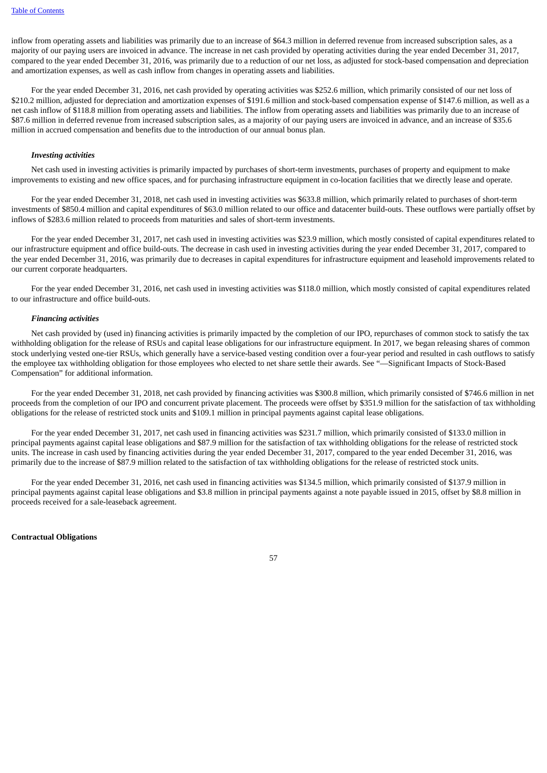inflow from operating assets and liabilities was primarily due to an increase of \$64.3 million in deferred revenue from increased subscription sales, as a majority of our paying users are invoiced in advance. The increase in net cash provided by operating activities during the year ended December 31, 2017, compared to the year ended December 31, 2016, was primarily due to a reduction of our net loss, as adjusted for stock-based compensation and depreciation and amortization expenses, as well as cash inflow from changes in operating assets and liabilities.

For the year ended December 31, 2016, net cash provided by operating activities was \$252.6 million, which primarily consisted of our net loss of \$210.2 million, adjusted for depreciation and amortization expenses of \$191.6 million and stock-based compensation expense of \$147.6 million, as well as a net cash inflow of \$118.8 million from operating assets and liabilities. The inflow from operating assets and liabilities was primarily due to an increase of \$87.6 million in deferred revenue from increased subscription sales, as a majority of our paying users are invoiced in advance, and an increase of \$35.6 million in accrued compensation and benefits due to the introduction of our annual bonus plan.

### *Investing activities*

Net cash used in investing activities is primarily impacted by purchases of short-term investments, purchases of property and equipment to make improvements to existing and new office spaces, and for purchasing infrastructure equipment in co-location facilities that we directly lease and operate.

For the year ended December 31, 2018, net cash used in investing activities was \$633.8 million, which primarily related to purchases of short-term investments of \$850.4 million and capital expenditures of \$63.0 million related to our office and datacenter build-outs. These outflows were partially offset by inflows of \$283.6 million related to proceeds from maturities and sales of short-term investments.

For the year ended December 31, 2017, net cash used in investing activities was \$23.9 million, which mostly consisted of capital expenditures related to our infrastructure equipment and office build-outs. The decrease in cash used in investing activities during the year ended December 31, 2017, compared to the year ended December 31, 2016, was primarily due to decreases in capital expenditures for infrastructure equipment and leasehold improvements related to our current corporate headquarters.

For the year ended December 31, 2016, net cash used in investing activities was \$118.0 million, which mostly consisted of capital expenditures related to our infrastructure and office build-outs.

#### *Financing activities*

Net cash provided by (used in) financing activities is primarily impacted by the completion of our IPO, repurchases of common stock to satisfy the tax withholding obligation for the release of RSUs and capital lease obligations for our infrastructure equipment. In 2017, we began releasing shares of common stock underlying vested one-tier RSUs, which generally have a service-based vesting condition over a four-year period and resulted in cash outflows to satisfy the employee tax withholding obligation for those employees who elected to net share settle their awards. See "—Significant Impacts of Stock-Based Compensation" for additional information.

For the year ended December 31, 2018, net cash provided by financing activities was \$300.8 million, which primarily consisted of \$746.6 million in net proceeds from the completion of our IPO and concurrent private placement. The proceeds were offset by \$351.9 million for the satisfaction of tax withholding obligations for the release of restricted stock units and \$109.1 million in principal payments against capital lease obligations.

For the year ended December 31, 2017, net cash used in financing activities was \$231.7 million, which primarily consisted of \$133.0 million in principal payments against capital lease obligations and \$87.9 million for the satisfaction of tax withholding obligations for the release of restricted stock units. The increase in cash used by financing activities during the year ended December 31, 2017, compared to the year ended December 31, 2016, was primarily due to the increase of \$87.9 million related to the satisfaction of tax withholding obligations for the release of restricted stock units.

For the year ended December 31, 2016, net cash used in financing activities was \$134.5 million, which primarily consisted of \$137.9 million in principal payments against capital lease obligations and \$3.8 million in principal payments against a note payable issued in 2015, offset by \$8.8 million in proceeds received for a sale-leaseback agreement.

## **Contractual Obligations**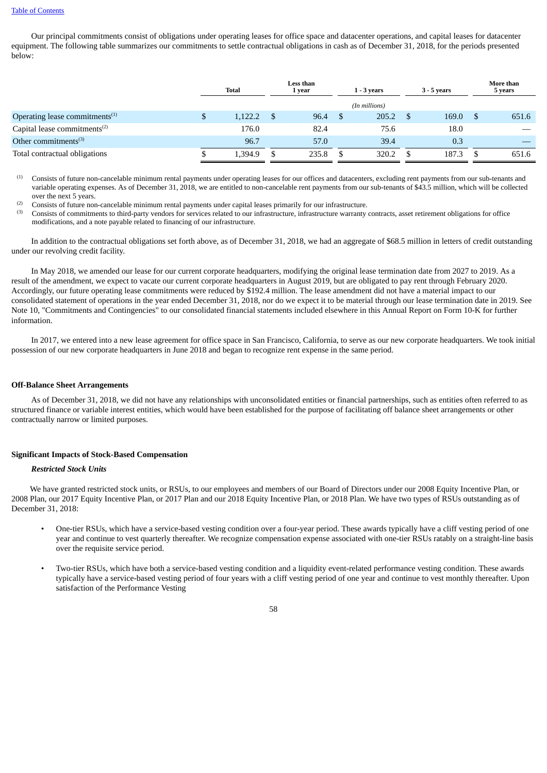Our principal commitments consist of obligations under operating leases for office space and datacenter operations, and capital leases for datacenter equipment. The following table summarizes our commitments to settle contractual obligations in cash as of December 31, 2018, for the periods presented below:

|                                            | Total   | Less than<br>1 year |       | $1 - 3$ vears |               | $3 - 5$ vears |       | More than<br>5 years |  |
|--------------------------------------------|---------|---------------------|-------|---------------|---------------|---------------|-------|----------------------|--|
|                                            |         |                     |       |               | (In millions) |               |       |                      |  |
| Operating lease commitments <sup>(1)</sup> | 1,122.2 |                     | 96.4  |               | 205.2         |               | 169.0 | 651.6                |  |
| Capital lease commitments $(2)$            | 176.0   |                     | 82.4  |               | 75.6          |               | 18.0  |                      |  |
| Other commitments $(3)$                    | 96.7    |                     | 57.0  |               | 39.4          |               | 0.3   |                      |  |
| Total contractual obligations              | 1,394.9 | S                   | 235.8 |               | 320.2         |               | 187.3 | 651.6                |  |

Consists of future non-cancelable minimum rental payments under operating leases for our offices and datacenters, excluding rent payments from our sub-tenants and variable operating expenses. As of December 31, 2018, we are entitled to non-cancelable rent payments from our sub-tenants of \$43.5 million, which will be collected over the next 5 years.

<sup>(2)</sup> Consists of future non-cancelable minimum rental payments under capital leases primarily for our infrastructure.

<sup>(3)</sup> Consists of commitments to third-party vendors for services related to our infrastructure, infrastructure warranty contracts, asset retirement obligations for office modifications, and a note payable related to financing of our infrastructure.

In addition to the contractual obligations set forth above, as of December 31, 2018, we had an aggregate of \$68.5 million in letters of credit outstanding under our revolving credit facility.

In May 2018, we amended our lease for our current corporate headquarters, modifying the original lease termination date from 2027 to 2019. As a result of the amendment, we expect to vacate our current corporate headquarters in August 2019, but are obligated to pay rent through February 2020. Accordingly, our future operating lease commitments were reduced by \$192.4 million. The lease amendment did not have a material impact to our consolidated statement of operations in the year ended December 31, 2018, nor do we expect it to be material through our lease termination date in 2019. See Note 10, "Commitments and Contingencies" to our consolidated financial statements included elsewhere in this Annual Report on Form 10-K for further information.

In 2017, we entered into a new lease agreement for office space in San Francisco, California, to serve as our new corporate headquarters. We took initial possession of our new corporate headquarters in June 2018 and began to recognize rent expense in the same period.

#### **Off-Balance Sheet Arrangements**

As of December 31, 2018, we did not have any relationships with unconsolidated entities or financial partnerships, such as entities often referred to as structured finance or variable interest entities, which would have been established for the purpose of facilitating off balance sheet arrangements or other contractually narrow or limited purposes.

#### **Significant Impacts of Stock-Based Compensation**

#### *Restricted Stock Units*

We have granted restricted stock units, or RSUs, to our employees and members of our Board of Directors under our 2008 Equity Incentive Plan, or 2008 Plan, our 2017 Equity Incentive Plan, or 2017 Plan and our 2018 Equity Incentive Plan, or 2018 Plan. We have two types of RSUs outstanding as of December 31, 2018:

- One-tier RSUs, which have a service-based vesting condition over a four-year period. These awards typically have a cliff vesting period of one year and continue to vest quarterly thereafter. We recognize compensation expense associated with one-tier RSUs ratably on a straight-line basis over the requisite service period.
- Two-tier RSUs, which have both a service-based vesting condition and a liquidity event-related performance vesting condition. These awards typically have a service-based vesting period of four years with a cliff vesting period of one year and continue to vest monthly thereafter. Upon satisfaction of the Performance Vesting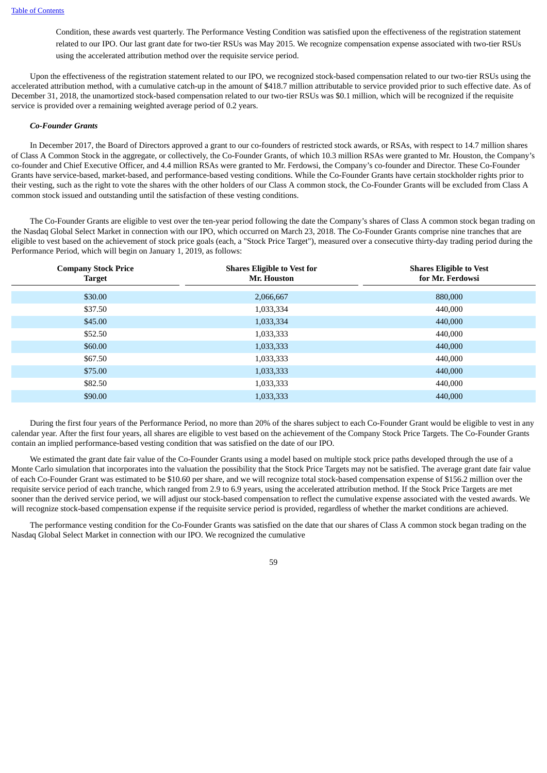Condition, these awards vest quarterly. The Performance Vesting Condition was satisfied upon the effectiveness of the registration statement related to our IPO. Our last grant date for two-tier RSUs was May 2015. We recognize compensation expense associated with two-tier RSUs using the accelerated attribution method over the requisite service period.

Upon the effectiveness of the registration statement related to our IPO, we recognized stock-based compensation related to our two-tier RSUs using the accelerated attribution method, with a cumulative catch-up in the amount of \$418.7 million attributable to service provided prior to such effective date. As of December 31, 2018, the unamortized stock-based compensation related to our two-tier RSUs was \$0.1 million, which will be recognized if the requisite service is provided over a remaining weighted average period of 0.2 years.

## *Co-Founder Grants*

In December 2017, the Board of Directors approved a grant to our co-founders of restricted stock awards, or RSAs, with respect to 14.7 million shares of Class A Common Stock in the aggregate, or collectively, the Co-Founder Grants, of which 10.3 million RSAs were granted to Mr. Houston, the Company's co-founder and Chief Executive Officer, and 4.4 million RSAs were granted to Mr. Ferdowsi, the Company's co-founder and Director. These Co-Founder Grants have service-based, market-based, and performance-based vesting conditions. While the Co-Founder Grants have certain stockholder rights prior to their vesting, such as the right to vote the shares with the other holders of our Class A common stock, the Co-Founder Grants will be excluded from Class A common stock issued and outstanding until the satisfaction of these vesting conditions.

The Co-Founder Grants are eligible to vest over the ten-year period following the date the Company's shares of Class A common stock began trading on the Nasdaq Global Select Market in connection with our IPO, which occurred on March 23, 2018. The Co-Founder Grants comprise nine tranches that are eligible to vest based on the achievement of stock price goals (each, a "Stock Price Target"), measured over a consecutive thirty-day trading period during the Performance Period, which will begin on January 1, 2019, as follows:

| <b>Company Stock Price</b><br><b>Target</b> | <b>Shares Eligible to Vest for</b><br>Mr. Houston | <b>Shares Eligible to Vest</b><br>for Mr. Ferdowsi |
|---------------------------------------------|---------------------------------------------------|----------------------------------------------------|
| \$30.00                                     | 2,066,667                                         | 880,000                                            |
| \$37.50                                     | 1,033,334                                         | 440,000                                            |
| \$45.00                                     | 1,033,334                                         | 440,000                                            |
| \$52.50                                     | 1,033,333                                         | 440,000                                            |
| \$60.00                                     | 1,033,333                                         | 440,000                                            |
| \$67.50                                     | 1,033,333                                         | 440,000                                            |
| \$75.00                                     | 1,033,333                                         | 440,000                                            |
| \$82.50                                     | 1,033,333                                         | 440,000                                            |
| \$90.00                                     | 1,033,333                                         | 440,000                                            |

During the first four years of the Performance Period, no more than 20% of the shares subject to each Co-Founder Grant would be eligible to vest in any calendar year. After the first four years, all shares are eligible to vest based on the achievement of the Company Stock Price Targets. The Co-Founder Grants contain an implied performance-based vesting condition that was satisfied on the date of our IPO.

We estimated the grant date fair value of the Co-Founder Grants using a model based on multiple stock price paths developed through the use of a Monte Carlo simulation that incorporates into the valuation the possibility that the Stock Price Targets may not be satisfied. The average grant date fair value of each Co-Founder Grant was estimated to be \$10.60 per share, and we will recognize total stock-based compensation expense of \$156.2 million over the requisite service period of each tranche, which ranged from 2.9 to 6.9 years, using the accelerated attribution method. If the Stock Price Targets are met sooner than the derived service period, we will adjust our stock-based compensation to reflect the cumulative expense associated with the vested awards. We will recognize stock-based compensation expense if the requisite service period is provided, regardless of whether the market conditions are achieved.

The performance vesting condition for the Co-Founder Grants was satisfied on the date that our shares of Class A common stock began trading on the Nasdaq Global Select Market in connection with our IPO. We recognized the cumulative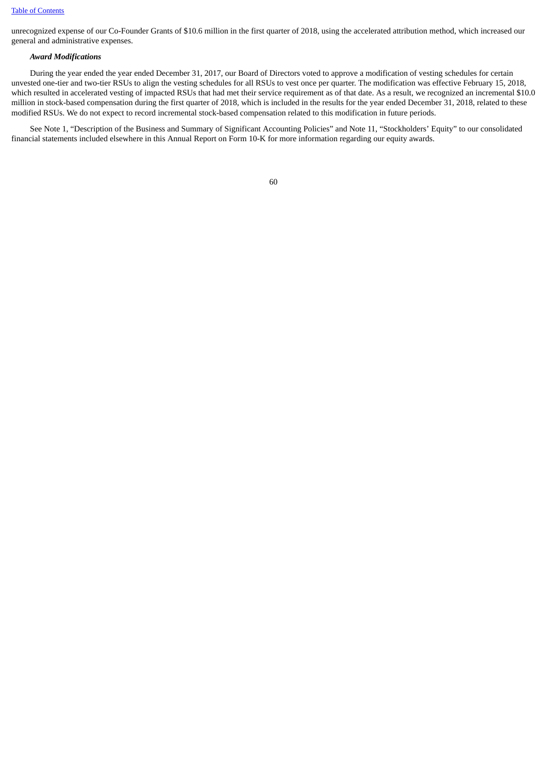unrecognized expense of our Co-Founder Grants of \$10.6 million in the first quarter of 2018, using the accelerated attribution method, which increased our general and administrative expenses.

## *Award Modifications*

During the year ended the year ended December 31, 2017, our Board of Directors voted to approve a modification of vesting schedules for certain unvested one-tier and two-tier RSUs to align the vesting schedules for all RSUs to vest once per quarter. The modification was effective February 15, 2018, which resulted in accelerated vesting of impacted RSUs that had met their service requirement as of that date. As a result, we recognized an incremental \$10.0 million in stock-based compensation during the first quarter of 2018, which is included in the results for the year ended December 31, 2018, related to these modified RSUs. We do not expect to record incremental stock-based compensation related to this modification in future periods.

See Note 1, "Description of the Business and Summary of Significant Accounting Policies" and Note 11, "Stockholders' Equity" to our consolidated financial statements included elsewhere in this Annual Report on Form 10-K for more information regarding our equity awards.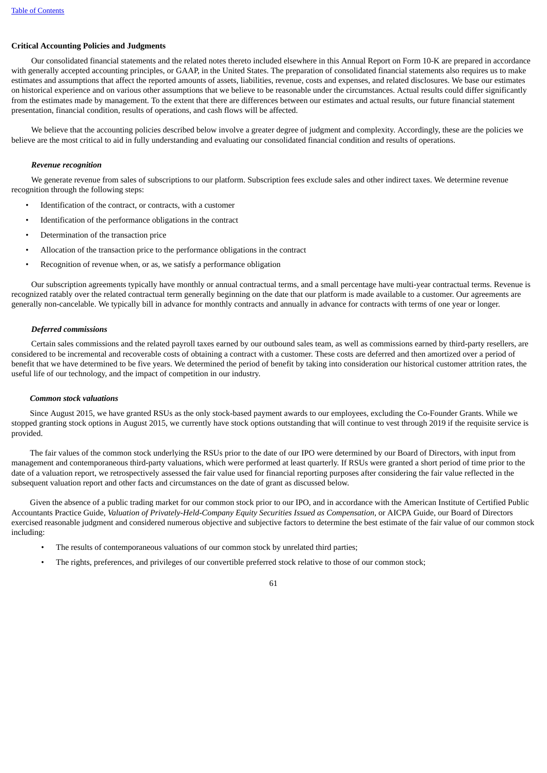# **Critical Accounting Policies and Judgments**

Our consolidated financial statements and the related notes thereto included elsewhere in this Annual Report on Form 10-K are prepared in accordance with generally accepted accounting principles, or GAAP, in the United States. The preparation of consolidated financial statements also requires us to make estimates and assumptions that affect the reported amounts of assets, liabilities, revenue, costs and expenses, and related disclosures. We base our estimates on historical experience and on various other assumptions that we believe to be reasonable under the circumstances. Actual results could differ significantly from the estimates made by management. To the extent that there are differences between our estimates and actual results, our future financial statement presentation, financial condition, results of operations, and cash flows will be affected.

We believe that the accounting policies described below involve a greater degree of judgment and complexity. Accordingly, these are the policies we believe are the most critical to aid in fully understanding and evaluating our consolidated financial condition and results of operations.

## *Revenue recognition*

We generate revenue from sales of subscriptions to our platform. Subscription fees exclude sales and other indirect taxes. We determine revenue recognition through the following steps:

- Identification of the contract, or contracts, with a customer
- Identification of the performance obligations in the contract
- Determination of the transaction price
- Allocation of the transaction price to the performance obligations in the contract
- Recognition of revenue when, or as, we satisfy a performance obligation

Our subscription agreements typically have monthly or annual contractual terms, and a small percentage have multi-year contractual terms. Revenue is recognized ratably over the related contractual term generally beginning on the date that our platform is made available to a customer. Our agreements are generally non-cancelable. We typically bill in advance for monthly contracts and annually in advance for contracts with terms of one year or longer.

### *Deferred commissions*

Certain sales commissions and the related payroll taxes earned by our outbound sales team, as well as commissions earned by third-party resellers, are considered to be incremental and recoverable costs of obtaining a contract with a customer. These costs are deferred and then amortized over a period of benefit that we have determined to be five years. We determined the period of benefit by taking into consideration our historical customer attrition rates, the useful life of our technology, and the impact of competition in our industry.

#### *Common stock valuations*

Since August 2015, we have granted RSUs as the only stock-based payment awards to our employees, excluding the Co-Founder Grants. While we stopped granting stock options in August 2015, we currently have stock options outstanding that will continue to vest through 2019 if the requisite service is provided.

The fair values of the common stock underlying the RSUs prior to the date of our IPO were determined by our Board of Directors, with input from management and contemporaneous third-party valuations, which were performed at least quarterly. If RSUs were granted a short period of time prior to the date of a valuation report, we retrospectively assessed the fair value used for financial reporting purposes after considering the fair value reflected in the subsequent valuation report and other facts and circumstances on the date of grant as discussed below.

Given the absence of a public trading market for our common stock prior to our IPO, and in accordance with the American Institute of Certified Public Accountants Practice Guide, *Valuation of Privately-Held-Company Equity Securities Issued as Compensation,* or AICPA Guide, our Board of Directors exercised reasonable judgment and considered numerous objective and subjective factors to determine the best estimate of the fair value of our common stock including:

- The results of contemporaneous valuations of our common stock by unrelated third parties;
- The rights, preferences, and privileges of our convertible preferred stock relative to those of our common stock;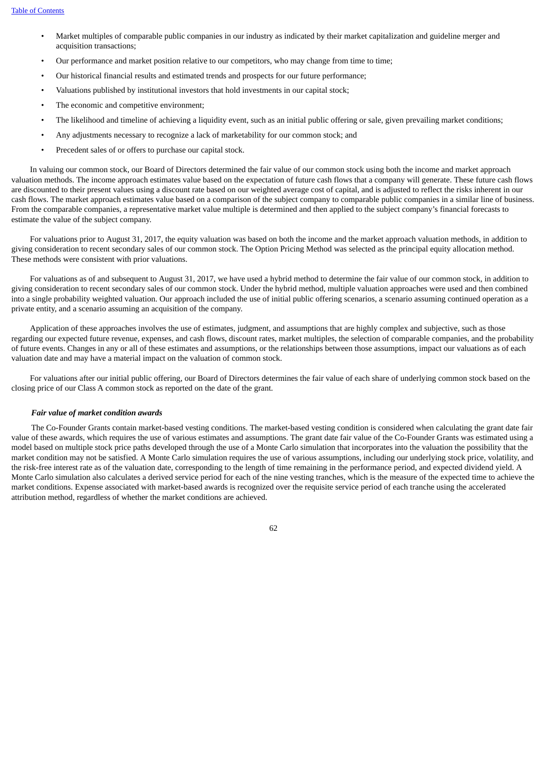- Market multiples of comparable public companies in our industry as indicated by their market capitalization and guideline merger and acquisition transactions;
- Our performance and market position relative to our competitors, who may change from time to time;
- Our historical financial results and estimated trends and prospects for our future performance;
- Valuations published by institutional investors that hold investments in our capital stock;
- The economic and competitive environment;
- The likelihood and timeline of achieving a liquidity event, such as an initial public offering or sale, given prevailing market conditions;
- Any adjustments necessary to recognize a lack of marketability for our common stock; and
- Precedent sales of or offers to purchase our capital stock.

In valuing our common stock, our Board of Directors determined the fair value of our common stock using both the income and market approach valuation methods. The income approach estimates value based on the expectation of future cash flows that a company will generate. These future cash flows are discounted to their present values using a discount rate based on our weighted average cost of capital, and is adjusted to reflect the risks inherent in our cash flows. The market approach estimates value based on a comparison of the subject company to comparable public companies in a similar line of business. From the comparable companies, a representative market value multiple is determined and then applied to the subject company's financial forecasts to estimate the value of the subject company.

For valuations prior to August 31, 2017, the equity valuation was based on both the income and the market approach valuation methods, in addition to giving consideration to recent secondary sales of our common stock. The Option Pricing Method was selected as the principal equity allocation method. These methods were consistent with prior valuations.

For valuations as of and subsequent to August 31, 2017, we have used a hybrid method to determine the fair value of our common stock, in addition to giving consideration to recent secondary sales of our common stock. Under the hybrid method, multiple valuation approaches were used and then combined into a single probability weighted valuation. Our approach included the use of initial public offering scenarios, a scenario assuming continued operation as a private entity, and a scenario assuming an acquisition of the company.

Application of these approaches involves the use of estimates, judgment, and assumptions that are highly complex and subjective, such as those regarding our expected future revenue, expenses, and cash flows, discount rates, market multiples, the selection of comparable companies, and the probability of future events. Changes in any or all of these estimates and assumptions, or the relationships between those assumptions, impact our valuations as of each valuation date and may have a material impact on the valuation of common stock.

For valuations after our initial public offering, our Board of Directors determines the fair value of each share of underlying common stock based on the closing price of our Class A common stock as reported on the date of the grant.

#### *Fair value of market condition awards*

The Co-Founder Grants contain market-based vesting conditions. The market-based vesting condition is considered when calculating the grant date fair value of these awards, which requires the use of various estimates and assumptions. The grant date fair value of the Co-Founder Grants was estimated using a model based on multiple stock price paths developed through the use of a Monte Carlo simulation that incorporates into the valuation the possibility that the market condition may not be satisfied. A Monte Carlo simulation requires the use of various assumptions, including our underlying stock price, volatility, and the risk-free interest rate as of the valuation date, corresponding to the length of time remaining in the performance period, and expected dividend yield. A Monte Carlo simulation also calculates a derived service period for each of the nine vesting tranches, which is the measure of the expected time to achieve the market conditions. Expense associated with market-based awards is recognized over the requisite service period of each tranche using the accelerated attribution method, regardless of whether the market conditions are achieved.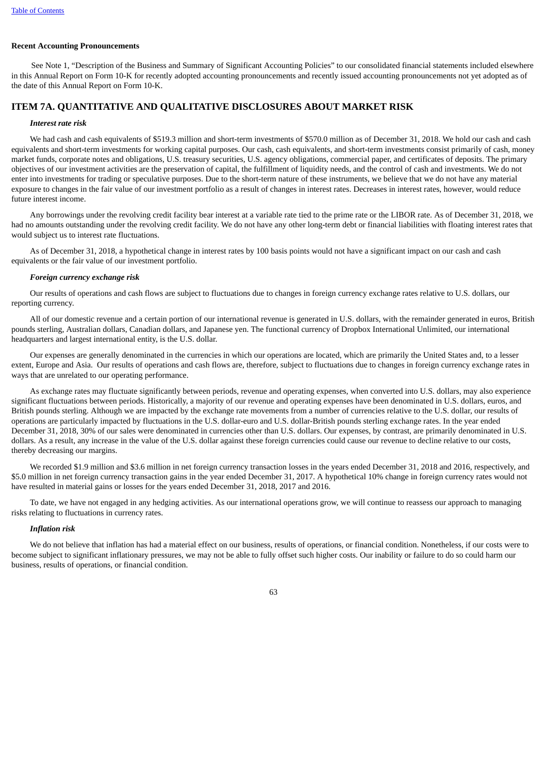# **Recent Accounting Pronouncements**

See Note 1, "Description of the Business and Summary of Significant Accounting Policies" to our consolidated financial statements included elsewhere in this Annual Report on Form 10-K for recently adopted accounting pronouncements and recently issued accounting pronouncements not yet adopted as of the date of this Annual Report on Form 10-K.

# **ITEM 7A. QUANTITATIVE AND QUALITATIVE DISCLOSURES ABOUT MARKET RISK**

# *Interest rate risk*

We had cash and cash equivalents of \$519.3 million and short-term investments of \$570.0 million as of December 31, 2018. We hold our cash and cash equivalents and short-term investments for working capital purposes. Our cash, cash equivalents, and short-term investments consist primarily of cash, money market funds, corporate notes and obligations, U.S. treasury securities, U.S. agency obligations, commercial paper, and certificates of deposits. The primary objectives of our investment activities are the preservation of capital, the fulfillment of liquidity needs, and the control of cash and investments. We do not enter into investments for trading or speculative purposes. Due to the short-term nature of these instruments, we believe that we do not have any material exposure to changes in the fair value of our investment portfolio as a result of changes in interest rates. Decreases in interest rates, however, would reduce future interest income.

Any borrowings under the revolving credit facility bear interest at a variable rate tied to the prime rate or the LIBOR rate. As of December 31, 2018, we had no amounts outstanding under the revolving credit facility. We do not have any other long-term debt or financial liabilities with floating interest rates that would subject us to interest rate fluctuations.

As of December 31, 2018, a hypothetical change in interest rates by 100 basis points would not have a significant impact on our cash and cash equivalents or the fair value of our investment portfolio.

### *Foreign currency exchange risk*

Our results of operations and cash flows are subject to fluctuations due to changes in foreign currency exchange rates relative to U.S. dollars, our reporting currency.

All of our domestic revenue and a certain portion of our international revenue is generated in U.S. dollars, with the remainder generated in euros, British pounds sterling, Australian dollars, Canadian dollars, and Japanese yen. The functional currency of Dropbox International Unlimited, our international headquarters and largest international entity, is the U.S. dollar.

Our expenses are generally denominated in the currencies in which our operations are located, which are primarily the United States and, to a lesser extent, Europe and Asia. Our results of operations and cash flows are, therefore, subject to fluctuations due to changes in foreign currency exchange rates in ways that are unrelated to our operating performance.

As exchange rates may fluctuate significantly between periods, revenue and operating expenses, when converted into U.S. dollars, may also experience significant fluctuations between periods. Historically, a majority of our revenue and operating expenses have been denominated in U.S. dollars, euros, and British pounds sterling. Although we are impacted by the exchange rate movements from a number of currencies relative to the U.S. dollar, our results of operations are particularly impacted by fluctuations in the U.S. dollar-euro and U.S. dollar-British pounds sterling exchange rates. In the year ended December 31, 2018, 30% of our sales were denominated in currencies other than U.S. dollars. Our expenses, by contrast, are primarily denominated in U.S. dollars. As a result, any increase in the value of the U.S. dollar against these foreign currencies could cause our revenue to decline relative to our costs, thereby decreasing our margins.

We recorded \$1.9 million and \$3.6 million in net foreign currency transaction losses in the years ended December 31, 2018 and 2016, respectively, and \$5.0 million in net foreign currency transaction gains in the year ended December 31, 2017. A hypothetical 10% change in foreign currency rates would not have resulted in material gains or losses for the years ended December 31, 2018, 2017 and 2016.

To date, we have not engaged in any hedging activities. As our international operations grow, we will continue to reassess our approach to managing risks relating to fluctuations in currency rates.

# *Inflation risk*

We do not believe that inflation has had a material effect on our business, results of operations, or financial condition. Nonetheless, if our costs were to become subject to significant inflationary pressures, we may not be able to fully offset such higher costs. Our inability or failure to do so could harm our business, results of operations, or financial condition.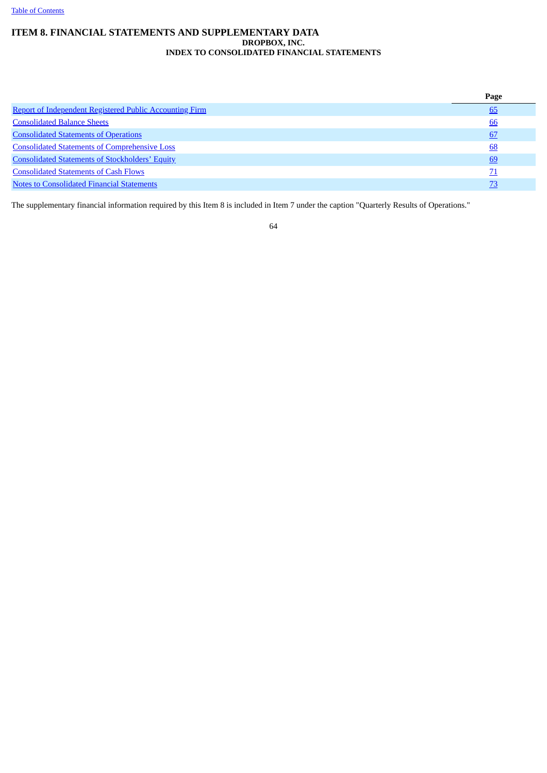# **ITEM 8. FINANCIAL STATEMENTS AND SUPPLEMENTARY DATA DROPBOX, INC. INDEX TO CONSOLIDATED FINANCIAL STATEMENTS**

|                                                         | Page      |
|---------------------------------------------------------|-----------|
| Report of Independent Registered Public Accounting Firm | <u>65</u> |
| <b>Consolidated Balance Sheets</b>                      | 66        |
| <b>Consolidated Statements of Operations</b>            | 67        |
| <b>Consolidated Statements of Comprehensive Loss</b>    | 68        |
| <b>Consolidated Statements of Stockholders' Equity</b>  | 69        |
| <b>Consolidated Statements of Cash Flows</b>            |           |
| <b>Notes to Consolidated Financial Statements</b>       | 73        |

The supplementary financial information required by this Item 8 is included in Item 7 under the caption "Quarterly Results of Operations."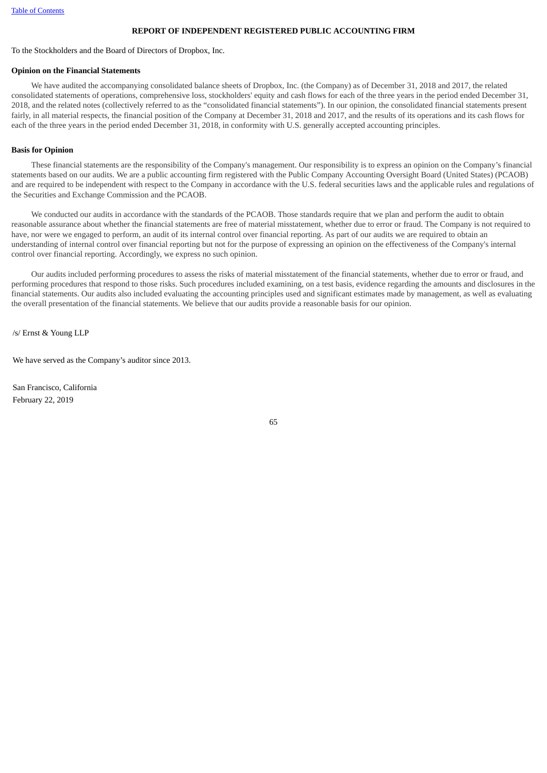# **REPORT OF INDEPENDENT REGISTERED PUBLIC ACCOUNTING FIRM**

<span id="page-65-0"></span>To the Stockholders and the Board of Directors of Dropbox, Inc.

#### **Opinion on the Financial Statements**

We have audited the accompanying consolidated balance sheets of Dropbox, Inc. (the Company) as of December 31, 2018 and 2017, the related consolidated statements of operations, comprehensive loss, stockholders' equity and cash flows for each of the three years in the period ended December 31, 2018, and the related notes (collectively referred to as the "consolidated financial statements"). In our opinion, the consolidated financial statements present fairly, in all material respects, the financial position of the Company at December 31, 2018 and 2017, and the results of its operations and its cash flows for each of the three years in the period ended December 31, 2018, in conformity with U.S. generally accepted accounting principles.

### **Basis for Opinion**

These financial statements are the responsibility of the Company's management. Our responsibility is to express an opinion on the Company's financial statements based on our audits. We are a public accounting firm registered with the Public Company Accounting Oversight Board (United States) (PCAOB) and are required to be independent with respect to the Company in accordance with the U.S. federal securities laws and the applicable rules and regulations of the Securities and Exchange Commission and the PCAOB.

We conducted our audits in accordance with the standards of the PCAOB. Those standards require that we plan and perform the audit to obtain reasonable assurance about whether the financial statements are free of material misstatement, whether due to error or fraud. The Company is not required to have, nor were we engaged to perform, an audit of its internal control over financial reporting. As part of our audits we are required to obtain an understanding of internal control over financial reporting but not for the purpose of expressing an opinion on the effectiveness of the Company's internal control over financial reporting. Accordingly, we express no such opinion.

Our audits included performing procedures to assess the risks of material misstatement of the financial statements, whether due to error or fraud, and performing procedures that respond to those risks. Such procedures included examining, on a test basis, evidence regarding the amounts and disclosures in the financial statements. Our audits also included evaluating the accounting principles used and significant estimates made by management, as well as evaluating the overall presentation of the financial statements. We believe that our audits provide a reasonable basis for our opinion.

/s/ Ernst & Young LLP

We have served as the Company's auditor since 2013.

San Francisco, California February 22, 2019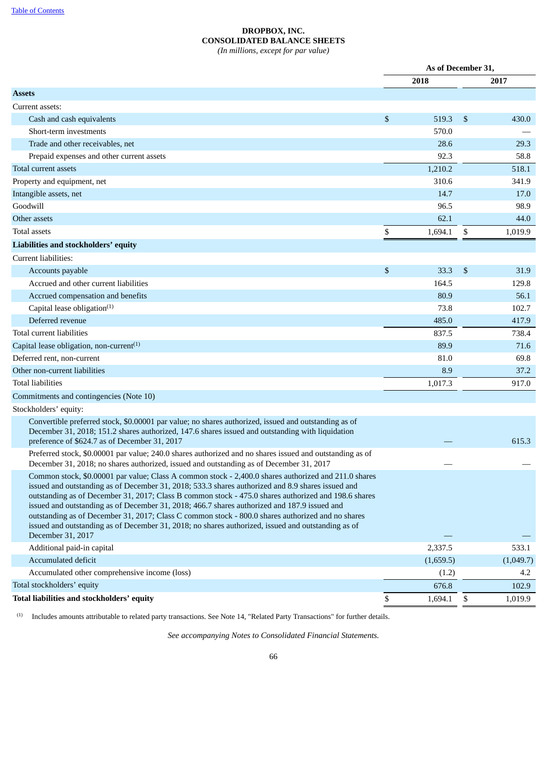# **DROPBOX, INC. CONSOLIDATED BALANCE SHEETS**

*(In millions, except for par value)*

<span id="page-66-0"></span>

|                                                                                                                                                                                                                                                                                                                                                                                                                                                                                                                                                                                                                                                   | As of December 31, |    |           |
|---------------------------------------------------------------------------------------------------------------------------------------------------------------------------------------------------------------------------------------------------------------------------------------------------------------------------------------------------------------------------------------------------------------------------------------------------------------------------------------------------------------------------------------------------------------------------------------------------------------------------------------------------|--------------------|----|-----------|
|                                                                                                                                                                                                                                                                                                                                                                                                                                                                                                                                                                                                                                                   | 2018               |    | 2017      |
| <b>Assets</b>                                                                                                                                                                                                                                                                                                                                                                                                                                                                                                                                                                                                                                     |                    |    |           |
| Current assets:                                                                                                                                                                                                                                                                                                                                                                                                                                                                                                                                                                                                                                   |                    |    |           |
| Cash and cash equivalents                                                                                                                                                                                                                                                                                                                                                                                                                                                                                                                                                                                                                         | \$<br>519.3        | \$ | 430.0     |
| Short-term investments                                                                                                                                                                                                                                                                                                                                                                                                                                                                                                                                                                                                                            | 570.0              |    |           |
| Trade and other receivables, net                                                                                                                                                                                                                                                                                                                                                                                                                                                                                                                                                                                                                  | 28.6               |    | 29.3      |
| Prepaid expenses and other current assets                                                                                                                                                                                                                                                                                                                                                                                                                                                                                                                                                                                                         | 92.3               |    | 58.8      |
| Total current assets                                                                                                                                                                                                                                                                                                                                                                                                                                                                                                                                                                                                                              | 1,210.2            |    | 518.1     |
| Property and equipment, net                                                                                                                                                                                                                                                                                                                                                                                                                                                                                                                                                                                                                       | 310.6              |    | 341.9     |
| Intangible assets, net                                                                                                                                                                                                                                                                                                                                                                                                                                                                                                                                                                                                                            | 14.7               |    | 17.0      |
| Goodwill                                                                                                                                                                                                                                                                                                                                                                                                                                                                                                                                                                                                                                          | 96.5               |    | 98.9      |
| Other assets                                                                                                                                                                                                                                                                                                                                                                                                                                                                                                                                                                                                                                      | 62.1               |    | 44.0      |
| <b>Total assets</b>                                                                                                                                                                                                                                                                                                                                                                                                                                                                                                                                                                                                                               | \$<br>1,694.1      | \$ | 1,019.9   |
| Liabilities and stockholders' equity                                                                                                                                                                                                                                                                                                                                                                                                                                                                                                                                                                                                              |                    |    |           |
| Current liabilities:                                                                                                                                                                                                                                                                                                                                                                                                                                                                                                                                                                                                                              |                    |    |           |
| Accounts payable                                                                                                                                                                                                                                                                                                                                                                                                                                                                                                                                                                                                                                  | \$<br>33.3         | \$ | 31.9      |
| Accrued and other current liabilities                                                                                                                                                                                                                                                                                                                                                                                                                                                                                                                                                                                                             | 164.5              |    | 129.8     |
| Accrued compensation and benefits                                                                                                                                                                                                                                                                                                                                                                                                                                                                                                                                                                                                                 | 80.9               |    | 56.1      |
| Capital lease obligation <sup>(1)</sup>                                                                                                                                                                                                                                                                                                                                                                                                                                                                                                                                                                                                           | 73.8               |    | 102.7     |
| Deferred revenue                                                                                                                                                                                                                                                                                                                                                                                                                                                                                                                                                                                                                                  | 485.0              |    | 417.9     |
| Total current liabilities                                                                                                                                                                                                                                                                                                                                                                                                                                                                                                                                                                                                                         | 837.5              |    | 738.4     |
| Capital lease obligation, non-current <sup>(1)</sup>                                                                                                                                                                                                                                                                                                                                                                                                                                                                                                                                                                                              | 89.9               |    | 71.6      |
| Deferred rent, non-current                                                                                                                                                                                                                                                                                                                                                                                                                                                                                                                                                                                                                        | 81.0               |    | 69.8      |
| Other non-current liabilities                                                                                                                                                                                                                                                                                                                                                                                                                                                                                                                                                                                                                     | 8.9                |    | 37.2      |
| <b>Total liabilities</b>                                                                                                                                                                                                                                                                                                                                                                                                                                                                                                                                                                                                                          | 1,017.3            |    | 917.0     |
| Commitments and contingencies (Note 10)                                                                                                                                                                                                                                                                                                                                                                                                                                                                                                                                                                                                           |                    |    |           |
| Stockholders' equity:                                                                                                                                                                                                                                                                                                                                                                                                                                                                                                                                                                                                                             |                    |    |           |
| Convertible preferred stock, \$0.00001 par value; no shares authorized, issued and outstanding as of<br>December 31, 2018; 151.2 shares authorized, 147.6 shares issued and outstanding with liquidation<br>preference of \$624.7 as of December 31, 2017                                                                                                                                                                                                                                                                                                                                                                                         |                    |    | 615.3     |
| Preferred stock, \$0.00001 par value; 240.0 shares authorized and no shares issued and outstanding as of<br>December 31, 2018; no shares authorized, issued and outstanding as of December 31, 2017                                                                                                                                                                                                                                                                                                                                                                                                                                               |                    |    |           |
| Common stock, \$0.00001 par value; Class A common stock - 2,400.0 shares authorized and 211.0 shares<br>issued and outstanding as of December 31, 2018; 533.3 shares authorized and 8.9 shares issued and<br>outstanding as of December 31, 2017; Class B common stock - 475.0 shares authorized and 198.6 shares<br>issued and outstanding as of December 31, 2018; 466.7 shares authorized and 187.9 issued and<br>outstanding as of December 31, 2017; Class C common stock - 800.0 shares authorized and no shares<br>issued and outstanding as of December 31, 2018; no shares authorized, issued and outstanding as of<br>December 31, 2017 |                    |    |           |
| Additional paid-in capital                                                                                                                                                                                                                                                                                                                                                                                                                                                                                                                                                                                                                        | 2,337.5            |    | 533.1     |
| Accumulated deficit                                                                                                                                                                                                                                                                                                                                                                                                                                                                                                                                                                                                                               | (1,659.5)          |    | (1,049.7) |
| Accumulated other comprehensive income (loss)                                                                                                                                                                                                                                                                                                                                                                                                                                                                                                                                                                                                     | (1.2)              |    | 4.2       |
| Total stockholders' equity                                                                                                                                                                                                                                                                                                                                                                                                                                                                                                                                                                                                                        | 676.8              |    | 102.9     |
| Total liabilities and stockholders' equity                                                                                                                                                                                                                                                                                                                                                                                                                                                                                                                                                                                                        | \$<br>1,694.1      | \$ | 1,019.9   |

(1) Includes amounts attributable to related party transactions. See Note 14, "Related Party Transactions" for further details.

*See accompanying Notes to Consolidated Financial Statements.*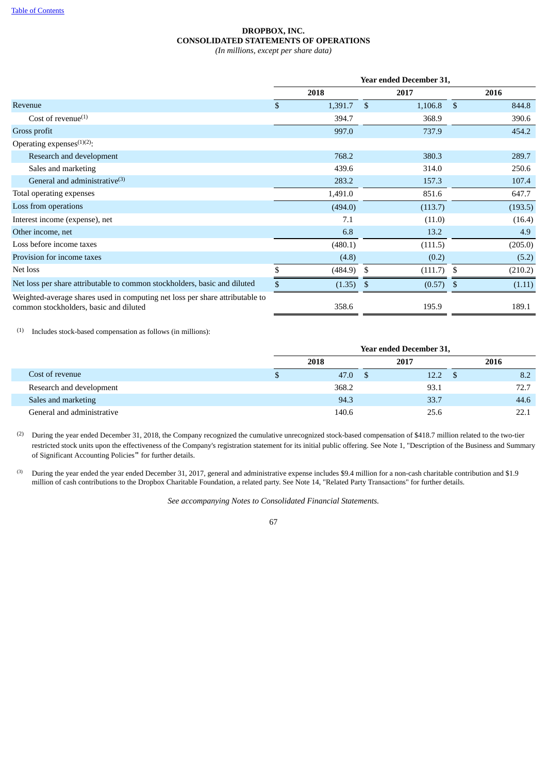# **DROPBOX, INC. CONSOLIDATED STATEMENTS OF OPERATIONS**

*(In millions, except per share data)*

<span id="page-67-0"></span>

|                                                                                                                        | Year ended December 31, |              |     |         |                |         |  |
|------------------------------------------------------------------------------------------------------------------------|-------------------------|--------------|-----|---------|----------------|---------|--|
|                                                                                                                        |                         | 2018         |     | 2017    |                | 2016    |  |
| Revenue                                                                                                                | \$                      | 1,391.7      | -\$ | 1,106.8 | $\mathfrak{S}$ | 844.8   |  |
| Cost of revenue $(1)$                                                                                                  |                         | 394.7        |     | 368.9   |                | 390.6   |  |
| Gross profit                                                                                                           |                         | 997.0        |     | 737.9   |                | 454.2   |  |
| Operating expenses $(1)(2)$ :                                                                                          |                         |              |     |         |                |         |  |
| Research and development                                                                                               |                         | 768.2        |     | 380.3   |                | 289.7   |  |
| Sales and marketing                                                                                                    |                         | 439.6        |     | 314.0   |                | 250.6   |  |
| General and administrative $(3)$                                                                                       |                         | 283.2        |     | 157.3   |                | 107.4   |  |
| Total operating expenses                                                                                               |                         | 1,491.0      |     | 851.6   |                | 647.7   |  |
| Loss from operations                                                                                                   |                         | (494.0)      |     | (113.7) |                | (193.5) |  |
| Interest income (expense), net                                                                                         |                         | 7.1          |     | (11.0)  |                | (16.4)  |  |
| Other income, net                                                                                                      |                         | 6.8          |     | 13.2    |                | 4.9     |  |
| Loss before income taxes                                                                                               |                         | (480.1)      |     | (111.5) |                | (205.0) |  |
| Provision for income taxes                                                                                             |                         | (4.8)        |     | (0.2)   |                | (5.2)   |  |
| Net loss                                                                                                               | \$                      | $(484.9)$ \$ |     | (111.7) | -\$            | (210.2) |  |
| Net loss per share attributable to common stockholders, basic and diluted                                              | \$                      | $(1.35)$ \$  |     | (0.57)  | <sup>\$</sup>  | (1.11)  |  |
| Weighted-average shares used in computing net loss per share attributable to<br>common stockholders, basic and diluted |                         | 358.6        |     | 195.9   |                | 189.1   |  |

(1) Includes stock-based compensation as follows (in millions):

|                            |      | Year ended December 31, |  |      |      |      |  |  |  |
|----------------------------|------|-------------------------|--|------|------|------|--|--|--|
|                            | 2018 |                         |  | 2017 | 2016 |      |  |  |  |
| Cost of revenue            |      | 47.0                    |  | 12.2 |      | 8.2  |  |  |  |
| Research and development   |      | 368.2                   |  | 93.1 |      | 72.7 |  |  |  |
| Sales and marketing        |      | 94.3                    |  | 33.7 |      | 44.6 |  |  |  |
| General and administrative |      | 140.6                   |  | 25.6 |      | 22.1 |  |  |  |

<sup>(2)</sup> During the year ended December 31, 2018, the Company recognized the cumulative unrecognized stock-based compensation of \$418.7 million related to the two-tier restricted stock units upon the effectiveness of the Company's registration statement for its initial public offering. See Note 1, "Description of the Business and Summary of Significant Accounting Policies**"** for further details.

<sup>(3)</sup> During the year ended the year ended December 31, 2017, general and administrative expense includes \$9.4 million for a non-cash charitable contribution and \$1.9 million of cash contributions to the Dropbox Charitable Foundation, a related party. See Note 14, "Related Party Transactions" for further details.

*See accompanying Notes to Consolidated Financial Statements.*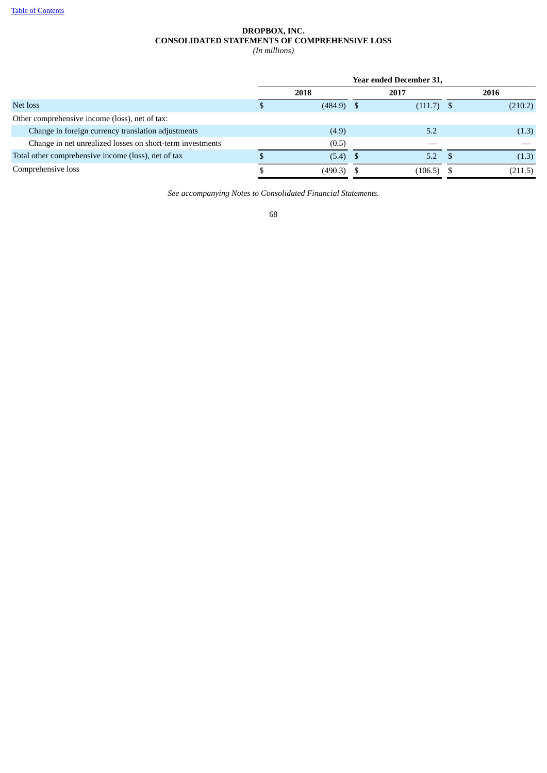# **DROPBOX, INC. CONSOLIDATED STATEMENTS OF COMPREHENSIVE LOSS** *(In millions)*

<span id="page-68-0"></span>

|                                                           | Year ended December 31, |              |      |              |  |         |  |  |  |  |
|-----------------------------------------------------------|-------------------------|--------------|------|--------------|--|---------|--|--|--|--|
|                                                           |                         | 2018         |      | 2017         |  | 2016    |  |  |  |  |
| Net loss                                                  |                         | $(484.9)$ \$ |      | $(111.7)$ \$ |  | (210.2) |  |  |  |  |
| Other comprehensive income (loss), net of tax:            |                         |              |      |              |  |         |  |  |  |  |
| Change in foreign currency translation adjustments        |                         | (4.9)        |      | 5.2          |  | (1.3)   |  |  |  |  |
| Change in net unrealized losses on short-term investments |                         | (0.5)        |      |              |  |         |  |  |  |  |
| Total other comprehensive income (loss), net of tax       |                         | (5.4)        | - \$ | 5.2          |  | (1.3)   |  |  |  |  |
| Comprehensive loss                                        |                         | (490.3)      |      | (106.5)      |  | (211.5) |  |  |  |  |

*See accompanying Notes to Consolidated Financial Statements.*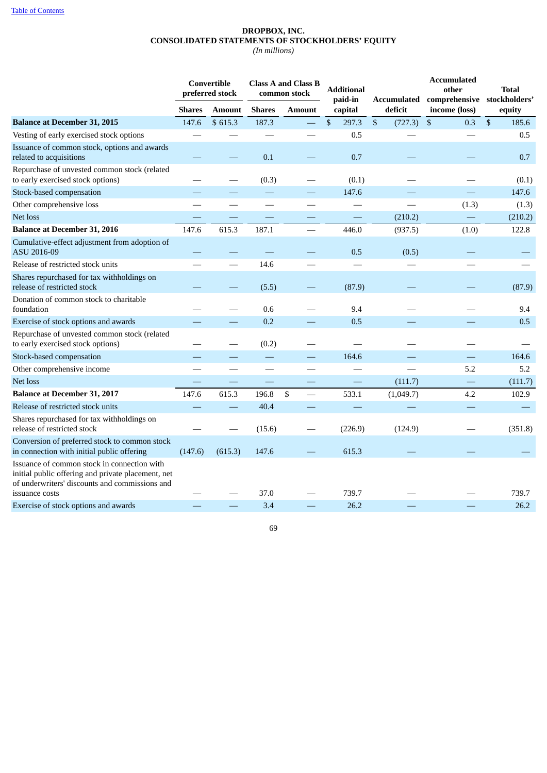# **DROPBOX, INC. CONSOLIDATED STATEMENTS OF STOCKHOLDERS' EQUITY** *(In millions)*

<span id="page-69-0"></span>

|                                                                                                                                                     | Convertible<br>preferred stock |               |               | <b>Class A and Class B</b><br>common stock | <b>Additional</b><br>paid-in       | <b>Accumulated</b>                 | <b>Accumulated</b><br>other<br>comprehensive | Total<br>stockholders' |  |
|-----------------------------------------------------------------------------------------------------------------------------------------------------|--------------------------------|---------------|---------------|--------------------------------------------|------------------------------------|------------------------------------|----------------------------------------------|------------------------|--|
|                                                                                                                                                     | Shares                         | <b>Amount</b> | <b>Shares</b> | <b>Amount</b>                              | capital                            | deficit                            | income (loss)                                | equity                 |  |
| <b>Balance at December 31, 2015</b>                                                                                                                 | 147.6                          | \$615.3       | 187.3         |                                            | $\boldsymbol{\mathsf{S}}$<br>297.3 | $\sqrt[6]{\frac{1}{2}}$<br>(727.3) | $\mathfrak{s}$<br>0.3                        | $\sqrt{3}$<br>185.6    |  |
| Vesting of early exercised stock options                                                                                                            |                                |               |               |                                            | 0.5                                |                                    |                                              | 0.5                    |  |
| Issuance of common stock, options and awards<br>related to acquisitions                                                                             |                                |               | 0.1           |                                            | 0.7                                |                                    |                                              | 0.7                    |  |
| Repurchase of unvested common stock (related<br>to early exercised stock options)                                                                   |                                |               | (0.3)         |                                            | (0.1)                              |                                    |                                              | (0.1)                  |  |
| Stock-based compensation                                                                                                                            |                                |               |               |                                            | 147.6                              |                                    |                                              | 147.6                  |  |
| Other comprehensive loss                                                                                                                            |                                |               |               |                                            |                                    |                                    | (1.3)                                        | (1.3)                  |  |
| Net loss                                                                                                                                            |                                |               |               |                                            | $\overline{\phantom{0}}$           | (210.2)                            | $\overline{\phantom{m}}$                     | (210.2)                |  |
| <b>Balance at December 31, 2016</b>                                                                                                                 | 147.6                          | 615.3         | 187.1         |                                            | 446.0                              | (937.5)                            | (1.0)                                        | 122.8                  |  |
| Cumulative-effect adjustment from adoption of<br>ASU 2016-09                                                                                        |                                |               |               |                                            | 0.5                                | (0.5)                              |                                              |                        |  |
| Release of restricted stock units                                                                                                                   |                                |               | 14.6          |                                            |                                    |                                    |                                              |                        |  |
| Shares repurchased for tax withholdings on<br>release of restricted stock                                                                           |                                |               | (5.5)         |                                            | (87.9)                             |                                    |                                              | (87.9)                 |  |
| Donation of common stock to charitable<br>foundation                                                                                                |                                |               | 0.6           |                                            | 9.4                                |                                    |                                              | 9.4                    |  |
| Exercise of stock options and awards                                                                                                                |                                |               | 0.2           |                                            | 0.5                                |                                    |                                              | 0.5                    |  |
| Repurchase of unvested common stock (related<br>to early exercised stock options)                                                                   |                                |               | (0.2)         |                                            |                                    |                                    |                                              |                        |  |
| Stock-based compensation                                                                                                                            |                                |               |               |                                            | 164.6                              |                                    | $\overline{\phantom{0}}$                     | 164.6                  |  |
| Other comprehensive income                                                                                                                          |                                |               |               |                                            |                                    |                                    | 5.2                                          | 5.2                    |  |
| Net loss                                                                                                                                            | $\overline{\phantom{0}}$       |               |               |                                            |                                    | (111.7)                            |                                              | (111.7)                |  |
| <b>Balance at December 31, 2017</b>                                                                                                                 | 147.6                          | 615.3         | 196.8         | \$<br>$\overline{\phantom{0}}$             | 533.1                              | (1,049.7)                          | 4.2                                          | 102.9                  |  |
| Release of restricted stock units                                                                                                                   |                                |               | 40.4          |                                            |                                    |                                    | $\overline{\phantom{0}}$                     |                        |  |
| Shares repurchased for tax withholdings on<br>release of restricted stock                                                                           |                                |               | (15.6)        |                                            | (226.9)                            | (124.9)                            |                                              | (351.8)                |  |
| Conversion of preferred stock to common stock<br>in connection with initial public offering                                                         | (147.6)                        | (615.3)       | 147.6         |                                            | 615.3                              |                                    |                                              |                        |  |
| Issuance of common stock in connection with<br>initial public offering and private placement, net<br>of underwriters' discounts and commissions and |                                |               |               |                                            |                                    |                                    |                                              |                        |  |
| issuance costs                                                                                                                                      |                                |               | 37.0          |                                            | 739.7                              |                                    |                                              | 739.7                  |  |
| Exercise of stock options and awards                                                                                                                |                                |               | 3.4           |                                            | 26.2                               |                                    |                                              | 26.2                   |  |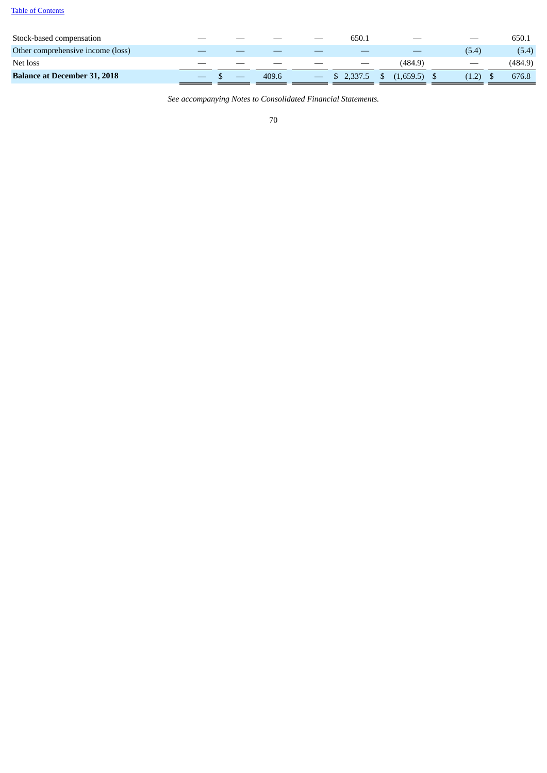| Stock-based compensation            |  |       | 650.1   |              |           |                                 | 650.1   |
|-------------------------------------|--|-------|---------|--------------|-----------|---------------------------------|---------|
| Other comprehensive income (loss)   |  |       |         |              |           | (5.4)                           | (5.4)   |
| Net loss                            |  |       |         |              | (484.9)   | $\hspace{0.1mm}-\hspace{0.1mm}$ | (484.9) |
| <b>Balance at December 31, 2018</b> |  | 409.6 | 2,337.5 | $\mathbf{D}$ | (1,659.5) | (1.2)                           | 676.8   |

*See accompanying Notes to Consolidated Financial Statements.*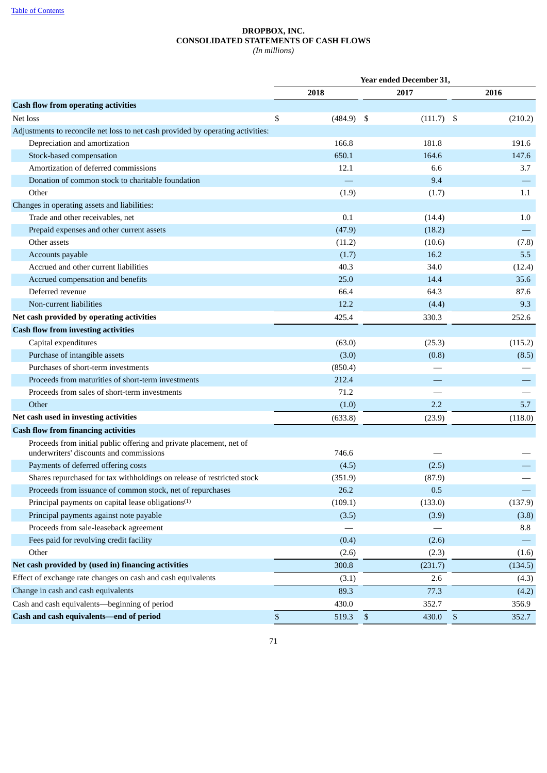# **DROPBOX, INC. CONSOLIDATED STATEMENTS OF CASH FLOWS** *(In millions)*

<span id="page-71-0"></span>

|                                                                                 |              |              | Year ended December 31, |               |
|---------------------------------------------------------------------------------|--------------|--------------|-------------------------|---------------|
|                                                                                 |              | 2018         | 2017                    | 2016          |
| <b>Cash flow from operating activities</b>                                      |              |              |                         |               |
| Net loss                                                                        | \$           | $(484.9)$ \$ | (111.7)                 | \$<br>(210.2) |
| Adjustments to reconcile net loss to net cash provided by operating activities: |              |              |                         |               |
| Depreciation and amortization                                                   |              | 166.8        | 181.8                   | 191.6         |
| Stock-based compensation                                                        |              | 650.1        | 164.6                   | 147.6         |
| Amortization of deferred commissions                                            |              | 12.1         | 6.6                     | 3.7           |
| Donation of common stock to charitable foundation                               |              |              | 9.4                     |               |
| Other                                                                           |              | (1.9)        | (1.7)                   | 1.1           |
| Changes in operating assets and liabilities:                                    |              |              |                         |               |
| Trade and other receivables, net                                                |              | 0.1          | (14.4)                  | 1.0           |
| Prepaid expenses and other current assets                                       |              | (47.9)       | (18.2)                  |               |
| Other assets                                                                    |              | (11.2)       | (10.6)                  | (7.8)         |
| Accounts payable                                                                |              | (1.7)        | 16.2                    | 5.5           |
| Accrued and other current liabilities                                           |              | 40.3         | 34.0                    | (12.4)        |
| Accrued compensation and benefits                                               |              | 25.0         | 14.4                    | 35.6          |
| Deferred revenue                                                                |              | 66.4         | 64.3                    | 87.6          |
| Non-current liabilities                                                         |              | 12.2         | (4.4)                   | 9.3           |
| Net cash provided by operating activities                                       |              | 425.4        | 330.3                   | 252.6         |
| <b>Cash flow from investing activities</b>                                      |              |              |                         |               |
| Capital expenditures                                                            |              | (63.0)       | (25.3)                  | (115.2)       |
| Purchase of intangible assets                                                   |              | (3.0)        | (0.8)                   | (8.5)         |
| Purchases of short-term investments                                             |              | (850.4)      |                         |               |
| Proceeds from maturities of short-term investments                              |              | 212.4        |                         |               |
| Proceeds from sales of short-term investments                                   |              | 71.2         |                         |               |
| Other                                                                           |              | (1.0)        | 2.2                     | 5.7           |
| Net cash used in investing activities                                           |              | (633.8)      | (23.9)                  | (118.0)       |
| <b>Cash flow from financing activities</b>                                      |              |              |                         |               |
| Proceeds from initial public offering and private placement, net of             |              |              |                         |               |
| underwriters' discounts and commissions                                         |              | 746.6        |                         |               |
| Payments of deferred offering costs                                             |              | (4.5)        | (2.5)                   |               |
| Shares repurchased for tax withholdings on release of restricted stock          |              | (351.9)      | (87.9)                  |               |
| Proceeds from issuance of common stock, net of repurchases                      |              | 26.2         | 0.5                     |               |
| Principal payments on capital lease obligations <sup>(1)</sup>                  |              | (109.1)      | (133.0)                 | (137.9)       |
| Principal payments against note payable                                         |              | (3.5)        | (3.9)                   | (3.8)         |
| Proceeds from sale-leaseback agreement                                          |              |              |                         | $\ \, 8.8$    |
| Fees paid for revolving credit facility                                         |              | (0.4)        | (2.6)                   |               |
| Other                                                                           |              | (2.6)        | (2.3)                   | (1.6)         |
| Net cash provided by (used in) financing activities                             |              | 300.8        | (231.7)                 | (134.5)       |
| Effect of exchange rate changes on cash and cash equivalents                    |              | (3.1)        | 2.6                     | (4.3)         |
| Change in cash and cash equivalents                                             |              | 89.3         | 77.3                    | (4.2)         |
| Cash and cash equivalents-beginning of period                                   |              | 430.0        | 352.7                   | 356.9         |
| Cash and cash equivalents-end of period                                         | $\mathbb{S}$ | 519.3        | \$<br>430.0             | \$<br>352.7   |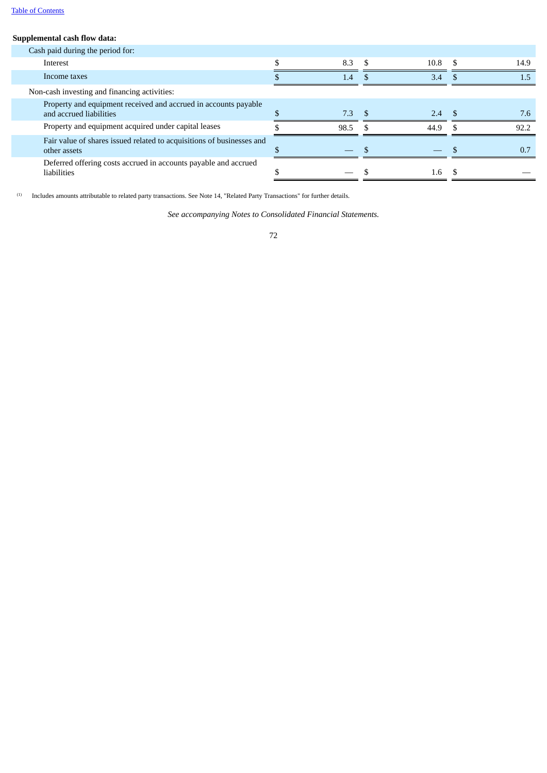## [Table of Contents](#page-2-0)

## **Supplemental cash flow data:**

| Cash paid during the period for:                                                           |      |      |    |      |
|--------------------------------------------------------------------------------------------|------|------|----|------|
| Interest                                                                                   | 8.3  | 10.8 | -S | 14.9 |
| Income taxes                                                                               | 1.4  | 3.4  |    | 1.5  |
| Non-cash investing and financing activities:                                               |      |      |    |      |
| Property and equipment received and accrued in accounts payable<br>and accrued liabilities | 7.3  | 2.4  |    | 7.6  |
| Property and equipment acquired under capital leases                                       | 98.5 | 44.9 |    | 92.2 |
| Fair value of shares issued related to acquisitions of businesses and<br>other assets      |      |      |    | 0.7  |
| Deferred offering costs accrued in accounts payable and accrued<br>liabilities             |      | 1.6  |    |      |

(1) Includes amounts attributable to related party transactions. See Note 14, "Related Party Transactions" for further details.

*See accompanying Notes to Consolidated Financial Statements.*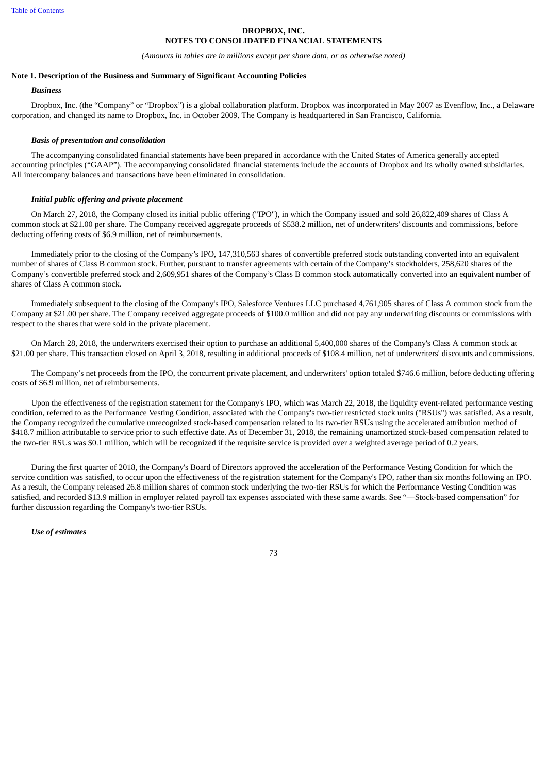*(Amounts in tables are in millions except per share data, or as otherwise noted)*

### **Note 1. Description of the Business and Summary of Significant Accounting Policies**

### *Business*

Dropbox, Inc. (the "Company" or "Dropbox") is a global collaboration platform. Dropbox was incorporated in May 2007 as Evenflow, Inc., a Delaware corporation, and changed its name to Dropbox, Inc. in October 2009. The Company is headquartered in San Francisco, California.

### *Basis of presentation and consolidation*

The accompanying consolidated financial statements have been prepared in accordance with the United States of America generally accepted accounting principles ("GAAP"). The accompanying consolidated financial statements include the accounts of Dropbox and its wholly owned subsidiaries. All intercompany balances and transactions have been eliminated in consolidation.

### *Initial public offering and private placement*

On March 27, 2018, the Company closed its initial public offering ("IPO"), in which the Company issued and sold 26,822,409 shares of Class A common stock at \$21.00 per share. The Company received aggregate proceeds of \$538.2 million, net of underwriters' discounts and commissions, before deducting offering costs of \$6.9 million, net of reimbursements.

Immediately prior to the closing of the Company's IPO, 147,310,563 shares of convertible preferred stock outstanding converted into an equivalent number of shares of Class B common stock. Further, pursuant to transfer agreements with certain of the Company's stockholders, 258,620 shares of the Company's convertible preferred stock and 2,609,951 shares of the Company's Class B common stock automatically converted into an equivalent number of shares of Class A common stock.

Immediately subsequent to the closing of the Company's IPO, Salesforce Ventures LLC purchased 4,761,905 shares of Class A common stock from the Company at \$21.00 per share. The Company received aggregate proceeds of \$100.0 million and did not pay any underwriting discounts or commissions with respect to the shares that were sold in the private placement.

On March 28, 2018, the underwriters exercised their option to purchase an additional 5,400,000 shares of the Company's Class A common stock at \$21.00 per share. This transaction closed on April 3, 2018, resulting in additional proceeds of \$108.4 million, net of underwriters' discounts and commissions.

The Company's net proceeds from the IPO, the concurrent private placement, and underwriters' option totaled \$746.6 million, before deducting offering costs of \$6.9 million, net of reimbursements.

Upon the effectiveness of the registration statement for the Company's IPO, which was March 22, 2018, the liquidity event-related performance vesting condition, referred to as the Performance Vesting Condition, associated with the Company's two-tier restricted stock units ("RSUs") was satisfied. As a result, the Company recognized the cumulative unrecognized stock-based compensation related to its two-tier RSUs using the accelerated attribution method of \$418.7 million attributable to service prior to such effective date. As of December 31, 2018, the remaining unamortized stock-based compensation related to the two-tier RSUs was \$0.1 million, which will be recognized if the requisite service is provided over a weighted average period of 0.2 years.

During the first quarter of 2018, the Company's Board of Directors approved the acceleration of the Performance Vesting Condition for which the service condition was satisfied, to occur upon the effectiveness of the registration statement for the Company's IPO, rather than six months following an IPO. As a result, the Company released 26.8 million shares of common stock underlying the two-tier RSUs for which the Performance Vesting Condition was satisfied, and recorded \$13.9 million in employer related payroll tax expenses associated with these same awards. See "—Stock-based compensation" for further discussion regarding the Company's two-tier RSUs.

*Use of estimates*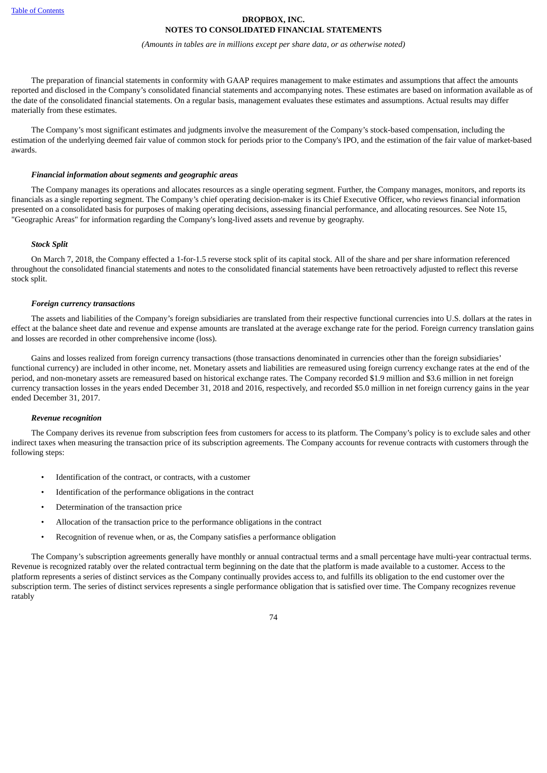*(Amounts in tables are in millions except per share data, or as otherwise noted)*

The preparation of financial statements in conformity with GAAP requires management to make estimates and assumptions that affect the amounts reported and disclosed in the Company's consolidated financial statements and accompanying notes. These estimates are based on information available as of the date of the consolidated financial statements. On a regular basis, management evaluates these estimates and assumptions. Actual results may differ materially from these estimates.

The Company's most significant estimates and judgments involve the measurement of the Company's stock-based compensation, including the estimation of the underlying deemed fair value of common stock for periods prior to the Company's IPO, and the estimation of the fair value of market-based awards.

### *Financial information about segments and geographic areas*

The Company manages its operations and allocates resources as a single operating segment. Further, the Company manages, monitors, and reports its financials as a single reporting segment. The Company's chief operating decision-maker is its Chief Executive Officer, who reviews financial information presented on a consolidated basis for purposes of making operating decisions, assessing financial performance, and allocating resources. See Note 15, "Geographic Areas" for information regarding the Company's long-lived assets and revenue by geography.

#### *Stock Split*

On March 7, 2018, the Company effected a 1-for-1.5 reverse stock split of its capital stock. All of the share and per share information referenced throughout the consolidated financial statements and notes to the consolidated financial statements have been retroactively adjusted to reflect this reverse stock split.

#### *Foreign currency transactions*

The assets and liabilities of the Company's foreign subsidiaries are translated from their respective functional currencies into U.S. dollars at the rates in effect at the balance sheet date and revenue and expense amounts are translated at the average exchange rate for the period. Foreign currency translation gains and losses are recorded in other comprehensive income (loss).

Gains and losses realized from foreign currency transactions (those transactions denominated in currencies other than the foreign subsidiaries' functional currency) are included in other income, net. Monetary assets and liabilities are remeasured using foreign currency exchange rates at the end of the period, and non-monetary assets are remeasured based on historical exchange rates. The Company recorded \$1.9 million and \$3.6 million in net foreign currency transaction losses in the years ended December 31, 2018 and 2016, respectively, and recorded \$5.0 million in net foreign currency gains in the year ended December 31, 2017.

### *Revenue recognition*

The Company derives its revenue from subscription fees from customers for access to its platform. The Company's policy is to exclude sales and other indirect taxes when measuring the transaction price of its subscription agreements. The Company accounts for revenue contracts with customers through the following steps:

- Identification of the contract, or contracts, with a customer
- Identification of the performance obligations in the contract
- Determination of the transaction price
- Allocation of the transaction price to the performance obligations in the contract
- Recognition of revenue when, or as, the Company satisfies a performance obligation

The Company's subscription agreements generally have monthly or annual contractual terms and a small percentage have multi-year contractual terms. Revenue is recognized ratably over the related contractual term beginning on the date that the platform is made available to a customer. Access to the platform represents a series of distinct services as the Company continually provides access to, and fulfills its obligation to the end customer over the subscription term. The series of distinct services represents a single performance obligation that is satisfied over time. The Company recognizes revenue ratably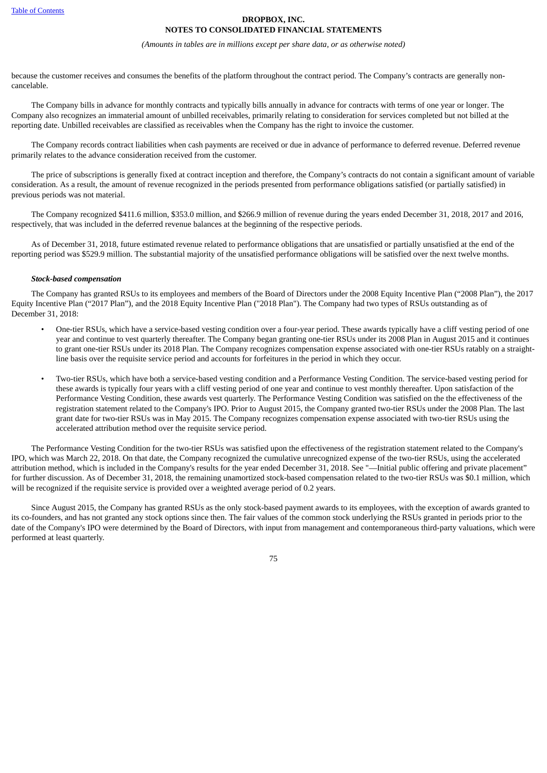*(Amounts in tables are in millions except per share data, or as otherwise noted)*

because the customer receives and consumes the benefits of the platform throughout the contract period. The Company's contracts are generally noncancelable.

The Company bills in advance for monthly contracts and typically bills annually in advance for contracts with terms of one year or longer. The Company also recognizes an immaterial amount of unbilled receivables, primarily relating to consideration for services completed but not billed at the reporting date. Unbilled receivables are classified as receivables when the Company has the right to invoice the customer.

The Company records contract liabilities when cash payments are received or due in advance of performance to deferred revenue. Deferred revenue primarily relates to the advance consideration received from the customer.

The price of subscriptions is generally fixed at contract inception and therefore, the Company's contracts do not contain a significant amount of variable consideration. As a result, the amount of revenue recognized in the periods presented from performance obligations satisfied (or partially satisfied) in previous periods was not material.

The Company recognized \$411.6 million, \$353.0 million, and \$266.9 million of revenue during the years ended December 31, 2018, 2017 and 2016, respectively, that was included in the deferred revenue balances at the beginning of the respective periods.

As of December 31, 2018, future estimated revenue related to performance obligations that are unsatisfied or partially unsatisfied at the end of the reporting period was \$529.9 million. The substantial majority of the unsatisfied performance obligations will be satisfied over the next twelve months.

### *Stock-based compensation*

The Company has granted RSUs to its employees and members of the Board of Directors under the 2008 Equity Incentive Plan ("2008 Plan"), the 2017 Equity Incentive Plan ("2017 Plan"), and the 2018 Equity Incentive Plan ("2018 Plan"). The Company had two types of RSUs outstanding as of December 31, 2018:

- One-tier RSUs, which have a service-based vesting condition over a four-year period. These awards typically have a cliff vesting period of one year and continue to vest quarterly thereafter. The Company began granting one-tier RSUs under its 2008 Plan in August 2015 and it continues to grant one-tier RSUs under its 2018 Plan. The Company recognizes compensation expense associated with one-tier RSUs ratably on a straightline basis over the requisite service period and accounts for forfeitures in the period in which they occur.
- Two-tier RSUs, which have both a service-based vesting condition and a Performance Vesting Condition. The service-based vesting period for these awards is typically four years with a cliff vesting period of one year and continue to vest monthly thereafter. Upon satisfaction of the Performance Vesting Condition, these awards vest quarterly. The Performance Vesting Condition was satisfied on the the effectiveness of the registration statement related to the Company's IPO. Prior to August 2015, the Company granted two-tier RSUs under the 2008 Plan. The last grant date for two-tier RSUs was in May 2015. The Company recognizes compensation expense associated with two-tier RSUs using the accelerated attribution method over the requisite service period.

The Performance Vesting Condition for the two-tier RSUs was satisfied upon the effectiveness of the registration statement related to the Company's IPO, which was March 22, 2018. On that date, the Company recognized the cumulative unrecognized expense of the two-tier RSUs, using the accelerated attribution method, which is included in the Company's results for the year ended December 31, 2018. See "—Initial public offering and private placement" for further discussion. As of December 31, 2018, the remaining unamortized stock-based compensation related to the two-tier RSUs was \$0.1 million, which will be recognized if the requisite service is provided over a weighted average period of 0.2 years.

Since August 2015, the Company has granted RSUs as the only stock-based payment awards to its employees, with the exception of awards granted to its co-founders, and has not granted any stock options since then. The fair values of the common stock underlying the RSUs granted in periods prior to the date of the Company's IPO were determined by the Board of Directors, with input from management and contemporaneous third-party valuations, which were performed at least quarterly.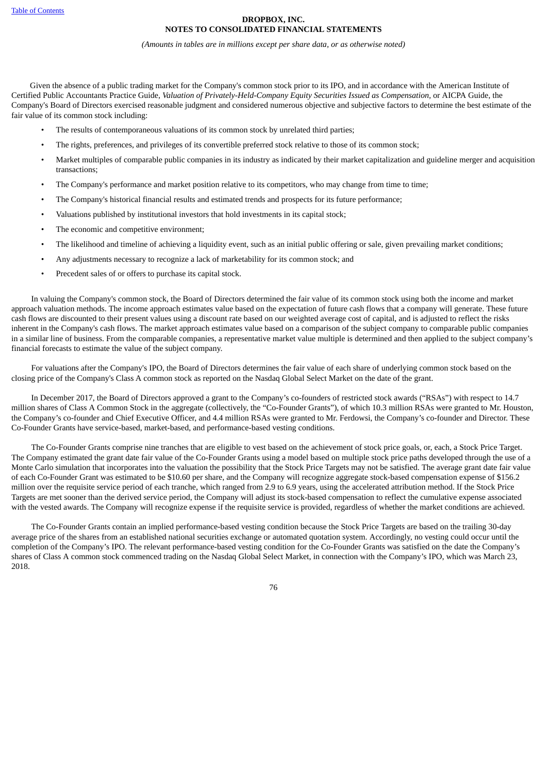*(Amounts in tables are in millions except per share data, or as otherwise noted)*

Given the absence of a public trading market for the Company's common stock prior to its IPO, and in accordance with the American Institute of Certified Public Accountants Practice Guide, *Valuation of Privately-Held-Company Equity Securities Issued as Compensation,* or AICPA Guide, the Company's Board of Directors exercised reasonable judgment and considered numerous objective and subjective factors to determine the best estimate of the fair value of its common stock including:

- The results of contemporaneous valuations of its common stock by unrelated third parties;
- The rights, preferences, and privileges of its convertible preferred stock relative to those of its common stock;
- Market multiples of comparable public companies in its industry as indicated by their market capitalization and guideline merger and acquisition transactions;
- The Company's performance and market position relative to its competitors, who may change from time to time;
- The Company's historical financial results and estimated trends and prospects for its future performance;
- Valuations published by institutional investors that hold investments in its capital stock;
- The economic and competitive environment;
- The likelihood and timeline of achieving a liquidity event, such as an initial public offering or sale, given prevailing market conditions;
- Any adjustments necessary to recognize a lack of marketability for its common stock; and
- Precedent sales of or offers to purchase its capital stock.

In valuing the Company's common stock, the Board of Directors determined the fair value of its common stock using both the income and market approach valuation methods. The income approach estimates value based on the expectation of future cash flows that a company will generate. These future cash flows are discounted to their present values using a discount rate based on our weighted average cost of capital, and is adjusted to reflect the risks inherent in the Company's cash flows. The market approach estimates value based on a comparison of the subject company to comparable public companies in a similar line of business. From the comparable companies, a representative market value multiple is determined and then applied to the subject company's financial forecasts to estimate the value of the subject company.

For valuations after the Company's IPO, the Board of Directors determines the fair value of each share of underlying common stock based on the closing price of the Company's Class A common stock as reported on the Nasdaq Global Select Market on the date of the grant.

In December 2017, the Board of Directors approved a grant to the Company's co-founders of restricted stock awards ("RSAs") with respect to 14.7 million shares of Class A Common Stock in the aggregate (collectively, the "Co-Founder Grants"), of which 10.3 million RSAs were granted to Mr. Houston, the Company's co-founder and Chief Executive Officer, and 4.4 million RSAs were granted to Mr. Ferdowsi, the Company's co-founder and Director. These Co-Founder Grants have service-based, market-based, and performance-based vesting conditions.

The Co-Founder Grants comprise nine tranches that are eligible to vest based on the achievement of stock price goals, or, each, a Stock Price Target. The Company estimated the grant date fair value of the Co-Founder Grants using a model based on multiple stock price paths developed through the use of a Monte Carlo simulation that incorporates into the valuation the possibility that the Stock Price Targets may not be satisfied. The average grant date fair value of each Co-Founder Grant was estimated to be \$10.60 per share, and the Company will recognize aggregate stock-based compensation expense of \$156.2 million over the requisite service period of each tranche, which ranged from 2.9 to 6.9 years, using the accelerated attribution method. If the Stock Price Targets are met sooner than the derived service period, the Company will adjust its stock-based compensation to reflect the cumulative expense associated with the vested awards. The Company will recognize expense if the requisite service is provided, regardless of whether the market conditions are achieved.

The Co-Founder Grants contain an implied performance-based vesting condition because the Stock Price Targets are based on the trailing 30-day average price of the shares from an established national securities exchange or automated quotation system. Accordingly, no vesting could occur until the completion of the Company's IPO. The relevant performance-based vesting condition for the Co-Founder Grants was satisfied on the date the Company's shares of Class A common stock commenced trading on the Nasdaq Global Select Market, in connection with the Company's IPO, which was March 23, 2018.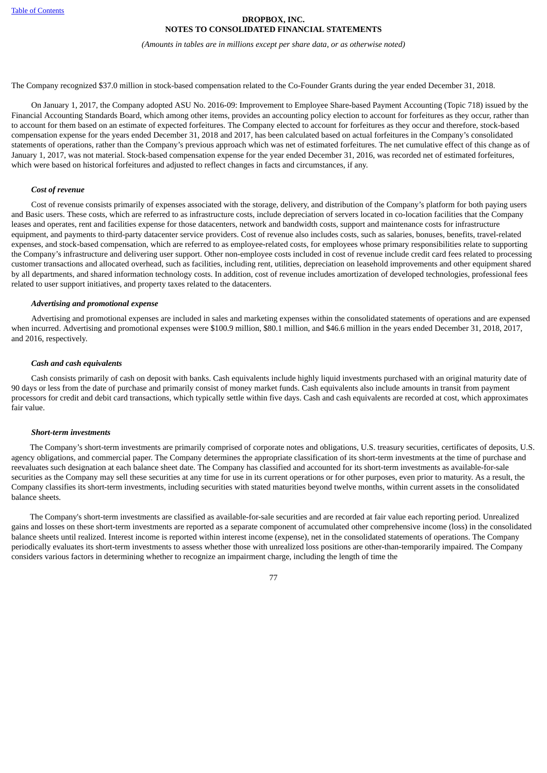*(Amounts in tables are in millions except per share data, or as otherwise noted)*

The Company recognized \$37.0 million in stock-based compensation related to the Co-Founder Grants during the year ended December 31, 2018.

On January 1, 2017, the Company adopted ASU No. 2016-09: Improvement to Employee Share-based Payment Accounting (Topic 718) issued by the Financial Accounting Standards Board, which among other items, provides an accounting policy election to account for forfeitures as they occur, rather than to account for them based on an estimate of expected forfeitures. The Company elected to account for forfeitures as they occur and therefore, stock-based compensation expense for the years ended December 31, 2018 and 2017, has been calculated based on actual forfeitures in the Company's consolidated statements of operations, rather than the Company's previous approach which was net of estimated forfeitures. The net cumulative effect of this change as of January 1, 2017, was not material. Stock-based compensation expense for the year ended December 31, 2016, was recorded net of estimated forfeitures, which were based on historical forfeitures and adjusted to reflect changes in facts and circumstances, if any.

#### *Cost of revenue*

Cost of revenue consists primarily of expenses associated with the storage, delivery, and distribution of the Company's platform for both paying users and Basic users. These costs, which are referred to as infrastructure costs, include depreciation of servers located in co-location facilities that the Company leases and operates, rent and facilities expense for those datacenters, network and bandwidth costs, support and maintenance costs for infrastructure equipment, and payments to third-party datacenter service providers. Cost of revenue also includes costs, such as salaries, bonuses, benefits, travel-related expenses, and stock-based compensation, which are referred to as employee-related costs, for employees whose primary responsibilities relate to supporting the Company's infrastructure and delivering user support. Other non-employee costs included in cost of revenue include credit card fees related to processing customer transactions and allocated overhead, such as facilities, including rent, utilities, depreciation on leasehold improvements and other equipment shared by all departments, and shared information technology costs. In addition, cost of revenue includes amortization of developed technologies, professional fees related to user support initiatives, and property taxes related to the datacenters.

#### *Advertising and promotional expense*

Advertising and promotional expenses are included in sales and marketing expenses within the consolidated statements of operations and are expensed when incurred. Advertising and promotional expenses were \$100.9 million, \$80.1 million, and \$46.6 million in the years ended December 31, 2018, 2017, and 2016, respectively.

#### *Cash and cash equivalents*

Cash consists primarily of cash on deposit with banks. Cash equivalents include highly liquid investments purchased with an original maturity date of 90 days or less from the date of purchase and primarily consist of money market funds. Cash equivalents also include amounts in transit from payment processors for credit and debit card transactions, which typically settle within five days. Cash and cash equivalents are recorded at cost, which approximates fair value.

#### *Short-term investments*

The Company's short-term investments are primarily comprised of corporate notes and obligations, U.S. treasury securities, certificates of deposits, U.S. agency obligations, and commercial paper. The Company determines the appropriate classification of its short-term investments at the time of purchase and reevaluates such designation at each balance sheet date. The Company has classified and accounted for its short-term investments as available-for-sale securities as the Company may sell these securities at any time for use in its current operations or for other purposes, even prior to maturity. As a result, the Company classifies its short-term investments, including securities with stated maturities beyond twelve months, within current assets in the consolidated balance sheets.

The Company's short-term investments are classified as available-for-sale securities and are recorded at fair value each reporting period. Unrealized gains and losses on these short-term investments are reported as a separate component of accumulated other comprehensive income (loss) in the consolidated balance sheets until realized. Interest income is reported within interest income (expense), net in the consolidated statements of operations. The Company periodically evaluates its short-term investments to assess whether those with unrealized loss positions are other-than-temporarily impaired. The Company considers various factors in determining whether to recognize an impairment charge, including the length of time the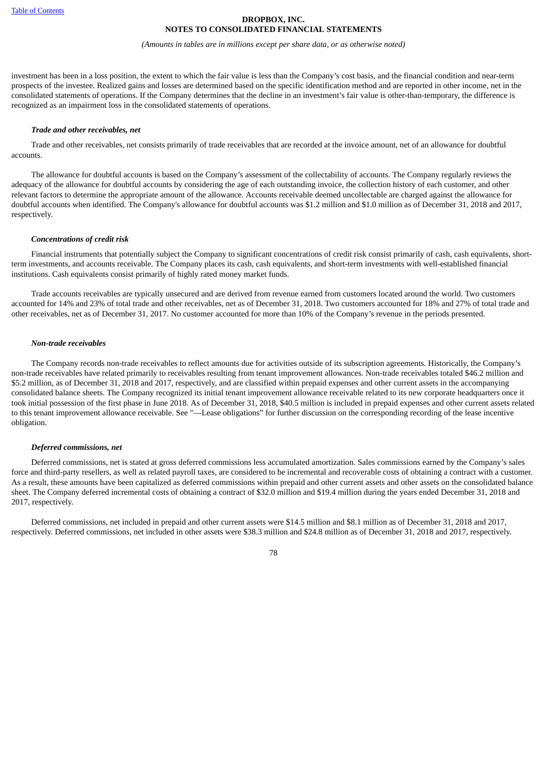*(Amounts in tables are in millions except per share data, or as otherwise noted)*

investment has been in a loss position, the extent to which the fair value is less than the Company's cost basis, and the financial condition and near-term prospects of the investee. Realized gains and losses are determined based on the specific identification method and are reported in other income, net in the consolidated statements of operations. If the Company determines that the decline in an investment's fair value is other-than-temporary, the difference is recognized as an impairment loss in the consolidated statements of operations.

#### *Trade and other receivables, net*

Trade and other receivables, net consists primarily of trade receivables that are recorded at the invoice amount, net of an allowance for doubtful accounts.

The allowance for doubtful accounts is based on the Company's assessment of the collectability of accounts. The Company regularly reviews the adequacy of the allowance for doubtful accounts by considering the age of each outstanding invoice, the collection history of each customer, and other relevant factors to determine the appropriate amount of the allowance. Accounts receivable deemed uncollectable are charged against the allowance for doubtful accounts when identified. The Company's allowance for doubtful accounts was \$1.2 million and \$1.0 million as of December 31, 2018 and 2017, respectively.

#### *Concentrations of credit risk*

Financial instruments that potentially subject the Company to significant concentrations of credit risk consist primarily of cash, cash equivalents, shortterm investments, and accounts receivable. The Company places its cash, cash equivalents, and short-term investments with well-established financial institutions. Cash equivalents consist primarily of highly rated money market funds.

Trade accounts receivables are typically unsecured and are derived from revenue earned from customers located around the world. Two customers accounted for 14% and 23% of total trade and other receivables, net as of December 31, 2018. Two customers accounted for 18% and 27% of total trade and other receivables, net as of December 31, 2017. No customer accounted for more than 10% of the Company's revenue in the periods presented.

#### *Non-trade receivables*

The Company records non-trade receivables to reflect amounts due for activities outside of its subscription agreements. Historically, the Company's non-trade receivables have related primarily to receivables resulting from tenant improvement allowances. Non-trade receivables totaled \$46.2 million and \$5.2 million, as of December 31, 2018 and 2017, respectively, and are classified within prepaid expenses and other current assets in the accompanying consolidated balance sheets. The Company recognized its initial tenant improvement allowance receivable related to its new corporate headquarters once it took initial possession of the first phase in June 2018. As of December 31, 2018, \$40.5 million is included in prepaid expenses and other current assets related to this tenant improvement allowance receivable. See "—Lease obligations" for further discussion on the corresponding recording of the lease incentive obligation.

#### *Deferred commissions, net*

Deferred commissions, net is stated at gross deferred commissions less accumulated amortization. Sales commissions earned by the Company's sales force and third-party resellers, as well as related payroll taxes, are considered to be incremental and recoverable costs of obtaining a contract with a customer. As a result, these amounts have been capitalized as deferred commissions within prepaid and other current assets and other assets on the consolidated balance sheet. The Company deferred incremental costs of obtaining a contract of \$32.0 million and \$19.4 million during the years ended December 31, 2018 and 2017, respectively.

Deferred commissions, net included in prepaid and other current assets were \$14.5 million and \$8.1 million as of December 31, 2018 and 2017, respectively. Deferred commissions, net included in other assets were \$38.3 million and \$24.8 million as of December 31, 2018 and 2017, respectively.

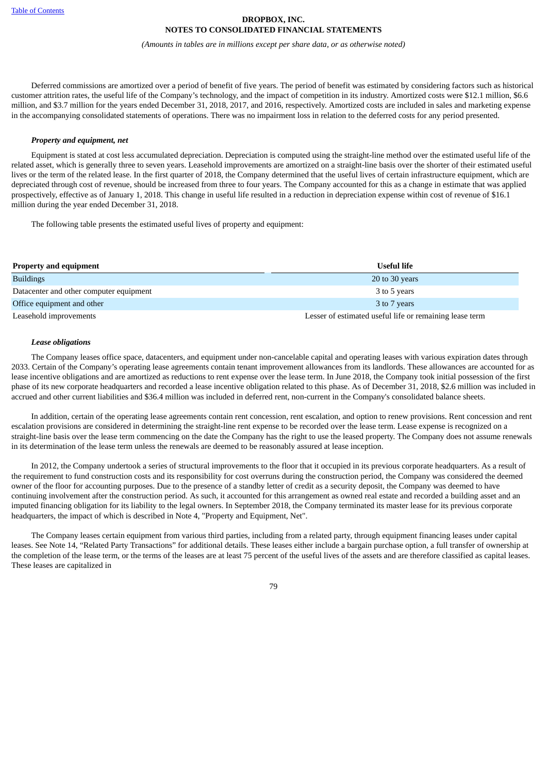## *(Amounts in tables are in millions except per share data, or as otherwise noted)*

Deferred commissions are amortized over a period of benefit of five years. The period of benefit was estimated by considering factors such as historical customer attrition rates, the useful life of the Company's technology, and the impact of competition in its industry. Amortized costs were \$12.1 million, \$6.6 million, and \$3.7 million for the years ended December 31, 2018, 2017, and 2016, respectively. Amortized costs are included in sales and marketing expense in the accompanying consolidated statements of operations. There was no impairment loss in relation to the deferred costs for any period presented.

#### *Property and equipment, net*

Equipment is stated at cost less accumulated depreciation. Depreciation is computed using the straight-line method over the estimated useful life of the related asset, which is generally three to seven years. Leasehold improvements are amortized on a straight-line basis over the shorter of their estimated useful lives or the term of the related lease. In the first quarter of 2018, the Company determined that the useful lives of certain infrastructure equipment, which are depreciated through cost of revenue, should be increased from three to four years. The Company accounted for this as a change in estimate that was applied prospectively, effective as of January 1, 2018. This change in useful life resulted in a reduction in depreciation expense within cost of revenue of \$16.1 million during the year ended December 31, 2018.

The following table presents the estimated useful lives of property and equipment:

| <b>Property and equipment</b>           | <b>Useful life</b>                                      |
|-----------------------------------------|---------------------------------------------------------|
| <b>Buildings</b>                        | 20 to 30 years                                          |
| Datacenter and other computer equipment | 3 to 5 years                                            |
| Office equipment and other              | 3 to 7 years                                            |
| Leasehold improvements                  | Lesser of estimated useful life or remaining lease term |

#### *Lease obligations*

The Company leases office space, datacenters, and equipment under non-cancelable capital and operating leases with various expiration dates through 2033. Certain of the Company's operating lease agreements contain tenant improvement allowances from its landlords. These allowances are accounted for as lease incentive obligations and are amortized as reductions to rent expense over the lease term. In June 2018, the Company took initial possession of the first phase of its new corporate headquarters and recorded a lease incentive obligation related to this phase. As of December 31, 2018, \$2.6 million was included in accrued and other current liabilities and \$36.4 million was included in deferred rent, non-current in the Company's consolidated balance sheets.

In addition, certain of the operating lease agreements contain rent concession, rent escalation, and option to renew provisions. Rent concession and rent escalation provisions are considered in determining the straight-line rent expense to be recorded over the lease term. Lease expense is recognized on a straight-line basis over the lease term commencing on the date the Company has the right to use the leased property. The Company does not assume renewals in its determination of the lease term unless the renewals are deemed to be reasonably assured at lease inception.

In 2012, the Company undertook a series of structural improvements to the floor that it occupied in its previous corporate headquarters. As a result of the requirement to fund construction costs and its responsibility for cost overruns during the construction period, the Company was considered the deemed owner of the floor for accounting purposes. Due to the presence of a standby letter of credit as a security deposit, the Company was deemed to have continuing involvement after the construction period. As such, it accounted for this arrangement as owned real estate and recorded a building asset and an imputed financing obligation for its liability to the legal owners. In September 2018, the Company terminated its master lease for its previous corporate headquarters, the impact of which is described in Note 4, "Property and Equipment, Net".

The Company leases certain equipment from various third parties, including from a related party, through equipment financing leases under capital leases. See Note 14, "Related Party Transactions" for additional details. These leases either include a bargain purchase option, a full transfer of ownership at the completion of the lease term, or the terms of the leases are at least 75 percent of the useful lives of the assets and are therefore classified as capital leases. These leases are capitalized in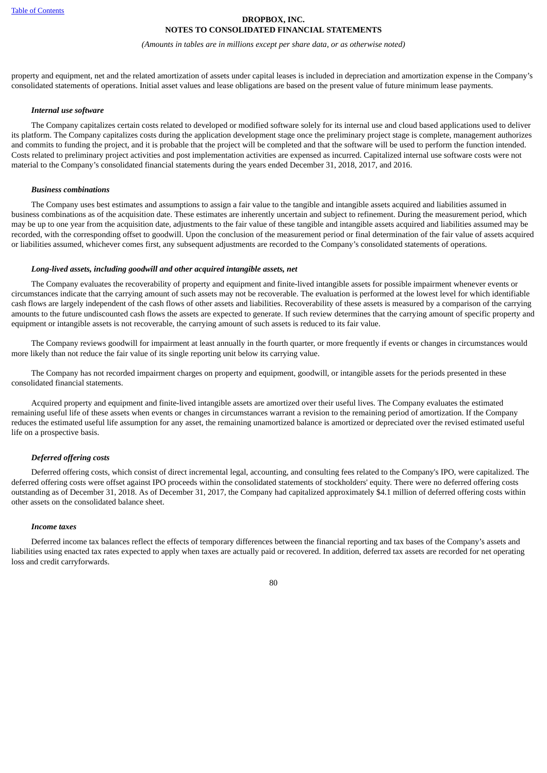## *(Amounts in tables are in millions except per share data, or as otherwise noted)*

property and equipment, net and the related amortization of assets under capital leases is included in depreciation and amortization expense in the Company's consolidated statements of operations. Initial asset values and lease obligations are based on the present value of future minimum lease payments.

#### *Internal use software*

The Company capitalizes certain costs related to developed or modified software solely for its internal use and cloud based applications used to deliver its platform. The Company capitalizes costs during the application development stage once the preliminary project stage is complete, management authorizes and commits to funding the project, and it is probable that the project will be completed and that the software will be used to perform the function intended. Costs related to preliminary project activities and post implementation activities are expensed as incurred. Capitalized internal use software costs were not material to the Company's consolidated financial statements during the years ended December 31, 2018, 2017, and 2016.

#### *Business combinations*

The Company uses best estimates and assumptions to assign a fair value to the tangible and intangible assets acquired and liabilities assumed in business combinations as of the acquisition date. These estimates are inherently uncertain and subject to refinement. During the measurement period, which may be up to one year from the acquisition date, adjustments to the fair value of these tangible and intangible assets acquired and liabilities assumed may be recorded, with the corresponding offset to goodwill. Upon the conclusion of the measurement period or final determination of the fair value of assets acquired or liabilities assumed, whichever comes first, any subsequent adjustments are recorded to the Company's consolidated statements of operations.

#### *Long-lived assets, including goodwill and other acquired intangible assets, net*

The Company evaluates the recoverability of property and equipment and finite-lived intangible assets for possible impairment whenever events or circumstances indicate that the carrying amount of such assets may not be recoverable. The evaluation is performed at the lowest level for which identifiable cash flows are largely independent of the cash flows of other assets and liabilities. Recoverability of these assets is measured by a comparison of the carrying amounts to the future undiscounted cash flows the assets are expected to generate. If such review determines that the carrying amount of specific property and equipment or intangible assets is not recoverable, the carrying amount of such assets is reduced to its fair value.

The Company reviews goodwill for impairment at least annually in the fourth quarter, or more frequently if events or changes in circumstances would more likely than not reduce the fair value of its single reporting unit below its carrying value.

The Company has not recorded impairment charges on property and equipment, goodwill, or intangible assets for the periods presented in these consolidated financial statements.

Acquired property and equipment and finite-lived intangible assets are amortized over their useful lives. The Company evaluates the estimated remaining useful life of these assets when events or changes in circumstances warrant a revision to the remaining period of amortization. If the Company reduces the estimated useful life assumption for any asset, the remaining unamortized balance is amortized or depreciated over the revised estimated useful life on a prospective basis.

#### *Deferred offering costs*

Deferred offering costs, which consist of direct incremental legal, accounting, and consulting fees related to the Company's IPO, were capitalized. The deferred offering costs were offset against IPO proceeds within the consolidated statements of stockholders' equity. There were no deferred offering costs outstanding as of December 31, 2018. As of December 31, 2017, the Company had capitalized approximately \$4.1 million of deferred offering costs within other assets on the consolidated balance sheet.

#### *Income taxes*

Deferred income tax balances reflect the effects of temporary differences between the financial reporting and tax bases of the Company's assets and liabilities using enacted tax rates expected to apply when taxes are actually paid or recovered. In addition, deferred tax assets are recorded for net operating loss and credit carryforwards.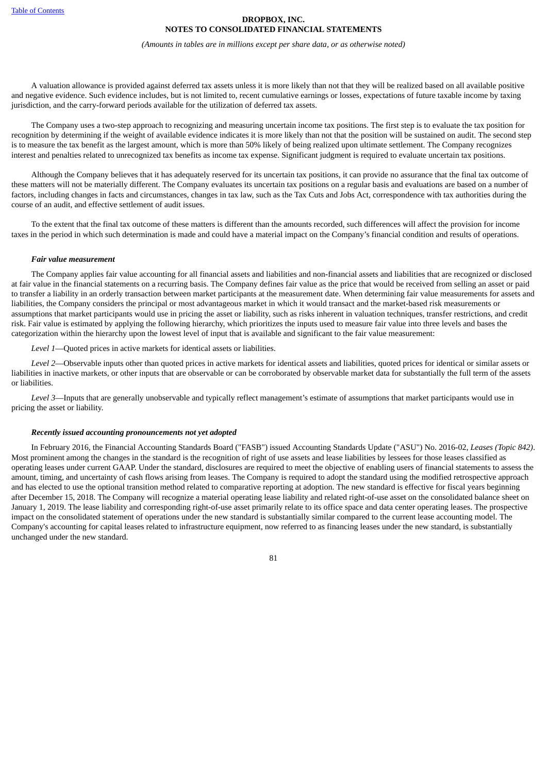#### *(Amounts in tables are in millions except per share data, or as otherwise noted)*

A valuation allowance is provided against deferred tax assets unless it is more likely than not that they will be realized based on all available positive and negative evidence. Such evidence includes, but is not limited to, recent cumulative earnings or losses, expectations of future taxable income by taxing jurisdiction, and the carry-forward periods available for the utilization of deferred tax assets.

The Company uses a two-step approach to recognizing and measuring uncertain income tax positions. The first step is to evaluate the tax position for recognition by determining if the weight of available evidence indicates it is more likely than not that the position will be sustained on audit. The second step is to measure the tax benefit as the largest amount, which is more than 50% likely of being realized upon ultimate settlement. The Company recognizes interest and penalties related to unrecognized tax benefits as income tax expense. Significant judgment is required to evaluate uncertain tax positions.

Although the Company believes that it has adequately reserved for its uncertain tax positions, it can provide no assurance that the final tax outcome of these matters will not be materially different. The Company evaluates its uncertain tax positions on a regular basis and evaluations are based on a number of factors, including changes in facts and circumstances, changes in tax law, such as the Tax Cuts and Jobs Act, correspondence with tax authorities during the course of an audit, and effective settlement of audit issues.

To the extent that the final tax outcome of these matters is different than the amounts recorded, such differences will affect the provision for income taxes in the period in which such determination is made and could have a material impact on the Company's financial condition and results of operations.

#### *Fair value measurement*

The Company applies fair value accounting for all financial assets and liabilities and non-financial assets and liabilities that are recognized or disclosed at fair value in the financial statements on a recurring basis. The Company defines fair value as the price that would be received from selling an asset or paid to transfer a liability in an orderly transaction between market participants at the measurement date. When determining fair value measurements for assets and liabilities, the Company considers the principal or most advantageous market in which it would transact and the market-based risk measurements or assumptions that market participants would use in pricing the asset or liability, such as risks inherent in valuation techniques, transfer restrictions, and credit risk. Fair value is estimated by applying the following hierarchy, which prioritizes the inputs used to measure fair value into three levels and bases the categorization within the hierarchy upon the lowest level of input that is available and significant to the fair value measurement:

*Level 1*—Quoted prices in active markets for identical assets or liabilities.

*Level 2*—Observable inputs other than quoted prices in active markets for identical assets and liabilities, quoted prices for identical or similar assets or liabilities in inactive markets, or other inputs that are observable or can be corroborated by observable market data for substantially the full term of the assets or liabilities.

*Level 3*—Inputs that are generally unobservable and typically reflect management's estimate of assumptions that market participants would use in pricing the asset or liability.

#### *Recently issued accounting pronouncements not yet adopted*

In February 2016, the Financial Accounting Standards Board ("FASB") issued Accounting Standards Update ("ASU") No. 2016-02, *Leases (Topic 842)*. Most prominent among the changes in the standard is the recognition of right of use assets and lease liabilities by lessees for those leases classified as operating leases under current GAAP. Under the standard, disclosures are required to meet the objective of enabling users of financial statements to assess the amount, timing, and uncertainty of cash flows arising from leases. The Company is required to adopt the standard using the modified retrospective approach and has elected to use the optional transition method related to comparative reporting at adoption. The new standard is effective for fiscal years beginning after December 15, 2018. The Company will recognize a material operating lease liability and related right-of-use asset on the consolidated balance sheet on January 1, 2019. The lease liability and corresponding right-of-use asset primarily relate to its office space and data center operating leases. The prospective impact on the consolidated statement of operations under the new standard is substantially similar compared to the current lease accounting model. The Company's accounting for capital leases related to infrastructure equipment, now referred to as financing leases under the new standard, is substantially unchanged under the new standard.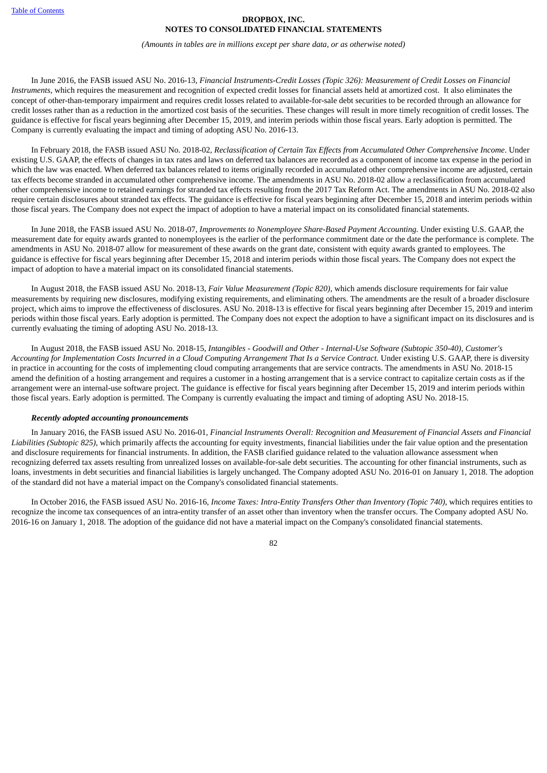*(Amounts in tables are in millions except per share data, or as otherwise noted)*

In June 2016, the FASB issued ASU No. 2016-13, *Financial Instruments-Credit Losses (Topic 326): Measurement of Credit Losses on Financial Instruments*, which requires the measurement and recognition of expected credit losses for financial assets held at amortized cost. It also eliminates the concept of other-than-temporary impairment and requires credit losses related to available-for-sale debt securities to be recorded through an allowance for credit losses rather than as a reduction in the amortized cost basis of the securities. These changes will result in more timely recognition of credit losses. The guidance is effective for fiscal years beginning after December 15, 2019, and interim periods within those fiscal years. Early adoption is permitted. The Company is currently evaluating the impact and timing of adopting ASU No. 2016-13.

In February 2018, the FASB issued ASU No. 2018-02, *Reclassification of Certain Tax Effects from Accumulated Other Comprehensive Income*. Under existing U.S. GAAP, the effects of changes in tax rates and laws on deferred tax balances are recorded as a component of income tax expense in the period in which the law was enacted. When deferred tax balances related to items originally recorded in accumulated other comprehensive income are adjusted, certain tax effects become stranded in accumulated other comprehensive income. The amendments in ASU No. 2018-02 allow a reclassification from accumulated other comprehensive income to retained earnings for stranded tax effects resulting from the 2017 Tax Reform Act. The amendments in ASU No. 2018-02 also require certain disclosures about stranded tax effects. The guidance is effective for fiscal years beginning after December 15, 2018 and interim periods within those fiscal years. The Company does not expect the impact of adoption to have a material impact on its consolidated financial statements.

In June 2018, the FASB issued ASU No. 2018-07, *Improvements to Nonemployee Share-Based Payment Accounting.* Under existing U.S. GAAP, the measurement date for equity awards granted to nonemployees is the earlier of the performance commitment date or the date the performance is complete. The amendments in ASU No. 2018-07 allow for measurement of these awards on the grant date, consistent with equity awards granted to employees. The guidance is effective for fiscal years beginning after December 15, 2018 and interim periods within those fiscal years. The Company does not expect the impact of adoption to have a material impact on its consolidated financial statements.

In August 2018, the FASB issued ASU No. 2018-13, *Fair Value Measurement (Topic 820),* which amends disclosure requirements for fair value measurements by requiring new disclosures, modifying existing requirements, and eliminating others. The amendments are the result of a broader disclosure project, which aims to improve the effectiveness of disclosures. ASU No. 2018-13 is effective for fiscal years beginning after December 15, 2019 and interim periods within those fiscal years. Early adoption is permitted. The Company does not expect the adoption to have a significant impact on its disclosures and is currently evaluating the timing of adopting ASU No. 2018-13.

In August 2018, the FASB issued ASU No. 2018-15, *Intangibles - Goodwill and Other - Internal-Use Software (Subtopic 350-40), Customer's* Accounting for Implementation Costs Incurred in a Cloud Computing Arrangement That Is a Service Contract. Under existing U.S. GAAP, there is diversity in practice in accounting for the costs of implementing cloud computing arrangements that are service contracts. The amendments in ASU No. 2018-15 amend the definition of a hosting arrangement and requires a customer in a hosting arrangement that is a service contract to capitalize certain costs as if the arrangement were an internal-use software project. The guidance is effective for fiscal years beginning after December 15, 2019 and interim periods within those fiscal years. Early adoption is permitted. The Company is currently evaluating the impact and timing of adopting ASU No. 2018-15.

#### *Recently adopted accounting pronouncements*

In January 2016, the FASB issued ASU No. 2016-01, *Financial Instruments Overall: Recognition and Measurement of Financial Assets and Financial Liabilities (Subtopic 825)*, which primarily affects the accounting for equity investments, financial liabilities under the fair value option and the presentation and disclosure requirements for financial instruments. In addition, the FASB clarified guidance related to the valuation allowance assessment when recognizing deferred tax assets resulting from unrealized losses on available-for-sale debt securities. The accounting for other financial instruments, such as loans, investments in debt securities and financial liabilities is largely unchanged. The Company adopted ASU No. 2016-01 on January 1, 2018. The adoption of the standard did not have a material impact on the Company's consolidated financial statements.

In October 2016, the FASB issued ASU No. 2016-16, *Income Taxes: Intra-Entity Transfers Other than Inventory (Topic 740)*, which requires entities to recognize the income tax consequences of an intra-entity transfer of an asset other than inventory when the transfer occurs. The Company adopted ASU No. 2016-16 on January 1, 2018. The adoption of the guidance did not have a material impact on the Company's consolidated financial statements.

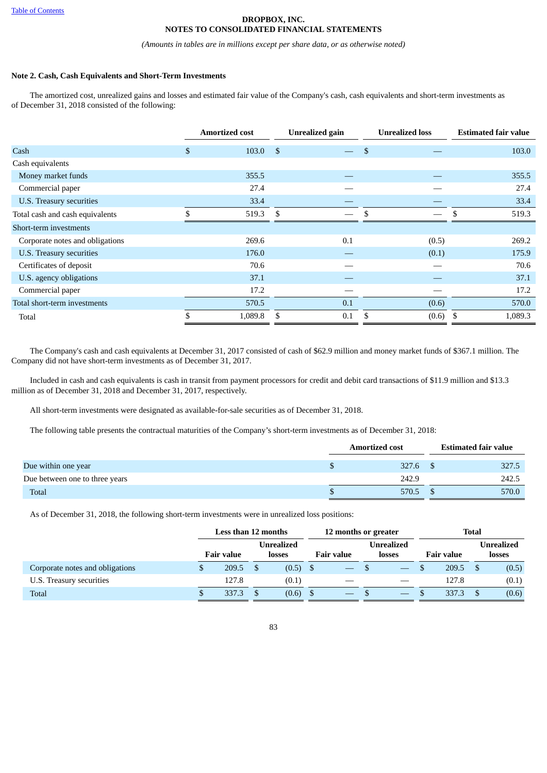*(Amounts in tables are in millions except per share data, or as otherwise noted)*

## **Note 2. Cash, Cash Equivalents and Short-Term Investments**

The amortized cost, unrealized gains and losses and estimated fair value of the Company's cash, cash equivalents and short-term investments as of December 31, 2018 consisted of the following:

|                                 | <b>Amortized cost</b> | <b>Unrealized gain</b> |     | <b>Unrealized loss</b> | <b>Estimated fair value</b> |
|---------------------------------|-----------------------|------------------------|-----|------------------------|-----------------------------|
| Cash                            | \$<br>103.0           | \$                     |     | \$                     | 103.0                       |
| Cash equivalents                |                       |                        |     |                        |                             |
| Money market funds              | 355.5                 |                        |     |                        | 355.5                       |
| Commercial paper                | 27.4                  |                        |     |                        | 27.4                        |
| U.S. Treasury securities        | 33.4                  |                        |     |                        | 33.4                        |
| Total cash and cash equivalents | 519.3                 | \$.                    |     |                        | 519.3                       |
| Short-term investments          |                       |                        |     |                        |                             |
| Corporate notes and obligations | 269.6                 |                        | 0.1 | (0.5)                  | 269.2                       |
| U.S. Treasury securities        | 176.0                 |                        |     | (0.1)                  | 175.9                       |
| Certificates of deposit         | 70.6                  |                        |     |                        | 70.6                        |
| U.S. agency obligations         | 37.1                  |                        |     |                        | 37.1                        |
| Commercial paper                | 17.2                  |                        |     |                        | 17.2                        |
| Total short-term investments    | 570.5                 |                        | 0.1 | (0.6)                  | 570.0                       |
| Total                           | \$<br>1,089.8         | \$                     | 0.1 | (0.6)                  | 1,089.3<br>-S               |

The Company's cash and cash equivalents at December 31, 2017 consisted of cash of \$62.9 million and money market funds of \$367.1 million. The Company did not have short-term investments as of December 31, 2017.

Included in cash and cash equivalents is cash in transit from payment processors for credit and debit card transactions of \$11.9 million and \$13.3 million as of December 31, 2018 and December 31, 2017, respectively.

All short-term investments were designated as available-for-sale securities as of December 31, 2018.

The following table presents the contractual maturities of the Company's short-term investments as of December 31, 2018:

|                                | <b>Amortized cost</b> | <b>Estimated fair value</b> |
|--------------------------------|-----------------------|-----------------------------|
| Due within one year            | 327.6                 | 327.5                       |
| Due between one to three years | 242.9                 | 242.5                       |
| <b>Total</b>                   | 570.5                 | 570.0                       |

As of December 31, 2018, the following short-term investments were in unrealized loss positions:

|                                 | Less than 12 months |       |                      | 12 months or greater |            |  |                      | <b>Total</b>             |                   |       |                      |       |
|---------------------------------|---------------------|-------|----------------------|----------------------|------------|--|----------------------|--------------------------|-------------------|-------|----------------------|-------|
|                                 | <b>Fair value</b>   |       | Unrealized<br>losses |                      | Fair value |  | Unrealized<br>losses |                          | <b>Fair value</b> |       | Unrealized<br>losses |       |
| Corporate notes and obligations |                     | 209.5 |                      | (0.5)                |            |  |                      | $\overline{\phantom{0}}$ |                   | 209.5 |                      | (0.5) |
| U.S. Treasury securities        |                     | 127.8 |                      | (0.1)                |            |  |                      |                          |                   | 127.8 |                      | (0.1) |
| <b>Total</b>                    |                     | 337.3 |                      | (0.6)                |            |  |                      |                          |                   | 337.3 |                      | (0.6) |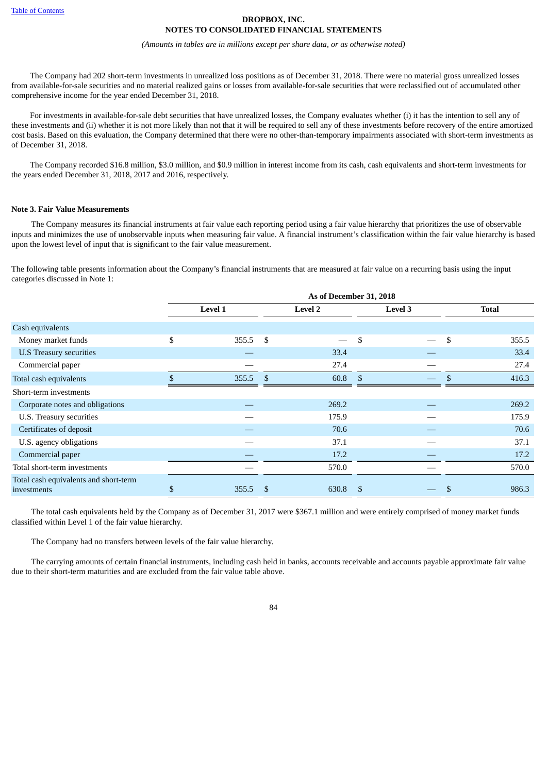*(Amounts in tables are in millions except per share data, or as otherwise noted)*

The Company had 202 short-term investments in unrealized loss positions as of December 31, 2018. There were no material gross unrealized losses from available-for-sale securities and no material realized gains or losses from available-for-sale securities that were reclassified out of accumulated other comprehensive income for the year ended December 31, 2018.

For investments in available-for-sale debt securities that have unrealized losses, the Company evaluates whether (i) it has the intention to sell any of these investments and (ii) whether it is not more likely than not that it will be required to sell any of these investments before recovery of the entire amortized cost basis. Based on this evaluation, the Company determined that there were no other-than-temporary impairments associated with short-term investments as of December 31, 2018.

The Company recorded \$16.8 million, \$3.0 million, and \$0.9 million in interest income from its cash, cash equivalents and short-term investments for the years ended December 31, 2018, 2017 and 2016, respectively.

### **Note 3. Fair Value Measurements**

The Company measures its financial instruments at fair value each reporting period using a fair value hierarchy that prioritizes the use of observable inputs and minimizes the use of unobservable inputs when measuring fair value. A financial instrument's classification within the fair value hierarchy is based upon the lowest level of input that is significant to the fair value measurement.

The following table presents information about the Company's financial instruments that are measured at fair value on a recurring basis using the input categories discussed in Note 1:

|                                                      | As of December 31, 2018 |                  |                |              |  |  |  |  |
|------------------------------------------------------|-------------------------|------------------|----------------|--------------|--|--|--|--|
|                                                      | Level 1                 | <b>Level 2</b>   | <b>Level 3</b> | <b>Total</b> |  |  |  |  |
| Cash equivalents                                     |                         |                  |                |              |  |  |  |  |
| Money market funds                                   | \$<br>355.5             | \$               | \$             | \$<br>355.5  |  |  |  |  |
| <b>U.S Treasury securities</b>                       |                         | 33.4             |                | 33.4         |  |  |  |  |
| Commercial paper                                     |                         | 27.4             |                | 27.4         |  |  |  |  |
| Total cash equivalents                               | 355.5                   | $60.8$ \$<br>-\$ |                | 416.3        |  |  |  |  |
| Short-term investments                               |                         |                  |                |              |  |  |  |  |
| Corporate notes and obligations                      |                         | 269.2            |                | 269.2        |  |  |  |  |
| U.S. Treasury securities                             |                         | 175.9            |                | 175.9        |  |  |  |  |
| Certificates of deposit                              |                         | 70.6             |                | 70.6         |  |  |  |  |
| U.S. agency obligations                              |                         | 37.1             |                | 37.1         |  |  |  |  |
| Commercial paper                                     |                         | 17.2             |                | 17.2         |  |  |  |  |
| Total short-term investments                         |                         | 570.0            |                | 570.0        |  |  |  |  |
| Total cash equivalents and short-term<br>investments | \$<br>355.5             | 630.8            | \$             | 986.3        |  |  |  |  |

The total cash equivalents held by the Company as of December 31, 2017 were \$367.1 million and were entirely comprised of money market funds classified within Level 1 of the fair value hierarchy.

The Company had no transfers between levels of the fair value hierarchy.

The carrying amounts of certain financial instruments, including cash held in banks, accounts receivable and accounts payable approximate fair value due to their short-term maturities and are excluded from the fair value table above.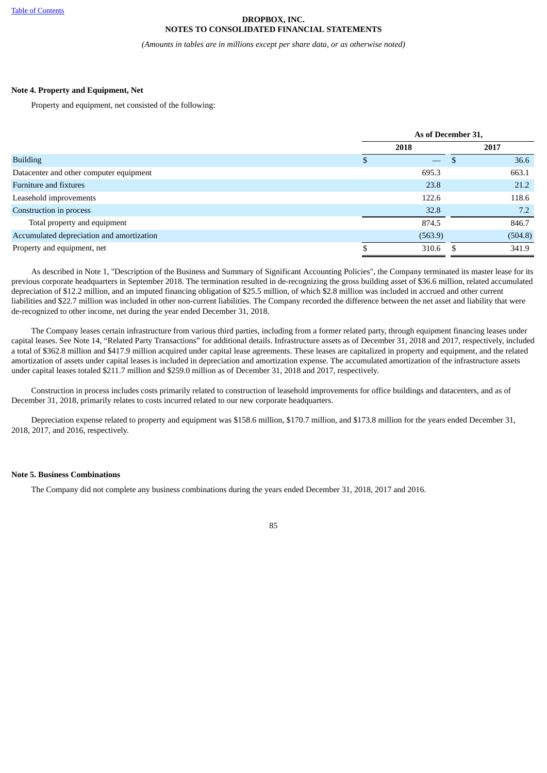*(Amounts in tables are in millions except per share data, or as otherwise noted)*

## **Note 4. Property and Equipment, Net**

Property and equipment, net consisted of the following:

|                                           | As of December 31, |  |         |  |
|-------------------------------------------|--------------------|--|---------|--|
|                                           | 2018               |  | 2017    |  |
| <b>Building</b>                           |                    |  | 36.6    |  |
| Datacenter and other computer equipment   | 695.3              |  | 663.1   |  |
| Furniture and fixtures                    | 23.8               |  | 21.2    |  |
| Leasehold improvements                    | 122.6              |  | 118.6   |  |
| Construction in process                   | 32.8               |  | 7.2     |  |
| Total property and equipment              | 874.5              |  | 846.7   |  |
| Accumulated depreciation and amortization | (563.9)            |  | (504.8) |  |
| Property and equipment, net               | 310.6              |  | 341.9   |  |

As described in Note 1, "Description of the Business and Summary of Significant Accounting Policies", the Company terminated its master lease for its previous corporate headquarters in September 2018. The termination resulted in de-recognizing the gross building asset of \$36.6 million, related accumulated depreciation of \$12.2 million, and an imputed financing obligation of \$25.5 million, of which \$2.8 million was included in accrued and other current liabilities and \$22.7 million was included in other non-current liabilities. The Company recorded the difference between the net asset and liability that were de-recognized to other income, net during the year ended December 31, 2018.

The Company leases certain infrastructure from various third parties, including from a former related party, through equipment financing leases under capital leases. See Note 14, "Related Party Transactions" for additional details. Infrastructure assets as of December 31, 2018 and 2017, respectively, included a total of \$362.8 million and \$417.9 million acquired under capital lease agreements. These leases are capitalized in property and equipment, and the related amortization of assets under capital leases is included in depreciation and amortization expense. The accumulated amortization of the infrastructure assets under capital leases totaled \$211.7 million and \$259.0 million as of December 31, 2018 and 2017, respectively.

Construction in process includes costs primarily related to construction of leasehold improvements for office buildings and datacenters, and as of December 31, 2018, primarily relates to costs incurred related to our new corporate headquarters.

Depreciation expense related to property and equipment was \$158.6 million, \$170.7 million, and \$173.8 million for the years ended December 31, 2018, 2017, and 2016, respectively.

#### **Note 5. Business Combinations**

The Company did not complete any business combinations during the years ended December 31, 2018, 2017 and 2016.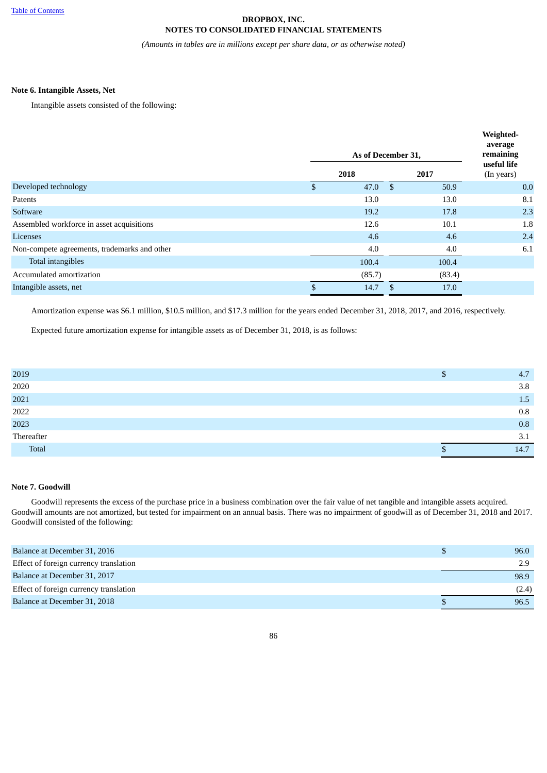*(Amounts in tables are in millions except per share data, or as otherwise noted)*

## **Note 6. Intangible Assets, Net**

Intangible assets consisted of the following:

|                                              | As of December 31,<br>2017<br>2018 |      |        |                   |  |  |  |  |
|----------------------------------------------|------------------------------------|------|--------|-------------------|--|--|--|--|
| Developed technology                         | 47.0                               | - \$ | 50.9   | (In years)<br>0.0 |  |  |  |  |
| Patents                                      | 13.0                               |      | 13.0   | 8.1               |  |  |  |  |
| Software                                     | 19.2                               |      | 17.8   | 2.3               |  |  |  |  |
| Assembled workforce in asset acquisitions    | 12.6                               |      | 10.1   | 1.8               |  |  |  |  |
| <b>Licenses</b>                              | 4.6                                |      | 4.6    | 2.4               |  |  |  |  |
| Non-compete agreements, trademarks and other | 4.0                                |      | 4.0    | 6.1               |  |  |  |  |
| Total intangibles                            | 100.4                              |      | 100.4  |                   |  |  |  |  |
| Accumulated amortization                     | (85.7)                             |      | (83.4) |                   |  |  |  |  |
| Intangible assets, net                       | 14.7                               | -S   | 17.0   |                   |  |  |  |  |

Amortization expense was \$6.1 million, \$10.5 million, and \$17.3 million for the years ended December 31, 2018, 2017, and 2016, respectively.

Expected future amortization expense for intangible assets as of December 31, 2018, is as follows:

| 2019       | 4.7       |
|------------|-----------|
| 2020       | 3.8       |
| 2021       | 1.5       |
| 2022       | $\rm 0.8$ |
| 2023       | 0.8       |
| Thereafter | 3.1       |
| Total      | 14.7      |
|            |           |

## **Note 7. Goodwill**

Goodwill represents the excess of the purchase price in a business combination over the fair value of net tangible and intangible assets acquired. Goodwill amounts are not amortized, but tested for impairment on an annual basis. There was no impairment of goodwill as of December 31, 2018 and 2017. Goodwill consisted of the following:

| Balance at December 31, 2016           | 96.0  |
|----------------------------------------|-------|
| Effect of foreign currency translation | 2.9   |
| Balance at December 31, 2017           | 98.9  |
| Effect of foreign currency translation | (2.4) |
| Balance at December 31, 2018           | 96.5  |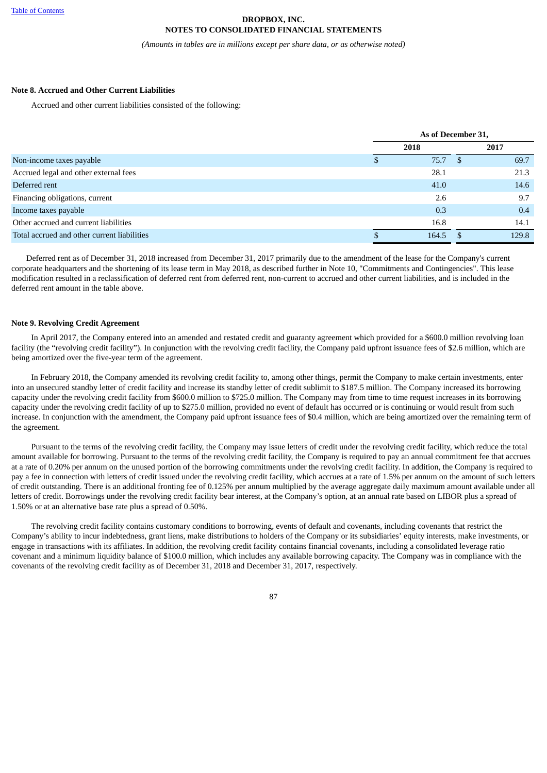*(Amounts in tables are in millions except per share data, or as otherwise noted)*

## **Note 8. Accrued and Other Current Liabilities**

Accrued and other current liabilities consisted of the following:

|                                             | As of December 31, |  |       |  |
|---------------------------------------------|--------------------|--|-------|--|
|                                             | 2018               |  | 2017  |  |
| Non-income taxes payable                    | 75.7 \$            |  | 69.7  |  |
| Accrued legal and other external fees       | 28.1               |  | 21.3  |  |
| Deferred rent                               | 41.0               |  | 14.6  |  |
| Financing obligations, current              | 2.6                |  | 9.7   |  |
| Income taxes payable                        | 0.3                |  | 0.4   |  |
| Other accrued and current liabilities       | 16.8               |  | 14.1  |  |
| Total accrued and other current liabilities | 164.5              |  | 129.8 |  |

Deferred rent as of December 31, 2018 increased from December 31, 2017 primarily due to the amendment of the lease for the Company's current corporate headquarters and the shortening of its lease term in May 2018, as described further in Note 10, "Commitments and Contingencies". This lease modification resulted in a reclassification of deferred rent from deferred rent, non-current to accrued and other current liabilities, and is included in the deferred rent amount in the table above.

#### **Note 9. Revolving Credit Agreement**

In April 2017, the Company entered into an amended and restated credit and guaranty agreement which provided for a \$600.0 million revolving loan facility (the "revolving credit facility"). In conjunction with the revolving credit facility, the Company paid upfront issuance fees of \$2.6 million, which are being amortized over the five-year term of the agreement.

In February 2018, the Company amended its revolving credit facility to, among other things, permit the Company to make certain investments, enter into an unsecured standby letter of credit facility and increase its standby letter of credit sublimit to \$187.5 million. The Company increased its borrowing capacity under the revolving credit facility from \$600.0 million to \$725.0 million. The Company may from time to time request increases in its borrowing capacity under the revolving credit facility of up to \$275.0 million, provided no event of default has occurred or is continuing or would result from such increase. In conjunction with the amendment, the Company paid upfront issuance fees of \$0.4 million, which are being amortized over the remaining term of the agreement.

Pursuant to the terms of the revolving credit facility, the Company may issue letters of credit under the revolving credit facility, which reduce the total amount available for borrowing. Pursuant to the terms of the revolving credit facility, the Company is required to pay an annual commitment fee that accrues at a rate of 0.20% per annum on the unused portion of the borrowing commitments under the revolving credit facility. In addition, the Company is required to pay a fee in connection with letters of credit issued under the revolving credit facility, which accrues at a rate of 1.5% per annum on the amount of such letters of credit outstanding. There is an additional fronting fee of 0.125% per annum multiplied by the average aggregate daily maximum amount available under all letters of credit. Borrowings under the revolving credit facility bear interest, at the Company's option, at an annual rate based on LIBOR plus a spread of 1.50% or at an alternative base rate plus a spread of 0.50%.

The revolving credit facility contains customary conditions to borrowing, events of default and covenants, including covenants that restrict the Company's ability to incur indebtedness, grant liens, make distributions to holders of the Company or its subsidiaries' equity interests, make investments, or engage in transactions with its affiliates. In addition, the revolving credit facility contains financial covenants, including a consolidated leverage ratio covenant and a minimum liquidity balance of \$100.0 million, which includes any available borrowing capacity. The Company was in compliance with the covenants of the revolving credit facility as of December 31, 2018 and December 31, 2017, respectively.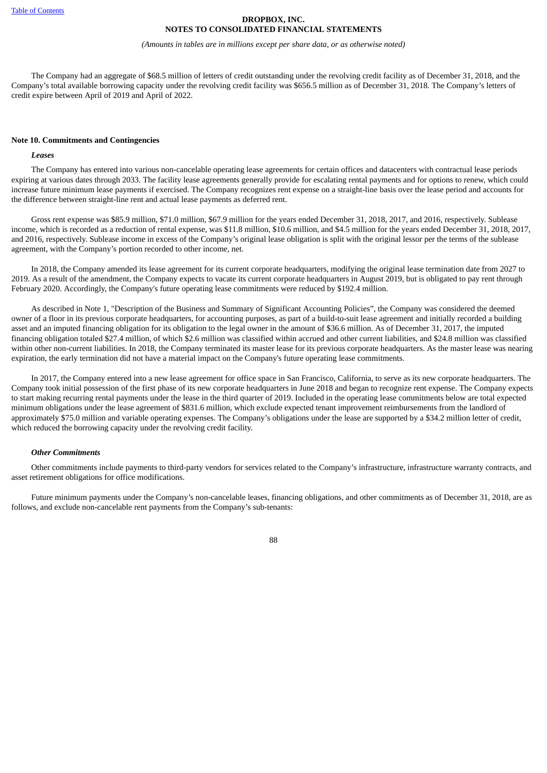*(Amounts in tables are in millions except per share data, or as otherwise noted)*

The Company had an aggregate of \$68.5 million of letters of credit outstanding under the revolving credit facility as of December 31, 2018, and the Company's total available borrowing capacity under the revolving credit facility was \$656.5 million as of December 31, 2018. The Company's letters of credit expire between April of 2019 and April of 2022.

#### **Note 10. Commitments and Contingencies**

### *Leases*

The Company has entered into various non-cancelable operating lease agreements for certain offices and datacenters with contractual lease periods expiring at various dates through 2033. The facility lease agreements generally provide for escalating rental payments and for options to renew, which could increase future minimum lease payments if exercised. The Company recognizes rent expense on a straight-line basis over the lease period and accounts for the difference between straight-line rent and actual lease payments as deferred rent.

Gross rent expense was \$85.9 million, \$71.0 million, \$67.9 million for the years ended December 31, 2018, 2017, and 2016, respectively. Sublease income, which is recorded as a reduction of rental expense, was \$11.8 million, \$10.6 million, and \$4.5 million for the years ended December 31, 2018, 2017, and 2016, respectively. Sublease income in excess of the Company's original lease obligation is split with the original lessor per the terms of the sublease agreement, with the Company's portion recorded to other income, net.

In 2018, the Company amended its lease agreement for its current corporate headquarters, modifying the original lease termination date from 2027 to 2019. As a result of the amendment, the Company expects to vacate its current corporate headquarters in August 2019, but is obligated to pay rent through February 2020. Accordingly, the Company's future operating lease commitments were reduced by \$192.4 million.

As described in Note 1, "Description of the Business and Summary of Significant Accounting Policies", the Company was considered the deemed owner of a floor in its previous corporate headquarters, for accounting purposes, as part of a build-to-suit lease agreement and initially recorded a building asset and an imputed financing obligation for its obligation to the legal owner in the amount of \$36.6 million. As of December 31, 2017, the imputed financing obligation totaled \$27.4 million, of which \$2.6 million was classified within accrued and other current liabilities, and \$24.8 million was classified within other non-current liabilities. In 2018, the Company terminated its master lease for its previous corporate headquarters. As the master lease was nearing expiration, the early termination did not have a material impact on the Company's future operating lease commitments.

In 2017, the Company entered into a new lease agreement for office space in San Francisco, California, to serve as its new corporate headquarters. The Company took initial possession of the first phase of its new corporate headquarters in June 2018 and began to recognize rent expense. The Company expects to start making recurring rental payments under the lease in the third quarter of 2019. Included in the operating lease commitments below are total expected minimum obligations under the lease agreement of \$831.6 million, which exclude expected tenant improvement reimbursements from the landlord of approximately \$75.0 million and variable operating expenses. The Company's obligations under the lease are supported by a \$34.2 million letter of credit, which reduced the borrowing capacity under the revolving credit facility.

#### *Other Commitments*

Other commitments include payments to third-party vendors for services related to the Company's infrastructure, infrastructure warranty contracts, and asset retirement obligations for office modifications.

Future minimum payments under the Company's non-cancelable leases, financing obligations, and other commitments as of December 31, 2018, are as follows, and exclude non-cancelable rent payments from the Company's sub-tenants: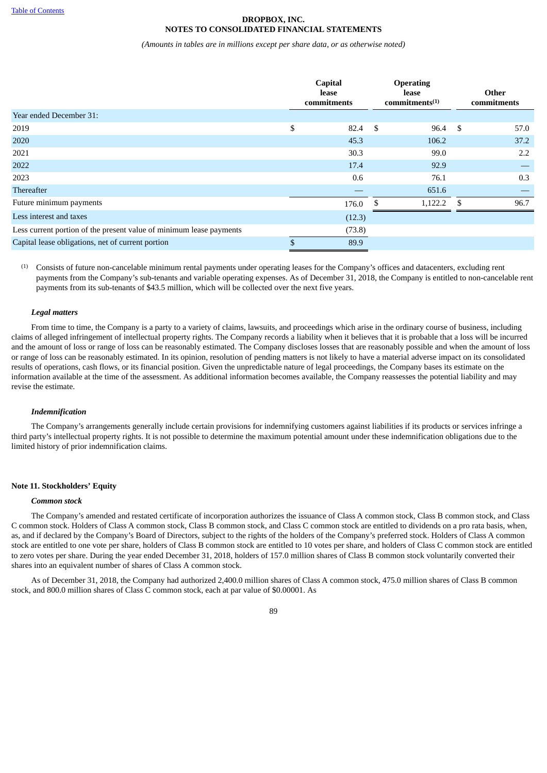## *(Amounts in tables are in millions except per share data, or as otherwise noted)*

|                                                                     | Capital<br>lease<br>commitments |    | <b>Operating</b><br>lease<br>commitments <sup>(1)</sup> |      | Other<br>commitments |
|---------------------------------------------------------------------|---------------------------------|----|---------------------------------------------------------|------|----------------------|
| Year ended December 31:                                             |                                 |    |                                                         |      |                      |
| 2019                                                                | \$<br>82.4                      | \$ | 96.4 \$                                                 |      | 57.0                 |
| 2020                                                                | 45.3                            |    | 106.2                                                   |      | 37.2                 |
| 2021                                                                | 30.3                            |    | 99.0                                                    |      | 2.2                  |
| 2022                                                                | 17.4                            |    | 92.9                                                    |      |                      |
| 2023                                                                | 0.6                             |    | 76.1                                                    |      | 0.3                  |
| <b>Thereafter</b>                                                   |                                 |    | 651.6                                                   |      |                      |
| Future minimum payments                                             | 176.0                           |    | 1,122.2                                                 | - \$ | 96.7                 |
| Less interest and taxes                                             | (12.3)                          |    |                                                         |      |                      |
| Less current portion of the present value of minimum lease payments | (73.8)                          |    |                                                         |      |                      |
| Capital lease obligations, net of current portion                   | \$<br>89.9                      |    |                                                         |      |                      |

(1) Consists of future non-cancelable minimum rental payments under operating leases for the Company's offices and datacenters, excluding rent payments from the Company's sub-tenants and variable operating expenses. As of December 31, 2018, the Company is entitled to non-cancelable rent payments from its sub-tenants of \$43.5 million, which will be collected over the next five years.

#### *Legal matters*

From time to time, the Company is a party to a variety of claims, lawsuits, and proceedings which arise in the ordinary course of business, including claims of alleged infringement of intellectual property rights. The Company records a liability when it believes that it is probable that a loss will be incurred and the amount of loss or range of loss can be reasonably estimated. The Company discloses losses that are reasonably possible and when the amount of loss or range of loss can be reasonably estimated. In its opinion, resolution of pending matters is not likely to have a material adverse impact on its consolidated results of operations, cash flows, or its financial position. Given the unpredictable nature of legal proceedings, the Company bases its estimate on the information available at the time of the assessment. As additional information becomes available, the Company reassesses the potential liability and may revise the estimate.

#### *Indemnification*

The Company's arrangements generally include certain provisions for indemnifying customers against liabilities if its products or services infringe a third party's intellectual property rights. It is not possible to determine the maximum potential amount under these indemnification obligations due to the limited history of prior indemnification claims.

#### **Note 11. Stockholders' Equity**

#### *Common stock*

The Company's amended and restated certificate of incorporation authorizes the issuance of Class A common stock, Class B common stock, and Class C common stock. Holders of Class A common stock, Class B common stock, and Class C common stock are entitled to dividends on a pro rata basis, when, as, and if declared by the Company's Board of Directors, subject to the rights of the holders of the Company's preferred stock. Holders of Class A common stock are entitled to one vote per share, holders of Class B common stock are entitled to 10 votes per share, and holders of Class C common stock are entitled to zero votes per share. During the year ended December 31, 2018, holders of 157.0 million shares of Class B common stock voluntarily converted their shares into an equivalent number of shares of Class A common stock.

As of December 31, 2018, the Company had authorized 2,400.0 million shares of Class A common stock, 475.0 million shares of Class B common stock, and 800.0 million shares of Class C common stock, each at par value of \$0.00001. As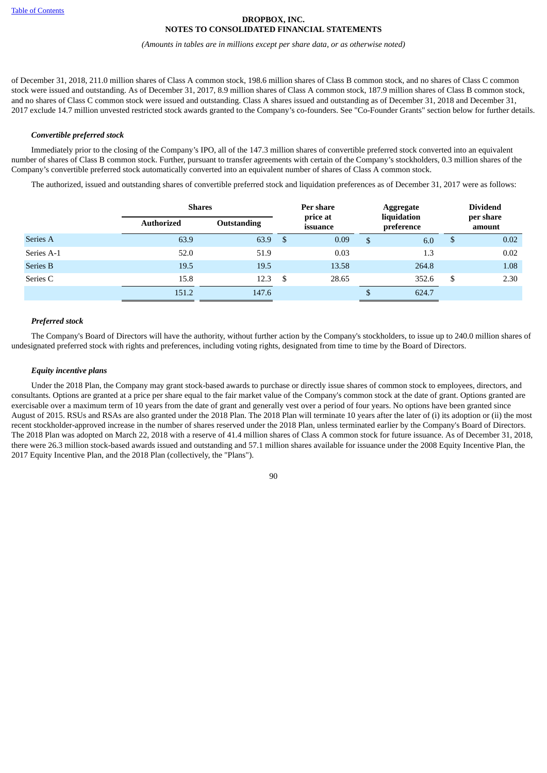## *(Amounts in tables are in millions except per share data, or as otherwise noted)*

of December 31, 2018, 211.0 million shares of Class A common stock, 198.6 million shares of Class B common stock, and no shares of Class C common stock were issued and outstanding. As of December 31, 2017, 8.9 million shares of Class A common stock, 187.9 million shares of Class B common stock, and no shares of Class C common stock were issued and outstanding. Class A shares issued and outstanding as of December 31, 2018 and December 31, 2017 exclude 14.7 million unvested restricted stock awards granted to the Company's co-founders. See "Co-Founder Grants" section below for further details.

## *Convertible preferred stock*

Immediately prior to the closing of the Company's IPO, all of the 147.3 million shares of convertible preferred stock converted into an equivalent number of shares of Class B common stock. Further, pursuant to transfer agreements with certain of the Company's stockholders, 0.3 million shares of the Company's convertible preferred stock automatically converted into an equivalent number of shares of Class A common stock.

The authorized, issued and outstanding shares of convertible preferred stock and liquidation preferences as of December 31, 2017 were as follows:

| <b>Shares</b> |                   | Per share          |                                                   | Aggregate     | <b>Dividend</b><br>per share<br>amount |    |      |
|---------------|-------------------|--------------------|---------------------------------------------------|---------------|----------------------------------------|----|------|
|               | <b>Authorized</b> | <b>Outstanding</b> | liquidation<br>price at<br>preference<br>issuance |               |                                        |    |      |
| Series A      | 63.9              | 63.9               | \$<br>0.09                                        | \$            | 6.0                                    | \$ | 0.02 |
| Series A-1    | 52.0              | 51.9               | 0.03                                              |               | 1.3                                    |    | 0.02 |
| Series B      | 19.5              | 19.5               | 13.58                                             |               | 264.8                                  |    | 1.08 |
| Series C      | 15.8              | 12.3               | \$<br>28.65                                       |               | 352.6                                  | \$ | 2.30 |
|               | 151.2             | 147.6              |                                                   | <sup>\$</sup> | 624.7                                  |    |      |

## *Preferred stock*

The Company's Board of Directors will have the authority, without further action by the Company's stockholders, to issue up to 240.0 million shares of undesignated preferred stock with rights and preferences, including voting rights, designated from time to time by the Board of Directors.

### *Equity incentive plans*

Under the 2018 Plan, the Company may grant stock-based awards to purchase or directly issue shares of common stock to employees, directors, and consultants. Options are granted at a price per share equal to the fair market value of the Company's common stock at the date of grant. Options granted are exercisable over a maximum term of 10 years from the date of grant and generally vest over a period of four years. No options have been granted since August of 2015. RSUs and RSAs are also granted under the 2018 Plan. The 2018 Plan will terminate 10 years after the later of (i) its adoption or (ii) the most recent stockholder-approved increase in the number of shares reserved under the 2018 Plan, unless terminated earlier by the Company's Board of Directors. The 2018 Plan was adopted on March 22, 2018 with a reserve of 41.4 million shares of Class A common stock for future issuance. As of December 31, 2018, there were 26.3 million stock-based awards issued and outstanding and 57.1 million shares available for issuance under the 2008 Equity Incentive Plan, the 2017 Equity Incentive Plan, and the 2018 Plan (collectively, the "Plans").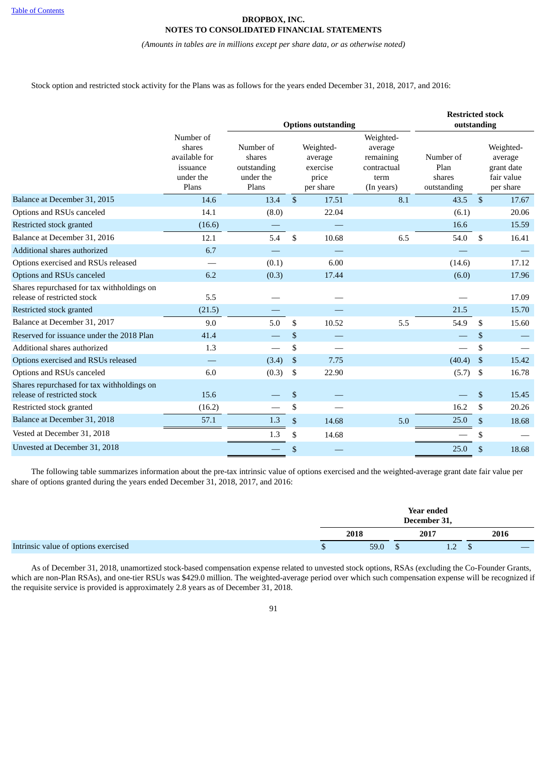## *(Amounts in tables are in millions except per share data, or as otherwise noted)*

Stock option and restricted stock activity for the Plans was as follows for the years ended December 31, 2018, 2017, and 2016:

|                                                                           |                                                                        |                                                          |                | <b>Options outstanding</b>                             | <b>Restricted stock</b><br>outstanding                                 |                                            |                |                                                               |
|---------------------------------------------------------------------------|------------------------------------------------------------------------|----------------------------------------------------------|----------------|--------------------------------------------------------|------------------------------------------------------------------------|--------------------------------------------|----------------|---------------------------------------------------------------|
|                                                                           | Number of<br>shares<br>available for<br>issuance<br>under the<br>Plans | Number of<br>shares<br>outstanding<br>under the<br>Plans |                | Weighted-<br>average<br>exercise<br>price<br>per share | Weighted-<br>average<br>remaining<br>contractual<br>term<br>(In years) | Number of<br>Plan<br>shares<br>outstanding |                | Weighted-<br>average<br>grant date<br>fair value<br>per share |
| Balance at December 31, 2015                                              | 14.6                                                                   | 13.4                                                     | $\mathbf{s}$   | 17.51                                                  | 8.1                                                                    | 43.5                                       | $\mathbb{S}$   | 17.67                                                         |
| Options and RSUs canceled                                                 | 14.1                                                                   | (8.0)                                                    |                | 22.04                                                  |                                                                        | (6.1)                                      |                | 20.06                                                         |
| Restricted stock granted                                                  | (16.6)                                                                 |                                                          |                |                                                        |                                                                        | 16.6                                       |                | 15.59                                                         |
| Balance at December 31, 2016                                              | 12.1                                                                   | 5.4                                                      | \$             | 10.68                                                  | 6.5                                                                    | 54.0                                       | \$             | 16.41                                                         |
| Additional shares authorized                                              | 6.7                                                                    |                                                          |                |                                                        |                                                                        |                                            |                |                                                               |
| Options exercised and RSUs released                                       |                                                                        | (0.1)                                                    |                | 6.00                                                   |                                                                        | (14.6)                                     |                | 17.12                                                         |
| Options and RSUs canceled                                                 | 6.2                                                                    | (0.3)                                                    |                | 17.44                                                  |                                                                        | (6.0)                                      |                | 17.96                                                         |
| Shares repurchased for tax withholdings on<br>release of restricted stock | 5.5                                                                    |                                                          |                |                                                        |                                                                        |                                            |                | 17.09                                                         |
| Restricted stock granted                                                  | (21.5)                                                                 |                                                          |                |                                                        |                                                                        | 21.5                                       |                | 15.70                                                         |
| Balance at December 31, 2017                                              | 9.0                                                                    | 5.0                                                      | \$             | 10.52                                                  | 5.5                                                                    | 54.9                                       | \$             | 15.60                                                         |
| Reserved for issuance under the 2018 Plan                                 | 41.4                                                                   |                                                          | \$             |                                                        |                                                                        |                                            | \$             |                                                               |
| Additional shares authorized                                              | 1.3                                                                    |                                                          | \$             |                                                        |                                                                        |                                            | \$             |                                                               |
| Options exercised and RSUs released                                       |                                                                        | (3.4)                                                    | $\mathfrak{S}$ | 7.75                                                   |                                                                        | (40.4)                                     | $\mathfrak{s}$ | 15.42                                                         |
| Options and RSUs canceled                                                 | 6.0                                                                    | (0.3)                                                    | \$             | 22.90                                                  |                                                                        | (5.7)                                      | \$             | 16.78                                                         |
| Shares repurchased for tax withholdings on<br>release of restricted stock | 15.6                                                                   |                                                          | \$             |                                                        |                                                                        |                                            | \$             | 15.45                                                         |
| Restricted stock granted                                                  | (16.2)                                                                 |                                                          | \$             |                                                        |                                                                        | 16.2                                       | \$             | 20.26                                                         |
| Balance at December 31, 2018                                              | 57.1                                                                   | 1.3                                                      | $\mathbb{S}$   | 14.68                                                  | 5.0                                                                    | 25.0                                       | $\mathcal{S}$  | 18.68                                                         |
| Vested at December 31, 2018                                               |                                                                        | 1.3                                                      | \$             | 14.68                                                  |                                                                        | $\qquad \qquad$                            | \$             |                                                               |
| Unvested at December 31, 2018                                             |                                                                        |                                                          | \$             |                                                        |                                                                        | 25.0                                       | \$             | 18.68                                                         |

The following table summarizes information about the pre-tax intrinsic value of options exercised and the weighted-average grant date fair value per share of options granted during the years ended December 31, 2018, 2017, and 2016:

|                                      |      | <b>Year ended</b><br>December 31, |   |      |  |
|--------------------------------------|------|-----------------------------------|---|------|--|
|                                      | 2018 | 2017                              |   | 2016 |  |
| Intrinsic value of options exercised | 59.0 | 1.2                               | Φ |      |  |

As of December 31, 2018, unamortized stock-based compensation expense related to unvested stock options, RSAs (excluding the Co-Founder Grants, which are non-Plan RSAs), and one-tier RSUs was \$429.0 million. The weighted-average period over which such compensation expense will be recognized if the requisite service is provided is approximately 2.8 years as of December 31, 2018.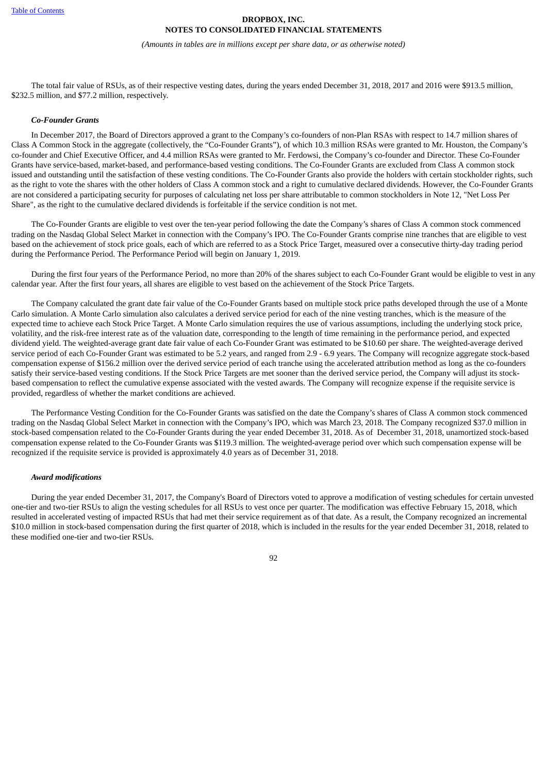## *(Amounts in tables are in millions except per share data, or as otherwise noted)*

The total fair value of RSUs, as of their respective vesting dates, during the years ended December 31, 2018, 2017 and 2016 were \$913.5 million, \$232.5 million, and \$77.2 million, respectively.

#### *Co-Founder Grants*

In December 2017, the Board of Directors approved a grant to the Company's co-founders of non-Plan RSAs with respect to 14.7 million shares of Class A Common Stock in the aggregate (collectively, the "Co-Founder Grants"), of which 10.3 million RSAs were granted to Mr. Houston, the Company's co-founder and Chief Executive Officer, and 4.4 million RSAs were granted to Mr. Ferdowsi, the Company's co-founder and Director. These Co-Founder Grants have service-based, market-based, and performance-based vesting conditions. The Co-Founder Grants are excluded from Class A common stock issued and outstanding until the satisfaction of these vesting conditions. The Co-Founder Grants also provide the holders with certain stockholder rights, such as the right to vote the shares with the other holders of Class A common stock and a right to cumulative declared dividends. However, the Co-Founder Grants are not considered a participating security for purposes of calculating net loss per share attributable to common stockholders in Note 12, "Net Loss Per Share", as the right to the cumulative declared dividends is forfeitable if the service condition is not met.

The Co-Founder Grants are eligible to vest over the ten-year period following the date the Company's shares of Class A common stock commenced trading on the Nasdaq Global Select Market in connection with the Company's IPO. The Co-Founder Grants comprise nine tranches that are eligible to vest based on the achievement of stock price goals, each of which are referred to as a Stock Price Target, measured over a consecutive thirty-day trading period during the Performance Period. The Performance Period will begin on January 1, 2019.

During the first four years of the Performance Period, no more than 20% of the shares subject to each Co-Founder Grant would be eligible to vest in any calendar year. After the first four years, all shares are eligible to vest based on the achievement of the Stock Price Targets.

The Company calculated the grant date fair value of the Co-Founder Grants based on multiple stock price paths developed through the use of a Monte Carlo simulation. A Monte Carlo simulation also calculates a derived service period for each of the nine vesting tranches, which is the measure of the expected time to achieve each Stock Price Target. A Monte Carlo simulation requires the use of various assumptions, including the underlying stock price, volatility, and the risk-free interest rate as of the valuation date, corresponding to the length of time remaining in the performance period, and expected dividend yield. The weighted-average grant date fair value of each Co-Founder Grant was estimated to be \$10.60 per share. The weighted-average derived service period of each Co-Founder Grant was estimated to be 5.2 years, and ranged from 2.9 - 6.9 years. The Company will recognize aggregate stock-based compensation expense of \$156.2 million over the derived service period of each tranche using the accelerated attribution method as long as the co-founders satisfy their service-based vesting conditions. If the Stock Price Targets are met sooner than the derived service period, the Company will adjust its stockbased compensation to reflect the cumulative expense associated with the vested awards. The Company will recognize expense if the requisite service is provided, regardless of whether the market conditions are achieved.

The Performance Vesting Condition for the Co-Founder Grants was satisfied on the date the Company's shares of Class A common stock commenced trading on the Nasdaq Global Select Market in connection with the Company's IPO, which was March 23, 2018. The Company recognized \$37.0 million in stock-based compensation related to the Co-Founder Grants during the year ended December 31, 2018. As of December 31, 2018, unamortized stock-based compensation expense related to the Co-Founder Grants was \$119.3 million. The weighted-average period over which such compensation expense will be recognized if the requisite service is provided is approximately 4.0 years as of December 31, 2018.

#### *Award modifications*

During the year ended December 31, 2017, the Company's Board of Directors voted to approve a modification of vesting schedules for certain unvested one-tier and two-tier RSUs to align the vesting schedules for all RSUs to vest once per quarter. The modification was effective February 15, 2018, which resulted in accelerated vesting of impacted RSUs that had met their service requirement as of that date. As a result, the Company recognized an incremental \$10.0 million in stock-based compensation during the first quarter of 2018, which is included in the results for the year ended December 31, 2018, related to these modified one-tier and two-tier RSUs.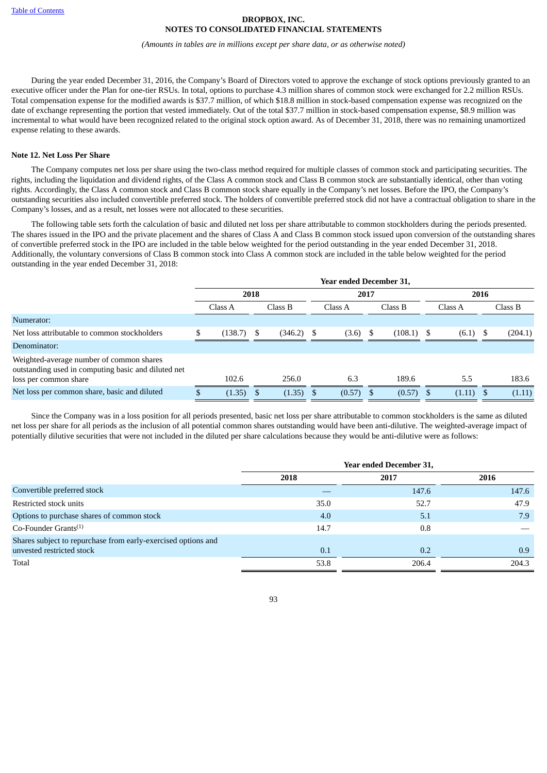*(Amounts in tables are in millions except per share data, or as otherwise noted)*

During the year ended December 31, 2016, the Company's Board of Directors voted to approve the exchange of stock options previously granted to an executive officer under the Plan for one-tier RSUs. In total, options to purchase 4.3 million shares of common stock were exchanged for 2.2 million RSUs. Total compensation expense for the modified awards is \$37.7 million, of which \$18.8 million in stock-based compensation expense was recognized on the date of exchange representing the portion that vested immediately. Out of the total \$37.7 million in stock-based compensation expense, \$8.9 million was incremental to what would have been recognized related to the original stock option award. As of December 31, 2018, there was no remaining unamortized expense relating to these awards.

## **Note 12. Net Loss Per Share**

The Company computes net loss per share using the two-class method required for multiple classes of common stock and participating securities. The rights, including the liquidation and dividend rights, of the Class A common stock and Class B common stock are substantially identical, other than voting rights. Accordingly, the Class A common stock and Class B common stock share equally in the Company's net losses. Before the IPO, the Company's outstanding securities also included convertible preferred stock. The holders of convertible preferred stock did not have a contractual obligation to share in the Company's losses, and as a result, net losses were not allocated to these securities.

The following table sets forth the calculation of basic and diluted net loss per share attributable to common stockholders during the periods presented. The shares issued in the IPO and the private placement and the shares of Class A and Class B common stock issued upon conversion of the outstanding shares of convertible preferred stock in the IPO are included in the table below weighted for the period outstanding in the year ended December 31, 2018. Additionally, the voluntary conversions of Class B common stock into Class A common stock are included in the table below weighted for the period outstanding in the year ended December 31, 2018:

|                                                                                                                          | Year ended December 31, |         |    |         |      |         |      |         |      |             |  |         |
|--------------------------------------------------------------------------------------------------------------------------|-------------------------|---------|----|---------|------|---------|------|---------|------|-------------|--|---------|
|                                                                                                                          | 2018                    |         |    | 2017    |      |         |      | 2016    |      |             |  |         |
|                                                                                                                          |                         | Class A |    | Class B |      | Class A |      | Class B |      | Class A     |  | Class B |
| Numerator:                                                                                                               |                         |         |    |         |      |         |      |         |      |             |  |         |
| Net loss attributable to common stockholders                                                                             |                         | (138.7) | -S | (346.2) | - \$ | (3.6)   | - \$ | (108.1) | - \$ | $(6.1)$ \$  |  | (204.1) |
| Denominator:                                                                                                             |                         |         |    |         |      |         |      |         |      |             |  |         |
| Weighted-average number of common shares<br>outstanding used in computing basic and diluted net<br>loss per common share |                         | 102.6   |    | 256.0   |      | 6.3     |      | 189.6   |      | 5.5         |  | 183.6   |
| Net loss per common share, basic and diluted                                                                             |                         | (1.35)  | -S | (1.35)  | S    | (0.57)  |      | (0.57)  | - \$ | $(1.11)$ \$ |  | (1.11)  |

Since the Company was in a loss position for all periods presented, basic net loss per share attributable to common stockholders is the same as diluted net loss per share for all periods as the inclusion of all potential common shares outstanding would have been anti-dilutive. The weighted-average impact of potentially dilutive securities that were not included in the diluted per share calculations because they would be anti-dilutive were as follows:

|                                                               | Year ended December 31, |       |                  |  |  |  |  |  |
|---------------------------------------------------------------|-------------------------|-------|------------------|--|--|--|--|--|
|                                                               | 2018                    | 2017  | 2016             |  |  |  |  |  |
| Convertible preferred stock                                   |                         | 147.6 | 147.6            |  |  |  |  |  |
| Restricted stock units                                        | 35.0                    | 52.7  | 47.9             |  |  |  |  |  |
| Options to purchase shares of common stock                    | 4.0                     | 5.1   | 7.9              |  |  |  |  |  |
| $Co$ -Founder Grants <sup>(1)</sup>                           | 14.7                    | 0.8   |                  |  |  |  |  |  |
| Shares subject to repurchase from early-exercised options and |                         |       |                  |  |  |  |  |  |
| unvested restricted stock                                     | 0.1                     | 0.2   | 0.9 <sup>°</sup> |  |  |  |  |  |
| Total                                                         | 53.8                    | 206.4 | 204.3            |  |  |  |  |  |
|                                                               |                         |       |                  |  |  |  |  |  |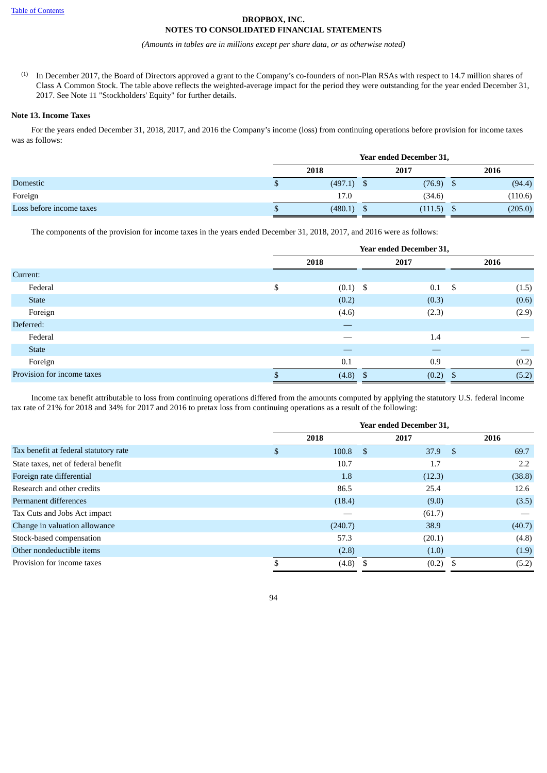*(Amounts in tables are in millions except per share data, or as otherwise noted)*

(1) In December 2017, the Board of Directors approved a grant to the Company's co-founders of non-Plan RSAs with respect to 14.7 million shares of Class A Common Stock. The table above reflects the weighted-average impact for the period they were outstanding for the year ended December 31, 2017. See Note 11 "Stockholders' Equity" for further details.

## **Note 13. Income Taxes**

For the years ended December 31, 2018, 2017, and 2016 the Company's income (loss) from continuing operations before provision for income taxes was as follows:

|                          | <b>Year ended December 31,</b> |              |      |         |      |         |  |  |  |
|--------------------------|--------------------------------|--------------|------|---------|------|---------|--|--|--|
|                          | 2018                           |              | 2017 |         | 2016 |         |  |  |  |
| Domestic                 |                                | $(497.1)$ \$ |      | (76.9)  |      | (94.4)  |  |  |  |
| Foreign                  |                                | 17.0         |      | (34.6)  |      | (110.6) |  |  |  |
| Loss before income taxes |                                | (480.1)      |      | (111.5) |      | (205.0) |  |  |  |

The components of the provision for income taxes in the years ended December 31, 2018, 2017, and 2016 were as follows:

|                            | Year ended December 31, |               |               |  |  |  |  |  |  |
|----------------------------|-------------------------|---------------|---------------|--|--|--|--|--|--|
|                            | 2018                    | 2017          | 2016          |  |  |  |  |  |  |
| Current:                   |                         |               |               |  |  |  |  |  |  |
| Federal                    | \$<br>$(0.1)$ \$        | 0.1           | - \$<br>(1.5) |  |  |  |  |  |  |
| <b>State</b>               | (0.2)                   | (0.3)         | (0.6)         |  |  |  |  |  |  |
| Foreign                    | (4.6)                   | (2.3)         | (2.9)         |  |  |  |  |  |  |
| Deferred:                  | __                      |               |               |  |  |  |  |  |  |
| Federal                    |                         | 1.4           |               |  |  |  |  |  |  |
| <b>State</b>               |                         |               |               |  |  |  |  |  |  |
| Foreign                    | 0.1                     | 0.9           | (0.2)         |  |  |  |  |  |  |
| Provision for income taxes | (4.8)                   | (0.2)<br>- \$ | (5.2)<br>- \$ |  |  |  |  |  |  |

Income tax benefit attributable to loss from continuing operations differed from the amounts computed by applying the statutory U.S. federal income tax rate of 21% for 2018 and 34% for 2017 and 2016 to pretax loss from continuing operations as a result of the following:

|                                       | <b>Year ended December 31,</b> |            |      |        |      |        |  |  |  |
|---------------------------------------|--------------------------------|------------|------|--------|------|--------|--|--|--|
|                                       | 2018                           |            |      | 2017   | 2016 |        |  |  |  |
| Tax benefit at federal statutory rate | D                              | 100.8      | - \$ | 37.9   | -S   | 69.7   |  |  |  |
| State taxes, net of federal benefit   |                                | 10.7       |      | 1.7    |      | 2.2    |  |  |  |
| Foreign rate differential             |                                | 1.8        |      | (12.3) |      | (38.8) |  |  |  |
| Research and other credits            |                                | 86.5       |      | 25.4   |      | 12.6   |  |  |  |
| Permanent differences                 |                                | (18.4)     |      | (9.0)  |      | (3.5)  |  |  |  |
| Tax Cuts and Jobs Act impact          |                                |            |      | (61.7) |      |        |  |  |  |
| Change in valuation allowance         |                                | (240.7)    |      | 38.9   |      | (40.7) |  |  |  |
| Stock-based compensation              |                                | 57.3       |      | (20.1) |      | (4.8)  |  |  |  |
| Other nondeductible items             |                                | (2.8)      |      | (1.0)  |      | (1.9)  |  |  |  |
| Provision for income taxes            |                                | $(4.8)$ \$ |      | (0.2)  |      | (5.2)  |  |  |  |

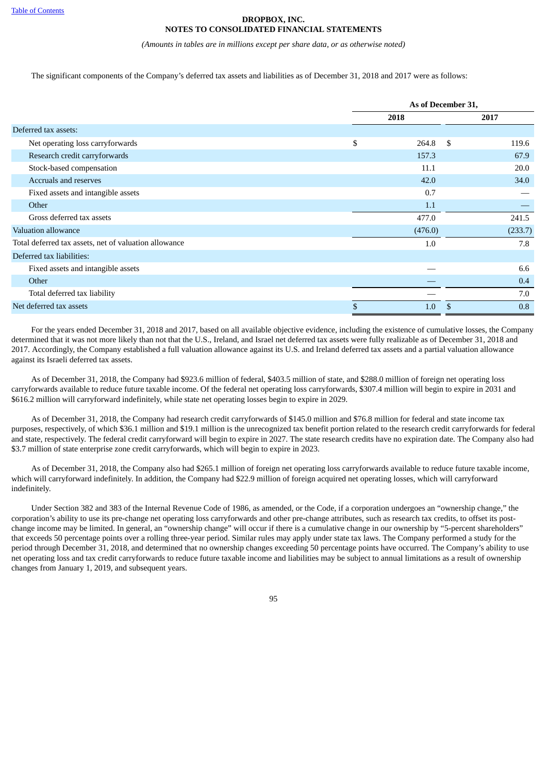*(Amounts in tables are in millions except per share data, or as otherwise noted)*

The significant components of the Company's deferred tax assets and liabilities as of December 31, 2018 and 2017 were as follows:

|                                                       |     | As of December 31, |    |         |  |  |
|-------------------------------------------------------|-----|--------------------|----|---------|--|--|
|                                                       |     | 2018               |    | 2017    |  |  |
| Deferred tax assets:                                  |     |                    |    |         |  |  |
| Net operating loss carryforwards                      | \$  | 264.8              | -S | 119.6   |  |  |
| Research credit carryforwards                         |     | 157.3              |    | 67.9    |  |  |
| Stock-based compensation                              |     | 11.1               |    | 20.0    |  |  |
| Accruals and reserves                                 |     | 42.0               |    | 34.0    |  |  |
| Fixed assets and intangible assets                    |     | 0.7                |    |         |  |  |
| Other                                                 |     | 1.1                |    |         |  |  |
| Gross deferred tax assets                             |     | 477.0              |    | 241.5   |  |  |
| Valuation allowance                                   |     | (476.0)            |    | (233.7) |  |  |
| Total deferred tax assets, net of valuation allowance |     | 1.0                |    | 7.8     |  |  |
| Deferred tax liabilities:                             |     |                    |    |         |  |  |
| Fixed assets and intangible assets                    |     |                    |    | 6.6     |  |  |
| Other                                                 |     |                    |    | 0.4     |  |  |
| Total deferred tax liability                          |     |                    |    | 7.0     |  |  |
| Net deferred tax assets                               | \$. | 1.0                |    | 0.8     |  |  |

For the years ended December 31, 2018 and 2017, based on all available objective evidence, including the existence of cumulative losses, the Company determined that it was not more likely than not that the U.S., Ireland, and Israel net deferred tax assets were fully realizable as of December 31, 2018 and 2017. Accordingly, the Company established a full valuation allowance against its U.S. and Ireland deferred tax assets and a partial valuation allowance against its Israeli deferred tax assets.

As of December 31, 2018, the Company had \$923.6 million of federal, \$403.5 million of state, and \$288.0 million of foreign net operating loss carryforwards available to reduce future taxable income. Of the federal net operating loss carryforwards, \$307.4 million will begin to expire in 2031 and \$616.2 million will carryforward indefinitely, while state net operating losses begin to expire in 2029.

As of December 31, 2018, the Company had research credit carryforwards of \$145.0 million and \$76.8 million for federal and state income tax purposes, respectively, of which \$36.1 million and \$19.1 million is the unrecognized tax benefit portion related to the research credit carryforwards for federal and state, respectively. The federal credit carryforward will begin to expire in 2027. The state research credits have no expiration date. The Company also had \$3.7 million of state enterprise zone credit carryforwards, which will begin to expire in 2023.

As of December 31, 2018, the Company also had \$265.1 million of foreign net operating loss carryforwards available to reduce future taxable income, which will carryforward indefinitely. In addition, the Company had \$22.9 million of foreign acquired net operating losses, which will carryforward indefinitely.

Under Section 382 and 383 of the Internal Revenue Code of 1986, as amended, or the Code, if a corporation undergoes an "ownership change," the corporation's ability to use its pre-change net operating loss carryforwards and other pre-change attributes, such as research tax credits, to offset its postchange income may be limited. In general, an "ownership change" will occur if there is a cumulative change in our ownership by "5-percent shareholders" that exceeds 50 percentage points over a rolling three-year period. Similar rules may apply under state tax laws. The Company performed a study for the period through December 31, 2018, and determined that no ownership changes exceeding 50 percentage points have occurred. The Company's ability to use net operating loss and tax credit carryforwards to reduce future taxable income and liabilities may be subject to annual limitations as a result of ownership changes from January 1, 2019, and subsequent years.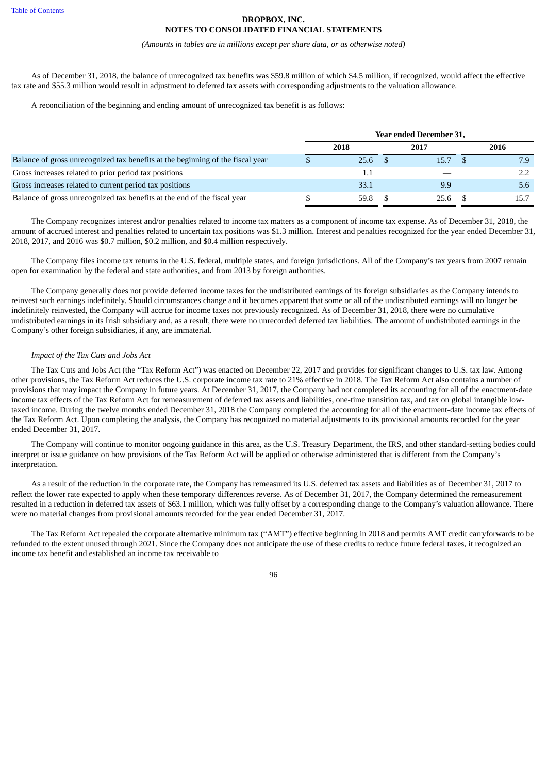### *(Amounts in tables are in millions except per share data, or as otherwise noted)*

As of December 31, 2018, the balance of unrecognized tax benefits was \$59.8 million of which \$4.5 million, if recognized, would affect the effective tax rate and \$55.3 million would result in adjustment to deferred tax assets with corresponding adjustments to the valuation allowance.

A reconciliation of the beginning and ending amount of unrecognized tax benefit is as follows:

|                                                                                | <b>Year ended December 31,</b> |      |  |      |  |      |  |  |  |
|--------------------------------------------------------------------------------|--------------------------------|------|--|------|--|------|--|--|--|
|                                                                                |                                | 2018 |  | 2017 |  | 2016 |  |  |  |
| Balance of gross unrecognized tax benefits at the beginning of the fiscal year |                                | 25.6 |  | 15.7 |  |      |  |  |  |
| Gross increases related to prior period tax positions                          |                                |      |  |      |  |      |  |  |  |
| Gross increases related to current period tax positions                        |                                | 33.1 |  | 9.9  |  | 5.6  |  |  |  |
| Balance of gross unrecognized tax benefits at the end of the fiscal year       |                                | 59.8 |  | 25.6 |  | 15.7 |  |  |  |

The Company recognizes interest and/or penalties related to income tax matters as a component of income tax expense. As of December 31, 2018, the amount of accrued interest and penalties related to uncertain tax positions was \$1.3 million. Interest and penalties recognized for the year ended December 31, 2018, 2017, and 2016 was \$0.7 million, \$0.2 million, and \$0.4 million respectively.

The Company files income tax returns in the U.S. federal, multiple states, and foreign jurisdictions. All of the Company's tax years from 2007 remain open for examination by the federal and state authorities, and from 2013 by foreign authorities.

The Company generally does not provide deferred income taxes for the undistributed earnings of its foreign subsidiaries as the Company intends to reinvest such earnings indefinitely. Should circumstances change and it becomes apparent that some or all of the undistributed earnings will no longer be indefinitely reinvested, the Company will accrue for income taxes not previously recognized. As of December 31, 2018, there were no cumulative undistributed earnings in its Irish subsidiary and, as a result, there were no unrecorded deferred tax liabilities. The amount of undistributed earnings in the Company's other foreign subsidiaries, if any, are immaterial.

## *Impact of the Tax Cuts and Jobs Act*

The Tax Cuts and Jobs Act (the "Tax Reform Act") was enacted on December 22, 2017 and provides for significant changes to U.S. tax law. Among other provisions, the Tax Reform Act reduces the U.S. corporate income tax rate to 21% effective in 2018. The Tax Reform Act also contains a number of provisions that may impact the Company in future years. At December 31, 2017, the Company had not completed its accounting for all of the enactment-date income tax effects of the Tax Reform Act for remeasurement of deferred tax assets and liabilities, one-time transition tax, and tax on global intangible lowtaxed income. During the twelve months ended December 31, 2018 the Company completed the accounting for all of the enactment-date income tax effects of the Tax Reform Act. Upon completing the analysis, the Company has recognized no material adjustments to its provisional amounts recorded for the year ended December 31, 2017.

The Company will continue to monitor ongoing guidance in this area, as the U.S. Treasury Department, the IRS, and other standard-setting bodies could interpret or issue guidance on how provisions of the Tax Reform Act will be applied or otherwise administered that is different from the Company's interpretation.

As a result of the reduction in the corporate rate, the Company has remeasured its U.S. deferred tax assets and liabilities as of December 31, 2017 to reflect the lower rate expected to apply when these temporary differences reverse. As of December 31, 2017, the Company determined the remeasurement resulted in a reduction in deferred tax assets of \$63.1 million, which was fully offset by a corresponding change to the Company's valuation allowance. There were no material changes from provisional amounts recorded for the year ended December 31, 2017.

The Tax Reform Act repealed the corporate alternative minimum tax ("AMT") effective beginning in 2018 and permits AMT credit carryforwards to be refunded to the extent unused through 2021. Since the Company does not anticipate the use of these credits to reduce future federal taxes, it recognized an income tax benefit and established an income tax receivable to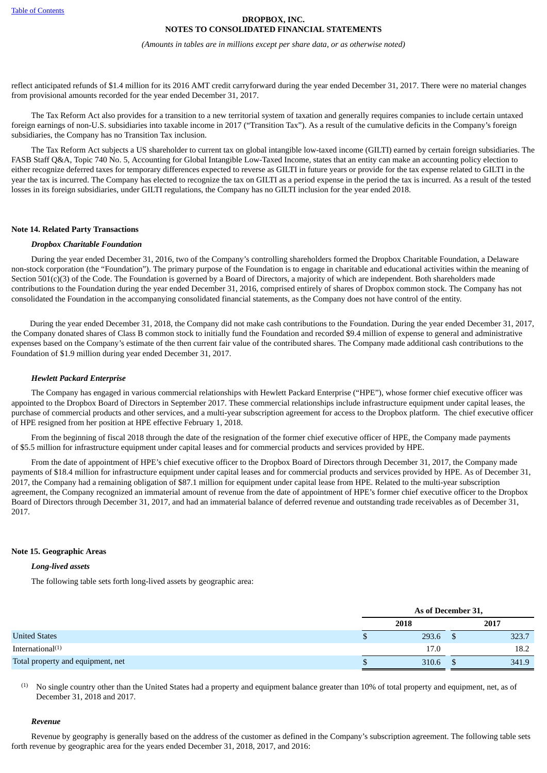*(Amounts in tables are in millions except per share data, or as otherwise noted)*

reflect anticipated refunds of \$1.4 million for its 2016 AMT credit carryforward during the year ended December 31, 2017. There were no material changes from provisional amounts recorded for the year ended December 31, 2017.

The Tax Reform Act also provides for a transition to a new territorial system of taxation and generally requires companies to include certain untaxed foreign earnings of non-U.S. subsidiaries into taxable income in 2017 ("Transition Tax"). As a result of the cumulative deficits in the Company's foreign subsidiaries, the Company has no Transition Tax inclusion.

The Tax Reform Act subjects a US shareholder to current tax on global intangible low-taxed income (GILTI) earned by certain foreign subsidiaries. The FASB Staff Q&A, Topic 740 No. 5, Accounting for Global Intangible Low-Taxed Income, states that an entity can make an accounting policy election to either recognize deferred taxes for temporary differences expected to reverse as GILTI in future years or provide for the tax expense related to GILTI in the year the tax is incurred. The Company has elected to recognize the tax on GILTI as a period expense in the period the tax is incurred. As a result of the tested losses in its foreign subsidiaries, under GILTI regulations, the Company has no GILTI inclusion for the year ended 2018.

### **Note 14. Related Party Transactions**

### *Dropbox Charitable Foundation*

During the year ended December 31, 2016, two of the Company's controlling shareholders formed the Dropbox Charitable Foundation, a Delaware non-stock corporation (the "Foundation"). The primary purpose of the Foundation is to engage in charitable and educational activities within the meaning of Section  $501(c)(3)$  of the Code. The Foundation is governed by a Board of Directors, a majority of which are independent. Both shareholders made contributions to the Foundation during the year ended December 31, 2016, comprised entirely of shares of Dropbox common stock. The Company has not consolidated the Foundation in the accompanying consolidated financial statements, as the Company does not have control of the entity.

During the year ended December 31, 2018, the Company did not make cash contributions to the Foundation. During the year ended December 31, 2017, the Company donated shares of Class B common stock to initially fund the Foundation and recorded \$9.4 million of expense to general and administrative expenses based on the Company's estimate of the then current fair value of the contributed shares. The Company made additional cash contributions to the Foundation of \$1.9 million during year ended December 31, 2017.

### *Hewlett Packard Enterprise*

The Company has engaged in various commercial relationships with Hewlett Packard Enterprise ("HPE"), whose former chief executive officer was appointed to the Dropbox Board of Directors in September 2017. These commercial relationships include infrastructure equipment under capital leases, the purchase of commercial products and other services, and a multi-year subscription agreement for access to the Dropbox platform. The chief executive officer of HPE resigned from her position at HPE effective February 1, 2018.

From the beginning of fiscal 2018 through the date of the resignation of the former chief executive officer of HPE, the Company made payments of \$5.5 million for infrastructure equipment under capital leases and for commercial products and services provided by HPE.

From the date of appointment of HPE's chief executive officer to the Dropbox Board of Directors through December 31, 2017, the Company made payments of \$18.4 million for infrastructure equipment under capital leases and for commercial products and services provided by HPE. As of December 31, 2017, the Company had a remaining obligation of \$87.1 million for equipment under capital lease from HPE. Related to the multi-year subscription agreement, the Company recognized an immaterial amount of revenue from the date of appointment of HPE's former chief executive officer to the Dropbox Board of Directors through December 31, 2017, and had an immaterial balance of deferred revenue and outstanding trade receivables as of December 31, 2017.

#### **Note 15. Geographic Areas**

## *Long-lived assets*

The following table sets forth long-lived assets by geographic area:

|                                   |      | As of December 31, |  |       |  |  |  |
|-----------------------------------|------|--------------------|--|-------|--|--|--|
|                                   | 2018 |                    |  | 2017  |  |  |  |
| <b>United States</b>              |      | 293.6              |  | 323.7 |  |  |  |
| International $(1)$               |      | 17.0               |  | 18.2  |  |  |  |
| Total property and equipment, net |      | 310.6              |  | 341.9 |  |  |  |

<sup>(1)</sup> No single country other than the United States had a property and equipment balance greater than 10% of total property and equipment, net, as of December 31, 2018 and 2017.

#### *Revenue*

Revenue by geography is generally based on the address of the customer as defined in the Company's subscription agreement. The following table sets forth revenue by geographic area for the years ended December 31, 2018, 2017, and 2016: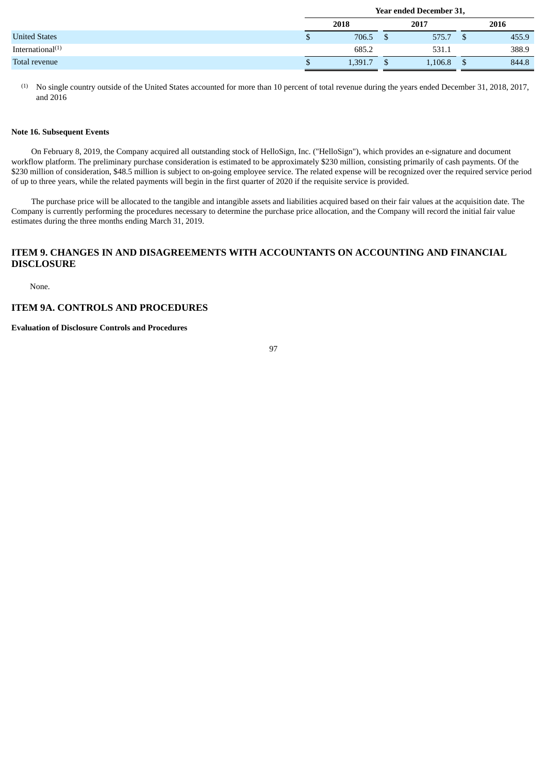|                      | Year ended December 31, |         |  |         |  |       |  |  |  |
|----------------------|-------------------------|---------|--|---------|--|-------|--|--|--|
|                      |                         | 2018    |  | 2017    |  | 2016  |  |  |  |
| <b>United States</b> | D                       | 706.5   |  | 575.7   |  | 455.9 |  |  |  |
| International $(1)$  |                         | 685.2   |  | 531.1   |  | 388.9 |  |  |  |
| Total revenue        |                         | 1,391.7 |  | 1,106.8 |  | 844.8 |  |  |  |

(1) No single country outside of the United States accounted for more than 10 percent of total revenue during the years ended December 31, 2018, 2017, and 2016

### **Note 16. Subsequent Events**

On February 8, 2019, the Company acquired all outstanding stock of HelloSign, Inc. ("HelloSign"), which provides an e-signature and document workflow platform. The preliminary purchase consideration is estimated to be approximately \$230 million, consisting primarily of cash payments. Of the \$230 million of consideration, \$48.5 million is subject to on-going employee service. The related expense will be recognized over the required service period of up to three years, while the related payments will begin in the first quarter of 2020 if the requisite service is provided.

The purchase price will be allocated to the tangible and intangible assets and liabilities acquired based on their fair values at the acquisition date. The Company is currently performing the procedures necessary to determine the purchase price allocation, and the Company will record the initial fair value estimates during the three months ending March 31, 2019.

# **ITEM 9. CHANGES IN AND DISAGREEMENTS WITH ACCOUNTANTS ON ACCOUNTING AND FINANCIAL DISCLOSURE**

None.

## **ITEM 9A. CONTROLS AND PROCEDURES**

## **Evaluation of Disclosure Controls and Procedures**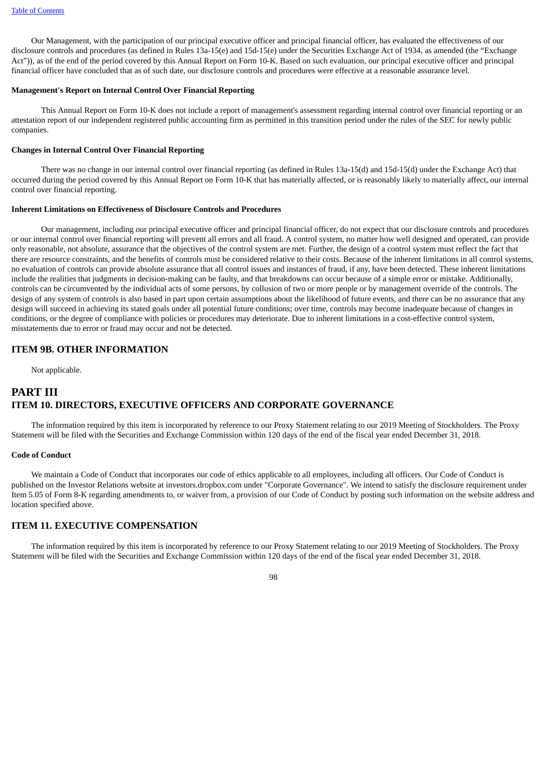Our Management, with the participation of our principal executive officer and principal financial officer, has evaluated the effectiveness of our disclosure controls and procedures (as defined in Rules 13a-15(e) and 15d-15(e) under the Securities Exchange Act of 1934, as amended (the "Exchange Act")), as of the end of the period covered by this Annual Report on Form 10-K. Based on such evaluation, our principal executive officer and principal financial officer have concluded that as of such date, our disclosure controls and procedures were effective at a reasonable assurance level.

## **Management's Report on Internal Control Over Financial Reporting**

This Annual Report on Form 10-K does not include a report of management's assessment regarding internal control over financial reporting or an attestation report of our independent registered public accounting firm as permitted in this transition period under the rules of the SEC for newly public companies.

## **Changes in Internal Control Over Financial Reporting**

There was no change in our internal control over financial reporting (as defined in Rules 13a-15(d) and 15d-15(d) under the Exchange Act) that occurred during the period covered by this Annual Report on Form 10-K that has materially affected, or is reasonably likely to materially affect, our internal control over financial reporting.

### **Inherent Limitations on Effectiveness of Disclosure Controls and Procedures**

Our management, including our principal executive officer and principal financial officer, do not expect that our disclosure controls and procedures or our internal control over financial reporting will prevent all errors and all fraud. A control system, no matter how well designed and operated, can provide only reasonable, not absolute, assurance that the objectives of the control system are met. Further, the design of a control system must reflect the fact that there are resource constraints, and the benefits of controls must be considered relative to their costs. Because of the inherent limitations in all control systems, no evaluation of controls can provide absolute assurance that all control issues and instances of fraud, if any, have been detected. These inherent limitations include the realities that judgments in decision-making can be faulty, and that breakdowns can occur because of a simple error or mistake. Additionally, controls can be circumvented by the individual acts of some persons, by collusion of two or more people or by management override of the controls. The design of any system of controls is also based in part upon certain assumptions about the likelihood of future events, and there can be no assurance that any design will succeed in achieving its stated goals under all potential future conditions; over time, controls may become inadequate because of changes in conditions, or the degree of compliance with policies or procedures may deteriorate. Due to inherent limitations in a cost-effective control system, misstatements due to error or fraud may occur and not be detected.

## **ITEM 9B. OTHER INFORMATION**

Not applicable.

## **PART III ITEM 10. DIRECTORS, EXECUTIVE OFFICERS AND CORPORATE GOVERNANCE**

The information required by this item is incorporated by reference to our Proxy Statement relating to our 2019 Meeting of Stockholders. The Proxy Statement will be filed with the Securities and Exchange Commission within 120 days of the end of the fiscal year ended December 31, 2018.

#### **Code of Conduct**

We maintain a Code of Conduct that incorporates our code of ethics applicable to all employees, including all officers. Our Code of Conduct is published on the Investor Relations website at investors.dropbox.com under "Corporate Governance". We intend to satisfy the disclosure requirement under Item 5.05 of Form 8-K regarding amendments to, or waiver from, a provision of our Code of Conduct by posting such information on the website address and location specified above.

## **ITEM 11. EXECUTIVE COMPENSATION**

The information required by this item is incorporated by reference to our Proxy Statement relating to our 2019 Meeting of Stockholders. The Proxy Statement will be filed with the Securities and Exchange Commission within 120 days of the end of the fiscal year ended December 31, 2018.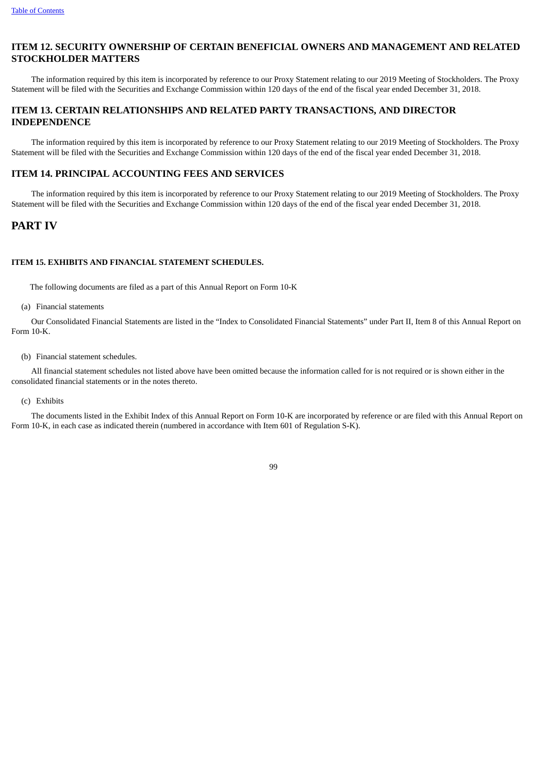# **ITEM 12. SECURITY OWNERSHIP OF CERTAIN BENEFICIAL OWNERS AND MANAGEMENT AND RELATED STOCKHOLDER MATTERS**

The information required by this item is incorporated by reference to our Proxy Statement relating to our 2019 Meeting of Stockholders. The Proxy Statement will be filed with the Securities and Exchange Commission within 120 days of the end of the fiscal year ended December 31, 2018.

## **ITEM 13. CERTAIN RELATIONSHIPS AND RELATED PARTY TRANSACTIONS, AND DIRECTOR INDEPENDENCE**

The information required by this item is incorporated by reference to our Proxy Statement relating to our 2019 Meeting of Stockholders. The Proxy Statement will be filed with the Securities and Exchange Commission within 120 days of the end of the fiscal year ended December 31, 2018.

## **ITEM 14. PRINCIPAL ACCOUNTING FEES AND SERVICES**

The information required by this item is incorporated by reference to our Proxy Statement relating to our 2019 Meeting of Stockholders. The Proxy Statement will be filed with the Securities and Exchange Commission within 120 days of the end of the fiscal year ended December 31, 2018.

# **PART IV**

### **ITEM 15. EXHIBITS AND FINANCIAL STATEMENT SCHEDULES.**

The following documents are filed as a part of this Annual Report on Form 10-K

(a) Financial statements

Our Consolidated Financial Statements are listed in the "Index to Consolidated Financial Statements" under Part II, Item 8 of this Annual Report on Form 10-K.

(b) Financial statement schedules.

All financial statement schedules not listed above have been omitted because the information called for is not required or is shown either in the consolidated financial statements or in the notes thereto.

#### (c) Exhibits

The documents listed in the Exhibit Index of this Annual Report on Form 10-K are incorporated by reference or are filed with this Annual Report on Form 10-K, in each case as indicated therein (numbered in accordance with Item 601 of Regulation S-K).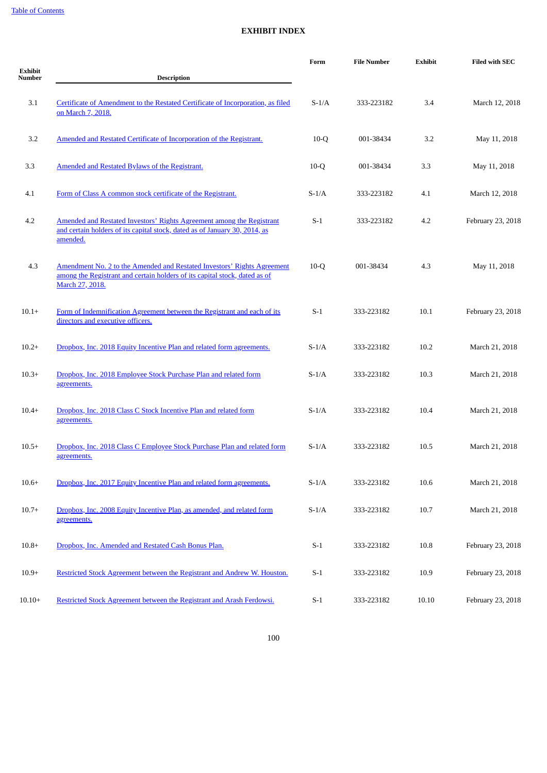# **EXHIBIT INDEX**

|                          |                                                                                                                                                                          | Form    | <b>File Number</b> | <b>Exhibit</b> | <b>Filed with SEC</b> |
|--------------------------|--------------------------------------------------------------------------------------------------------------------------------------------------------------------------|---------|--------------------|----------------|-----------------------|
| <b>Exhibit</b><br>Number | <b>Description</b>                                                                                                                                                       |         |                    |                |                       |
| 3.1                      | Certificate of Amendment to the Restated Certificate of Incorporation, as filed<br>on March 7, 2018.                                                                     | $S-1/A$ | 333-223182         | 3.4            | March 12, 2018        |
| 3.2                      | Amended and Restated Certificate of Incorporation of the Registrant.                                                                                                     | $10-Q$  | 001-38434          | 3.2            | May 11, 2018          |
| 3.3                      | Amended and Restated Bylaws of the Registrant.                                                                                                                           | $10-Q$  | 001-38434          | 3.3            | May 11, 2018          |
| 4.1                      | Form of Class A common stock certificate of the Registrant.                                                                                                              | $S-1/A$ | 333-223182         | 4.1            | March 12, 2018        |
| 4.2                      | Amended and Restated Investors' Rights Agreement among the Registrant<br>and certain holders of its capital stock, dated as of January 30, 2014, as<br>amended.          | $S-1$   | 333-223182         | 4.2            | February 23, 2018     |
| 4.3                      | Amendment No. 2 to the Amended and Restated Investors' Rights Agreement<br>among the Registrant and certain holders of its capital stock, dated as of<br>March 27, 2018. | $10-Q$  | 001-38434          | 4.3            | May 11, 2018          |
| $10.1+$                  | Form of Indemnification Agreement between the Registrant and each of its<br>directors and executive officers.                                                            | $S-1$   | 333-223182         | 10.1           | February 23, 2018     |
| $10.2+$                  | Dropbox, Inc. 2018 Equity Incentive Plan and related form agreements.                                                                                                    | $S-1/A$ | 333-223182         | 10.2           | March 21, 2018        |
| $10.3+$                  | Dropbox, Inc. 2018 Employee Stock Purchase Plan and related form<br>agreements.                                                                                          | $S-1/A$ | 333-223182         | 10.3           | March 21, 2018        |
| $10.4+$                  | Dropbox, Inc. 2018 Class C Stock Incentive Plan and related form<br>agreements.                                                                                          | $S-1/A$ | 333-223182         | 10.4           | March 21, 2018        |
| $10.5+$                  | Dropbox, Inc. 2018 Class C Employee Stock Purchase Plan and related form<br>agreements.                                                                                  | $S-1/A$ | 333-223182         | 10.5           | March 21, 2018        |
| $10.6+$                  | Dropbox, Inc. 2017 Equity Incentive Plan and related form agreements.                                                                                                    | $S-1/A$ | 333-223182         | 10.6           | March 21, 2018        |
| $10.7+$                  | Dropbox, Inc. 2008 Equity Incentive Plan, as amended, and related form<br>agreements.                                                                                    | $S-1/A$ | 333-223182         | 10.7           | March 21, 2018        |
| $10.8+$                  | Dropbox, Inc. Amended and Restated Cash Bonus Plan.                                                                                                                      | $S-1$   | 333-223182         | 10.8           | February 23, 2018     |
| $10.9+$                  | Restricted Stock Agreement between the Registrant and Andrew W. Houston.                                                                                                 | $S-1$   | 333-223182         | 10.9           | February 23, 2018     |
| $10.10+$                 | Restricted Stock Agreement between the Registrant and Arash Ferdowsi.                                                                                                    | $S-1$   | 333-223182         | 10.10          | February 23, 2018     |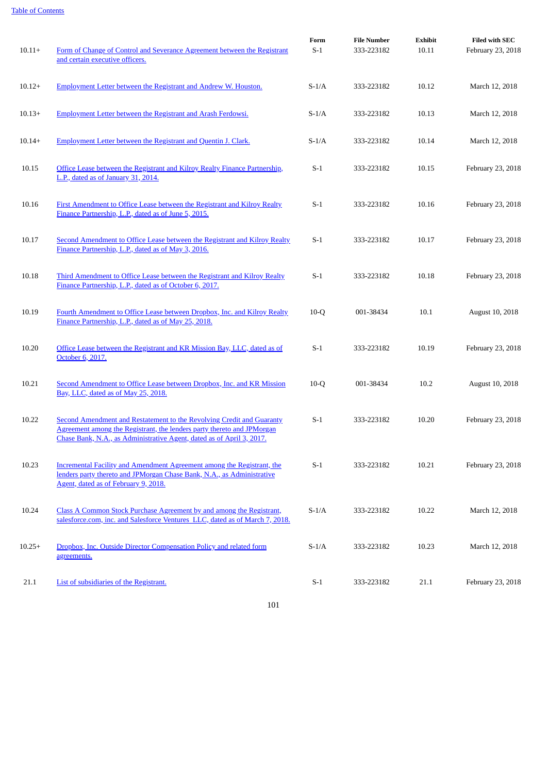## [Table of Contents](#page-2-0)

| $10.11+$ | Form of Change of Control and Severance Agreement between the Registrant<br>and certain executive officers.                                                                                                              | Form<br>$S-1$ | <b>File Number</b><br>333-223182 | <b>Exhibit</b><br>10.11 | <b>Filed with SEC</b><br>February 23, 2018 |
|----------|--------------------------------------------------------------------------------------------------------------------------------------------------------------------------------------------------------------------------|---------------|----------------------------------|-------------------------|--------------------------------------------|
| $10.12+$ | Employment Letter between the Registrant and Andrew W. Houston.                                                                                                                                                          | $S-1/A$       | 333-223182                       | 10.12                   | March 12, 2018                             |
| $10.13+$ | <b>Employment Letter between the Registrant and Arash Ferdowsi.</b>                                                                                                                                                      | $S-1/A$       | 333-223182                       | 10.13                   | March 12, 2018                             |
| $10.14+$ | Employment Letter between the Registrant and Quentin J. Clark.                                                                                                                                                           | $S-1/A$       | 333-223182                       | 10.14                   | March 12, 2018                             |
| 10.15    | Office Lease between the Registrant and Kilroy Realty Finance Partnership,<br>L.P., dated as of January 31, 2014.                                                                                                        | $S-1$         | 333-223182                       | 10.15                   | February 23, 2018                          |
| 10.16    | First Amendment to Office Lease between the Registrant and Kilroy Realty<br>Finance Partnership, L.P., dated as of June 5, 2015.                                                                                         | $S-1$         | 333-223182                       | 10.16                   | February 23, 2018                          |
| 10.17    | Second Amendment to Office Lease between the Registrant and Kilroy Realty<br>Finance Partnership, L.P., dated as of May 3, 2016.                                                                                         | $S-1$         | 333-223182                       | 10.17                   | February 23, 2018                          |
| 10.18    | Third Amendment to Office Lease between the Registrant and Kilroy Realty<br>Finance Partnership, L.P., dated as of October 6, 2017.                                                                                      | $S-1$         | 333-223182                       | 10.18                   | February 23, 2018                          |
| 10.19    | Fourth Amendment to Office Lease between Dropbox, Inc. and Kilroy Realty<br>Finance Partnership, L.P., dated as of May 25, 2018.                                                                                         | $10-Q$        | 001-38434                        | 10.1                    | August 10, 2018                            |
| 10.20    | Office Lease between the Registrant and KR Mission Bay, LLC, dated as of<br>October 6, 2017.                                                                                                                             | $S-1$         | 333-223182                       | 10.19                   | February 23, 2018                          |
| 10.21    | Second Amendment to Office Lease between Dropbox, Inc. and KR Mission<br>Bay, LLC, dated as of May 25, 2018.                                                                                                             | $10-Q$        | 001-38434                        | 10.2                    | August 10, 2018                            |
| 10.22    | Second Amendment and Restatement to the Revolving Credit and Guaranty<br>Agreement among the Registrant, the lenders party thereto and JPMorgan<br>Chase Bank, N.A., as Administrative Agent, dated as of April 3, 2017. | $S-1$         | 333-223182                       | 10.20                   | February 23, 2018                          |
| 10.23    | Incremental Facility and Amendment Agreement among the Registrant, the<br>lenders party thereto and JPMorgan Chase Bank, N.A., as Administrative<br>Agent, dated as of February 9, 2018.                                 | $S-1$         | 333-223182                       | 10.21                   | February 23, 2018                          |
| 10.24    | Class A Common Stock Purchase Agreement by and among the Registrant,<br>salesforce.com, inc. and Salesforce Ventures LLC, dated as of March 7, 2018.                                                                     | $S-1/A$       | 333-223182                       | 10.22                   | March 12, 2018                             |
| $10.25+$ | Dropbox, Inc. Outside Director Compensation Policy and related form<br>agreements.                                                                                                                                       | $S-1/A$       | 333-223182                       | 10.23                   | March 12, 2018                             |
| 21.1     | List of subsidiaries of the Registrant.                                                                                                                                                                                  | $S-1$         | 333-223182                       | 21.1                    | February 23, 2018                          |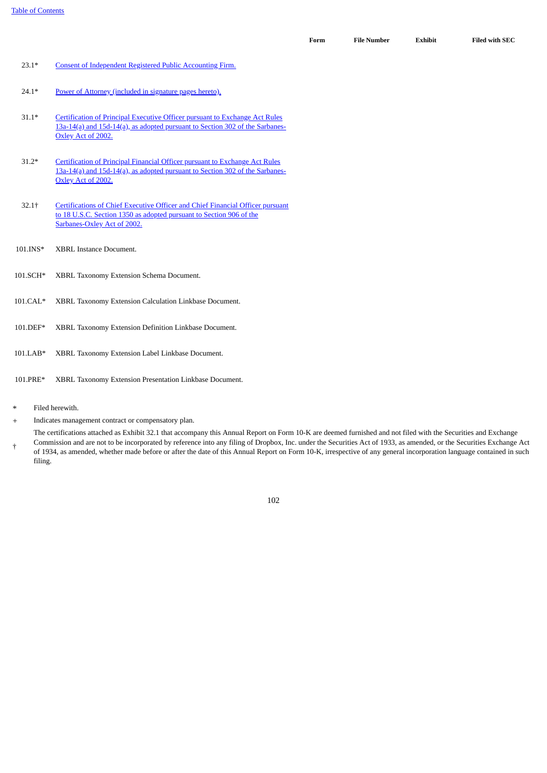## 23.1\* [Consent of Independent Registered Public Accounting Firm.](#page-106-0)

- 24.1\* [Power of Attorney \(included in signature pages hereto\).](#page-104-0)
- 31.1\* Certification of Principal Executive Officer pursuant to Exchange Act Rules [13a-14\(a\) and 15d-14\(a\), as adopted pursuant to Section 302 of the Sarbanes-](#page-107-0)Oxley Act of 2002.
- 31.2\* Certification of Principal Financial Officer pursuant to Exchange Act Rules [13a-14\(a\) and 15d-14\(a\), as adopted pursuant to Section 302 of the Sarbanes-](#page-108-0)Oxley Act of 2002.
- 32.1† [Certifications of Chief Executive Officer and Chief Financial Officer pursuant](#page-109-0) to 18 U.S.C. Section 1350 as adopted pursuant to Section 906 of the Sarbanes-Oxley Act of 2002.
- 101.INS\* XBRL Instance Document.
- 101.SCH\* XBRL Taxonomy Extension Schema Document.
- 101.CAL\* XBRL Taxonomy Extension Calculation Linkbase Document.
- 101.DEF\* XBRL Taxonomy Extension Definition Linkbase Document.
- 101.LAB\* XBRL Taxonomy Extension Label Linkbase Document.
- 101.PRE\* XBRL Taxonomy Extension Presentation Linkbase Document.
- Filed herewith.
- Indicates management contract or compensatory plan.
- † The certifications attached as Exhibit 32.1 that accompany this Annual Report on Form 10-K are deemed furnished and not filed with the Securities and Exchange Commission and are not to be incorporated by reference into any filing of Dropbox, Inc. under the Securities Act of 1933, as amended, or the Securities Exchange Act of 1934, as amended, whether made before or after the date of this Annual Report on Form 10-K, irrespective of any general incorporation language contained in such filing.
	- 102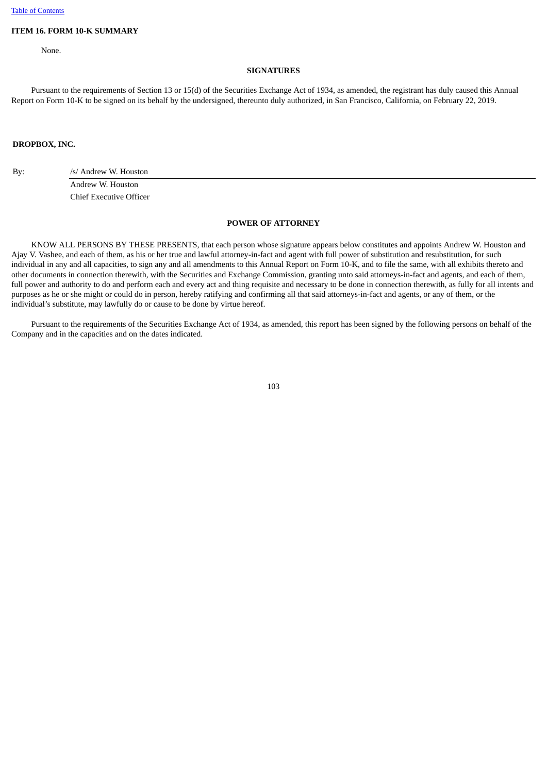## **ITEM 16. FORM 10-K SUMMARY**

None.

## **SIGNATURES**

<span id="page-104-0"></span>Pursuant to the requirements of Section 13 or 15(d) of the Securities Exchange Act of 1934, as amended, the registrant has duly caused this Annual Report on Form 10-K to be signed on its behalf by the undersigned, thereunto duly authorized, in San Francisco, California, on February 22, 2019.

## **DROPBOX, INC.**

By: /s/ Andrew W. Houston

Andrew W. Houston Chief Executive Officer

#### **POWER OF ATTORNEY**

KNOW ALL PERSONS BY THESE PRESENTS, that each person whose signature appears below constitutes and appoints Andrew W. Houston and Ajay V. Vashee, and each of them, as his or her true and lawful attorney-in-fact and agent with full power of substitution and resubstitution, for such individual in any and all capacities, to sign any and all amendments to this Annual Report on Form 10-K, and to file the same, with all exhibits thereto and other documents in connection therewith, with the Securities and Exchange Commission, granting unto said attorneys-in-fact and agents, and each of them, full power and authority to do and perform each and every act and thing requisite and necessary to be done in connection therewith, as fully for all intents and purposes as he or she might or could do in person, hereby ratifying and confirming all that said attorneys-in-fact and agents, or any of them, or the individual's substitute, may lawfully do or cause to be done by virtue hereof.

Pursuant to the requirements of the Securities Exchange Act of 1934, as amended, this report has been signed by the following persons on behalf of the Company and in the capacities and on the dates indicated.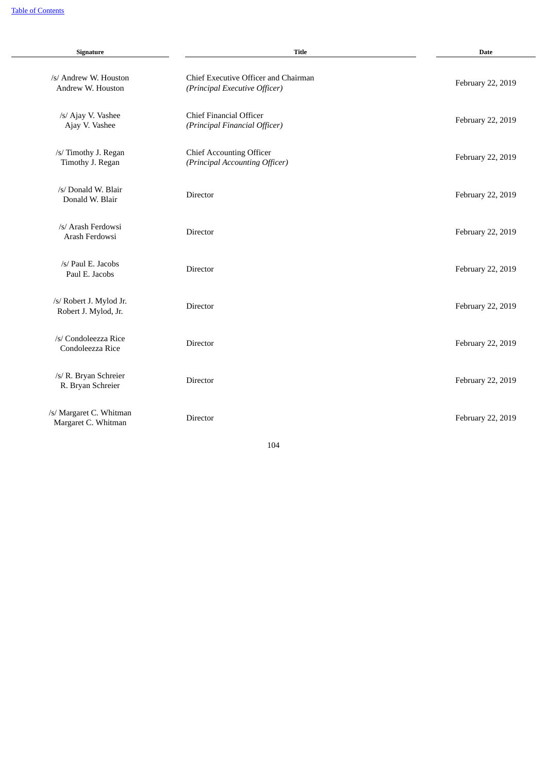| <b>Signature</b>                                | <b>Title</b>                                                          | <b>Date</b>       |
|-------------------------------------------------|-----------------------------------------------------------------------|-------------------|
| /s/ Andrew W. Houston<br>Andrew W. Houston      | Chief Executive Officer and Chairman<br>(Principal Executive Officer) | February 22, 2019 |
| /s/ Ajay V. Vashee<br>Ajay V. Vashee            | Chief Financial Officer<br>(Principal Financial Officer)              | February 22, 2019 |
| /s/ Timothy J. Regan<br>Timothy J. Regan        | <b>Chief Accounting Officer</b><br>(Principal Accounting Officer)     | February 22, 2019 |
| /s/ Donald W. Blair<br>Donald W. Blair          | <b>Director</b>                                                       | February 22, 2019 |
| /s/ Arash Ferdowsi<br>Arash Ferdowsi            | Director                                                              | February 22, 2019 |
| /s/ Paul E. Jacobs<br>Paul E. Jacobs            | <b>Director</b>                                                       | February 22, 2019 |
| /s/ Robert J. Mylod Jr.<br>Robert J. Mylod, Jr. | Director                                                              | February 22, 2019 |
| /s/ Condoleezza Rice<br>Condoleezza Rice        | Director                                                              | February 22, 2019 |
| /s/ R. Bryan Schreier<br>R. Bryan Schreier      | <b>Director</b>                                                       | February 22, 2019 |
| /s/ Margaret C. Whitman<br>Margaret C. Whitman  | Director                                                              | February 22, 2019 |

i<br>S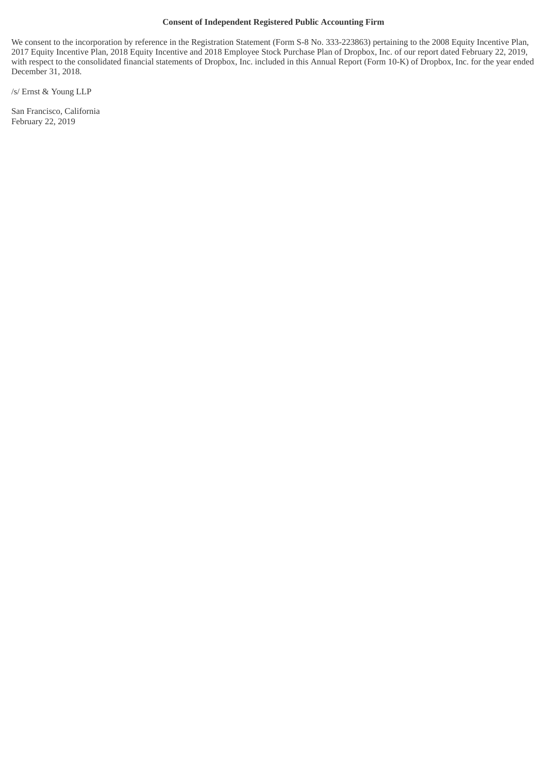## **Consent of Independent Registered Public Accounting Firm**

<span id="page-106-0"></span>We consent to the incorporation by reference in the Registration Statement (Form S-8 No. 333-223863) pertaining to the 2008 Equity Incentive Plan, 2017 Equity Incentive Plan, 2018 Equity Incentive and 2018 Employee Stock Purchase Plan of Dropbox, Inc. of our report dated February 22, 2019, with respect to the consolidated financial statements of Dropbox, Inc. included in this Annual Report (Form 10-K) of Dropbox, Inc. for the year ended December 31, 2018.

/s/ Ernst & Young LLP

San Francisco, California February 22, 2019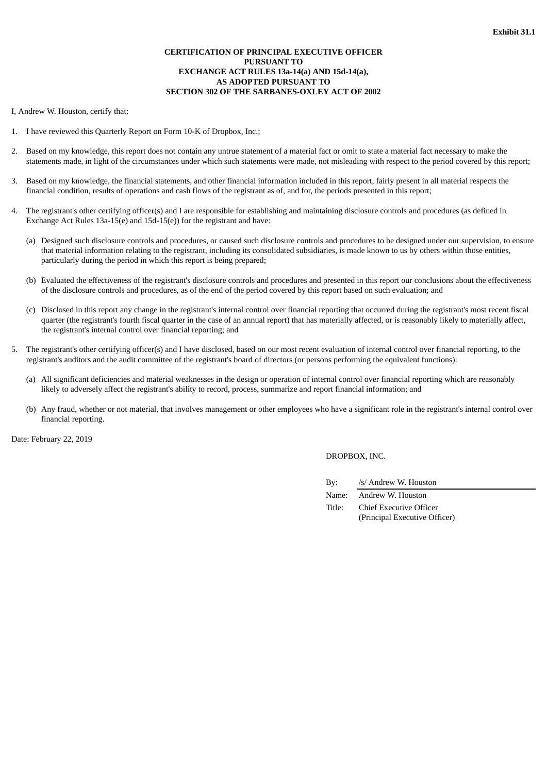## **CERTIFICATION OF PRINCIPAL EXECUTIVE OFFICER PURSUANT TO EXCHANGE ACT RULES 13a-14(a) AND 15d-14(a), AS ADOPTED PURSUANT TO SECTION 302 OF THE SARBANES-OXLEY ACT OF 2002**

<span id="page-107-0"></span>I, Andrew W. Houston, certify that:

- 1. I have reviewed this Quarterly Report on Form 10-K of Dropbox, Inc.;
- 2. Based on my knowledge, this report does not contain any untrue statement of a material fact or omit to state a material fact necessary to make the statements made, in light of the circumstances under which such statements were made, not misleading with respect to the period covered by this report;
- 3. Based on my knowledge, the financial statements, and other financial information included in this report, fairly present in all material respects the financial condition, results of operations and cash flows of the registrant as of, and for, the periods presented in this report;
- 4. The registrant's other certifying officer(s) and I are responsible for establishing and maintaining disclosure controls and procedures (as defined in Exchange Act Rules 13a-15(e) and 15d-15(e)) for the registrant and have:
	- (a) Designed such disclosure controls and procedures, or caused such disclosure controls and procedures to be designed under our supervision, to ensure that material information relating to the registrant, including its consolidated subsidiaries, is made known to us by others within those entities, particularly during the period in which this report is being prepared;
	- (b) Evaluated the effectiveness of the registrant's disclosure controls and procedures and presented in this report our conclusions about the effectiveness of the disclosure controls and procedures, as of the end of the period covered by this report based on such evaluation; and
	- (c) Disclosed in this report any change in the registrant's internal control over financial reporting that occurred during the registrant's most recent fiscal quarter (the registrant's fourth fiscal quarter in the case of an annual report) that has materially affected, or is reasonably likely to materially affect, the registrant's internal control over financial reporting; and
- 5. The registrant's other certifying officer(s) and I have disclosed, based on our most recent evaluation of internal control over financial reporting, to the registrant's auditors and the audit committee of the registrant's board of directors (or persons performing the equivalent functions):
	- (a) All significant deficiencies and material weaknesses in the design or operation of internal control over financial reporting which are reasonably likely to adversely affect the registrant's ability to record, process, summarize and report financial information; and
	- (b) Any fraud, whether or not material, that involves management or other employees who have a significant role in the registrant's internal control over financial reporting.

Date: February 22, 2019

DROPBOX, INC.

By: /s/ Andrew W. Houston

Name: Andrew W. Houston Title: Chief Executive Officer (Principal Executive Officer)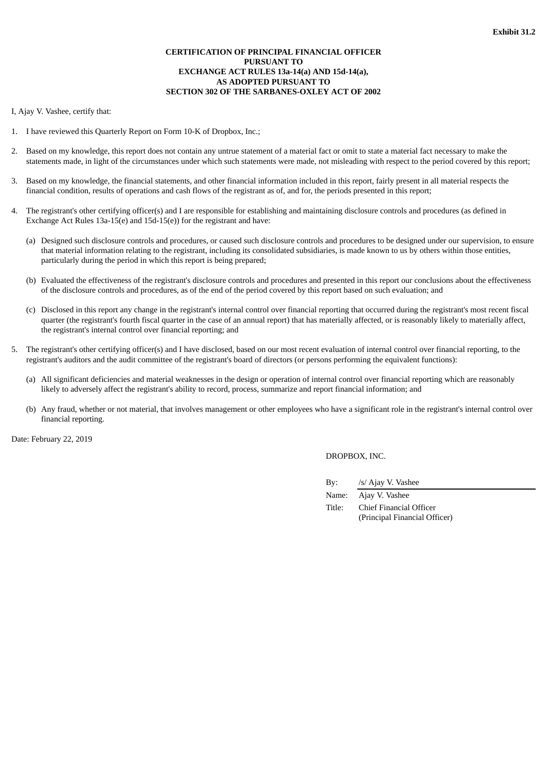## **CERTIFICATION OF PRINCIPAL FINANCIAL OFFICER PURSUANT TO EXCHANGE ACT RULES 13a-14(a) AND 15d-14(a), AS ADOPTED PURSUANT TO SECTION 302 OF THE SARBANES-OXLEY ACT OF 2002**

I, Ajay V. Vashee, certify that:

- 1. I have reviewed this Quarterly Report on Form 10-K of Dropbox, Inc.;
- 2. Based on my knowledge, this report does not contain any untrue statement of a material fact or omit to state a material fact necessary to make the statements made, in light of the circumstances under which such statements were made, not misleading with respect to the period covered by this report;
- 3. Based on my knowledge, the financial statements, and other financial information included in this report, fairly present in all material respects the financial condition, results of operations and cash flows of the registrant as of, and for, the periods presented in this report;
- 4. The registrant's other certifying officer(s) and I are responsible for establishing and maintaining disclosure controls and procedures (as defined in Exchange Act Rules 13a-15(e) and 15d-15(e)) for the registrant and have:
	- (a) Designed such disclosure controls and procedures, or caused such disclosure controls and procedures to be designed under our supervision, to ensure that material information relating to the registrant, including its consolidated subsidiaries, is made known to us by others within those entities, particularly during the period in which this report is being prepared;
	- (b) Evaluated the effectiveness of the registrant's disclosure controls and procedures and presented in this report our conclusions about the effectiveness of the disclosure controls and procedures, as of the end of the period covered by this report based on such evaluation; and
	- (c) Disclosed in this report any change in the registrant's internal control over financial reporting that occurred during the registrant's most recent fiscal quarter (the registrant's fourth fiscal quarter in the case of an annual report) that has materially affected, or is reasonably likely to materially affect, the registrant's internal control over financial reporting; and
- 5. The registrant's other certifying officer(s) and I have disclosed, based on our most recent evaluation of internal control over financial reporting, to the registrant's auditors and the audit committee of the registrant's board of directors (or persons performing the equivalent functions):
	- (a) All significant deficiencies and material weaknesses in the design or operation of internal control over financial reporting which are reasonably likely to adversely affect the registrant's ability to record, process, summarize and report financial information; and
	- (b) Any fraud, whether or not material, that involves management or other employees who have a significant role in the registrant's internal control over financial reporting.

Date: February 22, 2019

DROPBOX, INC.

By: /s/ Ajay V. Vashee

Name: Ajay V. Vashee Title: Chief Financial Officer (Principal Financial Officer)